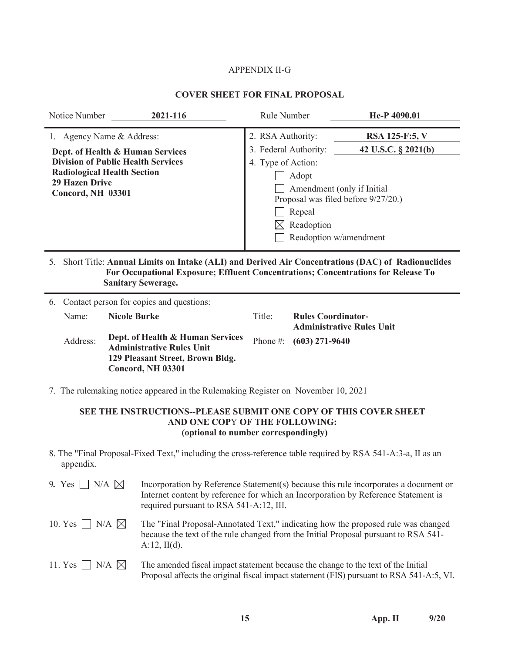# APPENDIX II-G

# **COVER SHEET FOR FINAL PROPOSAL**

| 1. Agency Name & Address:<br>Dept. of Health & Human Services                                                                                                                                                                                                                                                                                  | 2. RSA Authority:                                  |                                                                                                                                      |                                  |  |  |  |  |  |
|------------------------------------------------------------------------------------------------------------------------------------------------------------------------------------------------------------------------------------------------------------------------------------------------------------------------------------------------|----------------------------------------------------|--------------------------------------------------------------------------------------------------------------------------------------|----------------------------------|--|--|--|--|--|
| <b>Division of Public Health Services</b><br><b>Radiological Health Section</b><br><b>29 Hazen Drive</b><br><b>Concord, NH 03301</b>                                                                                                                                                                                                           | 3. Federal Authority:<br>4. Type of Action:<br>IХI | RSA 125-F:5, V<br>42 U.S.C. § 2021(b)<br>Amendment (only if Initial<br>Proposal was filed before 9/27/20.)<br>Readoption w/amendment |                                  |  |  |  |  |  |
| 5. Short Title: Annual Limits on Intake (ALI) and Derived Air Concentrations (DAC) of Radionuclides<br>For Occupational Exposure; Effluent Concentrations; Concentrations for Release To<br><b>Sanitary Sewerage.</b><br>6. Contact person for copies and questions:                                                                           |                                                    |                                                                                                                                      |                                  |  |  |  |  |  |
| <b>Nicole Burke</b><br>Name:<br>Dept. of Health & Human Services<br>Address:<br><b>Administrative Rules Unit</b><br>129 Pleasant Street, Brown Bldg.<br><b>Concord, NH 03301</b>                                                                                                                                                               | Title:<br>Phone #:                                 | <b>Rules Coordinator-</b><br>$(603)$ 271-9640                                                                                        | <b>Administrative Rules Unit</b> |  |  |  |  |  |
| 7. The rulemaking notice appeared in the Rulemaking Register on November 10, 2021<br>SEE THE INSTRUCTIONS--PLEASE SUBMIT ONE COPY OF THIS COVER SHEET<br>AND ONE COPY OF THE FOLLOWING:<br>(optional to number correspondingly)<br>8. The "Final Proposal-Fixed Text," including the cross-reference table required by RSA 541-A:3-a, II as an |                                                    |                                                                                                                                      |                                  |  |  |  |  |  |

| 9. Yes $\Box$ N/A $\boxtimes$  | Incorporation by Reference Statement(s) because this rule incorporates a document or<br>Internet content by reference for which an Incorporation by Reference Statement is<br>required pursuant to RSA 541-A:12, III. |
|--------------------------------|-----------------------------------------------------------------------------------------------------------------------------------------------------------------------------------------------------------------------|
| 10. Yes $\Box$ N/A $\boxtimes$ | The "Final Proposal-Annotated Text," indicating how the proposed rule was changed<br>because the text of the rule changed from the Initial Proposal pursuant to RSA 541-<br>$A:12$ , II(d).                           |
| 11. Yes $\Box$ N/A $\boxtimes$ | The amended fiscal impact statement because the change to the text of the Initial<br>Proposal affects the original fiscal impact statement (FIS) pursuant to RSA 541-A:5, VI.                                         |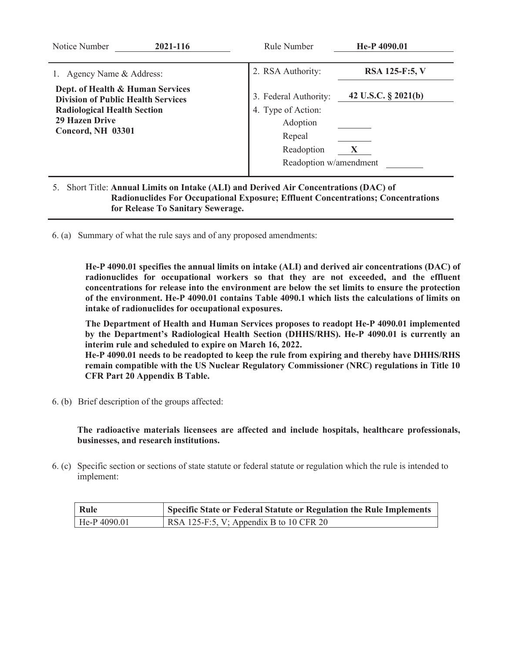| Notice Number<br>2021-116                                                                                                                                                                          | Rule Number                                                                                                                    | He-P 4090.01                          |
|----------------------------------------------------------------------------------------------------------------------------------------------------------------------------------------------------|--------------------------------------------------------------------------------------------------------------------------------|---------------------------------------|
| Agency Name & Address:<br>Dept. of Health & Human Services<br><b>Division of Public Health Services</b><br><b>Radiological Health Section</b><br><b>29 Hazen Drive</b><br><b>Concord, NH 03301</b> | 2. RSA Authority:<br>3. Federal Authority:<br>4. Type of Action:<br>Adoption<br>Repeal<br>Readoption<br>Readoption w/amendment | RSA 125-F:5, V<br>42 U.S.C. § 2021(b) |

# 5. Short Title: **Annual Limits on Intake (ALI) and Derived Air Concentrations (DAC) of Radionuclides For Occupational Exposure; Effluent Concentrations; Concentrations for Release To Sanitary Sewerage.**

6. (a) Summary of what the rule says and of any proposed amendments:

**He-P 4090.01 specifies the annual limits on intake (ALI) and derived air concentrations (DAC) of radionuclides for occupational workers so that they are not exceeded, and the effluent concentrations for release into the environment are below the set limits to ensure the protection of the environment. He-P 4090.01 contains Table 4090.1 which lists the calculations of limits on intake of radionuclides for occupational exposures.** 

 **The Department of Health and Human Services proposes to readopt He-P 4090.01 implemented by the Department's Radiological Health Section (DHHS/RHS). He-P 4090.01 is currently an interim rule and scheduled to expire on March 16, 2022. He-P 4090.01 needs to be readopted to keep the rule from expiring and thereby have DHHS/RHS remain compatible with the US Nuclear Regulatory Commissioner (NRC) regulations in Title 10** 

**CFR Part 20 Appendix B Table.** 

6. (b) Brief description of the groups affected:

**The radioactive materials licensees are affected and include hospitals, healthcare professionals, businesses, and research institutions.** 

6. (c) Specific section or sections of state statute or federal statute or regulation which the rule is intended to implement:

| Rule         | Specific State or Federal Statute or Regulation the Rule Implements |
|--------------|---------------------------------------------------------------------|
| He-P 4090.01 | RSA 125-F:5, V; Appendix B to 10 CFR 20                             |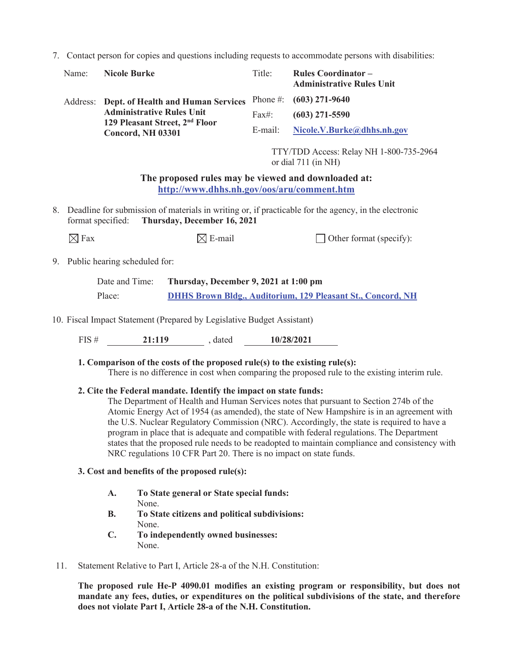7. Contact person for copies and questions including requests to accommodate persons with disabilities:

| Name:             | <b>Nicole Burke</b>                                                                                                                    | Title:                                                         | <b>Rules Coordinator -</b><br><b>Administrative Rules Unit</b>                                                                                                                                                                                                                                                                                                                                                                                                                     |  |  |  |  |
|-------------------|----------------------------------------------------------------------------------------------------------------------------------------|----------------------------------------------------------------|------------------------------------------------------------------------------------------------------------------------------------------------------------------------------------------------------------------------------------------------------------------------------------------------------------------------------------------------------------------------------------------------------------------------------------------------------------------------------------|--|--|--|--|
|                   | Address: Dept. of Health and Human Services                                                                                            | Phone #:                                                       | $(603)$ 271-9640                                                                                                                                                                                                                                                                                                                                                                                                                                                                   |  |  |  |  |
|                   | <b>Administrative Rules Unit</b>                                                                                                       | Fax#:                                                          | $(603)$ 271-5590                                                                                                                                                                                                                                                                                                                                                                                                                                                                   |  |  |  |  |
|                   | 129 Pleasant Street, 2 <sup>nd</sup> Floor<br><b>Concord, NH 03301</b>                                                                 | E-mail:                                                        | Nicole.V.Burke@dhhs.nh.gov                                                                                                                                                                                                                                                                                                                                                                                                                                                         |  |  |  |  |
|                   |                                                                                                                                        | TTY/TDD Access: Relay NH 1-800-735-2964<br>or dial 711 (in NH) |                                                                                                                                                                                                                                                                                                                                                                                                                                                                                    |  |  |  |  |
|                   | The proposed rules may be viewed and downloaded at:<br>http://www.dhhs.nh.gov/oos/aru/comment.htm                                      |                                                                |                                                                                                                                                                                                                                                                                                                                                                                                                                                                                    |  |  |  |  |
| format specified: | 8. Deadline for submission of materials in writing or, if practicable for the agency, in the electronic<br>Thursday, December 16, 2021 |                                                                |                                                                                                                                                                                                                                                                                                                                                                                                                                                                                    |  |  |  |  |
| $\boxtimes$ Fax   | $\boxtimes$ E-mail                                                                                                                     |                                                                | Other format (specify):                                                                                                                                                                                                                                                                                                                                                                                                                                                            |  |  |  |  |
|                   | 9. Public hearing scheduled for:                                                                                                       |                                                                |                                                                                                                                                                                                                                                                                                                                                                                                                                                                                    |  |  |  |  |
|                   | Date and Time:<br>Thursday, December 9, 2021 at 1:00 pm                                                                                |                                                                |                                                                                                                                                                                                                                                                                                                                                                                                                                                                                    |  |  |  |  |
|                   | Place:                                                                                                                                 |                                                                | <b>DHHS Brown Bldg., Auditorium, 129 Pleasant St., Concord, NH</b>                                                                                                                                                                                                                                                                                                                                                                                                                 |  |  |  |  |
|                   | 10. Fiscal Impact Statement (Prepared by Legislative Budget Assistant)                                                                 |                                                                |                                                                                                                                                                                                                                                                                                                                                                                                                                                                                    |  |  |  |  |
|                   | FIS # 21:119 , dated 10/28/2021                                                                                                        |                                                                |                                                                                                                                                                                                                                                                                                                                                                                                                                                                                    |  |  |  |  |
|                   | 1. Comparison of the costs of the proposed rule(s) to the existing rule(s):                                                            |                                                                | There is no difference in cost when comparing the proposed rule to the existing interim rule.                                                                                                                                                                                                                                                                                                                                                                                      |  |  |  |  |
|                   | 2. Cite the Federal mandate. Identify the impact on state funds:                                                                       |                                                                | The Department of Health and Human Services notes that pursuant to Section 274b of the<br>Atomic Energy Act of 1954 (as amended), the state of New Hampshire is in an agreement with<br>the U.S. Nuclear Regulatory Commission (NRC). Accordingly, the state is required to have a<br>program in place that is adequate and compatible with federal regulations. The Department<br>states that the proposed rule needs to be readopted to maintain compliance and consistency with |  |  |  |  |

### **3. Cost and benefits of the proposed rule(s):**

- **A. To State general or State special funds:**  None.
- **B. To State citizens and political subdivisions:**  None.

NRC regulations 10 CFR Part 20. There is no impact on state funds.

- **C. To independently owned businesses:**  None.
- 11. Statement Relative to Part I, Article 28-a of the N.H. Constitution:

**The proposed rule He-P 4090.01 modifies an existing program or responsibility, but does not mandate any fees, duties, or expenditures on the political subdivisions of the state, and therefore does not violate Part I, Article 28-a of the N.H. Constitution.**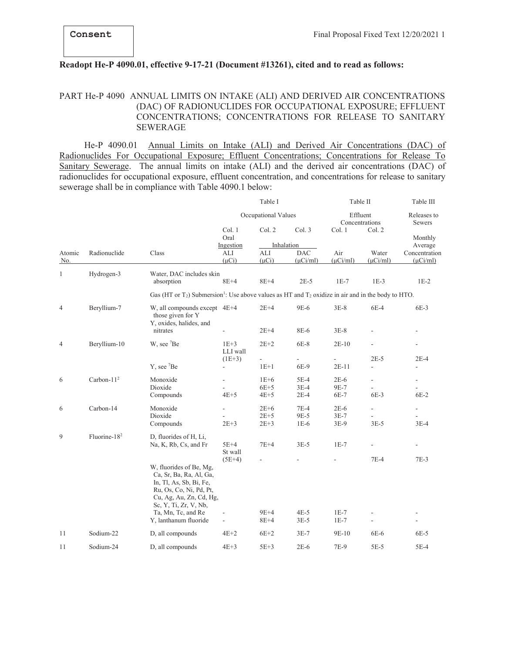#### **Readopt He-P 4090.01, effective 9-17-21 (Document #13261), cited and to read as follows:**

# PART He-P 4090 ANNUAL LIMITS ON INTAKE (ALI) AND DERIVED AIR CONCENTRATIONS (DAC) OF RADIONUCLIDES FOR OCCUPATIONAL EXPOSURE; EFFLUENT CONCENTRATIONS; CONCENTRATIONS FOR RELEASE TO SANITARY SEWERAGE

 He-P 4090.01 Annual Limits on Intake (ALI) and Derived Air Concentrations (DAC) of Radionuclides For Occupational Exposure; Effluent Concentrations; Concentrations for Release To Sanitary Sewerage. The annual limits on intake (ALI) and the derived air concentrations (DAC) of radionuclides for occupational exposure, effluent concentration, and concentrations for release to sanitary sewerage shall be in compliance with Table 4090.1 below:

|                |                 |                                                                                                                                                                                                             |                                                        | Table I                    |                             | Table II                             |                                    | Table III                          |
|----------------|-----------------|-------------------------------------------------------------------------------------------------------------------------------------------------------------------------------------------------------------|--------------------------------------------------------|----------------------------|-----------------------------|--------------------------------------|------------------------------------|------------------------------------|
|                |                 |                                                                                                                                                                                                             | Occupational Values                                    |                            |                             | Effluent<br>Concentrations<br>Col. 2 |                                    | Releases to<br>Sewers              |
|                |                 | Class                                                                                                                                                                                                       | Col.1<br>Oral<br>Ingestion                             | Col. 2                     | Col. 3<br>Inhalation        | Col. 1                               |                                    | Monthly<br>Average                 |
| Atomic<br>No.  | Radionuclide    |                                                                                                                                                                                                             | ALI<br>$(\mu Ci)$                                      | ALI<br>$(\mu Ci)$          | <b>DAC</b><br>$(\mu$ Ci/ml) | Air<br>$(\mu$ Ci/ml)                 | Water<br>$(\mu$ Ci/ml)             | Concentration<br>$(\mu$ Ci/ml)     |
| 1              | Hydrogen-3      | Water, DAC includes skin<br>absorption                                                                                                                                                                      | $8E+4$                                                 | $8E+4$                     | $2E-5$                      | $1E-7$                               | $1E-3$                             | $1E-2$                             |
|                |                 | Gas (HT or T <sub>2</sub> ) Submersion <sup>1</sup> : Use above values as HT and T <sub>2</sub> oxidize in air and in the body to HTO.                                                                      |                                                        |                            |                             |                                      |                                    |                                    |
| $\overline{4}$ | Beryllium-7     | W, all compounds except 4E+4<br>those given for Y<br>Y, oxides, halides, and                                                                                                                                |                                                        | $2E+4$                     | 9E-6                        | $3E-8$                               | 6E-4                               | $6E-3$                             |
|                |                 | nitrates                                                                                                                                                                                                    |                                                        | $2E+4$                     | 8E-6                        | $3E-8$                               |                                    |                                    |
| 4              | Beryllium-10    | W, see <sup>7</sup> Be                                                                                                                                                                                      | $1E+3$<br>LLI wall                                     | $2E+2$                     | 6E-8                        | $2E-10$                              |                                    | $\overline{\phantom{a}}$           |
|                |                 | Y, see <sup>7</sup> Be                                                                                                                                                                                      | $(1E+3)$<br>$\overline{\phantom{a}}$                   | $1E+1$                     | 6E-9                        | $2E-11$                              | $2E-5$<br>ä,                       | $2E-4$<br>L.                       |
| 6              | Carbon- $112$   | Monoxide<br>Dioxide<br>Compounds                                                                                                                                                                            | $\frac{1}{2}$<br>$4E+5$                                | $1E+6$<br>$6E+5$<br>$4E+5$ | 5E-4<br>$3E-4$<br>$2E-4$    | $2E-6$<br>9E-7<br>6E-7               | $\overline{\phantom{a}}$<br>$6E-3$ | $\overline{\phantom{a}}$<br>$6E-2$ |
| 6              | Carbon-14       | Monoxide<br>Dioxide<br>Compounds                                                                                                                                                                            | $\frac{1}{2}$<br>$2E+3$                                | $2E+6$<br>$2E+5$<br>$2E+3$ | $7E-4$<br>9E-5<br>$1E-6$    | $2E-6$<br>$3E-7$<br>3E-9             | $\overline{\phantom{a}}$<br>$3E-5$ | $\overline{\phantom{a}}$<br>$3E-4$ |
| 9              | Fluorine- $182$ | D, fluorides of H, Li,<br>Na, K, Rb, Cs, and Fr                                                                                                                                                             | $5E+4$<br>St wall                                      | $7E+4$                     | $3E-5$                      | $1E-7$                               |                                    |                                    |
|                |                 | W, fluorides of Be, Mg,<br>Ca, Sr, Ba, Ra, Al, Ga,<br>In, Tl, As, Sb, Bi, Fe,<br>Ru, Os, Co, Ni, Pd, Pt,<br>Cu, Ag, Au, Zn, Cd, Hg,<br>Sc, Y, Ti, Zr, V, Nb,<br>Ta, Mn, Tc, and Re<br>Y, lanthanum fluoride | $(5E+4)$<br>$\blacksquare$<br>$\overline{\phantom{a}}$ | $9E+4$<br>$8E+4$           | $4E-5$<br>$3E-5$            | $1E-7$<br>$1E-7$                     | $7E-4$                             | $7E-3$<br>$\overline{\phantom{a}}$ |
| 11             | Sodium-22       | D, all compounds                                                                                                                                                                                            | $4E+2$                                                 | $6E+2$                     | $3E-7$                      | 9E-10                                | 6E-6                               | $6E-5$                             |
| 11             | Sodium-24       | D, all compounds                                                                                                                                                                                            | $4E+3$                                                 | $5E+3$                     | $2E-6$                      | 7E-9                                 | $5E-5$                             | $5E-4$                             |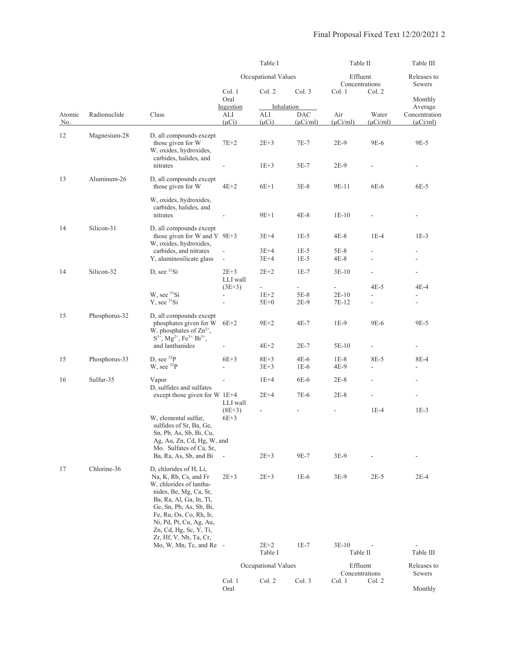|               |               |                                                                                                                                                                                                                                            |                                                       | Table I              |                             | Table II             |                        | Table III                      |
|---------------|---------------|--------------------------------------------------------------------------------------------------------------------------------------------------------------------------------------------------------------------------------------------|-------------------------------------------------------|----------------------|-----------------------------|----------------------|------------------------|--------------------------------|
|               |               |                                                                                                                                                                                                                                            | Occupational Values                                   |                      | Effluent<br>Concentrations  |                      | Releases to<br>Sewers  |                                |
|               |               |                                                                                                                                                                                                                                            | Col. 1<br>Oral<br>Ingestion                           | Col. 2               | Col. 3<br>Inhalation        | Col. 1<br>Col. 2     |                        | Monthly<br>Average             |
| Atomic<br>No. | Radionuclide  | Class                                                                                                                                                                                                                                      | ALI<br>$(\mu Ci)$                                     | ALI<br>$(\mu Ci)$    | <b>DAC</b><br>$(\mu$ Ci/ml) | Air<br>$(\mu$ Ci/ml) | Water<br>$(\mu$ Ci/ml) | Concentration<br>$(\mu$ Ci/ml) |
| 12            | Magnesium-28  | D, all compounds except<br>those given for W<br>W, oxides, hydroxides,<br>carbides, halides, and                                                                                                                                           | $7E+2$                                                | $2E + 3$             | 7E-7                        | 2E-9                 | 9E-6                   | 9E-5                           |
|               |               | nitrates                                                                                                                                                                                                                                   |                                                       | $1E+3$               | 5E-7                        | $2E-9$               |                        | $\overline{a}$                 |
| 13            | Aluminum-26   | D, all compounds except<br>those given for W                                                                                                                                                                                               | $4E+2$                                                | $6E+1$               | $3E-8$                      | 9E-11                | 6E-6                   | 6E-5                           |
|               |               | W, oxides, hydroxides,<br>carbides, halides, and<br>nitrates                                                                                                                                                                               |                                                       | $9E+1$               | $4E-8$                      | $1E-10$              |                        | $\qquad \qquad \blacksquare$   |
| 14            | Silicon-31    | D, all compounds except<br>those given for W and Y $9E+3$<br>W, oxides, hydroxides,                                                                                                                                                        |                                                       | $3E + 4$             | $1E-5$                      | 4E-8                 | $1E-4$                 | $1E-3$                         |
|               |               | carbides, and nitrates<br>Y, aluminosilicate glass                                                                                                                                                                                         | $\Box$<br>$\Box$                                      | $3E+4$<br>$3E+4$     | $1E-5$<br>$1E-5$            | $5E-8$<br>4E-8       | $\overline{a}$         | ä,<br>$\overline{\phantom{a}}$ |
| 14            | Silicon-32    | D, see ${}^{31}\text{Si}$                                                                                                                                                                                                                  | $2E+3$<br>LLI wall                                    | $2E+2$               | $1E-7$                      | $3E-10$              |                        | $\overline{a}$                 |
|               |               | W, see ${}^{31}Si$<br>$Y$ , see ${}^{31}Si$                                                                                                                                                                                                | $(3E+3)$<br>$\overline{\phantom{a}}$<br>$\frac{1}{2}$ | $1E+2$<br>$5E+0$     | $5E-8$<br>$2E-9$            | $2E-10$<br>7E-12     | 4E-5                   | 4E-4<br>$\overline{a}$         |
| 15            | Phosphorus-32 | D, all compounds except<br>phosphates given for W<br>W, phosphates of $Zn^{2+}$ ,<br>$S^{3+}$ , Mg <sup>2+</sup> , Fe <sup>3+,</sup> Bi <sup>3+</sup> ,                                                                                    | $6E+2$                                                | $9E+2$               | $4E-7$                      | $1E-9$               | 9E-6                   | 9E-5                           |
|               |               | and lanthanides                                                                                                                                                                                                                            |                                                       | $4E+2$               | $2E-7$                      | 5E-10                |                        |                                |
| 15            | Phosphorus-33 | D, see $^{32}P$<br>W, see $^{32}P$                                                                                                                                                                                                         | $6E+3$<br>÷,                                          | $8E + 3$<br>$3E + 3$ | $4E-6$<br>$1E-6$            | $1E-8$<br>4E-9       | 8E-5                   | 8E-4                           |
| 16            | Sulfur-35     | Vapor<br>D, sulfides and sulfates                                                                                                                                                                                                          | L,                                                    | $1E+4$               | 6E-6                        | $2E-8$               |                        | $\overline{\phantom{a}}$       |
|               |               | except those given for W 1E+4                                                                                                                                                                                                              | LLI wall                                              | $2E+4$               | 7E-6                        | $2E-8$               |                        |                                |
|               |               | W, elemental sulfur,<br>sulfides of Sr, Ba, Ge,<br>Sn, Pb, As, Sb, Bi, Cu,<br>Ag, Au, Zn, Cd, Hg, W, and                                                                                                                                   | $(8E+3)$<br>$6E+3$                                    |                      |                             |                      | $1E-4$                 | $1E-3$                         |
|               |               | Mo. Sulfates of Ca, Sr,<br>Ba, Ra, As, Sb, and Bi                                                                                                                                                                                          | $\overline{\phantom{a}}$                              | $2E + 3$             | 9E-7                        | 3E-9                 |                        |                                |
| 17            | Chlorine-36   | D, chlorides of H, Li,<br>Na, K, Rb, Cs, and Fr<br>W, chlorides of lantha-<br>nides, Be, Mg, Ca, Sr,<br>Ba, Ra, Al, Ga, In, Tl,<br>Ge, Sn, Pb, As, Sb, Bi,<br>Fe, Ru, Os, Co, Rh, Ir,<br>Ni, Pd, Pt, Cu, Ag, Au,<br>Zn, Cd, Hg, Sc, Y, Ti, | $2E + 3$                                              | $2E + 3$             | $1E-6$                      | 3E-9                 | $2E-5$                 | $2E-4$                         |
|               |               | Zr, Hf, V, Nb, Ta, Cr,<br>Mo, W, Mn, Tc, and Re -                                                                                                                                                                                          |                                                       | $2E + 2$<br>Table I  | $1E-7$                      | $3E-10$<br>Table II  |                        | Table III                      |
|               |               |                                                                                                                                                                                                                                            |                                                       | Occupational Values  |                             | Effluent             | Concentrations         | Releases to<br>Sewers          |
|               |               |                                                                                                                                                                                                                                            | Col. 1<br>Oral                                        | Col. 2               | Col. 3                      | Col. 1               | Col. 2                 | Monthly                        |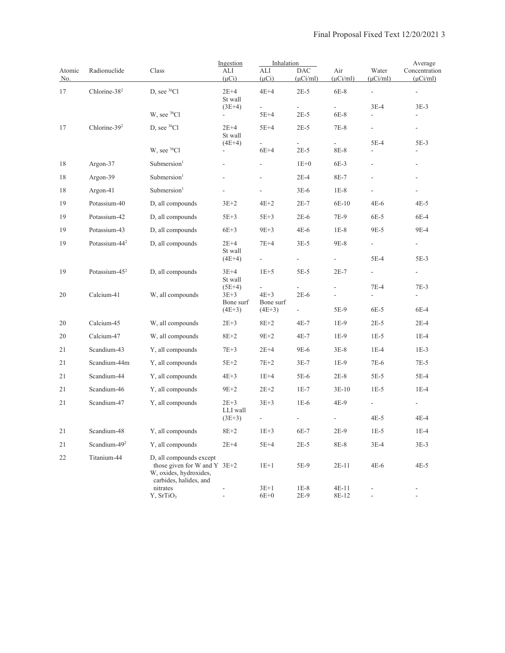|                      |                           |                                                                                                               | Ingestion                | Inhalation                         |                          |                      |                          | Average                        |
|----------------------|---------------------------|---------------------------------------------------------------------------------------------------------------|--------------------------|------------------------------------|--------------------------|----------------------|--------------------------|--------------------------------|
| Atomic<br><u>No.</u> | Radionuclide              | Class                                                                                                         | ALI<br>$(\mu Ci)$        | ALI<br>$(\mu Ci)$                  | DAC<br>$(\mu$ Ci/ml)     | Air<br>$(\mu$ Ci/ml) | Water<br>$(\mu$ Ci/ml)   | Concentration<br>$(\mu$ Ci/ml) |
| 17                   | Chlorine-38 <sup>2</sup>  | D, see <sup>36</sup> Cl                                                                                       | $2E+4$<br>St wall        | $4E+4$                             | $2E-5$                   | $6E-8$               |                          | $\frac{1}{2}$                  |
|                      |                           | W, see <sup>36</sup> Cl                                                                                       | $(3E+4)$                 |                                    | $2E-5$                   |                      | $3E-4$                   | $3E-3$                         |
|                      |                           |                                                                                                               | $\frac{1}{2}$            | 5E+4                               |                          | 6E-8                 |                          |                                |
| 17                   | Chlorine-39 <sup>2</sup>  | D, see ${}^{36}Cl$                                                                                            | 2E+4<br>St wall          | 5E+4                               | $2E-5$                   | $7E-8$               |                          | $\qquad \qquad \blacksquare$   |
|                      |                           | W, see ${}^{36}Cl$                                                                                            | $(4E+4)$<br>۰            | $\overline{\phantom{0}}$<br>$6E+4$ | $2E-5$                   | 8E-8                 | 5E-4<br>÷,               | $5E-3$                         |
| 18                   | Argon-37                  | Submersion <sup>1</sup>                                                                                       | $\overline{a}$           |                                    | $1E+0$                   | $6E-3$               |                          |                                |
| 18                   | Argon-39                  | Submersion <sup>1</sup>                                                                                       | L,                       |                                    | $2E-4$                   | 8E-7                 |                          | $\overline{\phantom{a}}$       |
| 18                   | Argon-41                  | Submersion <sup>1</sup>                                                                                       | ÷,                       | ÷,                                 | $3E-6$                   | $1E-8$               |                          | $\overline{\phantom{a}}$       |
| 19                   | Potassium-40              | D, all compounds                                                                                              | $3E+2$                   | $4E+2$                             | $2E-7$                   | 6E-10                | $4E-6$                   | $4E-5$                         |
| 19                   | Potassium-42              | D, all compounds                                                                                              | $5E+3$                   | $5E+3$                             | $2E-6$                   | 7E-9                 | 6E-5                     | $6E-4$                         |
| 19                   | Potassium-43              | D, all compounds                                                                                              | $6E+3$                   | $9E+3$                             | $4E-6$                   | $1E-8$               | 9E-5                     | 9E-4                           |
| 19                   | Potassium-44 <sup>2</sup> | D, all compounds                                                                                              | $2E+4$                   | $7E+4$                             | $3E-5$                   | 9E-8                 | ÷.                       | $\blacksquare$                 |
|                      |                           |                                                                                                               | St wall<br>$(4E+4)$      | $\frac{1}{2}$                      | $\blacksquare$           |                      | 5E-4                     | $5E-3$                         |
| 19                   | Potassium- $45^2$         | D, all compounds                                                                                              | $3E+4$                   | $1E+5$                             | $5E-5$                   | $2E-7$               | $\overline{\phantom{a}}$ | $\overline{\phantom{a}}$       |
|                      |                           |                                                                                                               | St wall<br>$(5E+4)$      | ÷,                                 |                          |                      | $7E-4$                   | $7E-3$                         |
| 20                   | Calcium-41                | W, all compounds                                                                                              | $3E+3$<br>Bone surf      | $4E+3$<br>Bone surf                | $2E-6$                   |                      |                          | $\overline{a}$                 |
|                      |                           |                                                                                                               | $(4E+3)$                 | $(4E+3)$                           | $\overline{\phantom{a}}$ | 5E-9                 | $6E-5$                   | $6E-4$                         |
| 20                   | Calcium-45                | W, all compounds                                                                                              | $2E + 3$                 | $8E+2$                             | $4E-7$                   | $1E-9$               | $2E-5$                   | $2E-4$                         |
| 20                   | Calcium-47                | W, all compounds                                                                                              | $8E+2$                   | $9E+2$                             | $4E-7$                   | $1E-9$               | $1E-5$                   | $1E-4$                         |
| 21                   | Scandium-43               | Y, all compounds                                                                                              | $7E+3$                   | $2E+4$                             | 9E-6                     | $3E-8$               | $1E-4$                   | $1E-3$                         |
| 21                   | Scandium-44m              | Y, all compounds                                                                                              | $5E+2$                   | $7E+2$                             | 3E-7                     | $1E-9$               | 7E-6                     | $7E-5$                         |
| 21                   | Scandium-44               | Y, all compounds                                                                                              | $4E+3$                   | $1E+4$                             | 5E-6                     | $2E-8$               | $5E-5$                   | 5E-4                           |
| 21                   | Scandium-46               | Y, all compounds                                                                                              | $9E+2$                   | $2E + 2$                           | $1E-7$                   | $3E-10$              | $1E-5$                   | $1E-4$                         |
| 21                   | Scandium-47               | Y, all compounds                                                                                              | $2E+3$                   | $3E+3$                             | $1E-6$                   | 4E-9                 | $\blacksquare$           |                                |
|                      |                           |                                                                                                               | LLI wall<br>$(3E+3)$     | $\frac{1}{2}$                      | ÷,                       |                      | 4E-5                     | $4E-4$                         |
| 21                   | Scandium-48               | Y, all compounds                                                                                              | $8E + 2$                 | $1E+3$                             | 6E-7                     | $2E-9$               | $1E-5$                   | $1E-4$                         |
| 21                   | Scandium-49 <sup>2</sup>  | Y, all compounds                                                                                              | $2E+4$                   | $5E+4$                             | $2E-5$                   | 8E-8                 | $3E-4$                   | $3E-3$                         |
| 22                   | Titanium-44               | D, all compounds except<br>those given for W and Y $3E+2$<br>W, oxides, hydroxides,<br>carbides, halides, and |                          | $1E+1$                             | 5E-9                     | $2E-11$              | $4E-6$                   | $4E-5$                         |
|                      |                           | nitrates<br>Y, SrTiO <sub>3</sub>                                                                             | $\overline{\phantom{a}}$ | $3E+1$<br>$6E+0$                   | $1E-8$<br>$2E-9$         | $4E-11$<br>8E-12     | ÷,                       | $\overline{\phantom{a}}$       |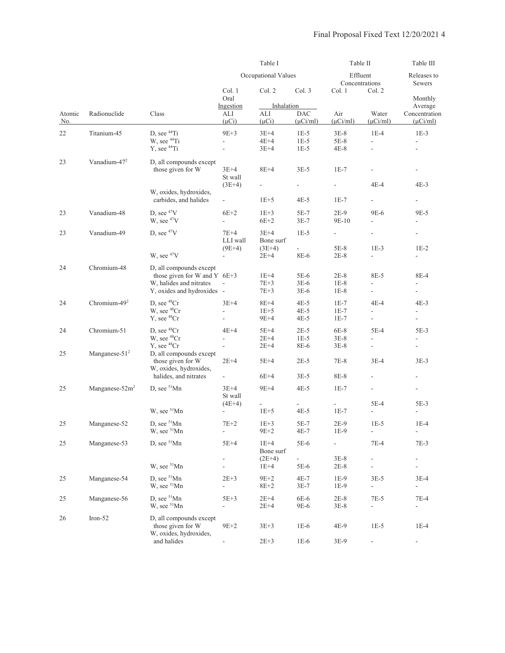|               |                          |                                                                                                                    | Table I                              |                                    |                                     | Table II                           |                                         | Table III                                    |
|---------------|--------------------------|--------------------------------------------------------------------------------------------------------------------|--------------------------------------|------------------------------------|-------------------------------------|------------------------------------|-----------------------------------------|----------------------------------------------|
|               |                          |                                                                                                                    |                                      | Occupational Values                |                                     | Effluent<br>Concentrations         |                                         | Releases to<br>Sewers                        |
|               |                          |                                                                                                                    | Col. 1<br>Oral                       | Col. 2                             | Col. 3                              | Col. 1                             | Col. 2                                  | Monthly                                      |
| Atomic<br>No. | Radionuclide             | Class                                                                                                              | Ingestion<br>ALI<br>$(\mu Ci)$       | Inhalation<br>ALI<br>$(\mu Ci)$    | <b>DAC</b><br>$(\mu$ Ci/ml)         | Air<br>$(\mu$ Ci/ml)               | Water<br>$(\mu$ Ci/ml)                  | Average<br>Concentration<br>$(\mu$ Ci/ml $)$ |
| 22            | Titanium-45              | D, see <sup>44</sup> Ti<br>W, see <sup>44</sup> Ti<br>Y, see <sup>44</sup> Ti                                      | $9E+3$<br>$\overline{a}$<br>L,       | $3E+4$<br>$4E+4$<br>$3E+4$         | $1E-5$<br>$1E-5$<br>$1E-5$          | $3E-8$<br>5E-8<br>$4E-8$           | $1E-4$                                  | $1E-3$<br>ä,                                 |
| 23            | Vanadium-47 $2$          | D, all compounds except<br>those given for W                                                                       | $3E+4$<br>St wall<br>$(3E+4)$        | $8E+4$<br>$\overline{\phantom{a}}$ | $3E-5$<br>$\overline{\phantom{a}}$  | $1E-7$<br>$\overline{\phantom{a}}$ | 4E-4                                    | 4E-3                                         |
|               |                          | W, oxides, hydroxides,<br>carbides, and halides                                                                    | $\overline{\phantom{a}}$             | $1E+5$                             | $4E-5$                              | $1E-7$                             | $\blacksquare$                          |                                              |
| 23            | Vanadium-48              | D, see $47V$<br>W, see $47V$                                                                                       | $6E+2$<br>÷,                         | $1E+3$<br>$6E+2$                   | $5E-7$<br>$3E-7$                    | $2E-9$<br>9E-10                    | 9E-6<br>$\frac{1}{2}$                   | 9E-5<br>$\frac{1}{2}$                        |
| 23            | Vanadium-49              | D, see $47V$                                                                                                       | $7E+4$<br>LLI wall<br>$(9E+4)$       | $3E+4$<br>Bone surf<br>$(3E+4)$    | $1E-5$<br>$\overline{\phantom{a}}$  | $\overline{\phantom{a}}$<br>$5E-8$ | $\overline{\phantom{a}}$<br>$1E-3$      | $\overline{\phantom{m}}$<br>$1E-2$           |
|               |                          | W, see <sup>47</sup> V                                                                                             |                                      | $2E + 4$                           | 8E-6                                | $2E-8$                             | $\overline{\phantom{a}}$                | $\overline{a}$                               |
| 24            | Chromium-48              | D, all compounds except<br>those given for W and Y $6E+3$<br>W, halides and nitrates<br>Y, oxides and hydroxides - | $\overline{\phantom{a}}$             | $1E+4$<br>$7E+3$<br>7E+3           | 5E-6<br>$3E-6$<br>$3E-6$            | $2E-8$<br>$1E-8$<br>$1E-8$         | 8E-5                                    | 8E-4                                         |
| 24            | Chromium-49 <sup>2</sup> | D, see ${}^{48}Cr$<br>W, see <sup>48</sup> Cr<br>Y, see <sup>48</sup> Cr                                           | $3E+4$<br>ä,                         | $8E+4$<br>$1E+5$<br>$9E+4$         | $4E-5$<br>$4E-5$<br>$4E-5$          | $1E-7$<br>$1E-7$<br>$1E-7$         | 4E-4<br>$\frac{1}{2}$<br>$\blacksquare$ | $4E-3$                                       |
| 24            | Chromium-51              | D, see <sup>48</sup> Cr<br>W, see <sup>48</sup> Cr<br>$Y$ , see ${}^{48}Cr$                                        | $4E+4$<br>÷,<br>$\overline{a}$       | 5E+4<br>$2E+4$<br>$2E+4$           | $2E-5$<br>$1E-5$<br>8E-6            | $6E-8$<br>$3E-8$<br>$3E-8$         | $5E-4$<br>L.                            | $5E-3$                                       |
| 25            | Manganese- $512$         | D, all compounds except<br>those given for W<br>W, oxides, hydroxides,                                             | $2E+4$                               | $5E+4$                             | $2E-5$                              | 7E-8                               | $3E-4$                                  | $3E-3$                                       |
|               |                          | halides, and nitrates                                                                                              | -                                    | $6E+4$                             | $3E-5$                              | 8E-8                               |                                         |                                              |
| 25            | Manganese- $52m^2$       | D, see $51$ Mn                                                                                                     | $3E+4$<br>St wall<br>$(4E+4)$        | $9E+4$<br>÷,                       | $4E-5$                              | $1E-7$<br>$\overline{\phantom{a}}$ | $\overline{\phantom{a}}$<br>$5E-4$      | $\overline{\phantom{a}}$<br>5E-3             |
|               |                          | W, see <sup>51</sup> Mn                                                                                            |                                      | $1E+5$                             | $4E-5$                              | $1E-7$                             | $\overline{\phantom{a}}$                |                                              |
| 25            | Manganese-52             | D, see <sup>51</sup> Mn<br>W, see <sup>51</sup> Mn                                                                 | $7E+2$                               | $1E+3$<br>9E+2                     | 5E-7<br>4E-7                        | $2E-9$<br>1E-9                     | $1E-5$                                  | $1E-4$<br>$\overline{\phantom{a}}$           |
| 25            | Manganese-53             | D, see <sup>51</sup> Mn                                                                                            | $5E+4$                               | $1E+4$<br>Bone surf                | 5E-6                                |                                    | $7E-4$                                  | $7E-3$                                       |
|               |                          | W, see <sup>51</sup> Mn                                                                                            |                                      | $(2E+4)$<br>$1E+4$                 | $\mathbb{R}^{\mathbb{Z}}$<br>$5E-6$ | $3E-8$<br>$2E-8$                   |                                         | $\overline{\phantom{a}}$<br>$\overline{a}$   |
| 25            | Manganese-54             | D, see <sup>51</sup> Mn<br>W, see <sup>51</sup> Mn                                                                 | $2E + 3$<br>$\overline{\phantom{0}}$ | $9E+2$<br>$8E+2$                   | $4E-7$<br>3E-7                      | 1E-9<br>$1E-9$                     | $3E-5$<br>$\overline{\phantom{a}}$      | 3E-4<br>$\overline{\phantom{a}}$             |
| 25            | Manganese-56             | D, see $51$ Mn<br>W, see $51$ Mn                                                                                   | $5E+3$<br>$\overline{\phantom{a}}$   | $2E+4$<br>$2E+4$                   | 6E-6<br>9E-6                        | $2E-8$<br>$3E-8$                   | 7E-5<br>$\overline{\phantom{a}}$        | 7E-4<br>$\overline{\phantom{a}}$             |
| 26            | Iron-52                  | D, all compounds except<br>those given for W<br>W, oxides, hydroxides,                                             | $9E+2$                               | $3E + 3$                           | $1E-6$                              | 4E-9                               | $1E-5$                                  | $1E-4$                                       |
|               |                          | and halides                                                                                                        | $\overline{\phantom{a}}$             | $2E + 3$                           | $1E-6$                              | 3E-9                               |                                         | -                                            |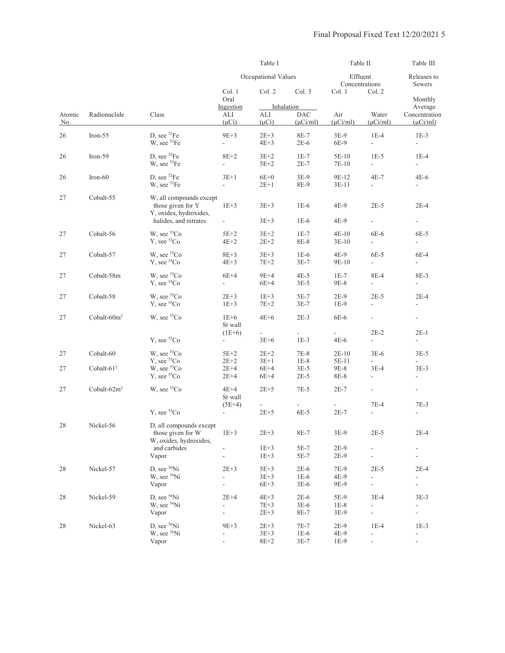|               |                 |                                                                                                 |                                                     | Table I                        |                                           | Table II<br>Effluent<br>Concentrations |                                                     | Table III<br>Releases to<br>Sewers                   |
|---------------|-----------------|-------------------------------------------------------------------------------------------------|-----------------------------------------------------|--------------------------------|-------------------------------------------|----------------------------------------|-----------------------------------------------------|------------------------------------------------------|
|               |                 |                                                                                                 |                                                     | Occupational Values            |                                           |                                        |                                                     |                                                      |
| Atomic<br>No. |                 |                                                                                                 | Col. 1<br>Oral                                      | Col. 2                         | Col. 3                                    | Col. 1                                 | Col. 2                                              | Monthly                                              |
|               | Radionuclide    | Class                                                                                           | Ingestion<br>ALI<br>$(\mu Ci)$                      | ALI<br>$(\mu Ci)$              | Inhalation<br><b>DAC</b><br>$(\mu$ Ci/ml) | Air<br>$(\mu$ Ci/ml)                   | Water<br>$(\mu$ Ci/ml $)$                           | Average<br>Concentration<br>$(\mu$ Ci/ml)            |
| 26            | Iron- $55$      | D, see ${}^{52}Fe$<br>W, see ${}^{52}Fe$                                                        | $9E+3$<br>÷,                                        | $2E+3$<br>$4E+3$               | 8E-7<br>$2E-6$                            | $3E-9$<br>6E-9                         | $1E-4$<br>$\frac{1}{2}$                             | $1E-3$<br>$\blacksquare$                             |
| 26            | Iron-59         | D, see ${}^{52}Fe$<br>W, see ${}^{52}Fe$                                                        | $8E+2$<br>÷,                                        | $3E+2$<br>$5E+2$               | $1E-7$<br>$2E-7$                          | $5E-10$<br>7E-10                       | $1E-5$<br>$\overline{\phantom{a}}$                  | $1E-4$<br>$\overline{\phantom{a}}$                   |
| 26            | $Iron-60$       | D, see <sup>52</sup> Fe<br>W, see <sup>52</sup> Fe                                              | $3E+1$<br>$\overline{\phantom{a}}$                  | $6E+0$<br>$2E+1$               | $3E-9$<br>8E-9                            | 9E-12<br>$3E-11$                       | $4E-7$<br>$\overline{\phantom{a}}$                  | $4E-6$<br>$\overline{\phantom{a}}$                   |
| 27            | Cobalt-55       | W, all compounds except<br>those given for Y<br>Y, oxides, hydroxides,<br>halides, and nitrates | $1E+3$<br>$\overline{\phantom{a}}$                  | $3E+3$<br>$3E + 3$             | $1E-6$<br>$1E-6$                          | $4E-9$<br>4E-9                         | $2E-5$<br>$\overline{\phantom{a}}$                  | $2E-4$<br>$\overline{\phantom{0}}$                   |
| 27            | Cobalt-56       | W, see ${}^{55}Co$<br>Y, see <sup>55</sup> Co                                                   | $5E+2$<br>$4E+2$                                    | $3E+2$<br>$2E+2$               | $1E-7$<br>8E-8                            | $4E-10$<br>$3E-10$                     | $6E-6$<br>÷,                                        | 6E-5<br>÷                                            |
| 27            | Cobalt-57       | W, see <sup>55</sup> Co<br>$Y$ , see ${}^{55}Co$                                                | $8E+3$<br>$4E+3$                                    | $3E + 3$<br>$7E+2$             | $1E-6$<br>$3E-7$                          | 4E-9<br>9E-10                          | $6E-5$<br>ä,                                        | 6E-4<br>$\bar{a}$                                    |
| 27            | Cobalt-58m      | W, see <sup>55</sup> Co<br>$Y$ , see ${}^{55}Co$                                                | $6E+4$<br>÷.                                        | $9E+4$<br>$6E+4$               | $4E-5$<br>$3E-5$                          | $1E-7$<br>9E-8                         | 8E-4<br>$\overline{\phantom{a}}$                    | 8E-3<br>$\mathbf{r}$                                 |
| 27            | Cobalt-58       | W, see <sup>55</sup> Co<br>$Y$ , see ${}^{55}Co$                                                | $2E+3$<br>$1E+3$                                    | $1E+3$<br>$7E+2$               | $5E-7$<br>$3E-7$                          | $2E-9$<br>$1E-9$                       | $2E-5$<br>$\overline{\phantom{a}}$                  | $2E-4$<br>$\overline{\phantom{a}}$                   |
| 27            | Cobalt- $60m^2$ | W, see ${}^{55}Co$                                                                              | $1E+6$<br>St wall<br>$(1E+6)$                       | $4E+6$                         | $2E-3$                                    | 6E-6                                   | $\blacksquare$<br>$2E-2$                            | $\overline{\phantom{0}}$<br>$2E-1$                   |
|               |                 | $Y$ , see ${}^{55}Co$                                                                           | $\frac{1}{2}$                                       | $3E+6$                         | $1E-3$                                    | $4E-6$                                 | $\frac{1}{2}$                                       | $\frac{1}{2}$                                        |
| 27            | Cobalt-60       | W, see <sup>55</sup> Co<br>$Y$ , see ${}^{55}Co$                                                | $5E+2$<br>$2E+2$                                    | $2E+2$<br>$3E+1$               | $7E-8$<br>$1E-8$                          | $2E-10$<br>5E-11                       | $3E-6$<br>L.                                        | $3E-5$                                               |
| 27            | Cobalt- $612$   | W, see ${}^{55}Co$<br>$Y$ , see ${}^{55}Co$                                                     | $2E+4$<br>$2E+4$                                    | $6E+4$<br>$6E+4$               | $3E-5$<br>$2E-5$                          | 9E-8<br>8E-8                           | $3E-4$<br>$\frac{1}{2}$                             | $3E-3$<br>$\overline{\phantom{a}}$                   |
| 27            | Cobalt- $62m^2$ | W, see ${}^{55}Co$                                                                              | $4E+4$<br>St wall                                   | $2E+5$                         | $7E-5$                                    | $2E-7$                                 | $\overline{\phantom{a}}$                            | $\overline{\phantom{a}}$                             |
|               |                 | $Y$ , see ${}^{55}Co$                                                                           | $(5E+4)$                                            | $2E + 5$                       | 6E-5                                      | $2E-7$                                 | $7E-4$<br>L.                                        | $7E-3$<br>$\overline{a}$                             |
| 28            | Nickel-56       | D, all compounds except<br>those given for W<br>W, oxides, hydroxides,                          | $1E+3$                                              | $2E+3$                         | $8E-7$                                    | $3E-9$                                 | $2E-5$                                              | $2E-4$                                               |
|               |                 | and carbides<br>Vapor                                                                           |                                                     | $1E+3$<br>$1E+3$               | 5E-7<br>$5E-7$                            | $2E-9$<br>$2E-9$                       |                                                     |                                                      |
| $28\,$        | Nickel-57       | D, see <sup>56</sup> Ni<br>W, see <sup>56</sup> Ni<br>Vapor                                     | $2E+3$<br>$\overline{\phantom{0}}$<br>$\frac{1}{2}$ | $5E+3$<br>$3E + 3$<br>$6E+3$   | $2E-6$<br>$1E-6$<br>$3E-6$                | 7E-9<br>4E-9<br>9E-9                   | $2E-5$<br>$\frac{1}{2}$<br>L,                       | $2E-4$<br>$\frac{1}{2}$                              |
| 28            | Nickel-59       | D, see $56$ Ni<br>W, see <sup>56</sup> Ni<br>Vapor                                              | $2E+4$<br>ä,<br>$\overline{\phantom{a}}$            | $4E+3$<br>$7E + 3$<br>$2E + 3$ | $2E-6$<br>$3E-6$<br>8E-7                  | 5E-9<br>$1E-8$<br>3E-9                 | $3E-4$<br>$\overline{\phantom{a}}$<br>$\frac{1}{2}$ | $3E-3$<br>$\frac{1}{2}$                              |
| 28            | Nickel-63       | D, see $56$ Ni<br>W, see <sup>56</sup> Ni<br>Vapor                                              | $9E+3$<br>$\Box$<br>$\blacksquare$                  | $2E + 3$<br>$3E+3$<br>$8E+2$   | $7E-7$<br>$1E-6$<br>$3E-7$                | $2E-9$<br>4E-9<br>$1E-9$               | $1E-4$<br>$\frac{1}{2}$<br>$\overline{a}$           | $1E-3$<br>$\overline{\phantom{a}}$<br>$\blacksquare$ |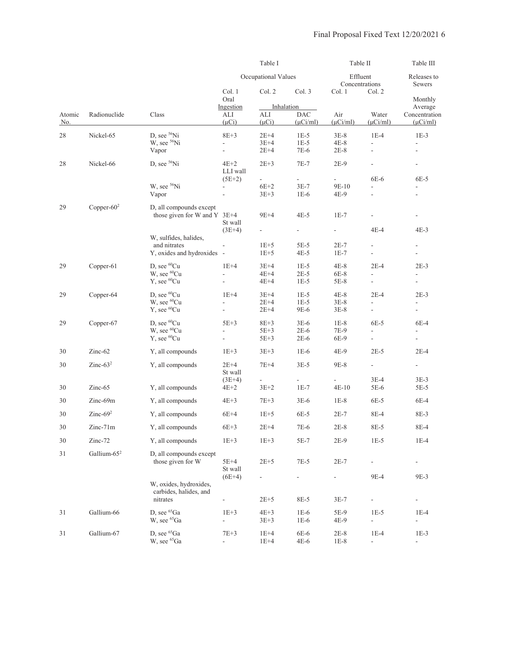|               |                         |                                                                             |                                    | Table I                    |                                           | Table II                   |                                    | Table III                                 |
|---------------|-------------------------|-----------------------------------------------------------------------------|------------------------------------|----------------------------|-------------------------------------------|----------------------------|------------------------------------|-------------------------------------------|
|               |                         |                                                                             |                                    | Occupational Values        |                                           | Effluent<br>Concentrations |                                    | Releases to<br><b>Sewers</b>              |
|               |                         |                                                                             | Col. 1<br>Oral                     | Col. 2                     | Col. 3                                    | Col. 1                     | Col. 2                             | Monthly                                   |
| Atomic<br>No. | Radionuclide            | Class                                                                       | Ingestion<br>ALI<br>$(\mu Ci)$     | ALI<br>$(\mu Ci)$          | Inhalation<br><b>DAC</b><br>$(\mu$ Ci/ml) | Air<br>$(\mu$ Ci/ml)       | Water<br>$(\mu$ Ci/ml)             | Average<br>Concentration<br>$(\mu$ Ci/ml) |
| 28            | Nickel-65               | D, see <sup>56</sup> Ni<br>W, see <sup>56</sup> Ni                          | $8E+3$                             | $2E+4$<br>$3E+4$           | $1E-5$<br>$1E-5$                          | $3E-8$<br>$4E-8$           | $1E-4$                             | $1E-3$                                    |
|               |                         | Vapor                                                                       |                                    | $2E+4$                     | 7E-6                                      | $2E-8$                     |                                    |                                           |
| 28            | Nickel-66               | D, see <sup>56</sup> Ni                                                     | $4E+2$<br>LLI wall<br>$(5E+2)$     | $2E+3$<br>÷,               | $7E-7$<br>$\mathcal{L}_{\mathcal{A}}$     | $2E-9$                     | 6E-6                               | $\overline{\phantom{a}}$<br>6E-5          |
|               |                         | W, see <sup>56</sup> Ni<br>Vapor                                            | ÷,                                 | $6E+2$<br>$3E+3$           | $3E-7$<br>$1E-6$                          | 9E-10<br>4E-9              | $\overline{\phantom{a}}$           | $\overline{\phantom{a}}$                  |
| 29            | Copper- $602$           | D, all compounds except<br>those given for W and Y $3E+4$                   | St wall                            | 9E+4                       | $4E-5$                                    | $1E-7$                     |                                    | $\blacksquare$                            |
|               |                         | W, sulfides, halides,                                                       | $(3E+4)$                           |                            | $\overline{\phantom{a}}$                  | $\overline{\phantom{a}}$   | 4E-4                               | $4E-3$                                    |
|               |                         | and nitrates<br>Y, oxides and hydroxides -                                  |                                    | $1E+5$<br>$1E+5$           | 5E-5<br>$4E-5$                            | $2E-7$<br>$1E-7$           |                                    | ÷,                                        |
| 29            | Copper-61               | D, see ${}^{60}Cu$<br>W, see <sup>60</sup> Cu<br>Y, see <sup>60</sup> Cu    | $1E+4$                             | $3E+4$<br>$4E+4$<br>$4E+4$ | $1E-5$<br>$2E-5$<br>$1E-5$                | $4E-8$<br>6E-8<br>5E-8     | $2E-4$<br>$\overline{\phantom{a}}$ | $2E-3$<br>$\overline{\phantom{a}}$        |
| 29            | Copper-64               | D, see ${}^{60}Cu$<br>W, see <sup>60</sup> Cu<br>Y, see <sup>60</sup> Cu    | $1E+4$                             | $3E+4$<br>$2E+4$<br>$2E+4$ | $1E-5$<br>$1E-5$<br>9E-6                  | $4E-8$<br>$3E-8$<br>3E-8   | $2E-4$                             | $2E-3$<br>$\overline{a}$                  |
| 29            | Copper-67               | D, see <sup>60</sup> Cu<br>W, see <sup>60</sup> Cu<br>$Y$ , see ${}^{60}Cu$ | $5E+3$                             | $8E+3$<br>$5E+3$<br>$5E+3$ | $3E-6$<br>$2E-6$<br>$2E-6$                | $1E-8$<br>7E-9<br>6E-9     | 6E-5<br>$\overline{\phantom{a}}$   | 6E-4<br>$\overline{\phantom{a}}$          |
| 30            | Zinc-62                 | Y, all compounds                                                            | $1E+3$                             | $3E + 3$                   | $1E-6$                                    | 4E-9                       | $2E-5$                             | $2E-4$                                    |
| 30            | Zinc- $632$             | Y, all compounds                                                            | $2E+4$<br>St wall                  | 7E+4                       | $3E-5$                                    | 9E-8                       | $\overline{\phantom{a}}$           | $\overline{a}$                            |
| 30            | $Zinc-65$               | Y, all compounds                                                            | $(3E+4)$<br>$4E+2$                 | $3E+2$                     | $1E-7$                                    | $4E-10$                    | $3E-4$<br>5E-6                     | $3E-3$<br>5E-5                            |
| 30            | Zinc-69m                | Y, all compounds                                                            | $4E+3$                             | $7E+3$                     | $3E-6$                                    | $1E-8$                     | 6E-5                               | 6E-4                                      |
| 30            | Zinc- $69^2$            | Y, all compounds                                                            | $6E+4$                             | $1E+5$                     | 6E-5                                      | $2E-7$                     | 8E-4                               | 8E-3                                      |
| 30            | $Zinc-71m$              | Y, all compounds                                                            | $6E+3$                             | $2E+4$                     | 7E-6                                      | $2E-8$                     | 8E-5                               | 8E-4                                      |
| 30            | Zinc-72                 | Y, all compounds                                                            | $1E+3$                             | $1E+3$                     | 5E-7                                      | $2E-9$                     | $1E-5$                             | $1E-4$                                    |
| 31            | Gallium-65 <sup>2</sup> | D, all compounds except<br>those given for W                                | $5E+4$<br>St wall                  | $2E+5$                     | $7E-5$                                    | $2E-7$                     | $\blacksquare$                     | $\qquad \qquad \blacksquare$              |
|               |                         | W, oxides, hydroxides,<br>carbides, halides, and                            | $(6E+4)$                           |                            | $\blacksquare$                            | $\overline{\phantom{a}}$   | 9E-4                               | 9E-3                                      |
| 31            | Gallium-66              | nitrates<br>D, see <sup>65</sup> Ga                                         | $\overline{\phantom{0}}$<br>$1E+3$ | $2E+5$<br>$4E+3$           | 8E-5<br>$1E-6$                            | $3E-7$<br>5E-9             | $\overline{\phantom{a}}$<br>$1E-5$ | $\overline{\phantom{a}}$<br>$1E-4$        |
|               |                         | W, see 65Ga                                                                 | ÷,                                 | $3E + 3$                   | $1E-6$                                    | 4E-9                       | ÷,                                 | $\blacksquare$                            |
| 31            | Gallium-67              | D, see <sup>65</sup> Ga<br>W, see 65Ga                                      | $7E+3$<br>$\overline{\phantom{a}}$ | $1E+4$<br>$1E+4$           | 6E-6<br>$4E-6$                            | $2E-8$<br>$1E-8$           | $1E-4$<br>$\overline{\phantom{a}}$ | $1E-3$<br>$\overline{\phantom{a}}$        |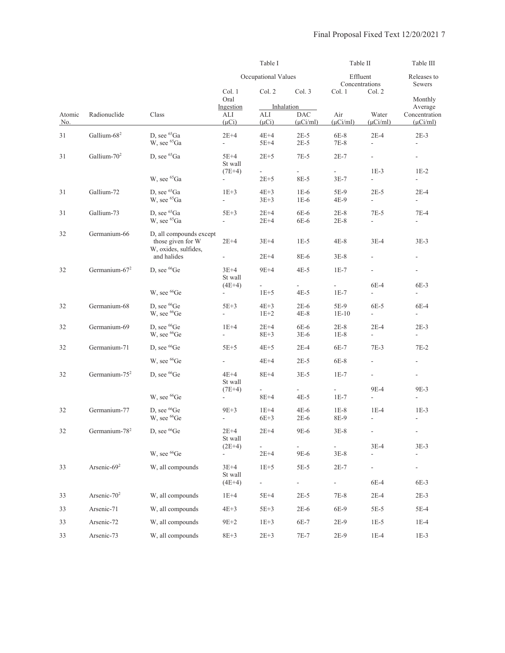|               |                           |                                                                      |                                    | Table I                 |                                           | Table II                            |                                    | Table III                                 |
|---------------|---------------------------|----------------------------------------------------------------------|------------------------------------|-------------------------|-------------------------------------------|-------------------------------------|------------------------------------|-------------------------------------------|
|               |                           |                                                                      |                                    | Occupational Values     |                                           | Effluent                            | Concentrations                     | Releases to<br>Sewers                     |
|               |                           |                                                                      | Col. 1<br>Oral                     | Col. 2                  | Col. 3                                    | Col. 1                              | Col. 2                             | Monthly                                   |
| Atomic<br>No. | Radionuclide              | Class                                                                | Ingestion<br>ALI<br>$(\mu Ci)$     | ALI<br>$(\mu Ci)$       | Inhalation<br><b>DAC</b><br>$(\mu$ Ci/ml) | Air<br>$(\mu$ Ci/ml)                | Water<br>$(\mu$ Ci/ml)             | Average<br>Concentration<br>$(\mu$ Ci/ml) |
| 31            | Gallium-68 <sup>2</sup>   | D. see <sup>65</sup> Ga<br>W, see <sup>65</sup> Ga                   | $2E+4$<br>$\omega$                 | $4E+4$<br>$5E+4$        | $2E-5$<br>$2E-5$                          | $6E-8$<br>$7E-8$                    | $2E-4$<br>$\frac{1}{2}$            | $2E-3$                                    |
| 31            | Gallium- $702$            | D, see <sup>65</sup> Ga                                              | $5E+4$<br>St wall<br>$(7E+4)$      | $2E+5$<br>÷,            | $7E-5$<br>$\sim$                          | $2E-7$<br>$\mathbb{R}^{\mathbb{Z}}$ | $\overline{\phantom{a}}$<br>$1E-3$ | $\overline{\phantom{a}}$<br>$1E-2$        |
|               |                           | W, see <sup>65</sup> Ga                                              | ÷.                                 | $2E + 5$                | 8E-5                                      | $3E-7$                              | $\overline{a}$                     | $\overline{\phantom{0}}$                  |
| 31            | Gallium-72                | D. see <sup>65</sup> Ga<br>W, see <sup>65</sup> Ga                   | $1E+3$<br>÷.                       | $4E+3$<br>$3E + 3$      | $1E-6$<br>$1E-6$                          | 5E-9<br>4E-9                        | $2E-5$<br>$\overline{\phantom{0}}$ | $2E-4$<br>$\blacksquare$                  |
| 31            | Gallium-73                | D. see <sup>65</sup> Ga<br>W, see 65Ga                               | $5E+3$<br>$\sim$                   | $2E+4$<br>$2E+4$        | 6E-6<br>6E-6                              | $2E-8$<br>$2E-8$                    | $7E-5$<br>$\overline{\phantom{a}}$ | $7E-4$<br>$\overline{\phantom{a}}$        |
| 32            | Germanium-66              | D, all compounds except<br>those given for W<br>W, oxides, sulfides, | $2E+4$                             | $3E+4$                  | $1E-5$                                    | $4E-8$                              | $3E-4$                             | $3E-3$                                    |
|               |                           | and halides                                                          |                                    | $2E+4$                  | 8E-6                                      | $3E-8$                              |                                    |                                           |
| 32            | Germanium-67 <sup>2</sup> | D. see <sup>66</sup> Ge                                              | $3E+4$<br>St wall                  | $9E+4$<br>$\mathcal{L}$ | $4E-5$                                    | $1E-7$<br>÷.                        | $\overline{\phantom{a}}$<br>6E-4   | $\overline{\phantom{a}}$<br>$6E-3$        |
|               |                           | W, see <sup>66</sup> Ge                                              | $(4E+4)$<br>÷.                     | $1E+5$                  | $4E-5$                                    | $1E-7$                              | $\overline{\phantom{0}}$           | $\sim$                                    |
| 32            | Germanium-68              | D. see <sup>66</sup> Ge<br>W, see <sup>66</sup> Ge                   | $5E+3$<br>$\overline{\phantom{a}}$ | $4E+3$<br>$1E+2$        | $2E-6$<br>$4E-8$                          | 5E-9<br>$1E-10$                     | $6E-5$<br>$\overline{\phantom{a}}$ | $6E-4$<br>$\overline{\phantom{a}}$        |
| 32            | Germanium-69              | D. see <sup>66</sup> Ge<br>W, see <sup>66</sup> Ge                   | $1E+4$<br>$\overline{\phantom{a}}$ | $2E+4$<br>$8E + 3$      | 6E-6<br>$3E-6$                            | $2E-8$<br>$1E-8$                    | $2E-4$<br>$\overline{\phantom{a}}$ | $2E-3$<br>$\overline{\phantom{a}}$        |
| 32            | Germanium-71              | D, see <sup>66</sup> Ge                                              | $5E+5$                             | $4E+5$                  | $2E-4$                                    | $6E-7$                              | $7E-3$                             | $7E-2$                                    |
|               |                           | W, see <sup>66</sup> Ge                                              | ÷.                                 | $4E+4$                  | $2E-5$                                    | $6E-8$                              |                                    | $\overline{\phantom{a}}$                  |
| 32            | Germanium-75 <sup>2</sup> | D, see ${}^{66}$ Ge                                                  | 4E+4<br>St wall                    | $8E+4$                  | $3E-5$                                    | $1E-7$                              | $\overline{\phantom{a}}$           | $\overline{\phantom{a}}$                  |
|               |                           | W, see <sup>66</sup> Ge                                              | $(7E+4)$<br>÷.                     | ÷.<br>$8E + 4$          | ÷.<br>$4E-5$                              | ÷.<br>$1E-7$                        | 9E-4<br>$\overline{\phantom{a}}$   | 9E-3<br>$\overline{\phantom{a}}$          |
| 32            | Germanium-77              | D, see <sup>66</sup> Ge<br>W, see <sup>66</sup> Ge                   | $9E+3$<br>÷,                       | $1E+4$<br>$6E+3$        | $4E-6$<br>$2E-6$                          | $1E-8$<br>8E-9                      | $1E-4$<br>$\frac{1}{2}$            | $1E-3$<br>$\overline{\phantom{a}}$        |
| 32            | Germanium-78 <sup>2</sup> | D, see <sup>66</sup> Ge                                              | $2E+4$<br>St wall                  | $2E + 4$                | $9E-6$                                    | $3E-8$                              | $\overline{\phantom{m}}$           | $\sim$                                    |
|               |                           | W, see <sup>66</sup> Ge                                              | $(2E+4)$                           | $2E+4$                  | 9E-6                                      | $3E-8$                              | $3E-4$                             | $3E-3$                                    |
| 33            | Arsenic-69 <sup>2</sup>   | W, all compounds                                                     | $3E+4$<br>St wall                  | $1E+5$                  | $5E-5$                                    | $2E-7$                              | $\blacksquare$                     | $\overline{\phantom{0}}$                  |
|               |                           |                                                                      | $(4E+4)$                           | $\frac{1}{2}$           | $\sim$                                    | ÷.                                  | 6E-4                               | 6E-3                                      |
| 33            | Arsenic-70 <sup>2</sup>   | W, all compounds                                                     | $1E+4$                             | $5E+4$                  | $2E-5$                                    | $7E-8$                              | $2E-4$                             | $2E-3$                                    |
| 33            | Arsenic-71                | W, all compounds                                                     | $4E+3$                             | $5E+3$                  | $2E-6$                                    | 6E-9                                | $5E-5$                             | 5E-4                                      |
| 33            | Arsenic-72                | W, all compounds                                                     | $9E+2$                             | $1E+3$                  | 6E-7                                      | $2E-9$                              | $1E-5$                             | $1E-4$                                    |
| 33            | Arsenic-73                | W, all compounds                                                     | $8E + 3$                           | $2E + 3$                | $7E-7$                                    | $2E-9$                              | $1E-4$                             | $1E-3$                                    |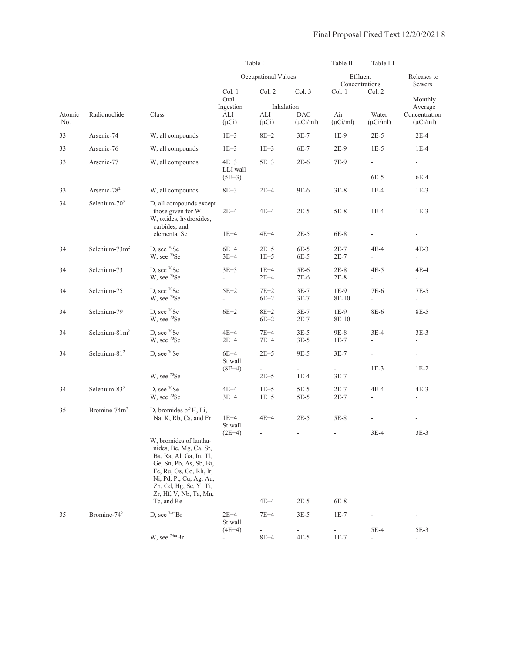|               |                          |                                                                                                                                                                                                                                |                                      | Table I                              |                                           | Table II<br>Table III               |                                                                                                                                                                                                                                                                                                                                                                                                     |                          |  |
|---------------|--------------------------|--------------------------------------------------------------------------------------------------------------------------------------------------------------------------------------------------------------------------------|--------------------------------------|--------------------------------------|-------------------------------------------|-------------------------------------|-----------------------------------------------------------------------------------------------------------------------------------------------------------------------------------------------------------------------------------------------------------------------------------------------------------------------------------------------------------------------------------------------------|--------------------------|--|
|               |                          |                                                                                                                                                                                                                                |                                      | Occupational Values                  |                                           | Effluent<br>Concentrations          | Releases to<br>Sewers<br>Monthly<br>Average<br>Concentration<br>$(\mu$ Ci/ml)<br>$2E-4$<br>$1E-4$<br>$\overline{\phantom{a}}$<br>6E-4<br>$1E-3$<br>$1E-3$<br>$4E-3$<br>$\overline{\phantom{a}}$<br>$4E-4$<br>$\overline{\phantom{a}}$<br>$7E-5$<br>8E-5<br>$\overline{a}$<br>$3E-3$<br>$\overline{\phantom{a}}$<br>$\overline{\phantom{a}}$<br>$1E-2$<br>$\overline{a}$<br>$4E-3$<br>$3E-3$<br>5E-3 |                          |  |
|               |                          |                                                                                                                                                                                                                                | Col. 1<br>Oral                       | Col. 2                               | Col.3                                     | Col. 1                              | Col. 2                                                                                                                                                                                                                                                                                                                                                                                              |                          |  |
| Atomic<br>No. | Radionuclide             | Class                                                                                                                                                                                                                          | Ingestion<br>ALI<br>$(\mu Ci)$       | ALI<br>$(\mu Ci)$                    | Inhalation<br><b>DAC</b><br>$(\mu Ci/ml)$ | Air<br>$(\mu$ Ci/ml)                | Water<br>$(\mu$ Ci/ml)                                                                                                                                                                                                                                                                                                                                                                              |                          |  |
| 33            | Arsenic-74               | W, all compounds                                                                                                                                                                                                               | $1E+3$                               | $8E+2$                               | $3E-7$                                    | $1E-9$                              | $2E-5$                                                                                                                                                                                                                                                                                                                                                                                              |                          |  |
| 33            | Arsenic-76               | W, all compounds                                                                                                                                                                                                               | $1E+3$                               | $1E+3$                               | $6E-7$                                    | 2E-9                                | $1E-5$                                                                                                                                                                                                                                                                                                                                                                                              |                          |  |
| 33            | Arsenic-77               | W, all compounds                                                                                                                                                                                                               | $4E+3$<br>LLI wall<br>$(5E+3)$       | $5E+3$<br>$\overline{\phantom{a}}$   | $2E-6$<br>÷,                              | 7E-9<br>$\mathcal{L}_{\mathcal{A}}$ | $\overline{\phantom{a}}$<br>6E-5                                                                                                                                                                                                                                                                                                                                                                    |                          |  |
| 33            | Arsenic-78 <sup>2</sup>  | W, all compounds                                                                                                                                                                                                               | $8E + 3$                             | $2E+4$                               | $9E-6$                                    | $3E-8$                              | $1E-4$                                                                                                                                                                                                                                                                                                                                                                                              |                          |  |
| 34            | Selenium- $702$          | D, all compounds except<br>those given for W<br>W, oxides, hydroxides,<br>carbides, and<br>elemental Se                                                                                                                        | $2E+4$<br>$1E+4$                     | $4E+4$<br>$4E+4$                     | $2E-5$<br>$2E-5$                          | $5E-8$<br>$6E-8$                    | $1E-4$                                                                                                                                                                                                                                                                                                                                                                                              |                          |  |
| 34            | Selenium- $73m^2$        | D. see ${}^{70}$ Se<br>W, see <sup>70</sup> Se                                                                                                                                                                                 | $6E+4$<br>$3E+4$                     | $2E+5$<br>$1E+5$                     | $6E-5$<br>6E-5                            | $2E-7$<br>$2E-7$                    | 4E-4<br>$\overline{\phantom{a}}$                                                                                                                                                                                                                                                                                                                                                                    |                          |  |
| 34            | Selenium-73              | D, see 70Se<br>W, see 70Se                                                                                                                                                                                                     | $3E+3$<br>÷,                         | $1E+4$<br>$2E+4$                     | $5E-6$<br>7E-6                            | $2E-8$<br>$2E-8$                    | $4E-5$<br>$\overline{a}$                                                                                                                                                                                                                                                                                                                                                                            |                          |  |
| 34            | Selenium-75              | D, see ${}^{70}Se$<br>W, see 70Se                                                                                                                                                                                              | $5E+2$                               | $7E+2$<br>$6E+2$                     | $3E-7$<br>$3E-7$                          | $1E-9$<br>8E-10                     | 7E-6<br>$\overline{\phantom{a}}$                                                                                                                                                                                                                                                                                                                                                                    |                          |  |
| 34            | Selenium-79              | D, see <sup>70</sup> Se<br>W, see 70Se                                                                                                                                                                                         | $6E+2$<br>÷,                         | $8E + 2$<br>$6E+2$                   | $3E-7$<br>$2E-7$                          | $1E-9$<br>8E-10                     | 8E-6<br>$\overline{\phantom{a}}$                                                                                                                                                                                                                                                                                                                                                                    |                          |  |
| 34            | Selenium- $81m2$         | D, see <sup>70</sup> Se<br>W, see <sup>70</sup> Se                                                                                                                                                                             | $4E+4$<br>$2E+4$                     | $7E+4$<br>$7E+4$                     | $3E-5$<br>$3E-5$                          | 9E-8<br>$1E-7$                      | $3E-4$<br>ä,                                                                                                                                                                                                                                                                                                                                                                                        |                          |  |
| 34            | Selenium- $812$          | D, see ${}^{70}Se$                                                                                                                                                                                                             | $6E+4$<br>St wall<br>$(8E+4)$        | $2E+5$                               | 9E-5                                      | $3E-7$                              | $\frac{1}{2}$<br>$1E-3$                                                                                                                                                                                                                                                                                                                                                                             |                          |  |
|               |                          | W, see 70Se                                                                                                                                                                                                                    |                                      | $\overline{\phantom{a}}$<br>$2E + 5$ | $1E-4$                                    | $3E-7$                              | $\frac{1}{2}$                                                                                                                                                                                                                                                                                                                                                                                       |                          |  |
| 34            | Selenium-83 $2$          | D, see <sup>70</sup> Se<br>W, see 70Se                                                                                                                                                                                         | $4E+4$<br>$3E+4$                     | $1E+5$<br>$1E+5$                     | $5E-5$<br>$5E-5$                          | $2E-7$<br>$2E-7$                    | $4E-4$                                                                                                                                                                                                                                                                                                                                                                                              |                          |  |
| 35            | Bromine-74m <sup>2</sup> | D, bromides of H, Li,<br>Na, K, Rb, Cs, and Fr                                                                                                                                                                                 | $1E+4$<br>St wall                    | $4E+4$                               | $2E-5$                                    | $5E-8$                              |                                                                                                                                                                                                                                                                                                                                                                                                     |                          |  |
|               |                          | W, bromides of lantha-<br>nides, Be, Mg, Ca, Sr,<br>Ba, Ra, Al, Ga, In, Tl,<br>Ge, Sn, Pb, As, Sb, Bi,<br>Fe, Ru, Os, Co, Rh, Ir,<br>Ni, Pd, Pt, Cu, Ag, Au,<br>Zn, Cd, Hg, Sc, Y, Ti,<br>Zr, Hf, V, Nb, Ta, Mn,<br>Tc, and Re | $(2E+4)$                             | $4E+4$                               | $2E-5$                                    | $6E-8$                              | $3E-4$                                                                                                                                                                                                                                                                                                                                                                                              |                          |  |
| 35            | Bromine-74 <sup>2</sup>  | D. see $74mBr$                                                                                                                                                                                                                 | $2E+4$<br>St wall                    | $7E+4$                               | $3E-5$                                    | $1E-7$                              |                                                                                                                                                                                                                                                                                                                                                                                                     |                          |  |
|               |                          | W, see 74mBr                                                                                                                                                                                                                   | $(4E+4)$<br>$\overline{\phantom{a}}$ | $8E+4$                               | 4E-5                                      | $1E-7$                              | $5E-4$<br>$\overline{\phantom{a}}$                                                                                                                                                                                                                                                                                                                                                                  | $\overline{\phantom{0}}$ |  |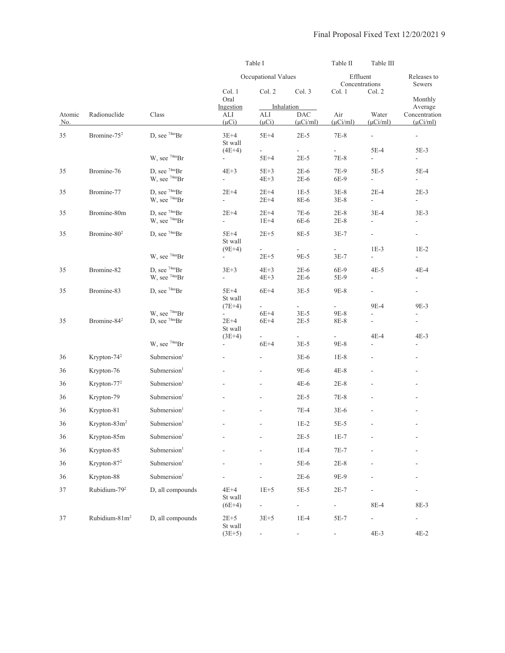|               |                           |                                            | Table I                            |                            |                                           | Table II<br>Table III      |                                    |                                           |
|---------------|---------------------------|--------------------------------------------|------------------------------------|----------------------------|-------------------------------------------|----------------------------|------------------------------------|-------------------------------------------|
|               |                           |                                            |                                    | Occupational Values        |                                           | Effluent<br>Concentrations |                                    | Releases to<br>Sewers                     |
|               |                           |                                            | Col. 1<br>Oral                     | Col. 2                     | Col. 3                                    | Col. 1                     | Col. 2                             | Monthly                                   |
| Atomic<br>No. | Radionuclide              | Class                                      | Ingestion<br>ALI<br>$(\mu Ci)$     | $\mbox{ALI}$<br>$(\mu Ci)$ | Inhalation<br><b>DAC</b><br>$(\mu$ Ci/ml) | Air<br>$(\mu$ Ci/ml)       | Water<br>$(\mu$ Ci/ml $)$          | Average<br>Concentration<br>$(\mu$ Ci/ml) |
| 35            | Bromine-75 <sup>2</sup>   | D, see 74mBr                               | $3E+4$<br>St wall<br>$(4E+4)$      | $5E+4$<br>$\frac{1}{2}$    | $2E-5$                                    | 7E-8                       | $\overline{\phantom{a}}$<br>$5E-4$ | $\blacksquare$<br>$5E-3$                  |
|               |                           | W, see 74mBr                               |                                    | $5E+4$                     | $2E-5$                                    | $7E-8$                     | $\overline{a}$                     | $\overline{\phantom{a}}$                  |
| 35            | Bromine-76                | D, see 74mBr<br>W, see 74mBr               | $4E+3$<br>$\overline{a}$           | $5E+3$<br>$4E+3$           | $2E-6$<br>$2E-6$                          | 7E-9<br>6E-9               | $5E-5$<br>$\overline{a}$           | $5E-4$<br>$\overline{\phantom{a}}$        |
| 35            | Bromine-77                | D, see $74mBr$<br>W, see 74mBr             | $2E+4$<br>$\overline{\phantom{a}}$ | $2E+4$<br>$2E+4$           | $1E-5$<br>8E-6                            | $3E-8$<br>$3E-8$           | $2E-4$<br>$\frac{1}{2}$            | $2E-3$<br>$\overline{a}$                  |
| 35            | Bromine-80m               | D, see $74mBr$<br>W, see 74mBr             | $2E+4$<br>$\overline{\phantom{a}}$ | $2E+4$<br>$1E+4$           | 7E-6<br>6E-6                              | $2E-8$<br>$2E-8$           | $3E-4$<br>L,                       | $3E-3$<br>$\overline{\phantom{0}}$        |
| 35            | Bromine-80 <sup>2</sup>   | D, see $74mBr$                             | $5E+4$<br>St wall                  | $2E+5$                     | 8E-5                                      | $3E-7$                     | $\overline{\phantom{a}}$           | $\blacksquare$                            |
|               |                           | W, see $74mBr$                             | $(9E+4)$                           | $2E + 5$                   | 9E-5                                      | $3E-7$                     | $1E-3$<br>$\overline{\phantom{a}}$ | $1E-2$<br>$\blacksquare$                  |
| 35            | Bromine-82                | D, see $74mBr$<br>W, see <sup>74m</sup> Br | $3E+3$<br>$\overline{a}$           | $4E+3$<br>$4E+3$           | $2E-6$<br>$2E-6$                          | 6E-9<br>5E-9               | $4E-5$<br>$\frac{1}{2}$            | 4E-4<br>$\overline{\phantom{a}}$          |
| 35            | Bromine-83                | D, see $74mBr$                             | $5E+4$<br>St wall                  | $6E+4$                     | $3E-5$                                    | 9E-8                       | $\overline{\phantom{a}}$           | $\blacksquare$                            |
| 35            | Bromine-84 <sup>2</sup>   | W, see $74mBr$<br>D, see $74mBr$           | $(7E+4)$<br>$2E+4$<br>St wall      | ÷,<br>$6E+4$<br>$6E+4$     | $3E-5$<br>$2E-5$                          | 9E-8<br>8E-8               | 9E-4<br>$\frac{1}{2}$              | 9E-3<br>÷,                                |
|               |                           | W, see $74mBr$                             | $(3E+4)$                           | $6E+4$                     | $3E-5$                                    | $9E-8$                     | 4E-4                               | $4E-3$                                    |
| 36            | Krypton-74 <sup>2</sup>   | Submersion <sup>1</sup>                    |                                    |                            | $3E-6$                                    | $1E-8$                     |                                    | $\overline{\phantom{a}}$                  |
| 36            | Krypton-76                | Submersion <sup>1</sup>                    |                                    | $\overline{\phantom{a}}$   | 9E-6                                      | $4E-8$                     |                                    | $\overline{\phantom{a}}$                  |
| 36            | Krypton-77 <sup>2</sup>   | Submersion <sup>1</sup>                    |                                    |                            | $4E-6$                                    | $2E-8$                     |                                    |                                           |
| 36            | Krypton-79                | Submersion <sup>1</sup>                    |                                    | $\overline{a}$             | $2E-5$                                    | $7E-8$                     |                                    |                                           |
| 36            | Krypton-81                | Submersion <sup>1</sup>                    |                                    | ä,                         | $7E-4$                                    | $3E-6$                     |                                    | $\overline{\phantom{a}}$                  |
| 36            | Krypton-83m <sup>2</sup>  | Submersion <sup>1</sup>                    |                                    |                            | $1E-2$                                    | $5E-5$                     |                                    |                                           |
| 36            | Krypton-85m               | Submersion <sup>1</sup>                    |                                    |                            | $2E-5$                                    | $1E-7$                     |                                    | ٠                                         |
| 36            | Krypton-85                | Submersion <sup>1</sup>                    |                                    |                            | $1E-4$                                    | $7E-7$                     |                                    |                                           |
| 36            | Krypton-87 <sup>2</sup>   | Submersion <sup>1</sup>                    |                                    |                            | 5E-6                                      | $2E-8$                     |                                    |                                           |
| 36            | Krypton-88                | Submersion <sup>1</sup>                    |                                    |                            | $2E-6$                                    | 9E-9                       |                                    |                                           |
| 37            | Rubidium-79 <sup>2</sup>  | D, all compounds                           | $4E+4$<br>St wall<br>$(6E+4)$      | $1E+5$                     | $5E-5$<br>$\overline{\phantom{a}}$        | $2E-7$                     | 8E-4                               | 8E-3                                      |
| 37            | Rubidium-81m <sup>2</sup> | D, all compounds                           | $2E+5$<br>St wall                  | $3E+5$                     | $1E-4$                                    | 5E-7                       | $\overline{\phantom{a}}$           | $\overline{\phantom{0}}$                  |
|               |                           |                                            | $(3E+5)$                           |                            |                                           |                            | $4E-3$                             | $4E-2$                                    |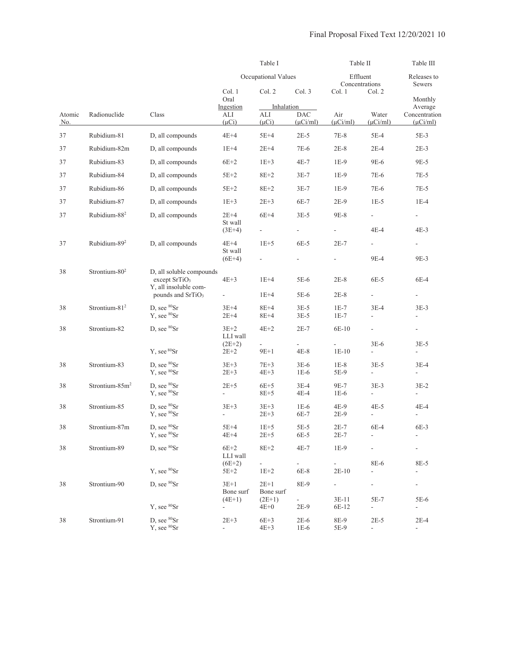|               |                            |                                                                                                                                                                                                                                                                                                                                                                                                                                                                                                                                                                                                                                                                                                                                                                                                                                                                                                                                                                                                                                                                                                                                                                                                                                                                                                                                                                                                                                                                                                                                                            |                |                  |                                   | Table II                                                                                                                                                                                                                                                                                                                                                                                                                                                                                                                                                                                                                                                                                                                                                                                                                                                                                                                                                                                                                                                                                                                                                                                                                                                                                                                              |             | Table III     |
|---------------|----------------------------|------------------------------------------------------------------------------------------------------------------------------------------------------------------------------------------------------------------------------------------------------------------------------------------------------------------------------------------------------------------------------------------------------------------------------------------------------------------------------------------------------------------------------------------------------------------------------------------------------------------------------------------------------------------------------------------------------------------------------------------------------------------------------------------------------------------------------------------------------------------------------------------------------------------------------------------------------------------------------------------------------------------------------------------------------------------------------------------------------------------------------------------------------------------------------------------------------------------------------------------------------------------------------------------------------------------------------------------------------------------------------------------------------------------------------------------------------------------------------------------------------------------------------------------------------------|----------------|------------------|-----------------------------------|---------------------------------------------------------------------------------------------------------------------------------------------------------------------------------------------------------------------------------------------------------------------------------------------------------------------------------------------------------------------------------------------------------------------------------------------------------------------------------------------------------------------------------------------------------------------------------------------------------------------------------------------------------------------------------------------------------------------------------------------------------------------------------------------------------------------------------------------------------------------------------------------------------------------------------------------------------------------------------------------------------------------------------------------------------------------------------------------------------------------------------------------------------------------------------------------------------------------------------------------------------------------------------------------------------------------------------------|-------------|---------------|
|               |                            |                                                                                                                                                                                                                                                                                                                                                                                                                                                                                                                                                                                                                                                                                                                                                                                                                                                                                                                                                                                                                                                                                                                                                                                                                                                                                                                                                                                                                                                                                                                                                            |                |                  |                                   | Effluent<br>Concentrations<br>Sewers<br>Col. 2<br>Col. 1<br>Air<br>Water<br>Concentration<br>$(\mu$ Ci/ml)<br>$(\mu$ Ci/ml)<br>$7E-8$<br>$5E-4$<br>$5E-3$<br>$2E-8$<br>$2E-4$<br>$2E-3$<br>9E-6<br>9E-5<br>$1E-9$<br>7E-6<br>$7E-5$<br>1E-9<br>$1E-9$<br>7E-6<br>$7E-5$<br>$1E-5$<br>2E-9<br>$1E-4$<br>9E-8<br>$\overline{\phantom{a}}$<br>$\overline{\phantom{a}}$<br>$4E-4$<br>$4E-3$<br>$\frac{1}{2}$<br>$2E-7$<br>$\blacksquare$<br>$\overline{\phantom{a}}$<br>9E-3<br>9E-4<br>6E-5<br>$2E-8$<br>6E-4<br>$2E-8$<br>$\overline{\phantom{a}}$<br>$\overline{\phantom{a}}$<br>$3E-4$<br>$3E-3$<br>$1E-7$<br>$1E-7$<br>L,<br>$\overline{\phantom{a}}$<br>6E-10<br>$\frac{1}{2}$<br>$\overline{\phantom{a}}$<br>$3E-6$<br>$3E-5$<br>$1E-10$<br>۰<br>$1E-8$<br>$3E-5$<br>3E-4<br>5E-9<br>÷,<br>$\overline{\phantom{a}}$<br>9E-7<br>$3E-3$<br>$3E-2$<br>$1E-6$<br>$\overline{\phantom{a}}$<br>$\overline{\phantom{a}}$<br>4E-9<br>$4E-5$<br>$4E-4$<br>$2E-9$<br>$\frac{1}{2}$<br>$\frac{1}{2}$<br>$2E-7$<br>6E-4<br>6E-3<br>$2E-7$<br>$\overline{\phantom{a}}$<br>$1E-9$<br>8E-6<br>8E-5<br>$\mathcal{L}_{\mathcal{A}}$<br>$2E-10$<br>÷,<br>÷,<br>÷,<br>$\overline{\phantom{a}}$<br>-<br>5E-7<br>3E-11<br>5E-6<br>6E-12<br>$\Box$<br>$\overline{\phantom{a}}$<br>8E-9<br>$2E-5$<br>$2E-4$<br>5E-9<br>$\Box$<br>$\overline{\phantom{a}}$ | Releases to |               |
|               |                            | Table I<br>Occupational Values<br>Col. 2<br>Col. 1<br>Oral<br>Ingestion<br>Radionuclide<br>Class<br>ALI<br>ALI<br>$(\mu Ci)$<br>$(\mu Ci)$<br>D, all compounds<br>$4E+4$<br>$5E+4$<br>D, all compounds<br>$1E+4$<br>$2E+4$<br>$6E+2$<br>D, all compounds<br>$1E+3$<br>$5E+2$<br>$8E+2$<br>D, all compounds<br>$5E+2$<br>$8E+2$<br>D, all compounds<br>$2E + 3$<br>D, all compounds<br>$1E+3$<br>$2E+4$<br>$6E+4$<br>D, all compounds<br>St wall<br>$(3E+4)$<br>$4E+4$<br>$1E+5$<br>D, all compounds<br>St wall<br>$(6E+4)$<br>D, all soluble compounds<br>$4E+3$<br>except $SrTiO3$<br>$1E+4$<br>Y, all insoluble com-<br>pounds and SrTiO <sub>3</sub><br>$1E+4$<br>$\Box$<br>D, see ${}^{80}\mathrm{Sr}$<br>$3E+4$<br>$8E+4$<br>Y, see 80Sr<br>$2E + 4$<br>$8E+4$<br>D, see ${}^{80}\mathrm{Sr}$<br>$3E+2$<br>$4E+2$<br>LLI wall<br>$(2E+2)$<br>$\overline{\phantom{a}}$<br>Y, see 80Sr<br>$9E+1$<br>$2E+2$<br>D, see ${}^{80}\mathrm{Sr}$<br>$3E+3$<br>$7E+3$<br>Y, see 80Sr<br>$2E + 3$<br>$4E+3$<br>D, see <sup>80</sup> Sr<br>$2E+5$<br>$6E+5$<br>$Y$ , see ${}^{80}Sr$<br>$8E + 5$<br>$\blacksquare$<br>D, see ${}^{80}\mathrm{Sr}$<br>$3E + 3$<br>$3E+3$<br>$Y$ , see ${}^{80}Sr$<br>$2E + 3$<br>÷,<br>D, see 80Sr<br>$5E+4$<br>$1E+5$<br>Y, see 80Sr<br>$4E+4$<br>$2E + 5$<br>D, see ${}^{80}\text{Sr}$<br>$6E+2$<br>$8E+2$<br>LLI wall<br>$(6E+2)$<br>$\overline{\phantom{a}}$<br>Y, see 80Sr<br>$5E+2$<br>$1E+2$<br>D, see <sup>80</sup> Sr<br>$3E+1$<br>$2E+1$<br>Bone surf<br>$(4E+1)$<br>$(2E+1)$<br>Y, see 80Sr<br>$4E+0$<br>$\blacksquare$ |                | Col. 3           |                                   |                                                                                                                                                                                                                                                                                                                                                                                                                                                                                                                                                                                                                                                                                                                                                                                                                                                                                                                                                                                                                                                                                                                                                                                                                                                                                                                                       | Monthly     |               |
|               |                            |                                                                                                                                                                                                                                                                                                                                                                                                                                                                                                                                                                                                                                                                                                                                                                                                                                                                                                                                                                                                                                                                                                                                                                                                                                                                                                                                                                                                                                                                                                                                                            |                | Inhalation       |                                   |                                                                                                                                                                                                                                                                                                                                                                                                                                                                                                                                                                                                                                                                                                                                                                                                                                                                                                                                                                                                                                                                                                                                                                                                                                                                                                                                       |             | Average       |
| Atomic<br>No. |                            |                                                                                                                                                                                                                                                                                                                                                                                                                                                                                                                                                                                                                                                                                                                                                                                                                                                                                                                                                                                                                                                                                                                                                                                                                                                                                                                                                                                                                                                                                                                                                            |                |                  | $\rm DAC$<br>$(\mu$ Ci/ml)        |                                                                                                                                                                                                                                                                                                                                                                                                                                                                                                                                                                                                                                                                                                                                                                                                                                                                                                                                                                                                                                                                                                                                                                                                                                                                                                                                       |             | $(\mu$ Ci/ml) |
| 37            | Rubidium-81                |                                                                                                                                                                                                                                                                                                                                                                                                                                                                                                                                                                                                                                                                                                                                                                                                                                                                                                                                                                                                                                                                                                                                                                                                                                                                                                                                                                                                                                                                                                                                                            |                |                  | $2E-5$                            |                                                                                                                                                                                                                                                                                                                                                                                                                                                                                                                                                                                                                                                                                                                                                                                                                                                                                                                                                                                                                                                                                                                                                                                                                                                                                                                                       |             |               |
| 37            | Rubidium-82m               |                                                                                                                                                                                                                                                                                                                                                                                                                                                                                                                                                                                                                                                                                                                                                                                                                                                                                                                                                                                                                                                                                                                                                                                                                                                                                                                                                                                                                                                                                                                                                            |                |                  | 7E-6                              |                                                                                                                                                                                                                                                                                                                                                                                                                                                                                                                                                                                                                                                                                                                                                                                                                                                                                                                                                                                                                                                                                                                                                                                                                                                                                                                                       |             |               |
| 37            | Rubidium-83                |                                                                                                                                                                                                                                                                                                                                                                                                                                                                                                                                                                                                                                                                                                                                                                                                                                                                                                                                                                                                                                                                                                                                                                                                                                                                                                                                                                                                                                                                                                                                                            |                |                  | 4E-7                              |                                                                                                                                                                                                                                                                                                                                                                                                                                                                                                                                                                                                                                                                                                                                                                                                                                                                                                                                                                                                                                                                                                                                                                                                                                                                                                                                       |             |               |
| 37            | Rubidium-84                |                                                                                                                                                                                                                                                                                                                                                                                                                                                                                                                                                                                                                                                                                                                                                                                                                                                                                                                                                                                                                                                                                                                                                                                                                                                                                                                                                                                                                                                                                                                                                            |                |                  | $3E-7$                            |                                                                                                                                                                                                                                                                                                                                                                                                                                                                                                                                                                                                                                                                                                                                                                                                                                                                                                                                                                                                                                                                                                                                                                                                                                                                                                                                       |             |               |
| 37            | Rubidium-86                |                                                                                                                                                                                                                                                                                                                                                                                                                                                                                                                                                                                                                                                                                                                                                                                                                                                                                                                                                                                                                                                                                                                                                                                                                                                                                                                                                                                                                                                                                                                                                            |                |                  | $3E-7$                            |                                                                                                                                                                                                                                                                                                                                                                                                                                                                                                                                                                                                                                                                                                                                                                                                                                                                                                                                                                                                                                                                                                                                                                                                                                                                                                                                       |             |               |
| 37            | Rubidium-87                |                                                                                                                                                                                                                                                                                                                                                                                                                                                                                                                                                                                                                                                                                                                                                                                                                                                                                                                                                                                                                                                                                                                                                                                                                                                                                                                                                                                                                                                                                                                                                            |                |                  | 6E-7                              |                                                                                                                                                                                                                                                                                                                                                                                                                                                                                                                                                                                                                                                                                                                                                                                                                                                                                                                                                                                                                                                                                                                                                                                                                                                                                                                                       |             |               |
| 37            | Rubidium-88 <sup>2</sup>   |                                                                                                                                                                                                                                                                                                                                                                                                                                                                                                                                                                                                                                                                                                                                                                                                                                                                                                                                                                                                                                                                                                                                                                                                                                                                                                                                                                                                                                                                                                                                                            |                |                  | $3E-5$                            |                                                                                                                                                                                                                                                                                                                                                                                                                                                                                                                                                                                                                                                                                                                                                                                                                                                                                                                                                                                                                                                                                                                                                                                                                                                                                                                                       |             |               |
|               |                            |                                                                                                                                                                                                                                                                                                                                                                                                                                                                                                                                                                                                                                                                                                                                                                                                                                                                                                                                                                                                                                                                                                                                                                                                                                                                                                                                                                                                                                                                                                                                                            |                |                  | $\blacksquare$                    |                                                                                                                                                                                                                                                                                                                                                                                                                                                                                                                                                                                                                                                                                                                                                                                                                                                                                                                                                                                                                                                                                                                                                                                                                                                                                                                                       |             |               |
| 37            | Rubidium-89 <sup>2</sup>   |                                                                                                                                                                                                                                                                                                                                                                                                                                                                                                                                                                                                                                                                                                                                                                                                                                                                                                                                                                                                                                                                                                                                                                                                                                                                                                                                                                                                                                                                                                                                                            |                |                  | 6E-5                              |                                                                                                                                                                                                                                                                                                                                                                                                                                                                                                                                                                                                                                                                                                                                                                                                                                                                                                                                                                                                                                                                                                                                                                                                                                                                                                                                       |             |               |
|               |                            |                                                                                                                                                                                                                                                                                                                                                                                                                                                                                                                                                                                                                                                                                                                                                                                                                                                                                                                                                                                                                                                                                                                                                                                                                                                                                                                                                                                                                                                                                                                                                            |                |                  |                                   |                                                                                                                                                                                                                                                                                                                                                                                                                                                                                                                                                                                                                                                                                                                                                                                                                                                                                                                                                                                                                                                                                                                                                                                                                                                                                                                                       |             |               |
| 38            | Strontium-80 <sup>2</sup>  |                                                                                                                                                                                                                                                                                                                                                                                                                                                                                                                                                                                                                                                                                                                                                                                                                                                                                                                                                                                                                                                                                                                                                                                                                                                                                                                                                                                                                                                                                                                                                            |                |                  | 5E-6                              |                                                                                                                                                                                                                                                                                                                                                                                                                                                                                                                                                                                                                                                                                                                                                                                                                                                                                                                                                                                                                                                                                                                                                                                                                                                                                                                                       |             |               |
|               |                            |                                                                                                                                                                                                                                                                                                                                                                                                                                                                                                                                                                                                                                                                                                                                                                                                                                                                                                                                                                                                                                                                                                                                                                                                                                                                                                                                                                                                                                                                                                                                                            |                |                  | 5E-6                              |                                                                                                                                                                                                                                                                                                                                                                                                                                                                                                                                                                                                                                                                                                                                                                                                                                                                                                                                                                                                                                                                                                                                                                                                                                                                                                                                       |             |               |
| 38            | Strontium-81 <sup>2</sup>  |                                                                                                                                                                                                                                                                                                                                                                                                                                                                                                                                                                                                                                                                                                                                                                                                                                                                                                                                                                                                                                                                                                                                                                                                                                                                                                                                                                                                                                                                                                                                                            |                |                  | $3E-5$<br>$3E-5$                  |                                                                                                                                                                                                                                                                                                                                                                                                                                                                                                                                                                                                                                                                                                                                                                                                                                                                                                                                                                                                                                                                                                                                                                                                                                                                                                                                       |             |               |
| 38            | Strontium-82               |                                                                                                                                                                                                                                                                                                                                                                                                                                                                                                                                                                                                                                                                                                                                                                                                                                                                                                                                                                                                                                                                                                                                                                                                                                                                                                                                                                                                                                                                                                                                                            |                |                  | $2E-7$                            |                                                                                                                                                                                                                                                                                                                                                                                                                                                                                                                                                                                                                                                                                                                                                                                                                                                                                                                                                                                                                                                                                                                                                                                                                                                                                                                                       |             |               |
|               |                            |                                                                                                                                                                                                                                                                                                                                                                                                                                                                                                                                                                                                                                                                                                                                                                                                                                                                                                                                                                                                                                                                                                                                                                                                                                                                                                                                                                                                                                                                                                                                                            |                |                  | $4E-8$                            |                                                                                                                                                                                                                                                                                                                                                                                                                                                                                                                                                                                                                                                                                                                                                                                                                                                                                                                                                                                                                                                                                                                                                                                                                                                                                                                                       |             |               |
| 38            | Strontium-83               |                                                                                                                                                                                                                                                                                                                                                                                                                                                                                                                                                                                                                                                                                                                                                                                                                                                                                                                                                                                                                                                                                                                                                                                                                                                                                                                                                                                                                                                                                                                                                            |                |                  | $3E-6$<br>$1E-6$                  |                                                                                                                                                                                                                                                                                                                                                                                                                                                                                                                                                                                                                                                                                                                                                                                                                                                                                                                                                                                                                                                                                                                                                                                                                                                                                                                                       |             |               |
| 38            | Strontium-85m <sup>2</sup> |                                                                                                                                                                                                                                                                                                                                                                                                                                                                                                                                                                                                                                                                                                                                                                                                                                                                                                                                                                                                                                                                                                                                                                                                                                                                                                                                                                                                                                                                                                                                                            |                |                  | $3E-4$<br>4E-4                    |                                                                                                                                                                                                                                                                                                                                                                                                                                                                                                                                                                                                                                                                                                                                                                                                                                                                                                                                                                                                                                                                                                                                                                                                                                                                                                                                       |             |               |
| 38            | Strontium-85               |                                                                                                                                                                                                                                                                                                                                                                                                                                                                                                                                                                                                                                                                                                                                                                                                                                                                                                                                                                                                                                                                                                                                                                                                                                                                                                                                                                                                                                                                                                                                                            |                |                  | $1E-6$<br>6E-7                    |                                                                                                                                                                                                                                                                                                                                                                                                                                                                                                                                                                                                                                                                                                                                                                                                                                                                                                                                                                                                                                                                                                                                                                                                                                                                                                                                       |             |               |
| 38            | Strontium-87m              |                                                                                                                                                                                                                                                                                                                                                                                                                                                                                                                                                                                                                                                                                                                                                                                                                                                                                                                                                                                                                                                                                                                                                                                                                                                                                                                                                                                                                                                                                                                                                            |                |                  | 5E-5<br>6E-5                      |                                                                                                                                                                                                                                                                                                                                                                                                                                                                                                                                                                                                                                                                                                                                                                                                                                                                                                                                                                                                                                                                                                                                                                                                                                                                                                                                       |             |               |
| 38            | Strontium-89               |                                                                                                                                                                                                                                                                                                                                                                                                                                                                                                                                                                                                                                                                                                                                                                                                                                                                                                                                                                                                                                                                                                                                                                                                                                                                                                                                                                                                                                                                                                                                                            |                |                  | 4E-7                              |                                                                                                                                                                                                                                                                                                                                                                                                                                                                                                                                                                                                                                                                                                                                                                                                                                                                                                                                                                                                                                                                                                                                                                                                                                                                                                                                       |             |               |
|               |                            |                                                                                                                                                                                                                                                                                                                                                                                                                                                                                                                                                                                                                                                                                                                                                                                                                                                                                                                                                                                                                                                                                                                                                                                                                                                                                                                                                                                                                                                                                                                                                            |                |                  | $\mathbb{R}^{\mathbb{Z}}$<br>6E-8 |                                                                                                                                                                                                                                                                                                                                                                                                                                                                                                                                                                                                                                                                                                                                                                                                                                                                                                                                                                                                                                                                                                                                                                                                                                                                                                                                       |             |               |
| 38            | Strontium-90               |                                                                                                                                                                                                                                                                                                                                                                                                                                                                                                                                                                                                                                                                                                                                                                                                                                                                                                                                                                                                                                                                                                                                                                                                                                                                                                                                                                                                                                                                                                                                                            |                | Bone surf        | 8E-9                              |                                                                                                                                                                                                                                                                                                                                                                                                                                                                                                                                                                                                                                                                                                                                                                                                                                                                                                                                                                                                                                                                                                                                                                                                                                                                                                                                       |             |               |
|               |                            |                                                                                                                                                                                                                                                                                                                                                                                                                                                                                                                                                                                                                                                                                                                                                                                                                                                                                                                                                                                                                                                                                                                                                                                                                                                                                                                                                                                                                                                                                                                                                            |                |                  | 2E-9                              |                                                                                                                                                                                                                                                                                                                                                                                                                                                                                                                                                                                                                                                                                                                                                                                                                                                                                                                                                                                                                                                                                                                                                                                                                                                                                                                                       |             |               |
| 38            | Strontium-91               | D, see <sup>80</sup> Sr<br>$Y$ , see ${}^{80}Sr$                                                                                                                                                                                                                                                                                                                                                                                                                                                                                                                                                                                                                                                                                                                                                                                                                                                                                                                                                                                                                                                                                                                                                                                                                                                                                                                                                                                                                                                                                                           | $2E + 3$<br>÷, | $6E+3$<br>$4E+3$ | $2E-6$<br>$1E-6$                  |                                                                                                                                                                                                                                                                                                                                                                                                                                                                                                                                                                                                                                                                                                                                                                                                                                                                                                                                                                                                                                                                                                                                                                                                                                                                                                                                       |             |               |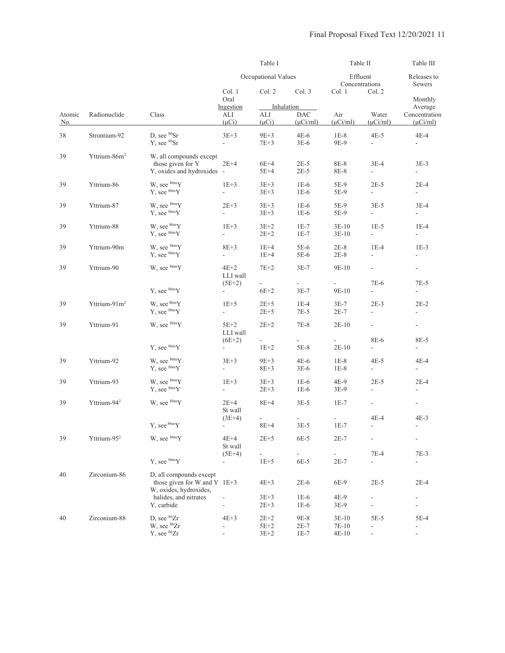|               |                          |                                                                                     |                                      | Table I                      |                                           | Table II                           |                                    | Table III                                                                                                                                                                                                                                                                                                                                                                                                                                                                                                                                                                          |
|---------------|--------------------------|-------------------------------------------------------------------------------------|--------------------------------------|------------------------------|-------------------------------------------|------------------------------------|------------------------------------|------------------------------------------------------------------------------------------------------------------------------------------------------------------------------------------------------------------------------------------------------------------------------------------------------------------------------------------------------------------------------------------------------------------------------------------------------------------------------------------------------------------------------------------------------------------------------------|
|               |                          |                                                                                     |                                      | Occupational Values          |                                           | Effluent<br>Concentrations         |                                    | Releases to<br>Sewers                                                                                                                                                                                                                                                                                                                                                                                                                                                                                                                                                              |
|               |                          |                                                                                     | Col. 1<br>Oral                       | Col. 2                       | Col. 3                                    | Col. 1                             | Col. 2                             | Monthly                                                                                                                                                                                                                                                                                                                                                                                                                                                                                                                                                                            |
| Atomic<br>No. | Radionuclide             | Class                                                                               | Ingestion<br>ALI<br>$(\mu Ci)$       | ALI<br>$(\mu Ci)$            | Inhalation<br><b>DAC</b><br>$(\mu$ Ci/ml) | Air<br>$(\mu$ Ci/ml)               | Water<br>$(\mu$ Ci/ml)             | Average<br>Concentration<br>$(\mu$ Ci/ml)<br>$4E-4$<br>$3E-3$<br>$\overline{\phantom{a}}$<br>$2E-4$<br>$\overline{\phantom{a}}$<br>$3E-4$<br>$\sim$<br>$1E-4$<br>$\overline{\phantom{a}}$<br>$1E-3$<br>$\overline{\phantom{a}}$<br>$\overline{\phantom{a}}$<br>7E-5<br>$\overline{\phantom{a}}$<br>$2E-2$<br>$\overline{\phantom{a}}$<br>$\overline{\phantom{a}}$<br>8E-5<br>$\overline{\phantom{a}}$<br>$4E-4$<br>$\overline{\phantom{a}}$<br>$2E-4$<br>$\overline{\phantom{a}}$<br>$\blacksquare$<br>$4E-3$<br>$\overline{\phantom{a}}$<br>$\frac{1}{2}$<br>7E-3<br>2E-4<br>5E-4 |
| 38            | Strontium-92             | D, see ${}^{80}\mathrm{Sr}$<br>Y, see <sup>80</sup> Sr                              | $3E + 3$<br>÷,                       | $9E+3$<br>$7E + 3$           | $4E-6$<br>$3E-6$                          | $1E-8$<br>9E-9                     | $4E-5$<br>$\overline{\phantom{a}}$ |                                                                                                                                                                                                                                                                                                                                                                                                                                                                                                                                                                                    |
| 39            | Yttrium-86m <sup>2</sup> | W, all compounds except<br>those given for Y<br>Y, oxides and hydroxides -          | $2E+4$                               | $6E+4$<br>$5E+4$             | $2E-5$<br>$2E-5$                          | 8E-8<br>8E-8                       | $3E-4$<br>ä,                       |                                                                                                                                                                                                                                                                                                                                                                                                                                                                                                                                                                                    |
| 39            | Yttrium-86               | W, see $86mY$<br>Y, see $86mY$                                                      | $1E+3$<br>$\overline{\phantom{a}}$   | $3E + 3$<br>$3E + 3$         | $1E-6$<br>$1E-6$                          | 5E-9<br>5E-9                       | $2E-5$<br>$\overline{\phantom{a}}$ |                                                                                                                                                                                                                                                                                                                                                                                                                                                                                                                                                                                    |
| 39            | Yttrium-87               | W, see $86mY$<br>Y, see $86mY$                                                      | $2E+3$<br>$\overline{\phantom{a}}$   | $3E+3$<br>$3E + 3$           | $1E-6$<br>$1E-6$                          | 5E-9<br>5E-9                       | $3E-5$<br>$\blacksquare$           |                                                                                                                                                                                                                                                                                                                                                                                                                                                                                                                                                                                    |
| 39            | Yttrium-88               | W, see $86mY$<br>Y, see 86mY                                                        | $1E+3$<br>÷,                         | $3E+2$<br>$2E+2$             | $1E-7$<br>$1E-7$                          | $3E-10$<br>$3E-10$                 | $1E-5$<br>$\overline{\phantom{a}}$ |                                                                                                                                                                                                                                                                                                                                                                                                                                                                                                                                                                                    |
| 39            | Yttrium-90m              | W, see $86mY$<br>Y, see $86mY$                                                      | $8E + 3$<br>$\blacksquare$           | $1E+4$<br>$1E+4$             | 5E-6<br>5E-6                              | $2E-8$<br>$2E-8$                   | $1E-4$<br>$\frac{1}{2}$            |                                                                                                                                                                                                                                                                                                                                                                                                                                                                                                                                                                                    |
| 39            | Yttrium-90               | W, see $86mY$                                                                       | $4E+2$<br>LLI wall                   | $7E+2$                       | $3E-7$                                    | $9E-10$                            | ÷,                                 |                                                                                                                                                                                                                                                                                                                                                                                                                                                                                                                                                                                    |
|               |                          | Y, see 86mY                                                                         | $(5E+2)$<br>$\overline{\phantom{a}}$ | $6E+2$                       | $3E-7$                                    | 9E-10                              | 7E-6<br>$\overline{\phantom{a}}$   |                                                                                                                                                                                                                                                                                                                                                                                                                                                                                                                                                                                    |
| 39            | Yttrium-91m <sup>2</sup> | W, see $86mY$<br>Y, see $86m$ Y                                                     | $1E+5$<br>$\frac{1}{2}$              | $2E+5$<br>$2E + 5$           | $1E-4$<br>$7E-5$                          | $3E-7$<br>$2E-7$                   | $2E-3$<br>$\overline{\phantom{a}}$ |                                                                                                                                                                                                                                                                                                                                                                                                                                                                                                                                                                                    |
| 39            | Yttrium-91               | W, see $86mY$                                                                       | $5E+2$<br>LLI wall                   | $2E+2$                       | $7E-8$                                    | $2E-10$                            | ÷,                                 |                                                                                                                                                                                                                                                                                                                                                                                                                                                                                                                                                                                    |
|               |                          | Y, see $86mY$                                                                       | $(6E+2)$<br>$\frac{1}{2}$            | $1E+2$                       | 5E-8                                      | $2E-10$                            | 8E-6<br>$\blacksquare$             |                                                                                                                                                                                                                                                                                                                                                                                                                                                                                                                                                                                    |
| 39            | Yttrium-92               | W, see $86mY$<br>Y, see $86mY$                                                      | $3E+3$<br>$\frac{1}{2}$              | $9E+3$<br>$8E + 3$           | $4E-6$<br>$3E-6$                          | $1E-8$<br>$1E-8$                   | $4E-5$<br>÷,                       |                                                                                                                                                                                                                                                                                                                                                                                                                                                                                                                                                                                    |
| 39            | Yttrium-93               | W, see $86mY$<br>Y, see $86m$ Y                                                     | $1E+3$<br>$\overline{\phantom{a}}$   | $3E + 3$<br>$2E + 3$         | $1E-6$<br>$1E-6$                          | 4E-9<br>3E-9                       | $2E-5$<br>$\frac{1}{2}$            |                                                                                                                                                                                                                                                                                                                                                                                                                                                                                                                                                                                    |
| 39            | Yttrium-94 <sup>2</sup>  | W, see $86mY$                                                                       | $2E+4$<br>St wall                    | $8E+4$                       | $3E-5$                                    | $1E-7$                             | $\blacksquare$                     |                                                                                                                                                                                                                                                                                                                                                                                                                                                                                                                                                                                    |
|               |                          | Y, see $86mY$                                                                       | $(3E+4)$                             | $\frac{1}{2}$<br>$8E+4$      | $\overline{\phantom{a}}$<br>$3E-5$        | $\overline{\phantom{a}}$<br>$1E-7$ | $4E-4$<br>$\overline{\phantom{m}}$ |                                                                                                                                                                                                                                                                                                                                                                                                                                                                                                                                                                                    |
| 39            | Yttrium-95 <sup>2</sup>  | W, see $86mY$                                                                       | $4E+4$<br>St wall                    | $2E+5$                       | 6E-5                                      | $2E-7$                             |                                    |                                                                                                                                                                                                                                                                                                                                                                                                                                                                                                                                                                                    |
|               |                          | Y, see $86mY$                                                                       | $(5E+4)$<br>$\overline{\phantom{a}}$ | $1E+5$                       | 6E-5                                      | $2E-7$                             | $7E-4$<br>$\overline{\phantom{a}}$ |                                                                                                                                                                                                                                                                                                                                                                                                                                                                                                                                                                                    |
| 40            | Zirconium-86             | D, all compounds except<br>those given for W and Y $1E+3$<br>W, oxides, hydroxides, |                                      | $4E+3$                       | $2E-6$                                    | 6E-9                               | $2E-5$                             |                                                                                                                                                                                                                                                                                                                                                                                                                                                                                                                                                                                    |
|               |                          | halides, and nitrates<br>Y, carbide                                                 |                                      | $3E + 3$<br>$2E + 3$         | $1E-6$<br>$1E-6$                          | 4E-9<br>$3E-9$                     | $\overline{\phantom{a}}$           |                                                                                                                                                                                                                                                                                                                                                                                                                                                                                                                                                                                    |
| 40            | Zirconium-88             | D, see ${}^{86}Zr$<br>W, see <sup>86</sup> Zr<br>Y, see <sup>86</sup> Zr            | $4E+3$<br>÷,<br>$\frac{1}{2}$        | $2E+2$<br>$5E+2$<br>$3E + 2$ | 9E-8<br>$2E-7$<br>$1E-7$                  | $3E-10$<br>7E-10<br>$4E-10$        | 5E-5                               |                                                                                                                                                                                                                                                                                                                                                                                                                                                                                                                                                                                    |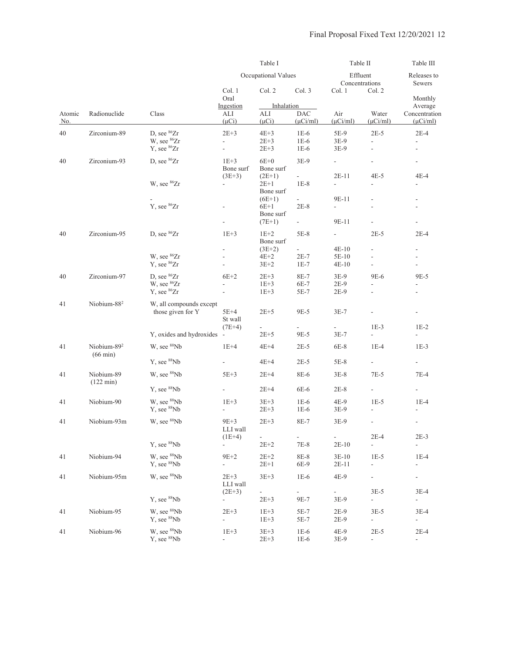|                      |                                               |                                                                               | Table I                        |                                             | Table II                           |                             | Table III                                |                                                                                                                                                                                                                                                                                                                                                                                                                                                                                                                                                                                                         |  |
|----------------------|-----------------------------------------------|-------------------------------------------------------------------------------|--------------------------------|---------------------------------------------|------------------------------------|-----------------------------|------------------------------------------|---------------------------------------------------------------------------------------------------------------------------------------------------------------------------------------------------------------------------------------------------------------------------------------------------------------------------------------------------------------------------------------------------------------------------------------------------------------------------------------------------------------------------------------------------------------------------------------------------------|--|
|                      |                                               |                                                                               |                                | Occupational Values                         |                                    | Effluent                    | Concentrations                           | Releases to<br>Sewers                                                                                                                                                                                                                                                                                                                                                                                                                                                                                                                                                                                   |  |
|                      |                                               |                                                                               | Col. 1<br>Oral                 | Col. 2                                      | Col. 3                             | Col. 1                      | Col. 2                                   | Monthly<br>Average<br>Concentration<br>$(\mu$ Ci/ml)<br>$2E-4$<br>$\frac{1}{2}$<br>$\frac{1}{2}$<br>$\overline{\phantom{a}}$<br>$4E-4$<br>$\qquad \qquad \blacksquare$<br>$\blacksquare$<br>$2E-4$<br>$\overline{\phantom{a}}$<br>$\overline{\phantom{a}}$<br>$\overline{\phantom{a}}$<br>9E-5<br>$\overline{a}$<br>$\overline{\phantom{a}}$<br>$1E-2$<br>$\overline{\phantom{a}}$<br>$1E-3$<br>$\overline{\phantom{a}}$<br>$7E-4$<br>$1E-4$<br>$\overline{\phantom{m}}$<br>$\overline{a}$<br>$2E-3$<br>$\overline{a}$<br>$1E-4$<br>$\overline{\phantom{a}}$<br>÷<br>$3E-4$<br>$\blacksquare$<br>$3E-4$ |  |
| Atomic<br><u>No.</u> | Radionuclide                                  | Class                                                                         | Ingestion<br>ALI<br>$(\mu Ci)$ | Inhalation<br>ALI<br>$(\mu Ci)$             | <b>DAC</b><br>$(\mu$ Ci/ml)        | Air<br>$(\mu$ Ci/ml)        | Water<br>$(\mu$ Ci/ml)                   |                                                                                                                                                                                                                                                                                                                                                                                                                                                                                                                                                                                                         |  |
| 40                   | Zirconium-89                                  | D, see <sup>86</sup> Zr<br>W, see <sup>86</sup> Zr<br>Y, see <sup>86</sup> Zr | $2E+3$<br>$\overline{a}$<br>L, | $4E+3$<br>$2E + 3$<br>$2E + 3$              | $1E-6$<br>$1E-6$<br>$1E-6$         | 5E-9<br>3E-9<br>$3E-9$      | $2E-5$<br>$\frac{1}{2}$<br>ä,            |                                                                                                                                                                                                                                                                                                                                                                                                                                                                                                                                                                                                         |  |
| 40                   | Zirconium-93                                  | D, see <sup>86</sup> Zr                                                       | $1E+3$<br>Bone surf            | $6E+0$<br>Bone surf                         | $3E-9$                             | $\overline{\phantom{0}}$    |                                          |                                                                                                                                                                                                                                                                                                                                                                                                                                                                                                                                                                                                         |  |
|                      |                                               | W, see <sup>86</sup> Zr                                                       | $(3E+3)$<br>÷,                 | $(2E+1)$<br>$2E+1$<br>Bone surf             | $\overline{\phantom{a}}$<br>$1E-8$ | $2E-11$                     | $4E-5$                                   |                                                                                                                                                                                                                                                                                                                                                                                                                                                                                                                                                                                                         |  |
|                      |                                               | Y, see <sup>86</sup> Zr                                                       |                                | $(6E+1)$<br>$6E+1$<br>Bone surf<br>$(7E+1)$ | $2E-8$<br>$\frac{1}{2}$            | 9E-11<br>9E-11              |                                          |                                                                                                                                                                                                                                                                                                                                                                                                                                                                                                                                                                                                         |  |
| 40                   | Zirconium-95                                  | D, see ${}^{86}Zr$                                                            | $1E+3$                         | $1E+2$<br>Bone surf                         | $5E-8$                             | $\overline{\phantom{a}}$    | $2E-5$                                   |                                                                                                                                                                                                                                                                                                                                                                                                                                                                                                                                                                                                         |  |
|                      |                                               | W, see <sup>86</sup> Zr<br>Y, see <sup>86</sup> Zr                            | ÷,<br>$\overline{a}$           | $(3E+2)$<br>$4E+2$<br>$3E+2$                | $\sim$<br>$2E-7$<br>$1E-7$         | $4E-10$<br>5E-10<br>$4E-10$ | $\overline{a}$<br>$\blacksquare$         |                                                                                                                                                                                                                                                                                                                                                                                                                                                                                                                                                                                                         |  |
| 40                   | Zirconium-97                                  | D, see <sup>86</sup> Zr<br>W, see <sup>86</sup> Zr<br>Y, see <sup>86</sup> Zr | $6E+2$                         | $2E+3$<br>$1E+3$<br>$1E+3$                  | 8E-7<br>6E-7<br>5E-7               | 3E-9<br>$2E-9$<br>$2E-9$    | 9E-6                                     |                                                                                                                                                                                                                                                                                                                                                                                                                                                                                                                                                                                                         |  |
| 41                   | Niobium-88 <sup>2</sup>                       | W, all compounds except<br>those given for Y                                  | $5E+4$<br>St wall              | $2E + 5$                                    | 9E-5                               | $3E-7$                      |                                          |                                                                                                                                                                                                                                                                                                                                                                                                                                                                                                                                                                                                         |  |
|                      |                                               | Y, oxides and hydroxides -                                                    | $(7E+4)$                       | $2E + 5$                                    | 9E-5                               | $3E-7$                      | $1E-3$<br>ä,                             |                                                                                                                                                                                                                                                                                                                                                                                                                                                                                                                                                                                                         |  |
| 41                   | Niobium-89 <sup>2</sup><br>$(66 \text{ min})$ | W, see <sup>88</sup> Nb                                                       | $1E+4$                         | $4E+4$                                      | $2E-5$                             | 6E-8                        | $1E-4$                                   |                                                                                                                                                                                                                                                                                                                                                                                                                                                                                                                                                                                                         |  |
|                      |                                               | Y, see <sup>88</sup> Nb                                                       | ÷,                             | $4E+4$                                      | $2E-5$                             | 5E-8                        | $\blacksquare$                           |                                                                                                                                                                                                                                                                                                                                                                                                                                                                                                                                                                                                         |  |
| 41                   | Niobium-89<br>$(122 \text{ min})$             | W, see <sup>88</sup> Nb                                                       | $5E+3$                         | $2E+4$                                      | 8E-6                               | $3E-8$                      | $7E-5$                                   |                                                                                                                                                                                                                                                                                                                                                                                                                                                                                                                                                                                                         |  |
| 41                   | Niobium-90                                    | Y, see <sup>88</sup> Nb<br>W, see <sup>88</sup> Nb<br>Y, see <sup>88</sup> Nb | ÷,<br>$1E+3$<br>÷,             | $2E+4$<br>$3E + 3$<br>$2E + 3$              | 6E-6<br>$1E-6$<br>$1E-6$           | $2E-8$<br>4E-9<br>3E-9      | $\overline{\phantom{a}}$<br>$1E-5$<br>L, |                                                                                                                                                                                                                                                                                                                                                                                                                                                                                                                                                                                                         |  |
| 41                   | Niobium-93m                                   | W, see 88Nb                                                                   | $9E+3$<br>LLI wall             | $2E + 3$                                    | 8E-7                               | $3E-9$                      |                                          |                                                                                                                                                                                                                                                                                                                                                                                                                                                                                                                                                                                                         |  |
|                      |                                               | Y, see <sup>88</sup> Nb                                                       | $(1E+4)$<br>÷.                 | $\sim$<br>$2E + 2$                          | $\sim$<br>$7E-8$                   | ÷.<br>$2E-10$               | $2E-4$<br>$\overline{a}$                 |                                                                                                                                                                                                                                                                                                                                                                                                                                                                                                                                                                                                         |  |
| 41                   | Niobium-94                                    | W, see <sup>88</sup> Nb<br>Y, see <sup>88</sup> Nb                            | $9E+2$<br>÷,                   | $2E + 2$<br>$2E+1$                          | $8E-8$<br>6E-9                     | $3E-10$<br>$2E-11$          | $1E-5$<br>$\frac{1}{2}$                  |                                                                                                                                                                                                                                                                                                                                                                                                                                                                                                                                                                                                         |  |
| 41                   | Niobium-95m                                   | W, see <sup>88</sup> Nb                                                       | $2E + 3$<br>LLI wall           | $3E + 3$                                    | $1E-6$                             | 4E-9                        | $\overline{\phantom{a}}$                 |                                                                                                                                                                                                                                                                                                                                                                                                                                                                                                                                                                                                         |  |
|                      |                                               | Y, see <sup>88</sup> Nb                                                       | $(2E+3)$                       | $\frac{1}{2}$<br>$2E + 3$                   | $\sim$<br>9E-7                     | $\sim$<br>$3E-9$            | $3E-5$<br>$\overline{\phantom{a}}$       |                                                                                                                                                                                                                                                                                                                                                                                                                                                                                                                                                                                                         |  |
| 41                   | Niobium-95                                    | W, see <sup>88</sup> Nb<br>Y, see <sup>88</sup> Nb                            | $2E+3$<br>÷,                   | $1E+3$<br>$1E+3$                            | 5E-7<br>5E-7                       | $2E-9$<br>$2E-9$            | $3E-5$<br>$\Box$                         | $\overline{\phantom{a}}$                                                                                                                                                                                                                                                                                                                                                                                                                                                                                                                                                                                |  |
| 41                   | Niobium-96                                    | W, see <sup>88</sup> Nb<br>Y, see <sup>88</sup> Nb                            | $1E+3$                         | $3E+3$<br>$2E + 3$                          | $1E-6$<br>$1E-6$                   | 4E-9<br>$3E-9$              | $2E-5$<br>$\overline{\phantom{a}}$       | $2E-4$<br>$\sim$                                                                                                                                                                                                                                                                                                                                                                                                                                                                                                                                                                                        |  |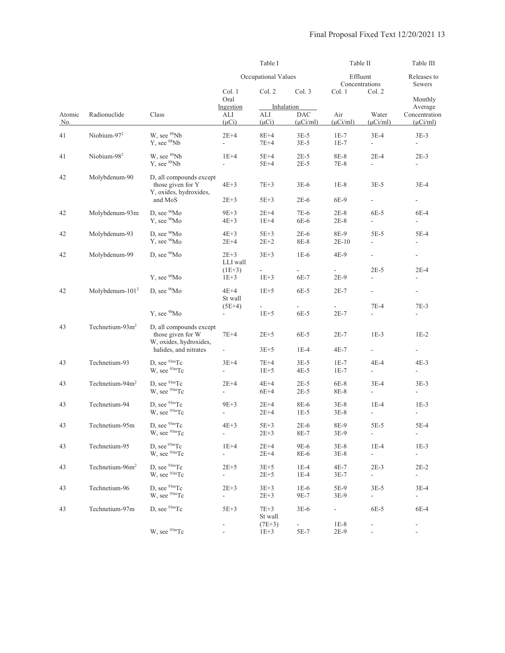|                      |                             |                                                                        | Table I<br>Occupational Values     |                                 |                             | Table II<br>Effluent<br>Concentrations |                                    | Table III<br>Releases to<br>Sewers           |
|----------------------|-----------------------------|------------------------------------------------------------------------|------------------------------------|---------------------------------|-----------------------------|----------------------------------------|------------------------------------|----------------------------------------------|
|                      |                             |                                                                        |                                    |                                 |                             |                                        |                                    |                                              |
|                      |                             |                                                                        | Col. 1<br>Oral                     | Col. 2                          | Col. 3                      | Col. 1                                 | Col. 2                             | Monthly                                      |
| Atomic<br><u>No.</u> | Radionuclide                | Class                                                                  | Ingestion<br>ALI<br>$(\mu Ci)$     | Inhalation<br>ALI<br>$(\mu Ci)$ | <b>DAC</b><br>$(\mu$ Ci/ml) | Air<br>$(\mu$ Ci/ml)                   | Water<br>$(\mu$ Ci/ml $)$          | Average<br>Concentration<br>$(\mu$ Ci/ml $)$ |
| 41                   | Niobium-97 <sup>2</sup>     | W, see <sup>88</sup> Nb<br>Y, see <sup>88</sup> Nb                     | $2E+4$<br>÷,                       | $8E+4$<br>$7E+4$                | $3E-5$<br>$3E-5$            | $1E-7$<br>$1E-7$                       | $3E-4$<br>$\blacksquare$           | $3E-3$<br>$\overline{\phantom{a}}$           |
| 41                   | Niobium-98 <sup>2</sup>     | W, see <sup>88</sup> Nb<br>Y, see <sup>88</sup> Nb                     | $1E+4$<br>÷.                       | $5E+4$<br>$5E+4$                | $2E-5$<br>$2E-5$            | 8E-8<br>7E-8                           | $2E-4$<br>$\overline{\phantom{a}}$ | $2E-3$                                       |
| 42                   | Molybdenum-90               | D, all compounds except<br>those given for Y<br>Y, oxides, hydroxides, | $4E+3$                             | $7E+3$                          | $3E-6$                      | $1E-8$                                 | $3E-5$                             | $3E-4$                                       |
|                      |                             | and MoS                                                                | $2E + 3$                           | $5E+3$                          | $2E-6$                      | 6E-9                                   | ÷                                  | $\frac{1}{2}$                                |
| 42                   | Molybdenum-93m              | D, see <sup>90</sup> Mo<br>Y, see <sup>90</sup> Mo                     | $9E+3$<br>$4E+3$                   | $2E+4$<br>$1E+4$                | 7E-6<br>6E-6                | $2E-8$<br>$2E-8$                       | $6E-5$<br>$\overline{\phantom{a}}$ | 6E-4<br>$\overline{\phantom{a}}$             |
| 42                   | Molybdenum-93               | D, see <sup>90</sup> Mo<br>Y, see <sup>90</sup> Mo                     | $4E+3$<br>$2E+4$                   | $5E+3$<br>$2E+2$                | $2E-6$<br>8E-8              | 8E-9<br>$2E-10$                        | $5E-5$<br>$\overline{a}$           | 5E-4<br>÷                                    |
| 42                   | Molybdenum-99               | D, see <sup>90</sup> Mo                                                | $2E+3$<br>LLI wall                 | $3E+3$                          | $1E-6$                      | 4E-9                                   | $\overline{\phantom{a}}$           | $\overline{\phantom{a}}$                     |
|                      |                             | Y, see <sup>90</sup> Mo                                                | $(1E+3)$<br>$1E+3$                 | ÷,<br>$1E+3$                    | $\equiv$<br>6E-7            | $\frac{1}{2}$<br>$2E-9$                | $2E-5$<br>$\overline{a}$           | $2E-4$<br>٠                                  |
| 42                   | Molybdenum- $1012$          | D, see $90$ Mo                                                         | $4E+4$<br>St wall                  | $1E+5$                          | 6E-5                        | $2E-7$                                 | $\overline{\phantom{a}}$           | $\blacksquare$                               |
|                      |                             | Y, see <sup>90</sup> Mo                                                | $(5E+4)$<br>÷,                     | $1E+5$                          | 6E-5                        | $2E-7$                                 | 7E-4<br>$\overline{a}$             | $7E-3$<br>$\frac{1}{2}$                      |
| 43                   | Technetium- $93m2$          | D, all compounds except<br>those given for W<br>W, oxides, hydroxides, | $7E+4$                             | $2E + 5$                        | 6E-5                        | $2E-7$                                 | $1E-3$                             | $1E-2$                                       |
|                      |                             | halides, and nitrates                                                  | $\blacksquare$                     | $3E + 5$                        | $1E-4$                      | 4E-7                                   | ÷                                  | $\blacksquare$                               |
| 43                   | Technetium-93               | D, see $93m$ Tc<br>W, see <sup>93m</sup> Tc                            | $3E+4$<br>$\blacksquare$           | $7E+4$<br>$1E+5$                | $3E-5$<br>$4E-5$            | $1E-7$<br>$1E-7$                       | 4E-4<br>$\blacksquare$             | $4E-3$<br>$\overline{\phantom{a}}$           |
| 43                   | Technetium-94m <sup>2</sup> | D, see $93m$ Tc<br>W, see <sup>93m</sup> Tc                            | $2E+4$<br>$\overline{a}$           | $4E+4$<br>$6E+4$                | $2E-5$<br>$2E-5$            | 6E-8<br>8E-8                           | $3E-4$<br>$\overline{\phantom{a}}$ | $3E-3$<br>$\overline{\phantom{a}}$           |
| 43                   | Technetium-94               | D, see $93m$ Tc<br>W, see <sup>93m</sup> Tc                            | $9E+3$<br>$\overline{a}$           | $2E+4$<br>$2E+4$                | 8E-6<br>$1E-5$              | $3E-8$<br>3E-8                         | $1E-4$<br>$\overline{\phantom{a}}$ | $1E-3$<br>$\overline{a}$                     |
| 43                   | Technetium-95m              | D, see $93m$ Tc<br>W, see <sup>93m</sup> Tc                            | $4E+3$<br>$\overline{\phantom{a}}$ | $5E+3$<br>$2E + 3$              | $2E-6$<br>$8E-7$            | 8E-9<br>$3E-9$                         | $5E-5$<br>÷,                       | 5E-4<br>$\overline{\phantom{a}}$             |
| 43                   | Technetium-95               | D. see $93m$ Tc<br>W, see <sup>93m</sup> Tc                            | $1E+4$<br>$\overline{\phantom{a}}$ | $2E+4$<br>$2E+4$                | 9E-6<br>8E-6                | $3E-8$<br>$3E-8$                       | $1E-4$<br>$\overline{\phantom{a}}$ | $1E-3$<br>$\overline{\phantom{a}}$           |
| 43                   | Technetium-96m <sup>2</sup> | D. see $93m$ Tc<br>W, see <sup>93m</sup> Tc                            | $2E+5$<br>$\overline{a}$           | $3E+5$<br>$2E + 5$              | $1E-4$<br>$1E-4$            | $4E-7$<br>$3E-7$                       | $2E-3$<br>$\overline{a}$           | $2E-2$<br>$\overline{\phantom{a}}$           |
| 43                   | Technetium-96               | D, see $93m$ Tc<br>W, see <sup>93m</sup> Tc                            | $2E+3$<br>$\overline{\phantom{a}}$ | $3E+3$<br>$2E + 3$              | $1E-6$<br>9E-7              | 5E-9<br>$3E-9$                         | $3E-5$<br>$\overline{\phantom{a}}$ | $3E-4$<br>$\sim$                             |
| 43                   | Technetium-97m              | D, see $93m$ Tc                                                        | $5E+3$                             | $7E+3$<br>St wall               | $3E-6$                      | $\blacksquare$                         | 6E-5                               | 6E-4                                         |
|                      |                             | W, see <sup>93m</sup> Tc                                               |                                    | $(7E+3)$<br>$1E+3$              | $\blacksquare$<br>5E-7      | $1E-8$<br>$2E-9$                       | $\overline{\phantom{a}}$           | $\overline{\phantom{a}}$                     |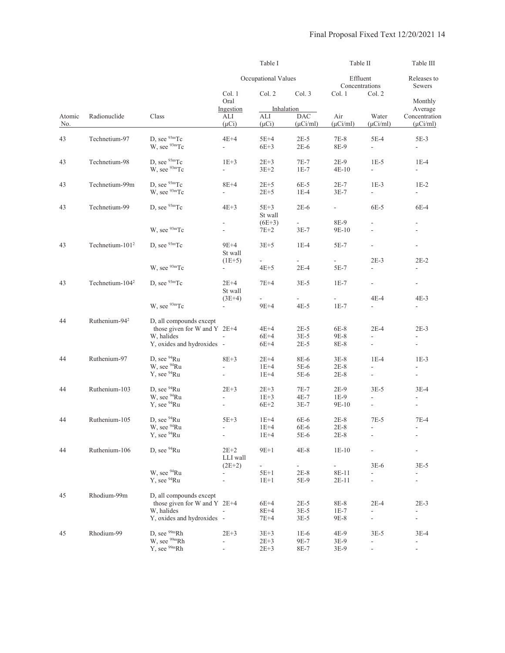|               |                             |                                                                                                       |                                          | Table I                            |                                       | Table II                         |                                                                | Table III                                                      |
|---------------|-----------------------------|-------------------------------------------------------------------------------------------------------|------------------------------------------|------------------------------------|---------------------------------------|----------------------------------|----------------------------------------------------------------|----------------------------------------------------------------|
|               |                             |                                                                                                       |                                          | Occupational Values                |                                       | Effluent<br>Concentrations       |                                                                | Releases to<br>Sewers                                          |
|               |                             |                                                                                                       | Col. 1<br>Oral                           | Col. 2                             | Col. 3                                | Col. 1                           | Col. 2                                                         | Monthly                                                        |
| Atomic<br>No. | Radionuclide                | Class                                                                                                 | Ingestion<br>ALI<br>$(\mu Ci)$           | Inhalation<br>ALI<br>$(\mu Ci)$    | <b>DAC</b><br>$(\mu$ Ci/ml)           | Air<br>$(\mu$ Ci/ml)             | Water<br>$(\mu$ Ci/ml $)$                                      | Average<br>Concentration<br>$(\mu$ Ci/ml)                      |
| 43            | Technetium-97               | D, see <sup>93m</sup> Tc<br>W, see <sup>93m</sup> Tc                                                  | $4E+4$<br>$\overline{\phantom{0}}$       | 5E+4<br>$6E+3$                     | $2E-5$<br>$2E-6$                      | $7E-8$<br>8E-9                   | $5E-4$<br>$\overline{\phantom{a}}$                             | $5E-3$<br>$\overline{\phantom{a}}$                             |
| 43            | Technetium-98               | D, see $93m$ Tc<br>W. see <sup>93m</sup> Tc                                                           | $1E+3$<br>$\overline{\phantom{0}}$       | $2E+3$<br>$3E+2$                   | $7E-7$<br>$1E-7$                      | $2E-9$<br>$4E-10$                | $1E-5$<br>$\overline{\phantom{a}}$                             | $1E-4$<br>$\overline{\phantom{a}}$                             |
| 43            | Technetium-99m              | D, see <sup>93m</sup> Tc<br>W, see <sup>93m</sup> Tc                                                  | 8E+4<br>$\overline{a}$                   | $2E+5$<br>$2E+5$                   | $6E-5$<br>$1E-4$                      | $2E-7$<br>$3E-7$                 | $1E-3$<br>$\mathbb{L}$                                         | $1E-2$<br>$\overline{\phantom{a}}$                             |
| 43            | Technetium-99               | D, see <sup>93m</sup> Tc                                                                              | $4E+3$                                   | $5E+3$<br>St wall                  | $2E-6$                                | $\overline{\phantom{a}}$         | 6E-5                                                           | 6E-4                                                           |
|               |                             | W, see $93m$ Tc                                                                                       |                                          | $(6E+3)$<br>7E+2                   | $\mathcal{L}_{\mathcal{A}}$<br>$3E-7$ | 8E-9<br>9E-10                    |                                                                | $\overline{\phantom{a}}$                                       |
| 43            | Technetium-101 <sup>2</sup> | D, see $93m$ Tc                                                                                       | 9E+4<br>St wall                          | $3E+5$                             | $1E-4$                                | $5E-7$                           | $\overline{\phantom{a}}$<br>$2E-3$                             | $\overline{\phantom{a}}$<br>$2E-2$                             |
|               |                             | W, see <sup>93m</sup> Tc                                                                              | $(1E+5)$                                 | $\overline{\phantom{0}}$<br>$4E+5$ | $\overline{\phantom{a}}$<br>$2E-4$    | $\overline{\phantom{a}}$<br>5E-7 |                                                                |                                                                |
| 43            | Technetium-104 <sup>2</sup> | D. see $93m$ Tc                                                                                       | $2E+4$<br>St wall                        | $7E+4$                             | $3E-5$                                | $1E-7$                           | $\overline{\phantom{a}}$                                       | $\overline{\phantom{a}}$                                       |
|               |                             | W, see <sup>93m</sup> Tc                                                                              | $(3E+4)$<br>$\overline{\phantom{0}}$     | $9E+4$                             | $4E-5$                                | $1E-7$                           | 4E-4<br>$\overline{a}$                                         | $4E-3$<br>÷.                                                   |
| 44            | Ruthenium-94 <sup>2</sup>   | D, all compounds except<br>those given for W and Y $2E+4$<br>W, halides<br>Y, oxides and hydroxides - |                                          | $4E+4$<br>$6E+4$<br>$6E+4$         | $2E-5$<br>$3E-5$<br>$2E-5$            | $6E-8$<br>9E-8<br>8E-8           | $2E-4$<br>$\overline{a}$<br>$\overline{\phantom{a}}$           | $2E-3$<br>$\overline{\phantom{a}}$<br>$\overline{\phantom{a}}$ |
| 44            | Ruthenium-97                | D, see <sup>94</sup> Ru<br>W, see <sup>94</sup> Ru<br>Y, see <sup>94</sup> Ru                         | $8E+3$<br>÷,                             | $2E+4$<br>$1E+4$<br>$1E+4$         | 8E-6<br>5E-6<br>5E-6                  | $3E-8$<br>$2E-8$<br>$2E-8$       | $1E-4$<br>$\overline{a}$<br>$\overline{\phantom{a}}$           | $1E-3$<br>$\overline{\phantom{a}}$                             |
| 44            | Ruthenium-103               | D, see <sup>94</sup> Ru<br>W, see <sup>94</sup> Ru<br>Y, see <sup>94</sup> Ru                         | $2E+3$<br>÷.<br>$\overline{\phantom{a}}$ | $2E+3$<br>$1E+3$<br>$6E+2$         | 7E-7<br>$4E-7$<br>$3E-7$              | $2E-9$<br>$1E-9$<br>9E-10        | $3E-5$<br>$\overline{\phantom{a}}$<br>$\overline{\phantom{a}}$ | $3E-4$<br>$\overline{\phantom{a}}$<br>$\overline{\phantom{a}}$ |
| 44            | Ruthenium-105               | D, see $94$ Ru<br>W, see <sup>94</sup> Ru<br>Y, see <sup>94</sup> Ru                                  | $5E+3$<br>$\frac{1}{2}$                  | $1E+4$<br>$1E+4$<br>$1E+4$         | 6E-6<br>$6E-6$<br>5E-6                | $2E-8$<br>$2E-8$<br>$2E-8$       | $7E-5$<br>$\frac{1}{2}$                                        | $7E-4$<br>ä,<br>$\overline{\phantom{a}}$                       |
| 44            | Ruthenium-106               | D, see <sup>94</sup> Ru                                                                               | $2E+2$<br>LLI wall                       | $9E+1$                             | $4E-8$                                | $1E-10$                          |                                                                |                                                                |
|               |                             | W, see <sup>94</sup> Ru<br>Y, see <sup>94</sup> Ru                                                    | $(2E+2)$<br>$\blacksquare$<br>L.         | $5E+1$<br>$1E+1$                   | ÷,<br>$2E-8$<br>5E-9                  | 8E-11<br>$2E-11$                 | $3E-6$<br>L.<br>$\overline{a}$                                 | $3E-5$<br>$\blacksquare$                                       |
| 45            | Rhodium-99m                 | D, all compounds except<br>those given for W and Y $2E+4$<br>W, halides<br>Y, oxides and hydroxides - |                                          | $6E+4$<br>$8E+4$<br>$7E+4$         | $2E-5$<br>$3E-5$<br>$3E-5$            | 8E-8<br>$1E-7$<br>9E-8           | $2E-4$<br>$\overline{\phantom{a}}$<br>$\frac{1}{2}$            | $2E-3$<br>$\blacksquare$                                       |
| 45            | Rhodium-99                  | D, see <sup>99m</sup> Rh<br>W, see <sup>99m</sup> Rh<br>Y, see 99mRh                                  | $2E + 3$<br>$\overline{a}$               | $3E+3$<br>$2E + 3$<br>$2E + 3$     | $1E-6$<br>9E-7<br>8E-7                | 4E-9<br>$3E-9$<br>$3E-9$         | $3E-5$                                                         | $3E-4$<br>$\overline{\phantom{0}}$<br>$\overline{\phantom{0}}$ |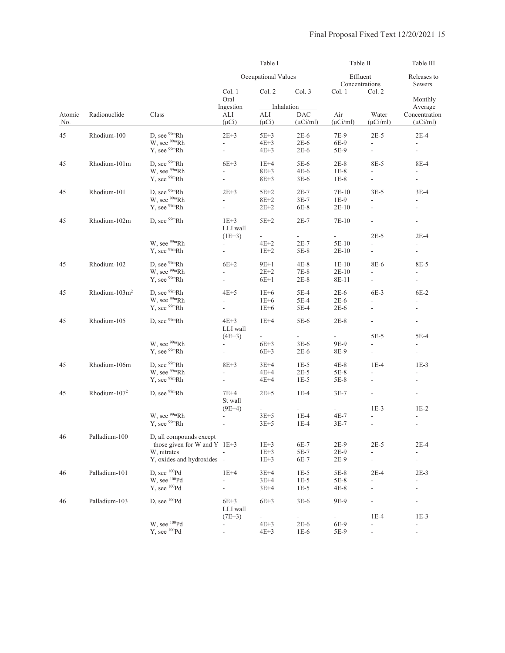|        |                           |                                | Table I                  |                          |                          | Table II      |                            | Table III                |
|--------|---------------------------|--------------------------------|--------------------------|--------------------------|--------------------------|---------------|----------------------------|--------------------------|
|        |                           |                                |                          | Occupational Values      |                          |               | Effluent<br>Concentrations | Releases to<br>Sewers    |
|        |                           |                                | Col. 1<br>Oral           | Col. 2                   | Col. 3                   | Col. 1        | Col. 2                     | Monthly                  |
|        |                           |                                | Ingestion                |                          | Inhalation               |               |                            | Average                  |
| Atomic | Radionuclide              | Class                          | ALI                      | ALI                      | <b>DAC</b>               | Air           | Water                      | Concentration            |
| No.    |                           |                                | $(\mu Ci)$               | $(\mu Ci)$               | $(\mu Ci/ml)$            | $(\mu$ Ci/ml) | $(\mu$ Ci/ml $)$           | $(\mu$ Ci/ml $)$         |
| 45     | Rhodium-100               | D, see <sup>99m</sup> Rh       | $2E+3$                   | $5E+3$                   | $2E-6$                   | 7E-9          | $2E-5$                     | $2E-4$                   |
|        |                           | W, see <sup>99m</sup> Rh       | $\mathbf{L}$             | $4E+3$                   | $2E-6$                   | 6E-9          | $\frac{1}{2}$              | $\overline{\phantom{a}}$ |
|        |                           | Y, see <sup>99m</sup> Rh       | $\mathbb{L}$             | $4E+3$                   | $2E-6$                   | 5E-9          | ÷,                         | $\bar{\phantom{a}}$      |
|        |                           |                                |                          |                          |                          |               |                            |                          |
| 45     | Rhodium-101m              | D, see <sup>99m</sup> Rh       | $6E+3$                   | $1E+4$                   | 5E-6                     | $2E-8$        | 8E-5                       | 8E-4                     |
|        |                           | W, see <sup>99m</sup> Rh       | $\frac{1}{2}$            | $8E+3$                   | $4E-6$                   | $1E-8$        | $\frac{1}{2}$              | $\overline{\phantom{a}}$ |
|        |                           | $Y$ , see $99mRh$              | $\frac{1}{2}$            | $8E+3$                   | $3E-6$                   | $1E-8$        | $\overline{\phantom{a}}$   | $\bar{\phantom{a}}$      |
|        |                           |                                |                          |                          |                          |               |                            |                          |
| 45     | Rhodium-101               | D, see <sup>99m</sup> Rh       | $2E+3$                   | $5E+2$                   | $2E-7$                   | 7E-10         | $3E-5$                     | $3E-4$                   |
|        |                           | W, see <sup>99m</sup> Rh       | $\frac{1}{2}$            | $8E+2$                   | $3E-7$                   | $1E-9$        | $\overline{a}$             |                          |
|        |                           | Y, see <sup>99m</sup> Rh       | $\overline{\phantom{a}}$ | $2E+2$                   | 6E-8                     | $2E-10$       | L.                         | $\frac{1}{2}$            |
| 45     | Rhodium-102m              | D, see <sup>99m</sup> Rh       | $1E+3$                   | $5E+2$                   | $2E-7$                   | 7E-10         | ÷.                         | $\overline{\phantom{a}}$ |
|        |                           |                                | LLI wall                 |                          |                          |               |                            |                          |
|        |                           |                                | $(1E+3)$                 | $\omega$                 | $\overline{\phantom{a}}$ | $\sim$        | $2E-5$                     | $2E-4$                   |
|        |                           | W, see <sup>99m</sup> Rh       | ÷.                       | $4E+2$                   | $2E-7$                   | 5E-10         | $\overline{a}$             | ÷.                       |
|        |                           | Y, see <sup>99m</sup> Rh       |                          | $1E+2$                   | 5E-8                     | $2E-10$       | $\overline{a}$             | $\overline{a}$           |
|        |                           |                                |                          |                          |                          |               |                            |                          |
| 45     | Rhodium-102               | D, see <sup>99m</sup> Rh       | $6E+2$                   | $9E+1$                   | $4E-8$                   | $1E-10$       | 8E-6                       | 8E-5                     |
|        |                           | W, see <sup>99m</sup> Rh       | $\overline{a}$           | $2E+2$                   | $7E-8$                   | $2E-10$       | $\overline{a}$             |                          |
|        |                           | Y, see <sup>99m</sup> Rh       | $\overline{\phantom{a}}$ | $6E+1$                   | $2E-8$                   | 8E-11         | $\overline{a}$             | L.                       |
| 45     | Rhodium-103m <sup>2</sup> | D. see $99mRh$                 | $4E+5$                   | $1E+6$                   | $5E-4$                   | $2E-6$        | $6E-3$                     | $6E-2$                   |
|        |                           | W, see <sup>99m</sup> Rh       |                          |                          |                          |               |                            |                          |
|        |                           | Y, see <sup>99m</sup> Rh       | L.                       | $1E+6$                   | $5E-4$                   | $2E-6$        | L.                         | $\overline{\phantom{a}}$ |
|        |                           |                                | $\overline{\phantom{0}}$ | $1E+6$                   | $5E-4$                   | $2E-6$        | $\overline{\phantom{a}}$   |                          |
| 45     | Rhodium-105               | D. see $99mRh$                 | $4E+3$                   | $1E+4$                   | 5E-6                     | $2E-8$        | $\overline{a}$             | $\overline{\phantom{a}}$ |
|        |                           |                                | LLI wall                 |                          |                          |               |                            |                          |
|        |                           |                                | $(4E+3)$                 |                          |                          |               | $5E-5$                     | $5E-4$                   |
|        |                           | W, see <sup>99m</sup> Rh       | $\overline{\phantom{a}}$ | $6E+3$                   | $3E-6$                   | 9E-9          | L.                         |                          |
|        |                           | Y, see <sup>99m</sup> Rh       | $\overline{\phantom{a}}$ | $6E+3$                   | $2E-6$                   | 8E-9          | $\overline{a}$             | $\overline{\phantom{a}}$ |
| 45     | Rhodium-106m              | D, see <sup>99m</sup> Rh       | $8E+3$                   | $3E+4$                   | $1E-5$                   | $4E-8$        | $1E-4$                     | $1E-3$                   |
|        |                           | W, see <sup>99m</sup> Rh       |                          |                          |                          |               |                            |                          |
|        |                           | Y, see <sup>99m</sup> Rh       | ÷.                       | $4E+4$                   | $2E-5$                   | 5E-8          |                            |                          |
|        |                           |                                |                          | $4E+4$                   | $1E-5$                   | 5E-8          |                            |                          |
| 45     | Rhodium-107 <sup>2</sup>  | D, see <sup>99m</sup> Rh       | $7E+4$                   | $2E+5$                   | $1E-4$                   | $3E-7$        | $\overline{\phantom{a}}$   | $\blacksquare$           |
|        |                           |                                | St wall                  |                          |                          |               |                            |                          |
|        |                           |                                | $(9E+4)$                 | L,                       | $\sim$                   | $\sim$        | $1E-3$                     | $1E-2$                   |
|        |                           | W, see <sup>99m</sup> Rh       |                          | $3E+5$                   | $1E-4$                   | $4E-7$        |                            |                          |
|        |                           | $Y$ , see $99mRh$              | $\overline{\phantom{a}}$ | $3E + 5$                 | $1E-4$                   | $3E-7$        | $\Box$                     | $\overline{\phantom{a}}$ |
|        |                           |                                |                          |                          |                          |               |                            |                          |
| 46     | Palladium-100             | D, all compounds except        |                          |                          |                          |               |                            |                          |
|        |                           | those given for W and Y $1E+3$ |                          | $1E+3$                   | 6E-7                     | $2E-9$        | $2E-5$                     | 2E-4                     |
|        |                           | W, nitrates                    |                          | $1E+3$                   | 5E-7                     | $2E-9$        | $\overline{a}$             |                          |
|        |                           | Y, oxides and hydroxides -     |                          | $1E+3$                   | 6E-7                     | $2E-9$        | ÷,                         | ÷,                       |
| 46     | Palladium-101             | D, see $^{100}Pd$              | $1E+4$                   | $3E+4$                   | $1E-5$                   | 5E-8          | $2E-4$                     | $2E-3$                   |
|        |                           | W, see <sup>100</sup> Pd       | $\overline{a}$           | $3E+4$                   | $1E-5$                   | 5E-8          | ä,                         | ÷,                       |
|        |                           | Y, see <sup>100</sup> Pd       | $\overline{a}$           | $3E+4$                   | $1E-5$                   | $4E-8$        | ÷,                         |                          |
|        |                           |                                |                          |                          |                          |               |                            |                          |
| 46     | Palladium-103             | D, see <sup>100</sup> Pd       | $6E+3$                   | $6E+3$                   | 3E-6                     | 9E-9          | ÷,                         | $\overline{\phantom{m}}$ |
|        |                           |                                | LLI wall                 |                          |                          |               |                            |                          |
|        |                           |                                | $(7E+3)$                 | $\overline{\phantom{0}}$ | $\frac{1}{2}$            |               | $1E-4$                     | $1E-3$                   |
|        |                           | W, see <sup>100</sup> Pd       |                          | $4E+3$                   | $2E-6$                   | 6E-9          | $\overline{\phantom{a}}$   | $\overline{\phantom{0}}$ |
|        |                           | Y, see <sup>100</sup> Pd       | $\overline{\phantom{a}}$ | $4E+3$                   | $1E-6$                   | 5E-9          | $\blacksquare$             | $\overline{\phantom{0}}$ |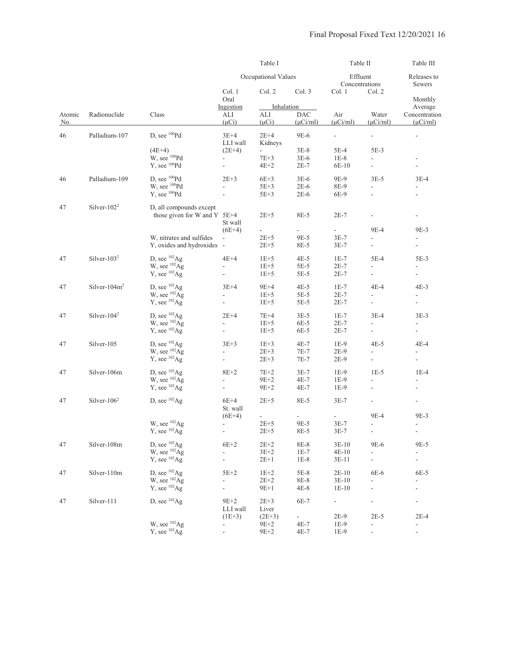|        |                  |                              |                          | Table I                  |                          | Table II       |                          | Table III                                                                                                                                                                                                                                                                                                                                                                                                                                                                                                                                                                                                                                                                                                                       |  |
|--------|------------------|------------------------------|--------------------------|--------------------------|--------------------------|----------------|--------------------------|---------------------------------------------------------------------------------------------------------------------------------------------------------------------------------------------------------------------------------------------------------------------------------------------------------------------------------------------------------------------------------------------------------------------------------------------------------------------------------------------------------------------------------------------------------------------------------------------------------------------------------------------------------------------------------------------------------------------------------|--|
|        |                  |                              |                          | Occupational Values      |                          | Effluent       | Concentrations           | Releases to<br>Sewers                                                                                                                                                                                                                                                                                                                                                                                                                                                                                                                                                                                                                                                                                                           |  |
|        |                  |                              | Col. 1<br>Oral           | Col. 2                   | Col. 3                   | Col. 1         | Col. 2                   | Monthly<br>Average<br>Concentration<br>$(\mu$ Ci/ml)<br>$\blacksquare$<br>$\overline{\phantom{a}}$<br>$\overline{\phantom{a}}$<br>$3E-4$<br>$\overline{\phantom{0}}$<br>$\overline{\phantom{a}}$<br>9E-3<br>$\overline{\phantom{a}}$<br>$\overline{\phantom{a}}$<br>$5E-3$<br>$\overline{\phantom{a}}$<br>$4E-3$<br>$\overline{\phantom{a}}$<br>$\overline{\phantom{a}}$<br>$3E-3$<br>$\overline{\phantom{a}}$<br>4E-4<br>$\overline{\phantom{a}}$<br>$\overline{\phantom{a}}$<br>$1E-4$<br>ä,<br>$\overline{\phantom{a}}$<br>9E-3<br>$\overline{\phantom{a}}$<br>$\overline{\phantom{a}}$<br>9E-5<br>$\overline{\phantom{a}}$<br>$\frac{1}{2}$<br>6E-5<br>÷,<br>$\overline{\phantom{a}}$<br>$2E-4$<br>$\overline{\phantom{a}}$ |  |
|        |                  |                              | Ingestion                | Inhalation               |                          |                |                          |                                                                                                                                                                                                                                                                                                                                                                                                                                                                                                                                                                                                                                                                                                                                 |  |
| Atomic | Radionuclide     | Class                        | ALI                      | ALI                      | <b>DAC</b>               | Air            | Water                    |                                                                                                                                                                                                                                                                                                                                                                                                                                                                                                                                                                                                                                                                                                                                 |  |
| No.    |                  |                              | $(\mu Ci)$               | $(\mu Ci)$               | $(\mu$ Ci/ml)            | $(\mu$ Ci/ml)  | $(\mu$ Ci/ml)            |                                                                                                                                                                                                                                                                                                                                                                                                                                                                                                                                                                                                                                                                                                                                 |  |
| 46     | Palladium-107    | D, see <sup>100</sup> Pd     | $3E+4$                   | $2E+4$                   | 9E-6                     | $\frac{1}{2}$  | ÷,                       |                                                                                                                                                                                                                                                                                                                                                                                                                                                                                                                                                                                                                                                                                                                                 |  |
|        |                  |                              | LLI wall                 | Kidneys                  |                          |                |                          |                                                                                                                                                                                                                                                                                                                                                                                                                                                                                                                                                                                                                                                                                                                                 |  |
|        |                  | $(4E+4)$                     | $(2E+4)$                 | $\overline{\phantom{a}}$ | $3E-8$                   | 5E-4           | $5E-3$                   |                                                                                                                                                                                                                                                                                                                                                                                                                                                                                                                                                                                                                                                                                                                                 |  |
|        |                  | W, see <sup>100</sup> Pd     | $\overline{\phantom{a}}$ | $7E + 3$                 | $3E-6$                   | $1E-8$         | ÷                        |                                                                                                                                                                                                                                                                                                                                                                                                                                                                                                                                                                                                                                                                                                                                 |  |
|        |                  | Y, see <sup>100</sup> Pd     | $\blacksquare$           | $4E+2$                   | $2E-7$                   | 6E-10          | $\overline{\phantom{a}}$ |                                                                                                                                                                                                                                                                                                                                                                                                                                                                                                                                                                                                                                                                                                                                 |  |
| 46     | Palladium-109    | D, see <sup>100</sup> Pd     | $2E+3$                   | $6E+3$                   | $3E-6$                   | 9E-9           | $3E-5$                   |                                                                                                                                                                                                                                                                                                                                                                                                                                                                                                                                                                                                                                                                                                                                 |  |
|        |                  | W, see <sup>100</sup> Pd     |                          | $5E+3$                   | $2E-6$                   | 8E-9           |                          |                                                                                                                                                                                                                                                                                                                                                                                                                                                                                                                                                                                                                                                                                                                                 |  |
|        |                  | $Y$ , see $^{100}Pd$         | $\overline{a}$           | $5E+3$                   | $2E-6$                   |                | $\overline{a}$           |                                                                                                                                                                                                                                                                                                                                                                                                                                                                                                                                                                                                                                                                                                                                 |  |
|        |                  |                              |                          |                          |                          | 6E-9           |                          |                                                                                                                                                                                                                                                                                                                                                                                                                                                                                                                                                                                                                                                                                                                                 |  |
| 47     | Silver- $1022$   | D, all compounds except      |                          |                          |                          |                |                          |                                                                                                                                                                                                                                                                                                                                                                                                                                                                                                                                                                                                                                                                                                                                 |  |
|        |                  | those given for W and Y 5E+4 |                          | $2E + 5$                 | 8E-5                     | $2E-7$         | ۰                        |                                                                                                                                                                                                                                                                                                                                                                                                                                                                                                                                                                                                                                                                                                                                 |  |
|        |                  |                              | St wall                  |                          |                          |                |                          |                                                                                                                                                                                                                                                                                                                                                                                                                                                                                                                                                                                                                                                                                                                                 |  |
|        |                  |                              | $(6E+4)$                 | $\overline{\phantom{a}}$ | $\overline{\phantom{a}}$ | $\blacksquare$ | 9E-4                     |                                                                                                                                                                                                                                                                                                                                                                                                                                                                                                                                                                                                                                                                                                                                 |  |
|        |                  | W, nitrates and sulfides     | $\blacksquare$           | $2E + 5$                 | 9E-5                     | $3E-7$         | $\overline{\phantom{a}}$ |                                                                                                                                                                                                                                                                                                                                                                                                                                                                                                                                                                                                                                                                                                                                 |  |
|        |                  | Y, oxides and hydroxides -   |                          | $2E + 5$                 | 8E-5                     | $3E-7$         | $\overline{\phantom{a}}$ |                                                                                                                                                                                                                                                                                                                                                                                                                                                                                                                                                                                                                                                                                                                                 |  |
| 47     | Silver- $1032$   | D, see $^{102}$ Ag           | 4E+4                     | $1E+5$                   | $4E-5$                   | $1E-7$         | $5E-4$                   |                                                                                                                                                                                                                                                                                                                                                                                                                                                                                                                                                                                                                                                                                                                                 |  |
|        |                  | W, see ${}^{102}Ag$          |                          | $1E+5$                   | 5E-5                     | 2E-7           |                          |                                                                                                                                                                                                                                                                                                                                                                                                                                                                                                                                                                                                                                                                                                                                 |  |
|        |                  | Y, see $^{102}Ag$            | $\overline{\phantom{a}}$ | $1E + 5$                 | $5E-5$                   | $2E-7$         | $\blacksquare$           |                                                                                                                                                                                                                                                                                                                                                                                                                                                                                                                                                                                                                                                                                                                                 |  |
|        |                  |                              |                          |                          |                          |                |                          |                                                                                                                                                                                                                                                                                                                                                                                                                                                                                                                                                                                                                                                                                                                                 |  |
| 47     | Silver- $104m^2$ | D, see $^{102}$ Ag           | $3E+4$                   | $9E+4$                   | $4E-5$                   | $1E-7$         | 4E-4                     |                                                                                                                                                                                                                                                                                                                                                                                                                                                                                                                                                                                                                                                                                                                                 |  |
|        |                  | W, see ${}^{102}\mathrm{Ag}$ | $\overline{\phantom{a}}$ | $1E + 5$                 | $5E-5$                   | $2E-7$         | $\overline{\phantom{a}}$ |                                                                                                                                                                                                                                                                                                                                                                                                                                                                                                                                                                                                                                                                                                                                 |  |
|        |                  | Y, see $^{102}Ag$            | $\overline{\phantom{a}}$ | $1E+5$                   | $5E-5$                   | $2E-7$         | $\overline{\phantom{a}}$ |                                                                                                                                                                                                                                                                                                                                                                                                                                                                                                                                                                                                                                                                                                                                 |  |
| 47     | Silver- $1042$   | D, see $^{102}$ Ag           | $2E+4$                   | $7E+4$                   | $3E-5$                   | $1E-7$         | $3E-4$                   |                                                                                                                                                                                                                                                                                                                                                                                                                                                                                                                                                                                                                                                                                                                                 |  |
|        |                  | W, see $^{102}$ Ag           | $\blacksquare$           | $1E+5$                   | 6E-5                     | $2E-7$         |                          |                                                                                                                                                                                                                                                                                                                                                                                                                                                                                                                                                                                                                                                                                                                                 |  |
|        |                  | Y, see $^{102}Ag$            |                          | $1E+5$                   | 6E-5                     | $2E-7$         | $\frac{1}{2}$            |                                                                                                                                                                                                                                                                                                                                                                                                                                                                                                                                                                                                                                                                                                                                 |  |
| 47     | Silver-105       | D, see $^{102}$ Ag           | $3E+3$                   | $1E+3$                   | $4E-7$                   | $1E-9$         | $4E-5$                   |                                                                                                                                                                                                                                                                                                                                                                                                                                                                                                                                                                                                                                                                                                                                 |  |
|        |                  | W, see <sup>102</sup> Ag     | $\frac{1}{2}$            | $2E + 3$                 | 7E-7                     | 2E-9           | $\overline{\phantom{a}}$ |                                                                                                                                                                                                                                                                                                                                                                                                                                                                                                                                                                                                                                                                                                                                 |  |
|        |                  | Y, see $^{102}Ag$            | $\overline{\phantom{a}}$ | $2E + 3$                 | 7E-7                     | $2E-9$         | $\overline{\phantom{a}}$ |                                                                                                                                                                                                                                                                                                                                                                                                                                                                                                                                                                                                                                                                                                                                 |  |
| 47     | Silver-106m      | D, see $^{102}$ Ag           | $8E+2$                   | $7E+2$                   | $3E-7$                   | $1E-9$         | $1E-5$                   |                                                                                                                                                                                                                                                                                                                                                                                                                                                                                                                                                                                                                                                                                                                                 |  |
|        |                  | W, see <sup>102</sup> Ag     |                          |                          |                          |                |                          |                                                                                                                                                                                                                                                                                                                                                                                                                                                                                                                                                                                                                                                                                                                                 |  |
|        |                  |                              | ÷,                       | $9E+2$                   | 4E-7                     | 1E-9           |                          |                                                                                                                                                                                                                                                                                                                                                                                                                                                                                                                                                                                                                                                                                                                                 |  |
|        |                  | Y, see $^{102}Ag$            | $\overline{\phantom{a}}$ | $9E + 2$                 | 4E-7                     | 1E-9           | $\overline{\phantom{a}}$ |                                                                                                                                                                                                                                                                                                                                                                                                                                                                                                                                                                                                                                                                                                                                 |  |
| 47     | Silver- $1062$   | D, see $^{102}$ Ag           | $6E+4$                   | $2E+5$                   | 8E-5                     | $3E-7$         | $\overline{\phantom{a}}$ |                                                                                                                                                                                                                                                                                                                                                                                                                                                                                                                                                                                                                                                                                                                                 |  |
|        |                  |                              | St. wall                 |                          |                          |                |                          |                                                                                                                                                                                                                                                                                                                                                                                                                                                                                                                                                                                                                                                                                                                                 |  |
|        |                  |                              | $(6E+4)$                 |                          |                          |                | 9E-4                     |                                                                                                                                                                                                                                                                                                                                                                                                                                                                                                                                                                                                                                                                                                                                 |  |
|        |                  | W, see <sup>102</sup> Ag     | $\overline{\phantom{a}}$ | $2E+5$                   | 9E-5                     | $3E-7$         | $\overline{\phantom{a}}$ |                                                                                                                                                                                                                                                                                                                                                                                                                                                                                                                                                                                                                                                                                                                                 |  |
|        |                  | $Y$ , see $^{102}Ag$         | $\overline{\phantom{0}}$ | $2E + 5$                 | 8E-5                     | 3E-7           | $\overline{\phantom{a}}$ |                                                                                                                                                                                                                                                                                                                                                                                                                                                                                                                                                                                                                                                                                                                                 |  |
| 47     | Silver-108m      | D, see $^{102}$ Ag           | $6E+2$                   | $2E+2$                   | 8E-8                     | $3E-10$        | 9E-6                     |                                                                                                                                                                                                                                                                                                                                                                                                                                                                                                                                                                                                                                                                                                                                 |  |
|        |                  | W, see ${}^{102}\mathrm{Ag}$ | ÷,                       | $3E + 2$                 | $1E-7$                   | $4E-10$        | $\overline{a}$           |                                                                                                                                                                                                                                                                                                                                                                                                                                                                                                                                                                                                                                                                                                                                 |  |
|        |                  | $Y$ , see $^{102}Ag$         | $\frac{1}{2}$            | $2E+1$                   | $1E-8$                   | $3E-11$        | $\frac{1}{2}$            |                                                                                                                                                                                                                                                                                                                                                                                                                                                                                                                                                                                                                                                                                                                                 |  |
| 47     | Silver-110m      | D, see $^{102}$ Ag           | $5E+2$                   | $1E+2$                   | 5E-8                     | $2E-10$        | 6E-6                     |                                                                                                                                                                                                                                                                                                                                                                                                                                                                                                                                                                                                                                                                                                                                 |  |
|        |                  | W, see $^{102}$ Ag           |                          | $2E + 2$                 | 8E-8                     | $3E-10$        |                          |                                                                                                                                                                                                                                                                                                                                                                                                                                                                                                                                                                                                                                                                                                                                 |  |
|        |                  | $Y$ , see $^{102}Ag$         |                          | $9E+1$                   | $4E-8$                   | $1E-10$        |                          |                                                                                                                                                                                                                                                                                                                                                                                                                                                                                                                                                                                                                                                                                                                                 |  |
|        |                  |                              |                          |                          |                          |                |                          |                                                                                                                                                                                                                                                                                                                                                                                                                                                                                                                                                                                                                                                                                                                                 |  |
| 47     | Silver-111       | D, see $^{102}$ Ag           | $9E+2$<br>LLI wall       | $2E+3$<br>Liver          | 6E-7                     | Ξ.             |                          |                                                                                                                                                                                                                                                                                                                                                                                                                                                                                                                                                                                                                                                                                                                                 |  |
|        |                  |                              | $(1E+3)$                 | $(2E+3)$                 | $\sim 10^{-1}$           | 2E-9           | $2E-5$                   |                                                                                                                                                                                                                                                                                                                                                                                                                                                                                                                                                                                                                                                                                                                                 |  |
|        |                  | W, see <sup>102</sup> Ag     |                          | $9E+2$                   | $4E-7$                   | $1E-9$         | $\frac{1}{2}$            |                                                                                                                                                                                                                                                                                                                                                                                                                                                                                                                                                                                                                                                                                                                                 |  |
|        |                  | Y, see $^{102}$ Ag           |                          | $9E + 2$                 | $4E-7$                   | 1E-9           |                          |                                                                                                                                                                                                                                                                                                                                                                                                                                                                                                                                                                                                                                                                                                                                 |  |
|        |                  |                              |                          |                          |                          |                |                          |                                                                                                                                                                                                                                                                                                                                                                                                                                                                                                                                                                                                                                                                                                                                 |  |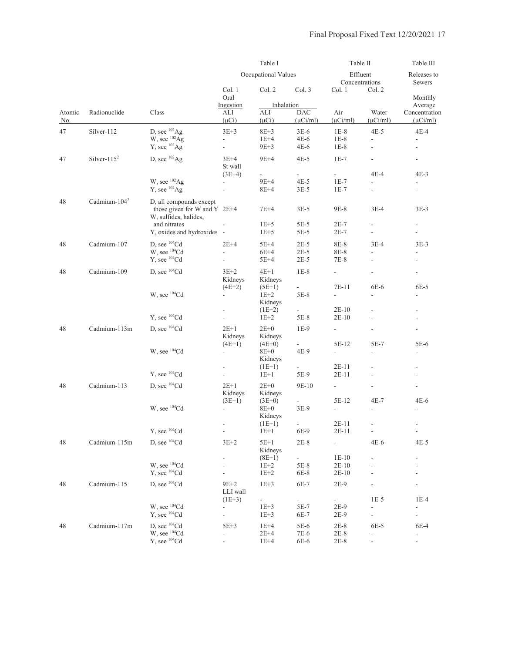|                      |                          |                                                                                    |                                                                | Table I                                    |                                                   | Table II                                   |                                                     | Table III                                                                                                                                                                                                                                                                                                                                                                                                                                                                           |
|----------------------|--------------------------|------------------------------------------------------------------------------------|----------------------------------------------------------------|--------------------------------------------|---------------------------------------------------|--------------------------------------------|-----------------------------------------------------|-------------------------------------------------------------------------------------------------------------------------------------------------------------------------------------------------------------------------------------------------------------------------------------------------------------------------------------------------------------------------------------------------------------------------------------------------------------------------------------|
|                      |                          |                                                                                    |                                                                | Occupational Values                        |                                                   | Effluent                                   | Concentrations                                      | Releases to<br>Sewers<br>Monthly<br>Average<br>Concentration<br>$(\mu$ Ci/ml $)$<br>$4E-4$<br>$\frac{1}{2}$<br>$\overline{\phantom{m}}$<br>$\overline{\phantom{a}}$<br>$4E-3$<br>$3E-3$<br>$\overline{\phantom{a}}$<br>÷<br>$3E-3$<br>$\overline{\phantom{a}}$<br>6E-5<br>$\overline{a}$<br>$\overline{\phantom{a}}$<br>$\overline{\phantom{a}}$<br>5E-6<br>$\qquad \qquad \blacksquare$<br>$\overline{\phantom{a}}$<br>$\frac{1}{2}$<br>4E-6<br>$\overline{\phantom{a}}$<br>$4E-5$ |
|                      |                          |                                                                                    | Col. 1<br>Oral                                                 | Col. 2                                     | Col. 3                                            | Col. 1                                     | Col. 2                                              |                                                                                                                                                                                                                                                                                                                                                                                                                                                                                     |
| Atomic<br><u>No.</u> | Radionuclide             | Class                                                                              | Ingestion<br>ALI<br>$(\mu Ci)$                                 | Inhalation<br>ALI<br>$(\mu Ci)$            | $\mathbf{D}\mathbf{A}\mathbf{C}$<br>$(\mu Ci/ml)$ | Air<br>$(\mu$ Ci/ml)                       | Water<br>$(\mu$ Ci/ml)                              |                                                                                                                                                                                                                                                                                                                                                                                                                                                                                     |
| 47                   | Silver-112               | D, see $^{102}$ Ag<br>W, see ${}^{102}\mathrm{Ag}$<br>Y, see $^{102}Ag$            | $3E+3$<br>$\overline{\phantom{a}}$<br>$\overline{\phantom{a}}$ | $8E+3$<br>$1E+4$<br>$9E+3$                 | $3E-6$<br>4E-6<br>$4E-6$                          | $1E-8$<br>$1E-8$<br>$1E-8$                 | $4E-5$<br>$\overline{\phantom{a}}$                  |                                                                                                                                                                                                                                                                                                                                                                                                                                                                                     |
| 47                   | Silver- $115^2$          | D, see <sup>102</sup> Ag                                                           | $3E+4$<br>St wall                                              | $9E+4$                                     | $4E-5$                                            | $1E-7$                                     |                                                     |                                                                                                                                                                                                                                                                                                                                                                                                                                                                                     |
|                      |                          | W, see <sup>102</sup> Ag<br>Y, see $^{102}$ Ag                                     | $(3E+4)$                                                       | $\overline{\phantom{a}}$<br>9E+4<br>$8E+4$ | $\mathcal{L}_{\mathcal{A}}$<br>$4E-5$<br>$3E-5$   | $\sim 100$<br>$1E-7$<br>$1E-7$             | 4E-4<br>L.<br>$\overline{a}$                        |                                                                                                                                                                                                                                                                                                                                                                                                                                                                                     |
| 48                   | Cadmium-104 <sup>2</sup> | D, all compounds except<br>those given for W and Y $2E+4$<br>W, sulfides, halides, |                                                                | $7E+4$                                     | $3E-5$                                            | 9E-8                                       | $3E-4$                                              |                                                                                                                                                                                                                                                                                                                                                                                                                                                                                     |
|                      |                          | and nitrates<br>Y, oxides and hydroxides -                                         |                                                                | $1E+5$<br>$1E+5$                           | 5E-5<br>5E-5                                      | $2E-7$<br>$2E-7$                           | $\overline{\phantom{a}}$<br>$\frac{1}{2}$           |                                                                                                                                                                                                                                                                                                                                                                                                                                                                                     |
| 48                   | Cadmium-107              | D, see ${}^{104}$ Cd<br>W, see <sup>104</sup> Cd<br>Y, see <sup>104</sup> Cd       | $2E+4$<br>$\overline{\phantom{a}}$                             | $5E+4$<br>$6E+4$<br>$5E+4$                 | $2E-5$<br>$2E-5$<br>$2E-5$                        | 8E-8<br>8E-8<br>7E-8                       | $3E-4$                                              |                                                                                                                                                                                                                                                                                                                                                                                                                                                                                     |
| 48                   | Cadmium-109              | D, see ${}^{104}Cd$                                                                | $3E+2$<br>Kidneys                                              | $4E+1$<br>Kidneys                          | $1E-8$                                            | $\overline{\phantom{0}}$<br>7E-11          | $\frac{1}{2}$<br>6E-6                               |                                                                                                                                                                                                                                                                                                                                                                                                                                                                                     |
|                      |                          | W, see <sup>104</sup> Cd                                                           | $(4E+2)$                                                       | $(5E+1)$<br>$1E+2$<br>Kidneys              | $\blacksquare$<br>$5E-8$<br>÷.                    | $\overline{a}$                             | $\overline{a}$                                      |                                                                                                                                                                                                                                                                                                                                                                                                                                                                                     |
|                      |                          | Y, see <sup>104</sup> Cd                                                           |                                                                | $(1E+2)$<br>$1E+2$                         | $5E-8$                                            | 2E-10<br>$2E-10$                           |                                                     |                                                                                                                                                                                                                                                                                                                                                                                                                                                                                     |
| 48                   | Cadmium-113m             | D, see ${}^{104}Cd$                                                                | $2E+1$<br>Kidneys                                              | $2E+0$<br>Kidneys                          | $1E-9$                                            | $\overline{\phantom{a}}$                   |                                                     |                                                                                                                                                                                                                                                                                                                                                                                                                                                                                     |
|                      |                          | W, see <sup>104</sup> Cd                                                           | $(4E+1)$<br>$\overline{\phantom{a}}$                           | $(4E+0)$<br>8E+0<br>Kidneys                | 4E-9                                              | 5E-12<br>÷.                                | 5E-7<br>$\overline{a}$                              |                                                                                                                                                                                                                                                                                                                                                                                                                                                                                     |
|                      |                          | Y, see ${}^{104}Cd$                                                                | $\frac{1}{2}$                                                  | $(1E+1)$<br>$1E+1$                         | $\sim$<br>5E-9                                    | 2E-11<br>$2E-11$                           |                                                     |                                                                                                                                                                                                                                                                                                                                                                                                                                                                                     |
| 48                   | Cadmium-113              | D, see ${}^{104}Cd$                                                                | $2E+1$<br>Kidneys                                              | $2E+0$<br>Kidneys                          | 9E-10                                             | $\overline{a}$                             |                                                     |                                                                                                                                                                                                                                                                                                                                                                                                                                                                                     |
|                      |                          | W, see ${}^{104}Cd$                                                                | $(3E+1)$<br>$\overline{\phantom{a}}$                           | $(3E+0)$<br>8E+0<br>Kidneys                | $3E-9$                                            | 5E-12<br>$\overline{\phantom{a}}$          | 4E-7<br>$\overline{\phantom{a}}$                    |                                                                                                                                                                                                                                                                                                                                                                                                                                                                                     |
|                      |                          | Y, see <sup>104</sup> Cd                                                           | $\overline{\phantom{a}}$                                       | $(1E+1)$<br>$1E+1$                         | ÷<br>6E-9                                         | 2E-11<br>$2E-11$                           | $\frac{1}{2}$<br>$\overline{\phantom{a}}$           |                                                                                                                                                                                                                                                                                                                                                                                                                                                                                     |
| 48                   | Cadmium-115m             | D, see ${}^{104}Cd$                                                                | $3E+2$                                                         | $5E+1$<br>Kidneys                          | $2E-8$                                            | $\overline{a}$                             | $4E-6$                                              |                                                                                                                                                                                                                                                                                                                                                                                                                                                                                     |
|                      |                          | W, see <sup>104</sup> Cd<br>Y, see <sup>104</sup> Cd                               | $\overline{\phantom{0}}$<br>÷                                  | $(8E+1)$<br>$1E+2$<br>$1E+2$               | $\omega_{\rm c}$<br>$5E-8$<br>6E-8                | $1E-10$<br>$2E-10$<br>$2E-10$              |                                                     |                                                                                                                                                                                                                                                                                                                                                                                                                                                                                     |
| 48                   | Cadmium-115              | D, see <sup>104</sup> Cd                                                           | $9E+2$<br>LLI wall                                             | $1E+3$                                     | 6E-7                                              | $2E-9$                                     |                                                     |                                                                                                                                                                                                                                                                                                                                                                                                                                                                                     |
|                      |                          | W, see <sup>104</sup> Cd<br>Y, see <sup>104</sup> Cd                               | $(1E+3)$<br>$\overline{\phantom{a}}$<br>÷,                     | $\frac{1}{2}$<br>$1E+3$<br>$1E + 3$        | $\sim$<br>5E-7<br>6E-7                            | $\overline{\phantom{0}}$<br>$2E-9$<br>2E-9 | $1E-5$<br>$\overline{\phantom{a}}$<br>$\frac{1}{2}$ | $1E-4$<br>$\overline{\phantom{a}}$<br>$\overline{\phantom{a}}$                                                                                                                                                                                                                                                                                                                                                                                                                      |
| 48                   | Cadmium-117m             | D, see <sup>104</sup> Cd<br>W, see <sup>104</sup> Cd<br>$Y$ , see $^{104}Cd$       | $5E+3$<br>$\overline{\phantom{a}}$                             | $1E+4$<br>$2E+4$<br>$1E+4$                 | 5E-6<br>$7E-6$<br>$6E-6$                          | $2E-8$<br>$2E-8$<br>$2E-8$                 | 6E-5<br>$\overline{\phantom{a}}$<br>$\frac{1}{2}$   | 6E-4<br>$\overline{\phantom{a}}$<br>$\overline{\phantom{m}}$                                                                                                                                                                                                                                                                                                                                                                                                                        |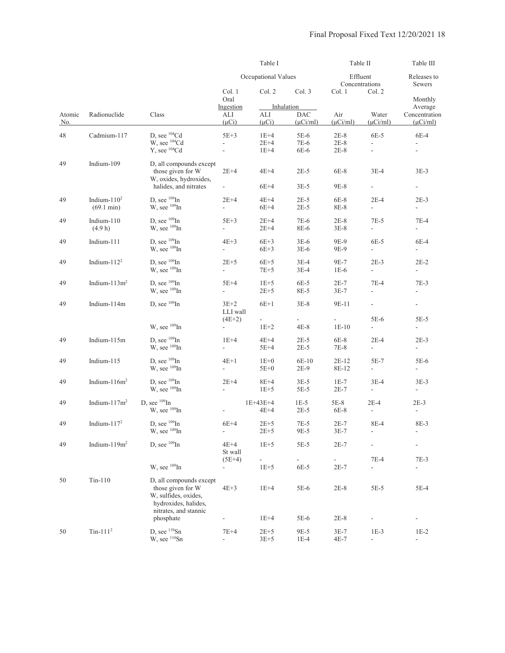|               |                         |                                                                                                                       |                                      | Table I                  |                          |                      | Table II                           | Table III                          |
|---------------|-------------------------|-----------------------------------------------------------------------------------------------------------------------|--------------------------------------|--------------------------|--------------------------|----------------------|------------------------------------|------------------------------------|
|               |                         |                                                                                                                       |                                      | Occupational Values      |                          |                      | Effluent<br>Concentrations         | Releases to<br>Sewers              |
|               |                         |                                                                                                                       | Col. 1<br>Oral                       | Col. 2                   | Col. 3                   | Col. 1               | Col. 2                             | Monthly                            |
|               | Radionuclide            |                                                                                                                       | Ingestion                            |                          | Inhalation<br><b>DAC</b> |                      |                                    | Average                            |
| Atomic<br>No. |                         | Class                                                                                                                 | ALI<br>$(\mu Ci)$                    | ALI<br>$(\mu Ci)$        | $(\mu$ Ci/ml)            | Air<br>$(\mu$ Ci/ml) | Water<br>$(\mu$ Ci/ml)             | Concentration<br>$(\mu$ Ci/ml)     |
| 48            | Cadmium-117             | D. see ${}^{104}Cd$                                                                                                   | $5E+3$                               | $1E+4$                   | $5E-6$                   | $2E-8$               | $6E-5$                             | $6E-4$                             |
|               |                         | W, see <sup>104</sup> Cd                                                                                              | L.                                   | $2E+4$                   | 7E-6                     | $2E-8$               |                                    |                                    |
|               |                         | Y, see <sup>104</sup> Cd                                                                                              | $\overline{\phantom{a}}$             | $1E+4$                   | 6E-6                     | $2E-8$               | $\frac{1}{2}$                      |                                    |
| 49            | Indium-109              | D, all compounds except<br>those given for W<br>W, oxides, hydroxides,                                                | $2E+4$                               | $4E+4$                   | $2E-5$                   | 6E-8                 | $3E-4$                             | 3E-3                               |
|               |                         | halides, and nitrates                                                                                                 | $\overline{\phantom{a}}$             | $6E+4$                   | $3E-5$                   | $9E-8$               | $\overline{\phantom{a}}$           | $\blacksquare$                     |
| 49            | Indium- $1102$          | D, see $^{109}$ In                                                                                                    | $2E+4$                               | $4E+4$                   | $2E-5$                   | $6E-8$               | $2E-4$                             | $2E-3$                             |
|               | $(69.1 \text{ min})$    | W, see <sup>109</sup> In                                                                                              | $\mathbf{r}$                         | $6E+4$                   | $2E-5$                   | 8E-8                 | $\overline{\phantom{a}}$           | ÷.                                 |
| 49            | Indium- $110$           | D, see $^{109}$ In                                                                                                    | $5E+3$                               | $2E+4$                   | 7E-6                     | $2E-8$               | $7E-5$                             | $7E-4$                             |
|               | (4.9 h)                 | W, see <sup>109</sup> In                                                                                              | $\overline{\phantom{a}}$             | $2E+4$                   | 8E-6                     | $3E-8$               | $\mathbf{r}$                       | $\overline{\phantom{a}}$           |
| 49            | Indium-111              | D, see $^{109}$ In                                                                                                    | $4E+3$                               | $6E+3$                   | $3E-6$                   | 9E-9                 | $6E-5$                             | $6E-4$                             |
|               |                         | W, see <sup>109</sup> In                                                                                              | $\overline{\phantom{a}}$             | $6E+3$                   | $3E-6$                   | 9E-9                 | $\overline{\phantom{a}}$           | $\blacksquare$                     |
| 49            | Indium- $1122$          | D, see $^{109}$ In                                                                                                    | $2E+5$                               | $6E+5$                   | $3E-4$                   | 9E-7                 | $2E-3$                             | $2E-2$                             |
|               |                         | W, see $^{109}$ In                                                                                                    | $\mathbf{L}$                         | $7E+5$                   | $3E-4$                   | $1E-6$               | $\mathbb{Z}^{\mathbb{Z}}$          | $\overline{\phantom{a}}$           |
| 49            | Indium- $113m2$         | D, see $^{109}$ In                                                                                                    | $5E+4$                               | $1E+5$                   | 6E-5                     | $2E-7$               | $7E-4$                             | $7E-3$                             |
|               |                         | W, see $^{109}$ In                                                                                                    | $\overline{\phantom{a}}$             | $2E + 5$                 | 8E-5                     | $3E-7$               |                                    |                                    |
| 49            | Indium-114m             | D, see $^{109}$ In                                                                                                    | $3E+2$<br>LLI wall                   | $6E+1$                   | $3E-8$                   | 9E-11                | $\overline{\phantom{a}}$           | $\blacksquare$                     |
|               |                         |                                                                                                                       | $(4E+2)$                             | $\overline{\phantom{a}}$ | $\overline{\phantom{a}}$ | ÷.                   | 5E-6                               | $5E-5$                             |
|               |                         | W, see <sup>109</sup> In                                                                                              | $\overline{\phantom{a}}$             | $1E+2$                   | $4E-8$                   | $1E-10$              | $\overline{\phantom{a}}$           | $\overline{\phantom{a}}$           |
| 49            | Indium-115m             | D, see $^{109}$ In<br>W, see $^{109}$ In                                                                              | $1E+4$<br>÷,                         | $4E+4$<br>$5E+4$         | $2E-5$<br>$2E-5$         | $6E-8$<br>7E-8       | $2E-4$<br>$\overline{\phantom{a}}$ | $2E-3$<br>$\blacksquare$           |
| 49            | Indium-115              | D, see $^{109}$ In                                                                                                    | $4E+1$                               | $1E+0$                   | $6E-10$                  | 2E-12                | $5E-7$                             | 5E-6                               |
|               |                         | W, see <sup>109</sup> In                                                                                              | $\overline{\phantom{a}}$             | $5E+0$                   | $2E-9$                   | 8E-12                | $\blacksquare$                     | $\overline{\phantom{a}}$           |
| 49            | Indium- $116m2$         | D, see $^{109}$ In<br>W, see $^{109}$ In                                                                              | $2E+4$<br>$\mathbf{r}$               | $8E+4$<br>$1E+5$         | $3E-5$<br>5E-5           | $1E-7$<br>$2E-7$     | $3E-4$<br>$\overline{\phantom{a}}$ | $3E-3$<br>$\overline{\phantom{a}}$ |
| 49            | Indium- $117m^2$        | D, see $^{109}$ In<br>W, see <sup>109</sup> In                                                                        |                                      | 1E+43E+4<br>$4E+4$       | $1E-5$<br>$2E-5$         | $5E-8$<br>6E-8       | $2E-4$<br>$\overline{a}$           | $2E-3$<br>$\overline{\phantom{a}}$ |
| 49            | Indium- $1172$          | D, see $^{109}$ In                                                                                                    | $6E+4$                               | $2E+5$                   | $7E-5$                   | $2E-7$               | 8E-4                               | 8E-3                               |
|               |                         | W, see <sup>109</sup> In                                                                                              | $\overline{\phantom{a}}$             | $2E + 5$                 | 9E-5                     | $3E-7$               |                                    | $\blacksquare$                     |
| 49            | Indium- $119m2$         | D, see $^{109}$ In                                                                                                    | $4E+4$<br>St wall                    | $1E+5$                   | $5E-5$                   | $2E-7$               |                                    |                                    |
|               |                         | W, see <sup>109</sup> In                                                                                              | $(5E+4)$<br>$\overline{\phantom{a}}$ | $1E+5$                   | $6E-5$                   | $2E-7$               | $7E-4$<br>$\overline{a}$           | $7E-3$<br>$\overline{\phantom{a}}$ |
|               |                         |                                                                                                                       |                                      |                          |                          |                      |                                    |                                    |
| 50            | $Tin-110$               | D, all compounds except<br>those given for W<br>W, sulfides, oxides,<br>hydroxides, halides,<br>nitrates, and stannic | $4E+3$                               | $1E+4$                   | 5E-6                     | $2E-8$               | 5E-5                               | 5E-4                               |
|               |                         | phosphate                                                                                                             | $\overline{\phantom{m}}$             | $1E+4$                   | 5E-6                     | $2E-8$               |                                    |                                    |
| 50            | $T$ in-111 <sup>2</sup> | D, see $^{110}Sn$<br>W, see 110Sn                                                                                     | $7E+4$<br>$\overline{\phantom{a}}$   | $2E+5$<br>$3E+5$         | 9E-5<br>$1E-4$           | $3E-7$<br>$4E-7$     | $1E-3$<br>$\frac{1}{2}$            | $1E-2$<br>٠                        |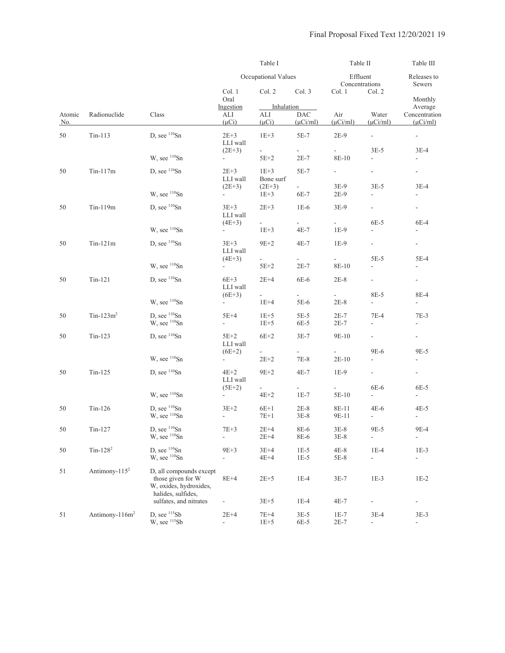|                      |                            |                                                                                              |                                                                | Table I                               |                                                                                                                                                                                                                                                                                                                                                                                                                                                                                                                                                                                                                                                                                                                                                                                                                                                                                                                                                                                                                                                                                                                                                                                                                                                                                                                                                                                                                                                                                                                                                                                                                                                                                                                                                                                                                                                                                                                       | Table II         |                          | Table III                |
|----------------------|----------------------------|----------------------------------------------------------------------------------------------|----------------------------------------------------------------|---------------------------------------|-----------------------------------------------------------------------------------------------------------------------------------------------------------------------------------------------------------------------------------------------------------------------------------------------------------------------------------------------------------------------------------------------------------------------------------------------------------------------------------------------------------------------------------------------------------------------------------------------------------------------------------------------------------------------------------------------------------------------------------------------------------------------------------------------------------------------------------------------------------------------------------------------------------------------------------------------------------------------------------------------------------------------------------------------------------------------------------------------------------------------------------------------------------------------------------------------------------------------------------------------------------------------------------------------------------------------------------------------------------------------------------------------------------------------------------------------------------------------------------------------------------------------------------------------------------------------------------------------------------------------------------------------------------------------------------------------------------------------------------------------------------------------------------------------------------------------------------------------------------------------------------------------------------------------|------------------|--------------------------|--------------------------|
|                      |                            |                                                                                              |                                                                | Occupational Values                   | Effluent<br>Releases to<br>Concentrations<br>Sewers<br>Col. 3<br>Col. 2<br>Col. 1<br>Monthly<br>Inhalation<br>Average<br>Air<br><b>DAC</b><br>Water<br>Concentration<br>$(\mu$ Ci/ml)<br>$(\mu$ Ci/ml)<br>$(\mu$ Ci/ml)<br>$(\mu$ Ci/ml)<br>$5E-7$<br>$2E-9$<br>$\overline{\phantom{a}}$<br>$\overline{\phantom{a}}$<br>$3E-5$<br>$\sim$<br>÷.<br>$3E-4$<br>$2E-7$<br>8E-10<br>$\overline{\phantom{a}}$<br>$\overline{\phantom{a}}$<br>5E-7<br>$\sim$<br>$\overline{\phantom{a}}$<br>$\sim$<br>$3E-5$<br>$3E-4$<br>3E-9<br>6E-7<br>2E-9<br>$\overline{\phantom{a}}$<br>$1E-6$<br>3E-9<br>$\overline{\phantom{a}}$<br>$\sim$<br>6E-5<br>6E-4<br>$\sim 100$<br>÷.<br>$4E-7$<br>$1E-9$<br>$\mathbb{L}$<br>$\overline{\phantom{a}}$<br>$4E-7$<br>$1E-9$<br>÷.<br>$\sim$<br>5E-5<br>$5E-4$<br>$\omega_{\rm{max}}$<br>$\sim$<br>$2E-7$<br>8E-10<br>$\overline{\phantom{a}}$<br>$\overline{\phantom{a}}$<br>6E-6<br>$2E-8$<br>$\sim$<br>$\sim 100$<br>8E-5<br>8E-4<br>$\sim$<br>a.<br>5E-6<br>$2E-8$<br>$\overline{\phantom{a}}$<br>$\sim$<br>$5E-5$<br>$2E-7$<br>$7E-4$<br>$7E-3$<br>6E-5<br>2E-7<br>$\overline{\phantom{a}}$<br>$\overline{\phantom{a}}$<br>$3E-7$<br>9E-10<br>÷.<br>$\sim 100$<br>9E-6<br>9E-5<br>$7E-8$<br>$2E-10$<br>$\overline{\phantom{0}}$<br>$\overline{\phantom{a}}$<br>$4E-7$<br>$1E-9$<br>$\sim$<br>$\sim$<br>6E-6<br>$\sim$<br>6E-5<br>$\omega_{\rm{max}}$<br>$1E-7$<br>5E-10<br>$\overline{\phantom{a}}$<br>$\overline{\phantom{a}}$<br>$2E-8$<br>8E-11<br>$4E-6$<br>4E-5<br>$3E-8$<br>9E-11<br>$\overline{\phantom{a}}$<br>$\overline{\phantom{a}}$<br>8E-6<br>$3E-8$<br>9E-5<br>$9E-4$<br>8E-6<br>$3E-8$<br>$\blacksquare$<br>$\overline{\phantom{a}}$<br>$1E-5$<br>$4E-8$<br>$1E-4$<br>$1E-3$<br>$1E-5$<br>$5E-8$<br>$\overline{\phantom{a}}$<br>$\overline{\phantom{a}}$<br>$1E-4$<br>$1E-3$<br>$3E-7$<br>$1E-2$<br>$1E-4$<br>4E-7<br>$\overline{\phantom{0}}$<br>$\overline{\phantom{m}}$ |                  |                          |                          |
|                      |                            |                                                                                              | Col. 1<br>Oral                                                 | Col. 2                                |                                                                                                                                                                                                                                                                                                                                                                                                                                                                                                                                                                                                                                                                                                                                                                                                                                                                                                                                                                                                                                                                                                                                                                                                                                                                                                                                                                                                                                                                                                                                                                                                                                                                                                                                                                                                                                                                                                                       |                  |                          |                          |
| Atomic<br><u>No.</u> | Radionuclide               | Class                                                                                        | Ingestion<br>ALI<br>$(\mu Ci)$                                 | ALI<br>$(\mu Ci)$                     |                                                                                                                                                                                                                                                                                                                                                                                                                                                                                                                                                                                                                                                                                                                                                                                                                                                                                                                                                                                                                                                                                                                                                                                                                                                                                                                                                                                                                                                                                                                                                                                                                                                                                                                                                                                                                                                                                                                       |                  |                          |                          |
| 50                   | $Tin-113$                  | D, see ${}^{110}Sn$                                                                          | $2E+3$<br>LLI wall                                             | $1E+3$                                |                                                                                                                                                                                                                                                                                                                                                                                                                                                                                                                                                                                                                                                                                                                                                                                                                                                                                                                                                                                                                                                                                                                                                                                                                                                                                                                                                                                                                                                                                                                                                                                                                                                                                                                                                                                                                                                                                                                       |                  |                          |                          |
|                      |                            | W, see <sup>110</sup> Sn                                                                     | $(2E+3)$<br>$\sim$                                             | $\mathcal{L}_{\mathcal{A}}$<br>$5E+2$ |                                                                                                                                                                                                                                                                                                                                                                                                                                                                                                                                                                                                                                                                                                                                                                                                                                                                                                                                                                                                                                                                                                                                                                                                                                                                                                                                                                                                                                                                                                                                                                                                                                                                                                                                                                                                                                                                                                                       |                  |                          |                          |
| 50                   | $Tin-117m$                 | D, see $\frac{110}{5}$ Sn                                                                    | $2E+3$<br>LLI wall                                             | $1E+3$<br>Bone surf                   |                                                                                                                                                                                                                                                                                                                                                                                                                                                                                                                                                                                                                                                                                                                                                                                                                                                                                                                                                                                                                                                                                                                                                                                                                                                                                                                                                                                                                                                                                                                                                                                                                                                                                                                                                                                                                                                                                                                       |                  |                          |                          |
|                      |                            | W, see <sup>110</sup> Sn                                                                     | $(2E+3)$<br>$\sim$                                             | $(2E+3)$<br>$1E+3$                    |                                                                                                                                                                                                                                                                                                                                                                                                                                                                                                                                                                                                                                                                                                                                                                                                                                                                                                                                                                                                                                                                                                                                                                                                                                                                                                                                                                                                                                                                                                                                                                                                                                                                                                                                                                                                                                                                                                                       |                  |                          |                          |
| 50                   | Tin-119m                   | D, see ${}^{110}Sn$                                                                          | $3E + 3$<br>LLI wall                                           | $2E + 3$                              |                                                                                                                                                                                                                                                                                                                                                                                                                                                                                                                                                                                                                                                                                                                                                                                                                                                                                                                                                                                                                                                                                                                                                                                                                                                                                                                                                                                                                                                                                                                                                                                                                                                                                                                                                                                                                                                                                                                       |                  |                          |                          |
|                      |                            | W, see 110Sn                                                                                 | $(4E+3)$<br>$\sim 100$                                         | $\sim$<br>$1E+3$                      |                                                                                                                                                                                                                                                                                                                                                                                                                                                                                                                                                                                                                                                                                                                                                                                                                                                                                                                                                                                                                                                                                                                                                                                                                                                                                                                                                                                                                                                                                                                                                                                                                                                                                                                                                                                                                                                                                                                       |                  |                          |                          |
| 50                   | $Tin-121m$                 | D, see $\frac{110}{5}$ Sn                                                                    | $3E+3$<br>LLI wall                                             | $9E+2$                                |                                                                                                                                                                                                                                                                                                                                                                                                                                                                                                                                                                                                                                                                                                                                                                                                                                                                                                                                                                                                                                                                                                                                                                                                                                                                                                                                                                                                                                                                                                                                                                                                                                                                                                                                                                                                                                                                                                                       |                  |                          |                          |
|                      |                            | W, see <sup>110</sup> Sn                                                                     | $(4E+3)$<br>÷                                                  | $\omega_{\rm{max}}$<br>$5E+2$         |                                                                                                                                                                                                                                                                                                                                                                                                                                                                                                                                                                                                                                                                                                                                                                                                                                                                                                                                                                                                                                                                                                                                                                                                                                                                                                                                                                                                                                                                                                                                                                                                                                                                                                                                                                                                                                                                                                                       |                  |                          |                          |
| 50                   | $Tin-121$                  | D, see $^{110}Sn$                                                                            | $6E+3$<br>LLI wall                                             | $2E+4$                                |                                                                                                                                                                                                                                                                                                                                                                                                                                                                                                                                                                                                                                                                                                                                                                                                                                                                                                                                                                                                                                                                                                                                                                                                                                                                                                                                                                                                                                                                                                                                                                                                                                                                                                                                                                                                                                                                                                                       |                  |                          |                          |
|                      |                            | W, see $110$ Sn                                                                              | $(6E+3)$<br>$\overline{\phantom{a}}$                           | ÷.<br>$1E+4$                          |                                                                                                                                                                                                                                                                                                                                                                                                                                                                                                                                                                                                                                                                                                                                                                                                                                                                                                                                                                                                                                                                                                                                                                                                                                                                                                                                                                                                                                                                                                                                                                                                                                                                                                                                                                                                                                                                                                                       |                  |                          |                          |
| 50                   | $Tin-123m^2$               | D, see ${}^{110}Sn$<br>W, see <sup>110</sup> Sn                                              | $5E+4$<br>$\overline{\phantom{0}}$                             | $1E+5$<br>$1E + 5$                    |                                                                                                                                                                                                                                                                                                                                                                                                                                                                                                                                                                                                                                                                                                                                                                                                                                                                                                                                                                                                                                                                                                                                                                                                                                                                                                                                                                                                                                                                                                                                                                                                                                                                                                                                                                                                                                                                                                                       |                  |                          |                          |
| 50                   | $Tin-123$                  | D, see $\frac{110}{5}$ Sn                                                                    | $5E+2$<br>LLI wall                                             | $6E+2$                                |                                                                                                                                                                                                                                                                                                                                                                                                                                                                                                                                                                                                                                                                                                                                                                                                                                                                                                                                                                                                                                                                                                                                                                                                                                                                                                                                                                                                                                                                                                                                                                                                                                                                                                                                                                                                                                                                                                                       |                  |                          |                          |
|                      |                            | W, see $110$ Sn                                                                              | $(6E+2)$<br>$\sim$                                             | $2E + 2$                              |                                                                                                                                                                                                                                                                                                                                                                                                                                                                                                                                                                                                                                                                                                                                                                                                                                                                                                                                                                                                                                                                                                                                                                                                                                                                                                                                                                                                                                                                                                                                                                                                                                                                                                                                                                                                                                                                                                                       |                  |                          |                          |
| 50                   | $Tin-125$                  | D, see ${}^{110}Sn$                                                                          | $4E+2$<br>LLI wall                                             | $9E+2$                                |                                                                                                                                                                                                                                                                                                                                                                                                                                                                                                                                                                                                                                                                                                                                                                                                                                                                                                                                                                                                                                                                                                                                                                                                                                                                                                                                                                                                                                                                                                                                                                                                                                                                                                                                                                                                                                                                                                                       |                  |                          |                          |
|                      |                            | W, see 110Sn                                                                                 | $(5E+2)$                                                       | $\sim$<br>$4E+2$                      |                                                                                                                                                                                                                                                                                                                                                                                                                                                                                                                                                                                                                                                                                                                                                                                                                                                                                                                                                                                                                                                                                                                                                                                                                                                                                                                                                                                                                                                                                                                                                                                                                                                                                                                                                                                                                                                                                                                       |                  |                          |                          |
| 50                   | $Tin-126$                  | D, see $^{110}Sn$<br>W, see <sup>110</sup> Sn                                                | $3E+2$<br>$\blacksquare$                                       | $6E+1$<br>$7E+1$                      |                                                                                                                                                                                                                                                                                                                                                                                                                                                                                                                                                                                                                                                                                                                                                                                                                                                                                                                                                                                                                                                                                                                                                                                                                                                                                                                                                                                                                                                                                                                                                                                                                                                                                                                                                                                                                                                                                                                       |                  |                          |                          |
| 50                   | $Tin-127$                  | D, see $110$ Sn<br>W, see 110Sn                                                              | $7E + 3$<br>÷,                                                 | $2E+4$<br>$2E+4$                      |                                                                                                                                                                                                                                                                                                                                                                                                                                                                                                                                                                                                                                                                                                                                                                                                                                                                                                                                                                                                                                                                                                                                                                                                                                                                                                                                                                                                                                                                                                                                                                                                                                                                                                                                                                                                                                                                                                                       |                  |                          |                          |
| 50                   | $Tin-1282$                 | D, see $110$ Sn<br>W, see <sup>110</sup> Sn                                                  | $9E+3$<br>$\overline{\phantom{a}}$                             | $3E+4$<br>$4E+4$                      |                                                                                                                                                                                                                                                                                                                                                                                                                                                                                                                                                                                                                                                                                                                                                                                                                                                                                                                                                                                                                                                                                                                                                                                                                                                                                                                                                                                                                                                                                                                                                                                                                                                                                                                                                                                                                                                                                                                       |                  |                          |                          |
| 51                   | Antimony- $1152$           | D, all compounds except<br>those given for W<br>W, oxides, hydroxides,<br>halides, sulfides, | $8E+4$                                                         | $2E + 5$                              |                                                                                                                                                                                                                                                                                                                                                                                                                                                                                                                                                                                                                                                                                                                                                                                                                                                                                                                                                                                                                                                                                                                                                                                                                                                                                                                                                                                                                                                                                                                                                                                                                                                                                                                                                                                                                                                                                                                       |                  |                          |                          |
| 51                   | Antimony-116m <sup>2</sup> | sulfates, and nitrates<br>D, see 115Sb<br>W, see 115Sb                                       | $\overline{\phantom{a}}$<br>$2E+4$<br>$\overline{\phantom{a}}$ | $3E+5$<br>$7E+4$<br>$1E+5$            | $3E-5$<br>6E-5                                                                                                                                                                                                                                                                                                                                                                                                                                                                                                                                                                                                                                                                                                                                                                                                                                                                                                                                                                                                                                                                                                                                                                                                                                                                                                                                                                                                                                                                                                                                                                                                                                                                                                                                                                                                                                                                                                        | $1E-7$<br>$2E-7$ | $3E-4$<br>$\blacksquare$ | $3E-3$<br>$\blacksquare$ |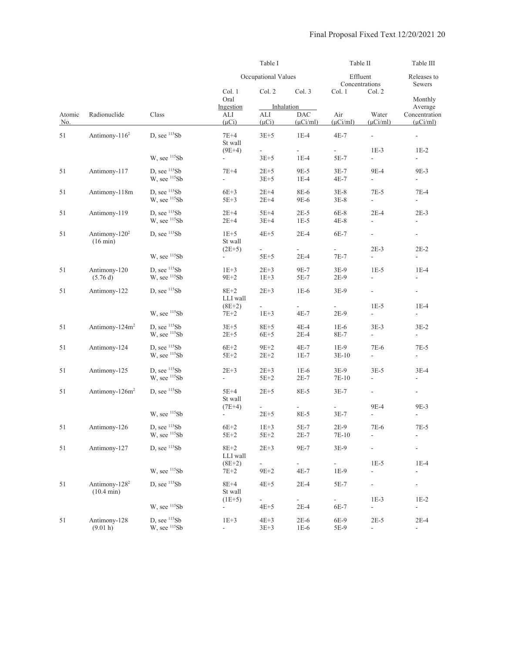|               |                                                   |                                |                                      | Table I                    |                                           | Table II                            |                                                                                                                                                                                                                                                                                                                                                                                                                                                                                                                                                                                                                                                                                                                                                                                                                                                                                                                                                                                                                                                                                                                                                                                                                                                                                                               | Table III                          |
|---------------|---------------------------------------------------|--------------------------------|--------------------------------------|----------------------------|-------------------------------------------|-------------------------------------|---------------------------------------------------------------------------------------------------------------------------------------------------------------------------------------------------------------------------------------------------------------------------------------------------------------------------------------------------------------------------------------------------------------------------------------------------------------------------------------------------------------------------------------------------------------------------------------------------------------------------------------------------------------------------------------------------------------------------------------------------------------------------------------------------------------------------------------------------------------------------------------------------------------------------------------------------------------------------------------------------------------------------------------------------------------------------------------------------------------------------------------------------------------------------------------------------------------------------------------------------------------------------------------------------------------|------------------------------------|
|               |                                                   |                                |                                      | Occupational Values        |                                           |                                     | Effluent<br>Releases to<br>Concentrations<br>Sewers<br>Col. 2<br>Monthly<br>Average<br>Water<br>Concentration<br>$(\mu$ Ci/ml)<br>$(\mu$ Ci/ml)<br>$\blacksquare$<br>$\overline{\phantom{a}}$<br>$1E-3$<br>$1E-2$<br>$\blacksquare$<br>$\overline{\phantom{a}}$<br>9E-4<br>9E-3<br>$\overline{\phantom{a}}$<br>$\overline{\phantom{a}}$<br>$7E-5$<br>7E-4<br>$\mathcal{L}_{\mathcal{A}}$<br>$\mathcal{L}_{\mathcal{A}}$<br>$2E-4$<br>$2E-3$<br>$\overline{\phantom{a}}$<br>$\overline{\phantom{a}}$<br>$\blacksquare$<br>$\overline{\phantom{a}}$<br>$2E-3$<br>$2E-2$<br>$\overline{\phantom{a}}$<br>$\overline{\phantom{0}}$<br>$1E-5$<br>$1E-4$<br>$\frac{1}{2}$<br>$\overline{\phantom{a}}$<br>$\overline{\phantom{a}}$<br>$\overline{\phantom{a}}$<br>$1E-5$<br>$1E-4$<br>$\overline{\phantom{a}}$<br>$\overline{\phantom{a}}$<br>$3E-3$<br>$3E-2$<br>$\overline{\phantom{a}}$<br>$\blacksquare$<br>7E-6<br>$7E-5$<br>$\overline{\phantom{a}}$<br>$\overline{\phantom{a}}$<br>$3E-5$<br>3E-4<br>$\overline{\phantom{a}}$<br>$\overline{\phantom{a}}$<br>$\overline{\phantom{a}}$<br>$\overline{\phantom{a}}$<br>9E-4<br>9E-3<br>$\blacksquare$<br>$\overline{\phantom{a}}$<br>7E-6<br>$7E-5$<br>$\overline{\phantom{a}}$<br>$\overline{\phantom{a}}$<br>$1E-5$<br>$1E-4$<br>÷<br>$\overline{\phantom{0}}$ |                                    |
|               |                                                   |                                | Col. 1<br>Oral                       | Col. 2                     | Col. 3                                    | Col. 1                              |                                                                                                                                                                                                                                                                                                                                                                                                                                                                                                                                                                                                                                                                                                                                                                                                                                                                                                                                                                                                                                                                                                                                                                                                                                                                                                               |                                    |
| Atomic<br>No. | Radionuclide                                      | Class                          | Ingestion<br>ALI<br>$(\mu Ci)$       | ALI<br>$(\mu Ci)$          | Inhalation<br><b>DAC</b><br>$(\mu$ Ci/ml) | Air<br>$(\mu$ Ci/ml)                |                                                                                                                                                                                                                                                                                                                                                                                                                                                                                                                                                                                                                                                                                                                                                                                                                                                                                                                                                                                                                                                                                                                                                                                                                                                                                                               |                                    |
| 51            | Antimony-116 <sup>2</sup>                         | D, see 115Sb                   | $7E+4$<br>St wall                    | $3E+5$                     | $1E-4$                                    | $4E-7$                              |                                                                                                                                                                                                                                                                                                                                                                                                                                                                                                                                                                                                                                                                                                                                                                                                                                                                                                                                                                                                                                                                                                                                                                                                                                                                                                               |                                    |
|               |                                                   | W, see 115Sb                   | $(9E+4)$<br>$\overline{\phantom{a}}$ | ÷,<br>$3E + 5$             | $\mathcal{L}_{\mathcal{A}}$<br>$1E-4$     | $\mathcal{L}_{\mathcal{A}}$<br>5E-7 |                                                                                                                                                                                                                                                                                                                                                                                                                                                                                                                                                                                                                                                                                                                                                                                                                                                                                                                                                                                                                                                                                                                                                                                                                                                                                                               |                                    |
| 51            | Antimony-117                                      | D, see $115Sb$<br>W, see 115Sb | 7E+4<br>÷,                           | $2E+5$<br>$3E + 5$         | 9E-5<br>$1E-4$                            | $3E-7$<br>4E-7                      |                                                                                                                                                                                                                                                                                                                                                                                                                                                                                                                                                                                                                                                                                                                                                                                                                                                                                                                                                                                                                                                                                                                                                                                                                                                                                                               |                                    |
| 51            | Antimony-118m                                     | D, see $115Sb$<br>W, see 115Sb | $6E+3$<br>$5E+3$                     | $2E+4$<br>$2E+4$           | 8E-6<br>9E-6                              | $3E-8$<br>$3E-8$                    |                                                                                                                                                                                                                                                                                                                                                                                                                                                                                                                                                                                                                                                                                                                                                                                                                                                                                                                                                                                                                                                                                                                                                                                                                                                                                                               |                                    |
| 51            | Antimony-119                                      | D, see $115Sb$<br>W, see 115Sb | $2E+4$<br>$2E+4$                     | $5E+4$<br>$3E+4$           | $2E-5$<br>$1E-5$                          | 6E-8<br>4E-8                        |                                                                                                                                                                                                                                                                                                                                                                                                                                                                                                                                                                                                                                                                                                                                                                                                                                                                                                                                                                                                                                                                                                                                                                                                                                                                                                               |                                    |
| 51            | Antimony-120 <sup>2</sup><br>$(16 \text{ min})$   | D, see $115Sb$                 | $1E+5$<br>St wall                    | $4E+5$                     | $2E-4$                                    | 6E-7                                |                                                                                                                                                                                                                                                                                                                                                                                                                                                                                                                                                                                                                                                                                                                                                                                                                                                                                                                                                                                                                                                                                                                                                                                                                                                                                                               |                                    |
|               |                                                   | W, see 115Sb                   | $(2E+5)$                             | ÷<br>$5E+5$                | $\mathcal{L}_{\mathcal{A}}$<br>$2E-4$     | $\blacksquare$<br>7E-7              |                                                                                                                                                                                                                                                                                                                                                                                                                                                                                                                                                                                                                                                                                                                                                                                                                                                                                                                                                                                                                                                                                                                                                                                                                                                                                                               |                                    |
| 51            | Antimony-120<br>(5.76d)                           | D, see $115Sb$<br>W, see 115Sb | $1E+3$<br>$9E+2$                     | $2E + 3$<br>$1E+3$         | 9E-7<br>5E-7                              | $3E-9$<br>$2E-9$                    |                                                                                                                                                                                                                                                                                                                                                                                                                                                                                                                                                                                                                                                                                                                                                                                                                                                                                                                                                                                                                                                                                                                                                                                                                                                                                                               |                                    |
| 51            | Antimony-122                                      | D, see $115Sb$                 | $8E+2$<br>LLI wall                   | $2E+3$                     | $1E-6$                                    | $3E-9$                              |                                                                                                                                                                                                                                                                                                                                                                                                                                                                                                                                                                                                                                                                                                                                                                                                                                                                                                                                                                                                                                                                                                                                                                                                                                                                                                               |                                    |
|               |                                                   | W, see 115Sb                   | $(8E+2)$<br>$7E+2$                   | $1E+3$                     | $4E-7$                                    | $2E-9$                              |                                                                                                                                                                                                                                                                                                                                                                                                                                                                                                                                                                                                                                                                                                                                                                                                                                                                                                                                                                                                                                                                                                                                                                                                                                                                                                               |                                    |
| 51            | Antimony-124m <sup>2</sup>                        | D, see $115Sb$<br>W, see 115Sb | $3E+5$<br>$2E + 5$                   | $8E + 5$<br>$6E+5$         | $4E-4$<br>$2E-4$                          | $1E-6$<br>8E-7                      |                                                                                                                                                                                                                                                                                                                                                                                                                                                                                                                                                                                                                                                                                                                                                                                                                                                                                                                                                                                                                                                                                                                                                                                                                                                                                                               |                                    |
| 51            | Antimony-124                                      | D, see $115Sb$<br>W, see 115Sb | $6E+2$<br>$5E+2$                     | $9E+2$<br>$2E + 2$         | $4E-7$<br>$1E-7$                          | $1E-9$<br>$3E-10$                   |                                                                                                                                                                                                                                                                                                                                                                                                                                                                                                                                                                                                                                                                                                                                                                                                                                                                                                                                                                                                                                                                                                                                                                                                                                                                                                               |                                    |
| 51            | Antimony-125                                      | D, see $115Sb$<br>W, see 115Sb | $2E+3$<br>$\frac{1}{2}$              | $2E+3$<br>$5E+2$           | $1E-6$<br>$2E-7$                          | 3E-9<br>7E-10                       |                                                                                                                                                                                                                                                                                                                                                                                                                                                                                                                                                                                                                                                                                                                                                                                                                                                                                                                                                                                                                                                                                                                                                                                                                                                                                                               |                                    |
| 51            | Antimony-126m <sup>2</sup>                        | D, see $^{115}Sb$              | $5E+4$<br>St wall                    | $2E+5$                     | 8E-5                                      | $3E-7$                              |                                                                                                                                                                                                                                                                                                                                                                                                                                                                                                                                                                                                                                                                                                                                                                                                                                                                                                                                                                                                                                                                                                                                                                                                                                                                                                               |                                    |
|               |                                                   | W, see 115Sb                   | $(7E+4)$<br>$\overline{\phantom{a}}$ | $\blacksquare$<br>$2E + 5$ | $\overline{\phantom{a}}$<br>8E-5          | $3E-7$                              |                                                                                                                                                                                                                                                                                                                                                                                                                                                                                                                                                                                                                                                                                                                                                                                                                                                                                                                                                                                                                                                                                                                                                                                                                                                                                                               |                                    |
| 51            | Antimony-126                                      | D, see $115Sb$<br>W, see 115Sb | $6E+2$<br>$5E+2$                     | $1E+3$<br>$5E+2$           | $5E-7$<br>$2E-7$                          | $2E-9$<br>$7E-10$                   |                                                                                                                                                                                                                                                                                                                                                                                                                                                                                                                                                                                                                                                                                                                                                                                                                                                                                                                                                                                                                                                                                                                                                                                                                                                                                                               |                                    |
| 51            | Antimony-127                                      | D. see $115Sb$                 | $8E+2$<br>LLI wall                   | $2E + 3$                   | 9E-7                                      | 3E-9                                |                                                                                                                                                                                                                                                                                                                                                                                                                                                                                                                                                                                                                                                                                                                                                                                                                                                                                                                                                                                                                                                                                                                                                                                                                                                                                                               |                                    |
|               |                                                   | W, see 115Sb                   | $(8E+2)$<br>$7E+2$                   | $9E + 2$                   | $\sim$<br>$4E-7$                          | ÷.<br>$1E-9$                        |                                                                                                                                                                                                                                                                                                                                                                                                                                                                                                                                                                                                                                                                                                                                                                                                                                                                                                                                                                                                                                                                                                                                                                                                                                                                                                               |                                    |
| 51            | Antimony-128 <sup>2</sup><br>$(10.4 \text{ min})$ | D, see $115Sb$                 | $8E+4$<br>St wall                    | $4E+5$                     | $2E-4$                                    | 5E-7                                | $\overline{\phantom{a}}$                                                                                                                                                                                                                                                                                                                                                                                                                                                                                                                                                                                                                                                                                                                                                                                                                                                                                                                                                                                                                                                                                                                                                                                                                                                                                      | $\overline{\phantom{a}}$           |
|               |                                                   | W, see $^{115}Sb$              | $(1E+5)$<br>$\overline{\phantom{a}}$ | $4E+5$                     | $2E-4$                                    | $\blacksquare$<br>6E-7              | $1E-3$<br>$\overline{\phantom{a}}$                                                                                                                                                                                                                                                                                                                                                                                                                                                                                                                                                                                                                                                                                                                                                                                                                                                                                                                                                                                                                                                                                                                                                                                                                                                                            | $1E-2$<br>$\overline{\phantom{a}}$ |
| 51            | Antimony-128<br>(9.01 h)                          | D, see $115Sb$<br>W, see 115Sb | $1E+3$<br>$\overline{\phantom{a}}$   | $4E+3$<br>$3E + 3$         | $2E-6$<br>$1E-6$                          | 6E-9<br>5E-9                        | $2E-5$<br>÷,                                                                                                                                                                                                                                                                                                                                                                                                                                                                                                                                                                                                                                                                                                                                                                                                                                                                                                                                                                                                                                                                                                                                                                                                                                                                                                  | $2E-4$<br>$\sim$                   |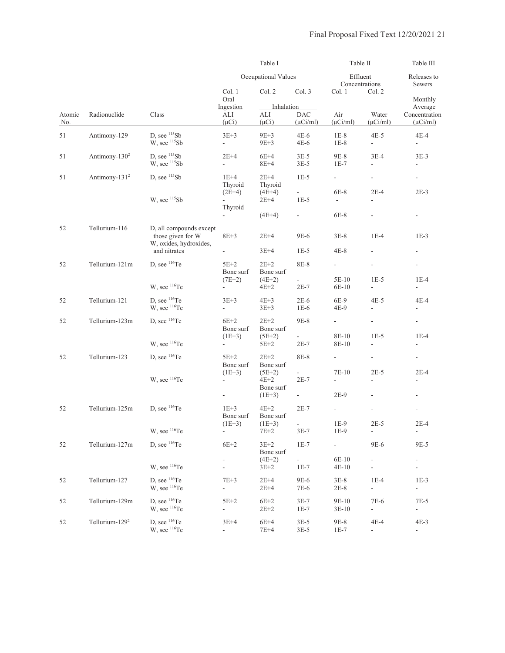|               |                            |                                                                        |                                       | Table I                                                                                                                                                                                                                                                                                                                                                                                                                                                                                                                                                                                                                                                                                                                                                                                                                                                                                                                                                                                                                                                                                                                                                                                                                                                      |                  | Table II                   |                                                      | Table III                                                                                                                                                                                                                                                                                                                                                                                                                                                                                                                                                                                                                                                                                                    |  |
|---------------|----------------------------|------------------------------------------------------------------------|---------------------------------------|--------------------------------------------------------------------------------------------------------------------------------------------------------------------------------------------------------------------------------------------------------------------------------------------------------------------------------------------------------------------------------------------------------------------------------------------------------------------------------------------------------------------------------------------------------------------------------------------------------------------------------------------------------------------------------------------------------------------------------------------------------------------------------------------------------------------------------------------------------------------------------------------------------------------------------------------------------------------------------------------------------------------------------------------------------------------------------------------------------------------------------------------------------------------------------------------------------------------------------------------------------------|------------------|----------------------------|------------------------------------------------------|--------------------------------------------------------------------------------------------------------------------------------------------------------------------------------------------------------------------------------------------------------------------------------------------------------------------------------------------------------------------------------------------------------------------------------------------------------------------------------------------------------------------------------------------------------------------------------------------------------------------------------------------------------------------------------------------------------------|--|
|               |                            |                                                                        |                                       |                                                                                                                                                                                                                                                                                                                                                                                                                                                                                                                                                                                                                                                                                                                                                                                                                                                                                                                                                                                                                                                                                                                                                                                                                                                              |                  | Effluent<br>Concentrations |                                                      | Releases to<br>Sewers<br>Monthly<br>Average<br>Concentration<br>$(\mu$ Ci/ml)<br>$4E-4$<br>$\overline{\phantom{a}}$<br>$3E-3$<br>$\overline{\phantom{0}}$<br>$2E-4$<br>$2E-3$<br>$\overline{\phantom{a}}$<br>$1E-3$<br>$\overline{\phantom{a}}$<br>$1E-4$<br>$\overline{\phantom{a}}$<br>4E-4<br>$\overline{\phantom{a}}$<br>$\blacksquare$<br>$1E-5$<br>$1E-4$<br>$\overline{\phantom{a}}$<br>$\overline{\phantom{a}}$<br>$2E-5$<br>$2E-4$<br>$\overline{\phantom{a}}$<br>$\overline{\phantom{a}}$<br>$\overline{\phantom{a}}$<br>$2E-5$<br>$2E-4$<br>$\sim$<br>9E-5<br>$\overline{\phantom{a}}$<br>$\overline{\phantom{a}}$<br>$1E-3$<br>$\mathcal{L}_{\mathcal{A}}$<br>$7E-5$<br>$\blacksquare$<br>$4E-3$ |  |
|               |                            |                                                                        | Col. 1<br>Oral                        | Occupational Values<br>Col. 2<br>Col. 3<br>Col. 1<br>Inhalation<br>Air<br>ALI<br><b>DAC</b><br>$(\mu Ci)$<br>$(\mu$ Ci/ml)<br>$9E+3$<br>$4E-6$<br>$1E-8$<br>$9E+3$<br>$4E-6$<br>$1E-8$<br>$6E+4$<br>9E-8<br>$3E-5$<br>$8E+4$<br>$3E-5$<br>$1E-7$<br>$2E+4$<br>$1E-5$<br>$\overline{\phantom{0}}$<br>Thyroid<br>$6E-8$<br>$(4E+4)$<br>$\omega_{\rm{max}}$<br>$2E+4$<br>$1E-5$<br>÷.<br>$(4E+4)$<br>$6E-8$<br>$\omega_{\rm{max}}$<br>$2E+4$<br>9E-6<br>$3E-8$<br>$3E+4$<br>$1E-5$<br>4E-8<br>$2E+2$<br>8E-8<br>$\sim$<br>Bone surf<br>$(4E+2)$<br>$\sim$<br>$2E-7$<br>$4E+2$<br>$4E+3$<br>$2E-6$<br>6E-9<br>$3E + 3$<br>$1E-6$<br>4E-9<br>$2E+2$<br>9E-8<br>÷.<br>Bone surf<br>$(5E+2)$<br>8E-10<br>$2E-7$<br>$5E+2$<br>$2E+2$<br>8E-8<br>$\overline{\phantom{a}}$<br>Bone surf<br>$(5E+2)$<br>7E-10<br>$\overline{\phantom{a}}$<br>$4E+2$<br>$2E-7$<br>$\overline{\phantom{a}}$<br>Bone surf<br>$2E-9$<br>$(1E+3)$<br>÷.<br>$4E+2$<br>$2E-7$<br>$\sim$<br>Bone surf<br>$1E-9$<br>$(1E+3)$<br>$\overline{\phantom{a}}$<br>7E+2<br>$3E-7$<br>1E-9<br>$3E+2$<br>$1E-7$<br>L.<br>Bone surf<br>$(4E+2)$<br>$\mathcal{L}_{\mathcal{A}}$<br>$1E-7$<br>$3E + 2$<br>$2E+4$<br>9E-6<br>$3E-8$<br>$7E-6$<br>$2E + 4$<br>$2E-8$<br>$6E+2$<br>$3E-7$<br>$2E + 2$<br>$1E-7$ |                  | Col. 2                     |                                                      |                                                                                                                                                                                                                                                                                                                                                                                                                                                                                                                                                                                                                                                                                                              |  |
| Atomic<br>No. | Radionuclide               | $\rm Class$                                                            | Ingestion<br>ALI<br>$(\mu Ci)$        |                                                                                                                                                                                                                                                                                                                                                                                                                                                                                                                                                                                                                                                                                                                                                                                                                                                                                                                                                                                                                                                                                                                                                                                                                                                              |                  | $(\mu$ Ci/ml)              | Water<br>$(\mu$ Ci/ml)                               |                                                                                                                                                                                                                                                                                                                                                                                                                                                                                                                                                                                                                                                                                                              |  |
| 51            | Antimony-129               | D, see $115Sb$<br>W, see 115Sb                                         | $3E+3$<br>÷.                          |                                                                                                                                                                                                                                                                                                                                                                                                                                                                                                                                                                                                                                                                                                                                                                                                                                                                                                                                                                                                                                                                                                                                                                                                                                                              |                  |                            | $4E-5$<br>$\overline{\phantom{a}}$                   |                                                                                                                                                                                                                                                                                                                                                                                                                                                                                                                                                                                                                                                                                                              |  |
| 51            | Antimony- $1302$           | D. see $115Sb$<br>W, see 115Sb                                         | $2E+4$<br>$\mathcal{L}_{\mathcal{A}}$ |                                                                                                                                                                                                                                                                                                                                                                                                                                                                                                                                                                                                                                                                                                                                                                                                                                                                                                                                                                                                                                                                                                                                                                                                                                                              |                  |                            | $3E-4$<br>$\overline{\phantom{a}}$                   |                                                                                                                                                                                                                                                                                                                                                                                                                                                                                                                                                                                                                                                                                                              |  |
| 51            | Antimony-131 <sup>2</sup>  | D. see $115Sb$                                                         | $1E+4$<br>Thyroid                     |                                                                                                                                                                                                                                                                                                                                                                                                                                                                                                                                                                                                                                                                                                                                                                                                                                                                                                                                                                                                                                                                                                                                                                                                                                                              |                  |                            | $\overline{\phantom{a}}$                             |                                                                                                                                                                                                                                                                                                                                                                                                                                                                                                                                                                                                                                                                                                              |  |
|               |                            | W, see 115Sb                                                           | $(2E+4)$<br>$\sim$<br>Thyroid         |                                                                                                                                                                                                                                                                                                                                                                                                                                                                                                                                                                                                                                                                                                                                                                                                                                                                                                                                                                                                                                                                                                                                                                                                                                                              |                  |                            | $\frac{1}{2}$                                        |                                                                                                                                                                                                                                                                                                                                                                                                                                                                                                                                                                                                                                                                                                              |  |
|               |                            |                                                                        | $\omega$                              |                                                                                                                                                                                                                                                                                                                                                                                                                                                                                                                                                                                                                                                                                                                                                                                                                                                                                                                                                                                                                                                                                                                                                                                                                                                              |                  |                            | $\overline{\phantom{a}}$                             |                                                                                                                                                                                                                                                                                                                                                                                                                                                                                                                                                                                                                                                                                                              |  |
| 52            | Tellurium-116              | D, all compounds except<br>those given for W<br>W, oxides, hydroxides, | $8E+3$                                |                                                                                                                                                                                                                                                                                                                                                                                                                                                                                                                                                                                                                                                                                                                                                                                                                                                                                                                                                                                                                                                                                                                                                                                                                                                              |                  |                            | $1E-4$                                               |                                                                                                                                                                                                                                                                                                                                                                                                                                                                                                                                                                                                                                                                                                              |  |
|               |                            | and nitrates                                                           | $\overline{\phantom{a}}$              |                                                                                                                                                                                                                                                                                                                                                                                                                                                                                                                                                                                                                                                                                                                                                                                                                                                                                                                                                                                                                                                                                                                                                                                                                                                              |                  |                            |                                                      |                                                                                                                                                                                                                                                                                                                                                                                                                                                                                                                                                                                                                                                                                                              |  |
| 52            | Tellurium-121m             | D, see <sup>116</sup> Te                                               | $5E+2$<br>Bone surf                   |                                                                                                                                                                                                                                                                                                                                                                                                                                                                                                                                                                                                                                                                                                                                                                                                                                                                                                                                                                                                                                                                                                                                                                                                                                                              |                  |                            | $\blacksquare$                                       |                                                                                                                                                                                                                                                                                                                                                                                                                                                                                                                                                                                                                                                                                                              |  |
|               |                            | W, see <sup>116</sup> Te                                               | $(7E+2)$<br>$\overline{\phantom{a}}$  |                                                                                                                                                                                                                                                                                                                                                                                                                                                                                                                                                                                                                                                                                                                                                                                                                                                                                                                                                                                                                                                                                                                                                                                                                                                              |                  | 5E-10<br>6E-10             | $1E-5$<br>$\overline{\phantom{a}}$                   |                                                                                                                                                                                                                                                                                                                                                                                                                                                                                                                                                                                                                                                                                                              |  |
| 52            | Tellurium-121              | D, see <sup>116</sup> Te<br>W, see <sup>116</sup> Te                   | $3E+3$<br>÷,                          |                                                                                                                                                                                                                                                                                                                                                                                                                                                                                                                                                                                                                                                                                                                                                                                                                                                                                                                                                                                                                                                                                                                                                                                                                                                              |                  |                            | $4E-5$<br>$\overline{\phantom{a}}$                   |                                                                                                                                                                                                                                                                                                                                                                                                                                                                                                                                                                                                                                                                                                              |  |
| 52            | Tellurium-123m             | D, see <sup>116</sup> Te                                               | $6E+2$<br>Bone surf                   |                                                                                                                                                                                                                                                                                                                                                                                                                                                                                                                                                                                                                                                                                                                                                                                                                                                                                                                                                                                                                                                                                                                                                                                                                                                              |                  |                            | $\overline{\phantom{a}}$                             |                                                                                                                                                                                                                                                                                                                                                                                                                                                                                                                                                                                                                                                                                                              |  |
|               |                            | W, see <sup>116</sup> Te                                               | $(1E+3)$<br>$\sim$                    |                                                                                                                                                                                                                                                                                                                                                                                                                                                                                                                                                                                                                                                                                                                                                                                                                                                                                                                                                                                                                                                                                                                                                                                                                                                              |                  | 8E-10                      | ÷,                                                   |                                                                                                                                                                                                                                                                                                                                                                                                                                                                                                                                                                                                                                                                                                              |  |
| 52            | Tellurium-123              | D, see $116$ Te                                                        | $5E+2$<br>Bone surf                   |                                                                                                                                                                                                                                                                                                                                                                                                                                                                                                                                                                                                                                                                                                                                                                                                                                                                                                                                                                                                                                                                                                                                                                                                                                                              |                  |                            | $\blacksquare$                                       |                                                                                                                                                                                                                                                                                                                                                                                                                                                                                                                                                                                                                                                                                                              |  |
|               |                            | W, see <sup>116</sup> Te                                               | $(1E+3)$<br>$\overline{\phantom{a}}$  |                                                                                                                                                                                                                                                                                                                                                                                                                                                                                                                                                                                                                                                                                                                                                                                                                                                                                                                                                                                                                                                                                                                                                                                                                                                              |                  |                            | $\frac{1}{2}$                                        |                                                                                                                                                                                                                                                                                                                                                                                                                                                                                                                                                                                                                                                                                                              |  |
|               |                            |                                                                        | ÷                                     |                                                                                                                                                                                                                                                                                                                                                                                                                                                                                                                                                                                                                                                                                                                                                                                                                                                                                                                                                                                                                                                                                                                                                                                                                                                              |                  |                            |                                                      |                                                                                                                                                                                                                                                                                                                                                                                                                                                                                                                                                                                                                                                                                                              |  |
| 52            | Tellurium-125m             | D, see $116$ Te                                                        | $1E+3$<br>Bone surf                   |                                                                                                                                                                                                                                                                                                                                                                                                                                                                                                                                                                                                                                                                                                                                                                                                                                                                                                                                                                                                                                                                                                                                                                                                                                                              |                  |                            |                                                      |                                                                                                                                                                                                                                                                                                                                                                                                                                                                                                                                                                                                                                                                                                              |  |
|               |                            | W, see <sup>116</sup> Te                                               | $(1E+3)$<br>$\overline{\phantom{a}}$  |                                                                                                                                                                                                                                                                                                                                                                                                                                                                                                                                                                                                                                                                                                                                                                                                                                                                                                                                                                                                                                                                                                                                                                                                                                                              |                  |                            | $\overline{\phantom{a}}$                             |                                                                                                                                                                                                                                                                                                                                                                                                                                                                                                                                                                                                                                                                                                              |  |
| 52            | Tellurium-127m             | D, see <sup>116</sup> Te                                               | $6E+2$                                |                                                                                                                                                                                                                                                                                                                                                                                                                                                                                                                                                                                                                                                                                                                                                                                                                                                                                                                                                                                                                                                                                                                                                                                                                                                              |                  |                            | 9E-6                                                 |                                                                                                                                                                                                                                                                                                                                                                                                                                                                                                                                                                                                                                                                                                              |  |
|               |                            | W, see <sup>116</sup> Te                                               | $\blacksquare$<br>$\blacksquare$      |                                                                                                                                                                                                                                                                                                                                                                                                                                                                                                                                                                                                                                                                                                                                                                                                                                                                                                                                                                                                                                                                                                                                                                                                                                                              |                  | 6E-10<br>$4E-10$           | $\overline{\phantom{a}}$<br>$\overline{\phantom{a}}$ |                                                                                                                                                                                                                                                                                                                                                                                                                                                                                                                                                                                                                                                                                                              |  |
| 52            | Tellurium-127              | D. see $116$ Te<br>W, see <sup>116</sup> Te                            | $7E+3$<br>÷,                          |                                                                                                                                                                                                                                                                                                                                                                                                                                                                                                                                                                                                                                                                                                                                                                                                                                                                                                                                                                                                                                                                                                                                                                                                                                                              |                  |                            | $1E-4$<br>$\overline{\phantom{a}}$                   |                                                                                                                                                                                                                                                                                                                                                                                                                                                                                                                                                                                                                                                                                                              |  |
| 52            | Tellurium-129m             | D, see <sup>116</sup> Te<br>W, see <sup>116</sup> Te                   | $5E+2$<br>$\Box$                      |                                                                                                                                                                                                                                                                                                                                                                                                                                                                                                                                                                                                                                                                                                                                                                                                                                                                                                                                                                                                                                                                                                                                                                                                                                                              |                  | 9E-10<br>$3E-10$           | 7E-6<br>$\overline{\phantom{a}}$                     |                                                                                                                                                                                                                                                                                                                                                                                                                                                                                                                                                                                                                                                                                                              |  |
| 52            | Tellurium-129 <sup>2</sup> | D, see <sup>116</sup> Te<br>W, see <sup>116</sup> Te                   | $3E+4$<br>$\blacksquare$              | $6E+4$<br>$7E+4$                                                                                                                                                                                                                                                                                                                                                                                                                                                                                                                                                                                                                                                                                                                                                                                                                                                                                                                                                                                                                                                                                                                                                                                                                                             | $3E-5$<br>$3E-5$ | 9E-8<br>$1E-7$             | $4E-4$<br>÷.                                         | $\blacksquare$                                                                                                                                                                                                                                                                                                                                                                                                                                                                                                                                                                                                                                                                                               |  |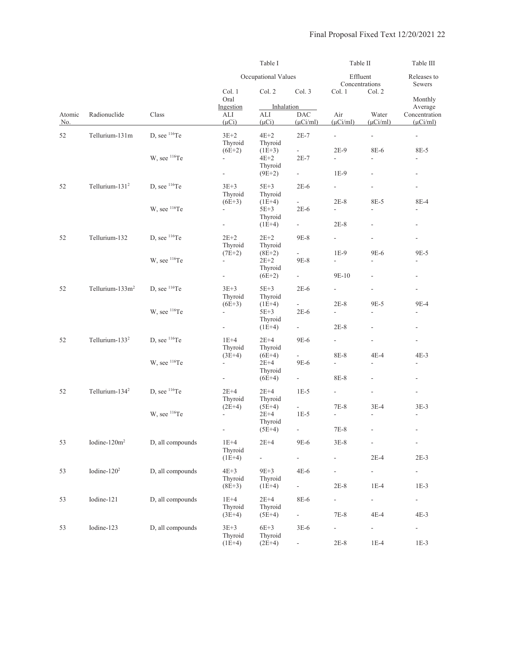|               |                                                                                                                          |                          |                                         | Table I                         |                                    | Table II                           |                                                                                                                                                                                                                                                                                                                                                                                                                                                                                                                                                                                                                                                                                                                                                                                                                                                                                                                                                                                                                                                                                                                        | Table III                                                                       |
|---------------|--------------------------------------------------------------------------------------------------------------------------|--------------------------|-----------------------------------------|---------------------------------|------------------------------------|------------------------------------|------------------------------------------------------------------------------------------------------------------------------------------------------------------------------------------------------------------------------------------------------------------------------------------------------------------------------------------------------------------------------------------------------------------------------------------------------------------------------------------------------------------------------------------------------------------------------------------------------------------------------------------------------------------------------------------------------------------------------------------------------------------------------------------------------------------------------------------------------------------------------------------------------------------------------------------------------------------------------------------------------------------------------------------------------------------------------------------------------------------------|---------------------------------------------------------------------------------|
|               |                                                                                                                          |                          |                                         | Occupational Values             |                                    |                                    | Effluent<br>Concentrations<br>Sewers<br>Col. 2<br>Water<br>$(\mu$ Ci/ml)<br>$\overline{\phantom{a}}$<br>$\overline{\phantom{a}}$<br>8E-6<br>8E-5<br>$\blacksquare$<br>$\overline{\phantom{a}}$<br>$\overline{a}$<br>$\overline{\phantom{a}}$<br>$\overline{\phantom{a}}$<br>8E-5<br>8E-4<br>$\overline{\phantom{a}}$<br>L,<br>$\overline{\phantom{a}}$<br>$\overline{\phantom{a}}$<br>$\frac{1}{2}$<br>$\overline{\phantom{a}}$<br>9E-6<br>9E-5<br>L.<br>$\overline{\phantom{a}}$<br>$\overline{\phantom{a}}$<br>$\overline{\phantom{a}}$<br>$\overline{\phantom{a}}$<br>9E-5<br>9E-4<br>$\overline{\phantom{a}}$<br>$\overline{\phantom{a}}$<br>$\overline{\phantom{a}}$<br>$\overline{a}$<br>$\overline{\phantom{a}}$<br>$4E-4$<br>$4E-3$<br>$\frac{1}{2}$<br>$\frac{1}{2}$<br>$\overline{\phantom{a}}$<br>$\overline{\phantom{a}}$<br>$\frac{1}{2}$<br>$\overline{\phantom{a}}$<br>$3E-4$<br>$3E-3$<br>$\overline{\phantom{a}}$<br>$\overline{\phantom{a}}$<br>$2E-4$<br>$2E-3$<br>$\blacksquare$<br>$\overline{\phantom{a}}$<br>$1E-4$<br>$1E-3$<br>$\blacksquare$<br>$\overline{\phantom{a}}$<br>$4E-4$<br>$4E-3$ | Releases to                                                                     |
|               |                                                                                                                          |                          | Col. 1<br>Oral                          | Col. 2                          | Col. 3                             | Col. 1                             |                                                                                                                                                                                                                                                                                                                                                                                                                                                                                                                                                                                                                                                                                                                                                                                                                                                                                                                                                                                                                                                                                                                        | Monthly                                                                         |
| Atomic<br>No. | Radionuclide                                                                                                             | Class                    | Ingestion<br>ALI<br>$(\mu Ci)$          | Inhalation<br>ALI<br>$(\mu Ci)$ | <b>DAC</b><br>$(\mu$ Ci/ml)        | Air<br>$(\mu$ Ci/ml)               |                                                                                                                                                                                                                                                                                                                                                                                                                                                                                                                                                                                                                                                                                                                                                                                                                                                                                                                                                                                                                                                                                                                        | Average<br>Concentration<br>$(\mu$ Ci/ml)<br>$\overline{\phantom{a}}$<br>$1E-3$ |
| 52            | Tellurium-131m                                                                                                           | D, see <sup>116</sup> Te | $3E+2$<br>Thyroid                       | $4E+2$<br>Thyroid               | $2E-7$                             | $\overline{\phantom{a}}$           |                                                                                                                                                                                                                                                                                                                                                                                                                                                                                                                                                                                                                                                                                                                                                                                                                                                                                                                                                                                                                                                                                                                        |                                                                                 |
|               |                                                                                                                          | W, see <sup>116</sup> Te | $(6E+2)$<br>$\blacksquare$              | $(1E+3)$<br>$4E+2$              | $\omega_{\rm{eff}}$<br>$2E-7$      | $2E-9$<br>$\overline{\phantom{a}}$ |                                                                                                                                                                                                                                                                                                                                                                                                                                                                                                                                                                                                                                                                                                                                                                                                                                                                                                                                                                                                                                                                                                                        |                                                                                 |
|               |                                                                                                                          |                          | $\blacksquare$                          | Thyroid<br>$(9E+2)$             | $\sim 100$                         | $1E-9$                             |                                                                                                                                                                                                                                                                                                                                                                                                                                                                                                                                                                                                                                                                                                                                                                                                                                                                                                                                                                                                                                                                                                                        |                                                                                 |
| 52            | Tellurium- $1312$                                                                                                        | D, see <sup>116</sup> Te | $3E+3$<br>Thyroid                       | $5E+3$<br>Thyroid               | $2E-6$                             | $\sim$                             |                                                                                                                                                                                                                                                                                                                                                                                                                                                                                                                                                                                                                                                                                                                                                                                                                                                                                                                                                                                                                                                                                                                        |                                                                                 |
|               |                                                                                                                          | W, see <sup>116</sup> Te | $(6E+3)$<br>$\blacksquare$              | $(1E+4)$<br>$5E+3$<br>Thyroid   | a.<br>$2E-6$                       | $2E-8$<br>÷,                       |                                                                                                                                                                                                                                                                                                                                                                                                                                                                                                                                                                                                                                                                                                                                                                                                                                                                                                                                                                                                                                                                                                                        |                                                                                 |
|               |                                                                                                                          |                          | $\overline{\phantom{a}}$                | $(1E+4)$                        | $\sim 10^{-11}$                    | $2E-8$                             |                                                                                                                                                                                                                                                                                                                                                                                                                                                                                                                                                                                                                                                                                                                                                                                                                                                                                                                                                                                                                                                                                                                        |                                                                                 |
| 52            | Tellurium-132                                                                                                            | D, see $116$ Te          | $2E+2$<br>Thyroid                       | $2E+2$<br>Thyroid               | 9E-8                               | $\omega_{\rm{max}}$                |                                                                                                                                                                                                                                                                                                                                                                                                                                                                                                                                                                                                                                                                                                                                                                                                                                                                                                                                                                                                                                                                                                                        |                                                                                 |
|               |                                                                                                                          | W, see <sup>116</sup> Te | $(7E+2)$<br>$\mathcal{L}_{\mathcal{A}}$ | $(8E+2)$<br>$2E+2$<br>Thyroid   | $\sim$<br>9E-8                     | $1E-9$<br>$\overline{\phantom{a}}$ |                                                                                                                                                                                                                                                                                                                                                                                                                                                                                                                                                                                                                                                                                                                                                                                                                                                                                                                                                                                                                                                                                                                        |                                                                                 |
|               |                                                                                                                          |                          | ÷                                       | $(6E+2)$                        | $\sim 10$                          | 9E-10                              |                                                                                                                                                                                                                                                                                                                                                                                                                                                                                                                                                                                                                                                                                                                                                                                                                                                                                                                                                                                                                                                                                                                        |                                                                                 |
| 52            | Tellurium- $133m^2$                                                                                                      | D, see <sup>116</sup> Te | $3E+3$<br>Thyroid                       | $5E+3$<br>Thyroid               | $2E-6$                             | $\sim$                             |                                                                                                                                                                                                                                                                                                                                                                                                                                                                                                                                                                                                                                                                                                                                                                                                                                                                                                                                                                                                                                                                                                                        |                                                                                 |
|               | W, see <sup>116</sup> Te<br>$\blacksquare$<br>$\overline{\phantom{a}}$<br>Tellurium- $133^2$<br>D, see <sup>116</sup> Te | $(6E+3)$                 | $(1E+4)$<br>$5E+3$<br>Thyroid           | $\sim$<br>$2E-6$                | $2E-8$<br>$\overline{\phantom{a}}$ |                                    |                                                                                                                                                                                                                                                                                                                                                                                                                                                                                                                                                                                                                                                                                                                                                                                                                                                                                                                                                                                                                                                                                                                        |                                                                                 |
|               |                                                                                                                          |                          |                                         | $(1E+4)$                        | $\sim 100$                         | $2E-8$                             |                                                                                                                                                                                                                                                                                                                                                                                                                                                                                                                                                                                                                                                                                                                                                                                                                                                                                                                                                                                                                                                                                                                        |                                                                                 |
| 52            |                                                                                                                          |                          | $1E+4$<br>Thyroid                       | $2E+4$<br>Thyroid               | 9E-6                               | $\mathcal{L}^{\pm}$                |                                                                                                                                                                                                                                                                                                                                                                                                                                                                                                                                                                                                                                                                                                                                                                                                                                                                                                                                                                                                                                                                                                                        |                                                                                 |
|               |                                                                                                                          | W, see <sup>116</sup> Te | $(3E+4)$<br>$\overline{\phantom{a}}$    | $(6E+4)$<br>$2E+4$<br>Thyroid   | ÷,<br>9E-6                         | 8E-8<br>$\overline{\phantom{0}}$   |                                                                                                                                                                                                                                                                                                                                                                                                                                                                                                                                                                                                                                                                                                                                                                                                                                                                                                                                                                                                                                                                                                                        |                                                                                 |
|               |                                                                                                                          |                          | $\sigma_{\rm c}$                        | $(6E+4)$                        | $\sim 10^{-11}$                    | 8E-8                               |                                                                                                                                                                                                                                                                                                                                                                                                                                                                                                                                                                                                                                                                                                                                                                                                                                                                                                                                                                                                                                                                                                                        |                                                                                 |
| 52            | Tellurium-134 <sup>2</sup>                                                                                               | D, see <sup>116</sup> Te | $2E+4$<br>Thyroid                       | $2E+4$<br>Thyroid               | $1E-5$                             | $\mathcal{L}_{\mathcal{A}}$        |                                                                                                                                                                                                                                                                                                                                                                                                                                                                                                                                                                                                                                                                                                                                                                                                                                                                                                                                                                                                                                                                                                                        |                                                                                 |
|               |                                                                                                                          | W, see <sup>116</sup> Te | $(2E+4)$<br>$\overline{\phantom{a}}$    | $(5E+4)$<br>$2E+4$              | $\sim$<br>$1E-5$                   | $7E-8$<br>÷,                       |                                                                                                                                                                                                                                                                                                                                                                                                                                                                                                                                                                                                                                                                                                                                                                                                                                                                                                                                                                                                                                                                                                                        |                                                                                 |
|               |                                                                                                                          |                          |                                         | Thyroid<br>$(5E+4)$             |                                    | $7\mathrm{E}{\text{-}}8$           |                                                                                                                                                                                                                                                                                                                                                                                                                                                                                                                                                                                                                                                                                                                                                                                                                                                                                                                                                                                                                                                                                                                        |                                                                                 |
| 53            | Iodine-120m <sup>2</sup>                                                                                                 | D, all compounds         | $1E+4$<br>Thyroid                       | $2E+4$                          | 9E-6                               | $3E-8$                             |                                                                                                                                                                                                                                                                                                                                                                                                                                                                                                                                                                                                                                                                                                                                                                                                                                                                                                                                                                                                                                                                                                                        |                                                                                 |
|               |                                                                                                                          |                          | $(1E+4)$                                | $\overline{\phantom{a}}$        | $\omega_{\rm{max}}$                | ÷,                                 |                                                                                                                                                                                                                                                                                                                                                                                                                                                                                                                                                                                                                                                                                                                                                                                                                                                                                                                                                                                                                                                                                                                        |                                                                                 |
| 53            | Iodine- $1202$                                                                                                           | D, all compounds         | $4E+3$<br>Thyroid                       | $9E+3$<br>Thyroid               | $4E-6$                             | -                                  |                                                                                                                                                                                                                                                                                                                                                                                                                                                                                                                                                                                                                                                                                                                                                                                                                                                                                                                                                                                                                                                                                                                        |                                                                                 |
|               |                                                                                                                          |                          | $(8E+3)$                                | $(1E+4)$                        | $\sim 10^{-1}$                     | $2E-8$                             |                                                                                                                                                                                                                                                                                                                                                                                                                                                                                                                                                                                                                                                                                                                                                                                                                                                                                                                                                                                                                                                                                                                        |                                                                                 |
| 53            | Iodine-121                                                                                                               | D, all compounds         | $1E+4$<br>Thyroid<br>$(3E+4)$           | $2E+4$<br>Thyroid<br>$(5E+4)$   | 8E-6<br>$\sim 10^{-11}$            | $\overline{\phantom{a}}$<br>$7E-8$ |                                                                                                                                                                                                                                                                                                                                                                                                                                                                                                                                                                                                                                                                                                                                                                                                                                                                                                                                                                                                                                                                                                                        |                                                                                 |
| 53            | Iodine-123                                                                                                               | D, all compounds         | $3E+3$<br>Thyroid                       | $6E+3$<br>Thyroid               | $3E-6$                             | ÷,                                 | $\blacksquare$                                                                                                                                                                                                                                                                                                                                                                                                                                                                                                                                                                                                                                                                                                                                                                                                                                                                                                                                                                                                                                                                                                         |                                                                                 |
|               |                                                                                                                          |                          | $(1E+4)$                                | $(2E+4)$                        | $\blacksquare$                     | $2E-8$                             | $1E-4$                                                                                                                                                                                                                                                                                                                                                                                                                                                                                                                                                                                                                                                                                                                                                                                                                                                                                                                                                                                                                                                                                                                 |                                                                                 |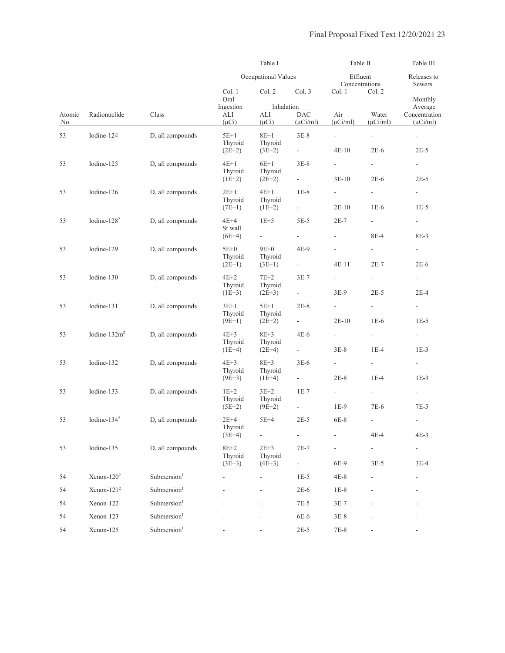|               |                  |                         |                                | Table I                         |                               |                               | Table II                           | Table III                                                                                                                                                                                                                                                                                                                                                                                                                                         |  |
|---------------|------------------|-------------------------|--------------------------------|---------------------------------|-------------------------------|-------------------------------|------------------------------------|---------------------------------------------------------------------------------------------------------------------------------------------------------------------------------------------------------------------------------------------------------------------------------------------------------------------------------------------------------------------------------------------------------------------------------------------------|--|
|               |                  |                         |                                | Occupational Values             |                               |                               | Effluent<br>Concentrations         | Releases to<br>Sewers<br>Monthly<br>Average<br>Concentration<br>$(\mu$ Ci/ml)<br>$\omega_{\rm c}$<br>$2E-5$<br>$\sim 100$<br>$2E-5$<br>$\overline{\phantom{a}}$<br>$1E-5$<br>$\sim 100$<br>8E-3<br>$\overline{\phantom{a}}$<br>$2E-6$<br>$\blacksquare$<br>$2E-4$<br>$\overline{\phantom{a}}$<br>$1E-5$<br>$\omega_{\rm{max}}$<br>$1E-3$<br>$\sim 100$<br>$1E-3$<br>$\sim 10^{-11}$<br>7E-5<br>$\overline{\phantom{a}}$<br>$4E-3$<br>÷,<br>$3E-4$ |  |
|               |                  |                         | Col. 1<br>Oral                 | Col. 2                          | Col. 3                        | Col. 1                        | Col. 2                             |                                                                                                                                                                                                                                                                                                                                                                                                                                                   |  |
| Atomic<br>No. | Radionuclide     | Class                   | Ingestion<br>ALI<br>$(\mu Ci)$ | Inhalation<br>ALI<br>$(\mu Ci)$ | DAC<br>$(\mu$ Ci/ml)          | Air<br>$(\mu$ Ci/ml)          | Water<br>$(\mu$ Ci/ml)             |                                                                                                                                                                                                                                                                                                                                                                                                                                                   |  |
| 53            | Iodine-124       | D, all compounds        | $5E+1$<br>Thyroid              | $8E+1$<br>Thyroid               | $3E-8$                        | $\overline{\phantom{a}}$      | $\sim$                             |                                                                                                                                                                                                                                                                                                                                                                                                                                                   |  |
|               |                  |                         | $(2E+2)$                       | $(3E+2)$                        | $\omega_{\rm{max}}$           | $4E-10$                       | $2E-6$                             |                                                                                                                                                                                                                                                                                                                                                                                                                                                   |  |
| 53            | Iodine-125       | D, all compounds        | $4E+1$<br>Thyroid              | $6E+1$<br>Thyroid               | $3E-8$<br>$\omega_{\rm{max}}$ | $\sim$<br>$3E-10$             | $\sim$<br>$2E-6$                   |                                                                                                                                                                                                                                                                                                                                                                                                                                                   |  |
|               |                  |                         | $(1E+2)$                       | $(2E+2)$                        |                               |                               |                                    |                                                                                                                                                                                                                                                                                                                                                                                                                                                   |  |
| 53            | Iodine-126       | D, all compounds        | $2E+1$<br>Thyroid<br>$(7E+1)$  | $4E+1$<br>Thyroid<br>$(1E+2)$   | $1E-8$<br>$\sigma_{\rm{max}}$ | $\sim$<br>$2E-10$             | $\overline{\phantom{a}}$<br>$1E-6$ |                                                                                                                                                                                                                                                                                                                                                                                                                                                   |  |
| 53            | Iodine- $1282$   | D, all compounds        | 4E+4                           | $1E+5$                          | $5E-5$                        | $2E-7$                        | $\sim$                             |                                                                                                                                                                                                                                                                                                                                                                                                                                                   |  |
|               |                  |                         | St wall<br>$(6E+4)$            | $\omega_{\rm{max}}$             | $\omega_{\rm{max}}$           | $\sim$                        | 8E-4                               |                                                                                                                                                                                                                                                                                                                                                                                                                                                   |  |
| 53            | Iodine-129       | D, all compounds        | $5E+0$<br>Thyroid              | $9E+0$<br>Thyroid               | $4E-9$                        | $\overline{\phantom{a}}$      | ÷.                                 |                                                                                                                                                                                                                                                                                                                                                                                                                                                   |  |
|               |                  |                         | $(2E+1)$                       | $(3E+1)$                        | $\omega_{\rm{max}}$           | $4E-11$                       | $2E-7$                             |                                                                                                                                                                                                                                                                                                                                                                                                                                                   |  |
| 53            | Iodine-130       | D, all compounds        | $4E+2$<br>Thyroid              | $7E+2$<br>Thyroid               | $3E-7$                        | $\overline{\phantom{a}}$      | $\blacksquare$                     |                                                                                                                                                                                                                                                                                                                                                                                                                                                   |  |
|               |                  |                         | $(1E+3)$                       | $(2E+3)$                        | $\omega_{\rm{max}}$           | $3E-9$                        | $2E-5$                             |                                                                                                                                                                                                                                                                                                                                                                                                                                                   |  |
| 53            | Iodine-131       | D, all compounds        | $3E+1$<br>Thyroid<br>$(9E+1)$  | $5E+1$<br>Thyroid<br>$(2E+2)$   | $2E-8$<br>$\sim 100$          | $\sim$<br>$2E-10$             | $\overline{\phantom{a}}$<br>$1E-6$ |                                                                                                                                                                                                                                                                                                                                                                                                                                                   |  |
|               |                  |                         |                                |                                 |                               |                               |                                    |                                                                                                                                                                                                                                                                                                                                                                                                                                                   |  |
| 53            | Iodine- $132m^2$ | D, all compounds        | $4E+3$<br>Thyroid<br>$(1E+4)$  | $8E+3$<br>Thyroid<br>$(2E+4)$   | $4E-6$<br>$\omega_{\rm{max}}$ | $\omega_{\rm{max}}$<br>$3E-8$ | $\omega_{\rm{max}}$<br>$1E-4$      |                                                                                                                                                                                                                                                                                                                                                                                                                                                   |  |
| 53            | Iodine-132       | D, all compounds        | $4E+3$                         | $8E+3$                          | $3E-6$                        | $\sim 10^{-1}$                | $\sim$                             |                                                                                                                                                                                                                                                                                                                                                                                                                                                   |  |
|               |                  |                         | Thyroid<br>$(9E+3)$            | Thyroid<br>$(1E+4)$             | $\sim 10^{-11}$               | $2E-8$                        | $1E-4$                             |                                                                                                                                                                                                                                                                                                                                                                                                                                                   |  |
| 53            | Iodine-133       | D, all compounds        | $1E+2$<br>Thyroid              | $3E+2$<br>Thyroid               | $1E-7$                        | $\sim$                        | $\sim$ 10 $\pm$                    |                                                                                                                                                                                                                                                                                                                                                                                                                                                   |  |
|               |                  |                         | $(5E+2)$                       | $(9E+2)$                        | $\omega_{\rm{max}}$           | $1E-9$                        | 7E-6                               |                                                                                                                                                                                                                                                                                                                                                                                                                                                   |  |
| 53            | Iodine- $1342$   | D, all compounds        | $2E+4$<br>Thyroid              | $5E+4$                          | $2E-5$                        | $6E-8$                        | $\frac{1}{2}$                      |                                                                                                                                                                                                                                                                                                                                                                                                                                                   |  |
|               |                  |                         | $(3E+4)$                       |                                 |                               |                               | $4E-4$                             |                                                                                                                                                                                                                                                                                                                                                                                                                                                   |  |
| 53            | Iodine-135       | D, all compounds        | $8E+2$<br>Thyroid              | $2E+3$<br>Thyroid               | $7E-7$                        |                               | $\blacksquare$                     |                                                                                                                                                                                                                                                                                                                                                                                                                                                   |  |
|               |                  |                         | $(3E+3)$                       | $(4E+3)$                        | $\sim 10^{-1}$                | 6E-9                          | $3E-5$                             |                                                                                                                                                                                                                                                                                                                                                                                                                                                   |  |
| 54            | $Xenon-1202$     | Submersion <sup>1</sup> |                                |                                 | $1E-5$                        | $4E-8$                        |                                    |                                                                                                                                                                                                                                                                                                                                                                                                                                                   |  |
| 54            | $Xenon-1212$     | Submersion <sup>1</sup> |                                |                                 | $2E-6$                        | $1E-8$                        |                                    |                                                                                                                                                                                                                                                                                                                                                                                                                                                   |  |
| 54            | Xenon-122        | Submersion <sup>1</sup> |                                |                                 | 7E-5                          | $3E-7$                        |                                    |                                                                                                                                                                                                                                                                                                                                                                                                                                                   |  |
| 54            | Xenon-123        | Submersion <sup>1</sup> |                                |                                 | 6E-6                          | $3E-8$                        |                                    |                                                                                                                                                                                                                                                                                                                                                                                                                                                   |  |
| 54            | Xenon-125        | Submersion <sup>1</sup> |                                |                                 | $2E-5$                        | 7E-8                          |                                    |                                                                                                                                                                                                                                                                                                                                                                                                                                                   |  |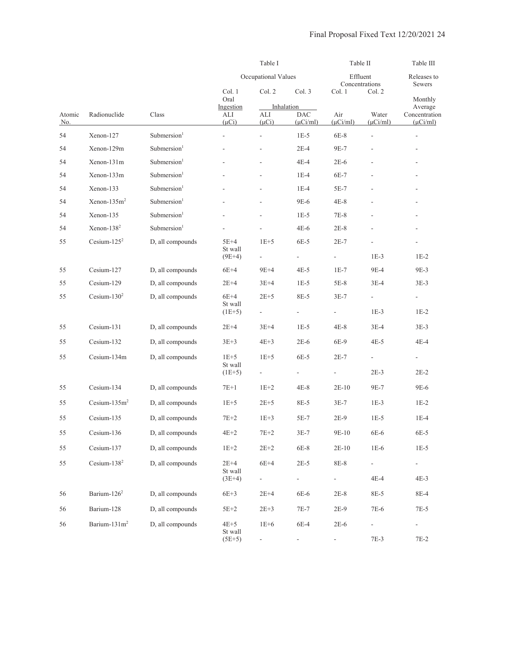|               |                              |                         |                             | Table I                  |                            | Table II             |                                    | Table III                          |
|---------------|------------------------------|-------------------------|-----------------------------|--------------------------|----------------------------|----------------------|------------------------------------|------------------------------------|
|               |                              |                         |                             | Occupational Values      |                            | Effluent             | Concentrations                     | Releases to<br>Sewers              |
|               |                              |                         | Col. 1<br>Oral<br>Ingestion | Col. 2                   | Col.3<br>Inhalation        | Col. 1               | Col. 2                             | Monthly<br>Average                 |
| Atomic<br>No. | Radionuclide                 | Class                   | ALI<br>$(\mu Ci)$           | ALI<br>$(\mu Ci)$        | $\rm DAC$<br>$(\mu$ Ci/ml) | Air<br>$(\mu$ Ci/ml) | Water<br>$(\mu$ Ci/ml)             | Concentration<br>$(\mu$ Ci/ml)     |
| 54            | Xenon-127                    | Submersion <sup>1</sup> | $\frac{1}{2}$               | $\overline{\phantom{a}}$ | $1E-5$                     | $6E-8$               | ÷,                                 | $\blacksquare$                     |
| 54            | Xenon-129m                   | Submersion <sup>1</sup> |                             |                          | $2E-4$                     | 9E-7                 |                                    | $\frac{1}{2}$                      |
| 54            | Xenon-131m                   | Submersion <sup>1</sup> |                             |                          | $4E-4$                     | $2E-6$               |                                    |                                    |
| 54            | Xenon-133m                   | Submersion <sup>1</sup> |                             |                          | $1E-4$                     | 6E-7                 |                                    | ٠                                  |
| 54            | Xenon-133                    | Submersion <sup>1</sup> |                             |                          | $1E-4$                     | $5E-7$               |                                    |                                    |
| 54            | $Xenon-135m2$                | Submersion <sup>1</sup> |                             |                          | 9E-6                       | $4E-8$               |                                    |                                    |
| 54            | Xenon-135                    | Submersion <sup>1</sup> |                             |                          | $1E-5$                     | $7E-8$               |                                    | $\overline{\phantom{a}}$           |
| 54            | $Xenon-1382$                 | Submersion <sup>1</sup> |                             |                          | $4E-6$                     | $2E-8$               |                                    | $\overline{a}$                     |
| 55            | Cesium- $125^2$              | D, all compounds        | 5E+4<br>St wall<br>$(9E+4)$ | $1E+5$                   | $6E-5$<br>$\blacksquare$   | $2E-7$               | $1E-3$                             | $1E-2$                             |
| 55            | Cesium-127                   |                         |                             | $9E+4$                   | $4E-5$                     | $1E-7$               | 9E-4                               | 9E-3                               |
|               |                              | D, all compounds        | $6E+4$                      |                          |                            |                      |                                    |                                    |
| 55<br>55      | Cesium-129<br>Cesium- $1302$ | D, all compounds        | $2E+4$<br>$6E+4$            | $3E+4$<br>$2E+5$         | $1E-5$<br>8E-5             | $5E-8$<br>$3E-7$     | $3E-4$<br>$\overline{\phantom{a}}$ | $3E-3$                             |
|               |                              | D, all compounds        | St wall<br>$(1E+5)$         | $\blacksquare$           | $\overline{\phantom{a}}$   | $\blacksquare$       | $1E-3$                             | $\overline{\phantom{0}}$<br>$1E-2$ |
| 55            | Cesium-131                   | D, all compounds        | $2E+4$                      | $3E+4$                   | $1E-5$                     | $4E-8$               | $3E-4$                             | $3E-3$                             |
| 55            | Cesium-132                   | D, all compounds        | $3E + 3$                    | $4E+3$                   | $2E-6$                     | 6E-9                 | $4E-5$                             | $4E-4$                             |
| 55            | Cesium-134m                  | D, all compounds        | $1E+5$<br>St wall           | $1E+5$                   | $6E-5$                     | $2E-7$               | $\blacksquare$                     | $\blacksquare$                     |
|               |                              |                         | $(1E+5)$                    | $\blacksquare$           | $\blacksquare$             | ÷                    | $2E-3$                             | $2E-2$                             |
| 55            | Cesium-134                   | D, all compounds        | $7E+1$                      | $1E+2$                   | $4E-8$                     | $2E-10$              | 9E-7                               | 9E-6                               |
| 55            | Cesium- $135m2$              | D, all compounds        | $1E+5$                      | $2E+5$                   | 8E-5                       | $3E-7$               | $1E-3$                             | $1E-2$                             |
| 55            | Cesium-135                   | D, all compounds        | $7E+2$                      | $1E+3$                   | $5E-7$                     | $2E-9$               | $1E-5$                             | $1E-4$                             |
| 55            | Cesium-136                   | D, all compounds        | $4E+2$                      | $7E + 2$                 | $3E-7$                     | 9E-10                | $6E-6$                             | 6E-5                               |
| 55            | Cesium-137                   | D, all compounds        | $1E+2$                      | $2\mathrm{E}{+2}$        | $6E-8$                     | $2E-10$              | $1E-6$                             | $1E-5$                             |
| 55            | Cesium- $138^2$              | D, all compounds        | $2E+4$<br>St wall           | $6E+4$                   | $2E-5$                     | 8E-8                 |                                    | $\frac{1}{2}$                      |
|               |                              |                         | $(3E+4)$                    |                          | $\Box$                     | ÷,                   | $4E-4$                             | $4E-3$                             |
| 56            | Barium-126 <sup>2</sup>      | D, all compounds        | $6E+3$                      | $2E+4$                   | 6E-6                       | $2E-8$               | 8E-5                               | 8E-4                               |
| 56            | Barium-128                   | D, all compounds        | $5E+2$                      | $2E + 3$                 | $7E-7$                     | $2E-9$               | $7E-6$                             | $7E-5$                             |
| 56            | Barium- $131m2$              | D, all compounds        | $4E+5$<br>St wall           | $1E+6$                   | $6E-4$                     | $2E-6$               |                                    |                                    |
|               |                              |                         | $(5E+5)$                    |                          |                            | -                    | 7E-3                               | $7E-2$                             |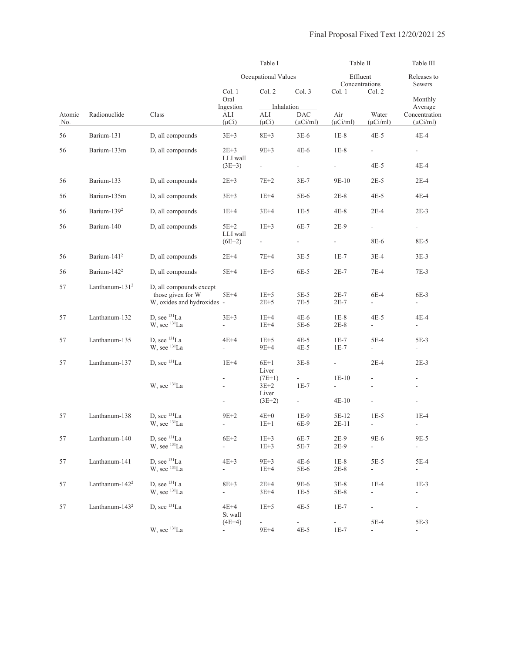|               |                            |                                                      |                                    | Table I                            |                               |                                       |                                                                                                                                                                                                                                                                                                                                                                                                                                                                                                                                      | Table III<br>Releases to<br>Sewers<br>Monthly<br>Average<br>Concentration<br>$(\mu$ Ci/ml)<br>4E-4<br>$\overline{\phantom{0}}$<br>$4E-4$<br>$2E-4$<br>4E-4<br>$2E-3$<br>÷,<br>8E-5<br>$3E-3$<br>$7E-3$<br>$6E-3$<br>$\sim$<br>4E-4<br>$\overline{\phantom{a}}$<br>$5E-3$<br>$\overline{\phantom{a}}$<br>$2E-3$<br>$\overline{\phantom{a}}$<br>$\overline{\phantom{a}}$<br>$\overline{\phantom{a}}$<br>$1E-4$<br>$\overline{\phantom{a}}$<br>9E-5<br>$\overline{\phantom{a}}$<br>$5E-4$<br>$\sim$<br>$1E-3$<br>$\Box$<br>$\sim$ |
|---------------|----------------------------|------------------------------------------------------|------------------------------------|------------------------------------|-------------------------------|---------------------------------------|--------------------------------------------------------------------------------------------------------------------------------------------------------------------------------------------------------------------------------------------------------------------------------------------------------------------------------------------------------------------------------------------------------------------------------------------------------------------------------------------------------------------------------------|--------------------------------------------------------------------------------------------------------------------------------------------------------------------------------------------------------------------------------------------------------------------------------------------------------------------------------------------------------------------------------------------------------------------------------------------------------------------------------------------------------------------------------|
|               |                            |                                                      |                                    | Occupational Values                |                               |                                       |                                                                                                                                                                                                                                                                                                                                                                                                                                                                                                                                      |                                                                                                                                                                                                                                                                                                                                                                                                                                                                                                                                |
|               |                            |                                                      | Col. 1                             | Col. 2                             | Col. 3                        | Col. 1                                | Table II<br>Effluent<br>Concentrations<br>Col. 2<br>Water<br>$(\mu$ Ci/ml)<br>$4E-5$<br>$\overline{\phantom{a}}$<br>$4E-5$<br>$2E-5$<br>$4E-5$<br>$2E-4$<br>$\overline{\phantom{a}}$<br>8E-6<br>$3E-4$<br>$7E-4$<br>$6E-4$<br>$\sim$<br>$4E-5$<br>$\overline{\phantom{a}}$<br>5E-4<br>$\blacksquare$<br>$2E-4$<br>$\overline{\phantom{a}}$<br>$\overline{\phantom{a}}$<br>$1E-5$<br>$\overline{\phantom{a}}$<br>9E-6<br>$\overline{\phantom{a}}$<br>$5E-5$<br>÷,<br>$1E-4$<br>$\overline{\phantom{a}}$<br>÷.<br>5E-4<br>$\mathbf{r}$ |                                                                                                                                                                                                                                                                                                                                                                                                                                                                                                                                |
|               |                            |                                                      | Oral<br>Ingestion                  | Inhalation                         |                               |                                       |                                                                                                                                                                                                                                                                                                                                                                                                                                                                                                                                      |                                                                                                                                                                                                                                                                                                                                                                                                                                                                                                                                |
| Atomic<br>No. | Radionuclide               | Class                                                | ALI<br>$(\mu Ci)$                  | ALI<br>$(\mu Ci)$                  | <b>DAC</b><br>$(\mu$ Ci/ml)   | Air<br>$(\mu$ Ci/ml)                  |                                                                                                                                                                                                                                                                                                                                                                                                                                                                                                                                      |                                                                                                                                                                                                                                                                                                                                                                                                                                                                                                                                |
| 56            | Barium-131                 | D, all compounds                                     | $3E + 3$                           | $8E + 3$                           | $3E-6$                        | $1E-8$                                |                                                                                                                                                                                                                                                                                                                                                                                                                                                                                                                                      |                                                                                                                                                                                                                                                                                                                                                                                                                                                                                                                                |
| 56            | Barium-133m                | D, all compounds                                     | $2E+3$<br>LLI wall                 | $9E+3$                             | $4E-6$                        | $1E-8$                                |                                                                                                                                                                                                                                                                                                                                                                                                                                                                                                                                      |                                                                                                                                                                                                                                                                                                                                                                                                                                                                                                                                |
|               |                            |                                                      | $(3E+3)$                           | ÷,                                 | $\sim$                        | $\sim$                                |                                                                                                                                                                                                                                                                                                                                                                                                                                                                                                                                      |                                                                                                                                                                                                                                                                                                                                                                                                                                                                                                                                |
| 56            | Barium-133                 | D, all compounds                                     | $2E + 3$                           | $7E+2$                             | $3E-7$                        | 9E-10                                 |                                                                                                                                                                                                                                                                                                                                                                                                                                                                                                                                      |                                                                                                                                                                                                                                                                                                                                                                                                                                                                                                                                |
| 56            | Barium-135m                | D, all compounds                                     | $3E + 3$                           | $1E+4$                             | 5E-6                          | $2E-8$                                |                                                                                                                                                                                                                                                                                                                                                                                                                                                                                                                                      |                                                                                                                                                                                                                                                                                                                                                                                                                                                                                                                                |
| 56            | Barium-139 <sup>2</sup>    | D, all compounds                                     | $1E+4$                             | $3E+4$                             | $1E-5$                        | $4E-8$                                |                                                                                                                                                                                                                                                                                                                                                                                                                                                                                                                                      |                                                                                                                                                                                                                                                                                                                                                                                                                                                                                                                                |
| 56            | Barium-140                 | D, all compounds                                     | $5E+2$                             | $1E+3$                             | 6E-7                          | $2E-9$                                |                                                                                                                                                                                                                                                                                                                                                                                                                                                                                                                                      |                                                                                                                                                                                                                                                                                                                                                                                                                                                                                                                                |
|               |                            |                                                      | LLI wall<br>$(6E+2)$               | ÷,                                 | $\overline{\phantom{a}}$      | $\overline{\phantom{a}}$              |                                                                                                                                                                                                                                                                                                                                                                                                                                                                                                                                      |                                                                                                                                                                                                                                                                                                                                                                                                                                                                                                                                |
| 56            | Barium-141 <sup>2</sup>    | D, all compounds                                     | $2E+4$                             | $7E+4$                             | $3E-5$                        | $1E-7$                                |                                                                                                                                                                                                                                                                                                                                                                                                                                                                                                                                      |                                                                                                                                                                                                                                                                                                                                                                                                                                                                                                                                |
| 56            | Barium-142 <sup>2</sup>    | D, all compounds                                     | $5E+4$                             | $1E+5$                             | $6E-5$                        | $2E-7$                                |                                                                                                                                                                                                                                                                                                                                                                                                                                                                                                                                      |                                                                                                                                                                                                                                                                                                                                                                                                                                                                                                                                |
| 57            | Lanthanum-131 <sup>2</sup> | D, all compounds except                              |                                    |                                    |                               |                                       |                                                                                                                                                                                                                                                                                                                                                                                                                                                                                                                                      |                                                                                                                                                                                                                                                                                                                                                                                                                                                                                                                                |
|               |                            | those given for W<br>W, oxides and hydroxides -      | $5E+4$                             | $1E+5$<br>$2E+5$                   | $5E-5$<br>$7E-5$              | $2E-7$<br>$2E-7$                      |                                                                                                                                                                                                                                                                                                                                                                                                                                                                                                                                      |                                                                                                                                                                                                                                                                                                                                                                                                                                                                                                                                |
| 57            | Lanthanum-132              | D, see $^{131}$ La<br>W, see <sup>131</sup> La       | $3E+3$<br>$\overline{\phantom{0}}$ | $1E+4$<br>$1E+4$                   | $4E-6$<br>5E-6                | $1E-8$<br>$2E-8$                      |                                                                                                                                                                                                                                                                                                                                                                                                                                                                                                                                      |                                                                                                                                                                                                                                                                                                                                                                                                                                                                                                                                |
| 57            | Lanthanum-135              | D, see $^{131}$ La<br>W, see <sup>131</sup> La       | 4E+4<br>÷,                         | $1E+5$<br>9E+4                     | 4E-5<br>4E-5                  | $1E-7$<br>$1E-7$                      |                                                                                                                                                                                                                                                                                                                                                                                                                                                                                                                                      |                                                                                                                                                                                                                                                                                                                                                                                                                                                                                                                                |
| 57            | Lanthanum-137              | D, see $^{131}$ La                                   | $1E+4$                             | $6E+1$<br>Liver                    | $3E-8$                        | $\sim$                                |                                                                                                                                                                                                                                                                                                                                                                                                                                                                                                                                      |                                                                                                                                                                                                                                                                                                                                                                                                                                                                                                                                |
|               |                            | W, see <sup>131</sup> La                             | -<br>$\frac{1}{2}$                 | $(7E+1)$<br>$3E+2$                 | $\omega_{\rm{max}}$<br>$1E-7$ | $1E-10$                               |                                                                                                                                                                                                                                                                                                                                                                                                                                                                                                                                      |                                                                                                                                                                                                                                                                                                                                                                                                                                                                                                                                |
|               |                            |                                                      | ۰                                  | Liver<br>$(3E+2)$                  | $\sim 100$                    | $4E-10$                               |                                                                                                                                                                                                                                                                                                                                                                                                                                                                                                                                      |                                                                                                                                                                                                                                                                                                                                                                                                                                                                                                                                |
| 57            | Lanthanum-138              | D, see $^{131}$ La                                   | 9E+2                               | $4E+0$                             | $1E-9$                        | 5E-12                                 |                                                                                                                                                                                                                                                                                                                                                                                                                                                                                                                                      |                                                                                                                                                                                                                                                                                                                                                                                                                                                                                                                                |
|               |                            | W, see <sup>131</sup> La                             | $\frac{1}{2}$                      | $1E+1$                             | 6E-9                          | $2E-11$                               |                                                                                                                                                                                                                                                                                                                                                                                                                                                                                                                                      |                                                                                                                                                                                                                                                                                                                                                                                                                                                                                                                                |
| 57            | Lanthanum-140              | D, see <sup>131</sup> La<br>W, see <sup>131</sup> La | $6E+2$<br>÷,                       | $1E+3$<br>$1E+3$                   | 6E-7<br>5E-7                  | $2E-9$<br>$2E-9$                      |                                                                                                                                                                                                                                                                                                                                                                                                                                                                                                                                      |                                                                                                                                                                                                                                                                                                                                                                                                                                                                                                                                |
| 57            | Lanthanum-141              | D, see <sup>131</sup> La<br>W, see <sup>131</sup> La | $4E+3$<br>$\overline{\phantom{a}}$ | $9E+3$<br>$1E+4$                   | $4E-6$<br>5E-6                | $1E-8$<br>$2E-8$                      |                                                                                                                                                                                                                                                                                                                                                                                                                                                                                                                                      |                                                                                                                                                                                                                                                                                                                                                                                                                                                                                                                                |
| 57            | Lanthanum-142 <sup>2</sup> | D, see <sup>131</sup> La                             | $8E+3$                             | $2E+4$                             | 9E-6                          | $3E-8$                                |                                                                                                                                                                                                                                                                                                                                                                                                                                                                                                                                      |                                                                                                                                                                                                                                                                                                                                                                                                                                                                                                                                |
|               |                            | W, see <sup>131</sup> La                             | ÷.                                 | $3E+4$                             | $1E-5$                        | $5E-8$                                |                                                                                                                                                                                                                                                                                                                                                                                                                                                                                                                                      |                                                                                                                                                                                                                                                                                                                                                                                                                                                                                                                                |
| 57            | Lanthanum-143 <sup>2</sup> | D, see <sup>131</sup> La                             | $4E+4$<br>St wall                  | $1E+5$                             | $4E-5$                        | $1E-7$                                |                                                                                                                                                                                                                                                                                                                                                                                                                                                                                                                                      |                                                                                                                                                                                                                                                                                                                                                                                                                                                                                                                                |
|               |                            | W, see <sup>131</sup> La                             | $(4E+4)$                           | $\overline{\phantom{a}}$<br>$9E+4$ | $\sim$<br>$4E-5$              | $\mathcal{L}_{\mathcal{A}}$<br>$1E-7$ |                                                                                                                                                                                                                                                                                                                                                                                                                                                                                                                                      | 5E-3<br>$\overline{\phantom{a}}$                                                                                                                                                                                                                                                                                                                                                                                                                                                                                               |
|               |                            |                                                      |                                    |                                    |                               |                                       |                                                                                                                                                                                                                                                                                                                                                                                                                                                                                                                                      |                                                                                                                                                                                                                                                                                                                                                                                                                                                                                                                                |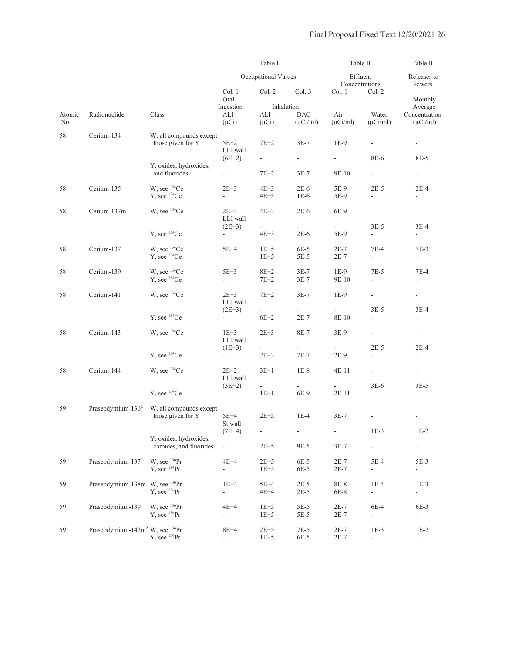|               |                                                         |                                           | Table I                        |                          |                                           | Table II                           |                            | Table III                                 |
|---------------|---------------------------------------------------------|-------------------------------------------|--------------------------------|--------------------------|-------------------------------------------|------------------------------------|----------------------------|-------------------------------------------|
|               |                                                         |                                           |                                | Occupational Values      |                                           |                                    | Effluent<br>Concentrations | Releases to<br>Sewers                     |
|               |                                                         |                                           | Col. 1<br>Oral                 | Col. 2                   | Col. 3                                    | Col. 1                             | Col. 2                     | Monthly                                   |
| Atomic<br>No. | Radionuclide                                            | Class                                     | Ingestion<br>ALI<br>$(\mu Ci)$ | ALI<br>$(\mu Ci)$        | Inhalation<br><b>DAC</b><br>$(\mu$ Ci/ml) | Air<br>$(\mu$ Ci/ml)               | Water<br>$(\mu$ Ci/ml)     | Average<br>Concentration<br>$(\mu$ Ci/ml) |
| 58            | Cerium-134                                              | W, all compounds except                   |                                |                          |                                           |                                    |                            |                                           |
|               |                                                         | those given for Y                         | $5E+2$<br>LLI wall             | $7E+2$                   | $3E-7$                                    | $1E-9$<br>$\overline{\phantom{a}}$ | 8E-6                       |                                           |
|               |                                                         | Y, oxides, hydroxides,                    | $(6E+2)$                       |                          | $\overline{\phantom{a}}$                  |                                    |                            | 8E-5                                      |
|               |                                                         | and fluorides                             | $\overline{\phantom{a}}$       | $7E+2$                   | $3E-7$                                    | 9E-10                              | $\sim$                     | $\overline{\phantom{a}}$                  |
| 58            | Cerium-135                                              | W, see ${}^{134}Ce$                       | $2E+3$                         | $4E+3$                   | $2E-6$                                    | 5E-9                               | $2E-5$                     | $2E-4$                                    |
|               |                                                         | Y, see <sup>134</sup> Ce                  | $\overline{\phantom{a}}$       | $4E+3$                   | $1E-6$                                    | 5E-9                               | $\overline{\phantom{a}}$   | $\overline{\phantom{a}}$                  |
| 58            | Cerium-137m                                             | W, see ${}^{134}Ce$                       | $2E+3$<br>LLI wall             | $4E+3$                   | $2E-6$                                    | 6E-9                               | ÷,                         | $\sim$                                    |
|               |                                                         |                                           | $(2E+3)$                       |                          |                                           |                                    | $3E-5$                     | $3E-4$                                    |
|               |                                                         | Y, see <sup>134</sup> Ce                  | $\blacksquare$                 | $4E+3$                   | $2E-6$                                    | 5E-9                               | $\overline{\phantom{a}}$   | $\overline{\phantom{a}}$                  |
| 58            | Cerium-137                                              | W, see ${}^{134}Ce$                       | $5E+4$                         | $1E+5$                   | $6E-5$                                    | $2E-7$                             | $7E-4$                     | 7E-3                                      |
|               |                                                         | $Y$ , see $134Ce$                         | L.                             | $1E+5$                   | 5E-5                                      | $2E-7$                             | $\overline{\phantom{a}}$   | $\overline{\phantom{0}}$                  |
| 58            | Cerium-139                                              | W, see ${}^{134}Ce$                       | $5E+3$                         | $8E+2$                   | $3E-7$                                    | $1E-9$                             | $7E-5$                     | 7E-4                                      |
|               |                                                         | $Y$ , see $134Ce$                         | ÷,                             | $7E+2$                   | $3E-7$                                    | 9E-10                              | $\blacksquare$             | $\overline{\phantom{a}}$                  |
| 58            | Cerium-141                                              | W, see <sup>134</sup> Ce                  | $2E+3$                         | $7E+2$                   | $3E-7$                                    | $1E-9$                             | $\blacksquare$             | $\overline{\phantom{a}}$                  |
|               |                                                         |                                           | LLI wall<br>$(2E+3)$           | $\overline{\phantom{a}}$ | $\mathcal{L}^{\pm}$                       | $\mathcal{L}_{\mathcal{A}}$        | $3E-5$                     | $3E-4$                                    |
|               |                                                         | Y, see <sup>134</sup> Ce                  | $\frac{1}{2}$                  | $6E+2$                   | $2E-7$                                    | 8E-10                              | $\overline{a}$             | ä,                                        |
| 58            | Cerium-143                                              | W, see ${}^{134}Ce$                       | $1E+3$                         | $2E+3$                   | 8E-7                                      | $3E-9$                             | $\blacksquare$             | $\blacksquare$                            |
|               |                                                         |                                           | LLI wall<br>$(1E+3)$           | $\blacksquare$           | $\blacksquare$                            |                                    | $2E-5$                     | $2E-4$                                    |
|               |                                                         | $Y$ , see $134Ce$                         |                                | $2E + 3$                 | $7E-7$                                    | $2E-9$                             | $\frac{1}{2}$              | $\overline{\phantom{0}}$                  |
| 58            | Cerium-144                                              | W, see <sup>134</sup> Ce                  | $2E+2$<br>LLI wall             | $3E+1$                   | $1E-8$                                    | 4E-11                              | $\equiv$                   | $\blacksquare$                            |
|               |                                                         |                                           | $(3E+2)$                       | -                        |                                           |                                    | $3E-6$                     | $3E-5$                                    |
|               |                                                         | $Y$ , see $134Ce$                         | $\overline{\phantom{a}}$       | $1E+1$                   | 6E-9                                      | 2E-11                              | $\frac{1}{2}$              |                                           |
| 59            | Praseodymium- $1362$                                    | W, all compounds except                   |                                |                          |                                           |                                    |                            |                                           |
|               |                                                         | those given for Y                         | 5E+4<br>St wall                | $2E + 5$                 | $1E-4$                                    | $3E-7$                             |                            |                                           |
|               |                                                         |                                           | $(7E+4)$                       | $\overline{\phantom{a}}$ | $\overline{\phantom{a}}$                  | ÷                                  | $1E-3$                     | $1\mathrm{E-2}$                           |
|               |                                                         | Y, oxides, hydroxides,                    |                                |                          |                                           |                                    |                            |                                           |
|               |                                                         | carbides, and fluorides                   | $\frac{1}{2}$                  | $2E+5$                   | 9E-5                                      | $3E-7$                             | ÷,                         | $\qquad \qquad \blacksquare$              |
| 59            | Praseodymium-137 <sup>2</sup>                           | W, see $^{136}Pr$<br>$Y$ , see $^{136}Pr$ | $4E+4$<br>÷,                   | $2E+5$<br>$1E+5$         | 6E-5<br>6E-5                              | $2E-7$<br>$2E-7$                   | 5E-4<br>÷,                 | 5E-3<br>$\blacksquare$                    |
| 59            | Praseodymium-138m W, see <sup>136</sup> Pr              |                                           | $1E+4$                         | $5E+4$                   | $2E-5$                                    | 8E-8                               | $1E-4$                     | $1E-3$                                    |
|               |                                                         | $Y$ , see $^{136}Pr$                      | ÷,                             | $4E+4$                   | $2E-5$                                    | 6E-8                               | ÷.                         | $\overline{\phantom{a}}$                  |
| 59            | Praseodymium-139                                        | W, see $^{136}Pr$                         | $4E+4$                         | $1E+5$                   | $5E-5$                                    | $2E-7$                             | 6E-4                       | 6E-3                                      |
|               |                                                         | $Y$ , see $^{136}Pr$                      | $\frac{1}{2}$                  | $1E+5$                   | 5E-5                                      | $2E-7$                             | $\overline{\phantom{a}}$   | $\blacksquare$                            |
| 59            | Praseodymium-142m <sup>2</sup> W, see <sup>136</sup> Pr |                                           | $8E+4$                         | $2E+5$                   | $7E-5$                                    | $2E-7$                             | $1E-3$                     | $1E-2$                                    |
|               |                                                         | $Y$ , see $^{136}Pr$                      | ÷,                             | $1E+5$                   | 6E-5                                      | $2E-7$                             | $\overline{a}$             | $\overline{\phantom{a}}$                  |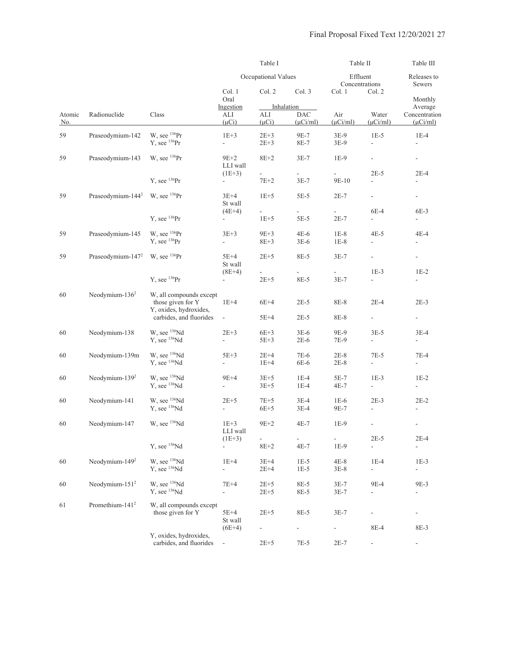|               |                               | Table I                                                                |                                    |                         | Table II                                  |                          | Table III                          |                                           |
|---------------|-------------------------------|------------------------------------------------------------------------|------------------------------------|-------------------------|-------------------------------------------|--------------------------|------------------------------------|-------------------------------------------|
|               |                               |                                                                        |                                    | Occupational Values     |                                           | Effluent                 | Concentrations                     | Releases to<br>Sewers                     |
|               |                               |                                                                        | Col. 1<br>Oral                     | Col. 2                  | Col. 3                                    | Col. 1                   | Col. 2                             | Monthly                                   |
| Atomic<br>No. | Radionuclide                  | Class                                                                  | Ingestion<br>ALI<br>$(\mu Ci)$     | ALI<br>$(\mu Ci)$       | Inhalation<br><b>DAC</b><br>$(\mu$ Ci/ml) | Air<br>$(\mu$ Ci/ml)     | Water<br>$(\mu$ Ci/ml)             | Average<br>Concentration<br>$(\mu$ Ci/ml) |
| 59            | Praseodymium-142              | W, see $^{136}Pr$<br>$Y$ , see $^{136}Pr$                              | $1E+3$<br>÷,                       | $2E+3$<br>$2E + 3$      | 9E-7<br>8E-7                              | $3E-9$<br>$3E-9$         | $1E-5$<br>$\frac{1}{2}$            | $1E-4$                                    |
| 59            | Praseodymium-143              | W, see $^{136}Pr$                                                      | $9E+2$<br>LLI wall                 | $8E+2$                  | $3E-7$                                    | $1E-9$                   | $\overline{\phantom{a}}$           | $\overline{\phantom{a}}$                  |
|               |                               | Y, see $^{136}Pr$                                                      | $(1E+3)$<br>$\sim$                 | $\frac{1}{2}$<br>$7E+2$ | $\overline{\phantom{a}}$<br>$3E-7$        | 9E-10                    | $2E-5$<br>$\blacksquare$           | $2E-4$<br>$\overline{\phantom{a}}$        |
| 59            | Praseodymium-144 <sup>2</sup> | W, see $^{136}Pr$                                                      | $3E+4$<br>St wall                  | $1E+5$                  | $5E-5$                                    | $2E-7$                   | $\overline{\phantom{a}}$           | $\overline{\phantom{a}}$                  |
|               |                               | $Y$ , see $^{136}Pr$                                                   | $(4E+4)$<br>$\frac{1}{2}$          | L,<br>$1E+5$            | ÷.<br>$5E-5$                              | $2E-7$                   | 6E-4<br>÷,                         | $6E-3$<br>$\overline{\phantom{a}}$        |
| 59            | Praseodymium-145              | W, see $^{136}Pr$<br>$Y$ , see $^{136}Pr$                              | $3E+3$<br>÷,                       | $9E+3$<br>$8E + 3$      | $4E-6$<br>$3E-6$                          | $1E-8$<br>$1E-8$         | $4E-5$<br>$\overline{\phantom{a}}$ | 4E-4                                      |
| 59            | Praseodymium-147 <sup>2</sup> | W, see $^{136}Pr$                                                      | $5E+4$<br>St wall                  | $2E+5$                  | 8E-5                                      | $3E-7$                   | $\frac{1}{2}$                      | $\overline{\phantom{a}}$                  |
|               |                               | $Y$ , see $^{136}Pr$                                                   | $(8E+4)$<br>$\blacksquare$         | $2E + 5$                | $\frac{1}{2}$<br>8E-5                     | $3E-7$                   | $1E-3$<br>$\overline{\phantom{a}}$ | $1E-2$<br>$\overline{\phantom{a}}$        |
| 60            | Neodymium- $1362$             | W, all compounds except<br>those given for Y<br>Y, oxides, hydroxides, | $1E+4$                             | $6E+4$                  | $2E-5$                                    | 8E-8                     | $2E-4$                             | $2E-3$                                    |
|               |                               | carbides, and fluorides                                                | ÷.                                 | 5E+4                    | $2E-5$                                    | 8E-8                     | ÷,                                 | $\blacksquare$                            |
| 60            | Neodymium-138                 | W, see <sup>136</sup> Nd<br>Y, see <sup>136</sup> Nd                   | $2E + 3$<br>÷,                     | $6E+3$<br>5E+3          | $3E-6$<br>$2E-6$                          | 9E-9<br>7E-9             | $3E-5$<br>$\overline{\phantom{a}}$ | $3E-4$<br>$\overline{\phantom{a}}$        |
| 60            | Neodymium-139m                | W, see <sup>136</sup> Nd<br>$Y$ , see $136$ Nd                         | $5E+3$<br>$\blacksquare$           | $2E+4$<br>$1E+4$        | 7E-6<br>6E-6                              | $2E-8$<br>$2E-8$         | 7E-5<br>$\overline{\phantom{a}}$   | 7E-4<br>$\overline{\phantom{a}}$          |
| 60            | Neodymium-139 <sup>2</sup>    | W, see <sup>136</sup> Nd<br>$Y$ , see $136$ Nd                         | $9E+4$<br>$\overline{\phantom{0}}$ | $3E+5$<br>$3E+5$        | $1E-4$<br>$1E-4$                          | 5E-7<br>4E-7             | $1E-3$<br>$\overline{\phantom{a}}$ | $1E-2$<br>$\overline{\phantom{a}}$        |
| 60            | Neodymium-141                 | W, see $^{136}Nd$<br>$Y$ , see $136$ Nd                                | $2E+5$<br>÷,                       | $7E+5$<br>$6E+5$        | $3E-4$<br>$3E-4$                          | $1E-6$<br>9E-7           | $2E-3$<br>$\overline{\phantom{a}}$ | $2E-2$<br>$\overline{\phantom{a}}$        |
| 60            | Neodymium-147                 | W, see <sup>136</sup> Nd                                               | $1E+3$<br>LLI wall                 | $9E+2$                  | $4E-7$                                    | $1E-9$                   | $\overline{\phantom{a}}$           | $\overline{\phantom{a}}$                  |
|               |                               | Y, see <sup>136</sup> Nd                                               | $(1E+3)$<br>÷,                     | ÷,<br>$8E+2$            | $4E-7$                                    | ÷,<br>$1E-9$             | $2E-5$<br>$\overline{\phantom{a}}$ | $2E-4$                                    |
| 60            | Neodymium-149 <sup>2</sup>    | W, see <sup>136</sup> Nd<br>Y, see <sup>136</sup> Nd                   | $1E+4$<br>4                        | $3E+4$<br>$2E+4$        | $1E-5$<br>$1E-5$                          | $4E-8$<br>$3E-8$         | $1E-4$<br>$\overline{\phantom{a}}$ | $1E-3$<br>$\overline{\phantom{0}}$        |
| 60            | Neodymium-151 <sup>2</sup>    | W, see <sup>136</sup> Nd<br>Y, see <sup>136</sup> Nd                   | $7E+4$<br>$\overline{\phantom{a}}$ | $2E+5$<br>$2E + 5$      | 8E-5<br>8E-5                              | $3E-7$<br>$3E-7$         | 9E-4<br>$\frac{1}{2}$              | 9E-3<br>÷,                                |
| 61            | Promethium-141 <sup>2</sup>   | W, all compounds except<br>those given for Y                           | $5E+4$<br>St wall                  | $2E + 5$                | 8E-5                                      | $3E-7$                   |                                    | ÷,                                        |
|               |                               | Y, oxides, hydroxides,                                                 | $(6E+4)$                           |                         | $\blacksquare$                            | $\overline{\phantom{a}}$ | 8E-4                               | 8E-3                                      |
|               |                               | carbides, and fluorides                                                | $\Box$                             | $2E + 5$                | 7E-5                                      | $2E-7$                   |                                    | $\overline{\phantom{a}}$                  |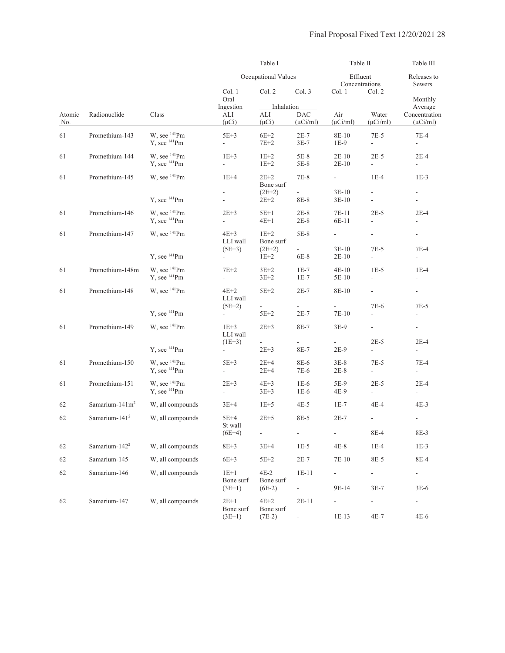|               |                            |                                                      |                                    | Table I                         |                                        | Table II                          |                                            | Table III                                                                                                                                                                                                                                                                                                                                                                       |
|---------------|----------------------------|------------------------------------------------------|------------------------------------|---------------------------------|----------------------------------------|-----------------------------------|--------------------------------------------|---------------------------------------------------------------------------------------------------------------------------------------------------------------------------------------------------------------------------------------------------------------------------------------------------------------------------------------------------------------------------------|
|               |                            |                                                      |                                    | Occupational Values             |                                        | Effluent<br>Concentrations        |                                            | Releases to<br>Sewers                                                                                                                                                                                                                                                                                                                                                           |
|               |                            |                                                      | Col. 1<br>Oral                     | Col. 2                          | Col. 3                                 | Col. 1                            | Col. 2                                     | Monthly                                                                                                                                                                                                                                                                                                                                                                         |
| Atomic<br>No. | Radionuclide               | Class                                                | Ingestion<br>ALI<br>$(\mu Ci)$     | Inhalation<br>ALI<br>$(\mu Ci)$ | <b>DAC</b><br>$(\mu$ Ci/ml)            | Air<br>$(\mu$ Ci/ml)              | Water<br>$(\mu Ci/ml)$                     | Average<br>Concentration<br>$(\mu$ Ci/ml)<br>$7E-4$<br>L.<br>$2E-4$<br>$\sim$<br>$1E-3$<br>$\blacksquare$<br>$2E-4$<br>$\overline{\phantom{a}}$<br>$\Box$<br>$7E-4$<br>$\overline{\phantom{a}}$<br>$1E-4$<br>$\overline{\phantom{a}}$<br>÷,<br>$7E-5$<br>$\overline{\phantom{a}}$<br>$2E-4$<br>$\overline{\phantom{a}}$<br>$7E-4$<br>$\blacksquare$<br>$2E-4$<br>$\sim$<br>4E-3 |
| 61            | Promethium-143             | W, see <sup>141</sup> Pm<br>Y, see <sup>141</sup> Pm | $5E+3$<br>ä,                       | $6E+2$<br>$7E+2$                | $2E-7$<br>$3E-7$                       | 8E-10<br>$1E-9$                   | $7E-5$<br>$\mathbb{L}$                     |                                                                                                                                                                                                                                                                                                                                                                                 |
| 61            | Promethium-144             | W, see <sup>141</sup> Pm<br>$Y$ , see $^{141}$ Pm    | $1E+3$<br>$\overline{\phantom{a}}$ | $1E+2$<br>$1E+2$                | $5E-8$<br>5E-8                         | $2E-10$<br>$2E-10$                | $2E-5$<br>$\overline{\phantom{a}}$         |                                                                                                                                                                                                                                                                                                                                                                                 |
| 61            | Promethium-145             | W, see <sup>141</sup> Pm                             | $1E+4$                             | $2E+2$<br>Bone surf             | 7E-8                                   | $\overline{\phantom{a}}$          | $1E-4$                                     |                                                                                                                                                                                                                                                                                                                                                                                 |
|               |                            | $Y$ , see $^{141}$ Pm                                | -<br>L,                            | $(2E+2)$<br>$2E+2$              | 8E-8                                   | $3E-10$<br>$3E-10$                | $\overline{\phantom{a}}$<br>$\blacksquare$ |                                                                                                                                                                                                                                                                                                                                                                                 |
| 61            | Promethium-146             | W. see <sup>141</sup> Pm<br>$Y$ , see $^{141}$ Pm    | $2E+3$<br>÷,                       | $5E+1$<br>$4E+1$                | $2E-8$<br>$2E-8$                       | 7E-11<br>6E-11                    | $2E-5$<br>÷,                               |                                                                                                                                                                                                                                                                                                                                                                                 |
| 61            | Promethium-147             | W, see <sup>141</sup> Pm                             | $4E+3$<br>LLI wall                 | $1E+2$<br>Bone surf             | $5E-8$                                 | $\overline{\phantom{a}}$          | ÷,                                         |                                                                                                                                                                                                                                                                                                                                                                                 |
|               |                            | $Y$ , see $^{141}$ Pm                                | $(5E+3)$                           | $(2E+2)$<br>$1E+2$              | $\sim$<br>6E-8                         | $3E-10$<br>$2E-10$                | $7E-5$<br>$\overline{\phantom{a}}$         |                                                                                                                                                                                                                                                                                                                                                                                 |
| 61            | Promethium-148m            | W, see $^{141}$ Pm<br>$Y$ , see $^{141}$ Pm          | $7E+2$<br>÷,                       | $3E+2$<br>$3E+2$                | $1E-7$<br>$1E-7$                       | $4E-10$<br>5E-10                  | $1E-5$<br>$\overline{\phantom{a}}$         |                                                                                                                                                                                                                                                                                                                                                                                 |
| 61            | Promethium-148             | W, see <sup>141</sup> Pm                             | $4E+2$<br>LLI wall                 | $5E+2$                          | $2E-7$                                 | 8E-10                             | $\overline{\phantom{a}}$                   |                                                                                                                                                                                                                                                                                                                                                                                 |
|               |                            | $Y.$ see $^{141}$ Pm                                 | $(5E+2)$<br>$\blacksquare$         | $5E+2$                          | $2E-7$                                 | 7E-10                             | 7E-6<br>$\overline{\phantom{a}}$           |                                                                                                                                                                                                                                                                                                                                                                                 |
| 61            | Promethium-149             | W, see <sup>141</sup> Pm                             | $1E+3$<br>LLI wall                 | $2E + 3$                        | 8E-7                                   | $3E-9$                            | $\overline{\phantom{a}}$                   |                                                                                                                                                                                                                                                                                                                                                                                 |
|               |                            | $Y$ , see $^{141}$ Pm                                | $(1E+3)$<br>$\sim$                 | $\frac{1}{2}$<br>$2E + 3$       | ÷.<br>8E-7                             | $2E-9$                            | $2E-5$<br>$\overline{\phantom{a}}$         |                                                                                                                                                                                                                                                                                                                                                                                 |
| 61            | Promethium-150             | W, see <sup>141</sup> Pm<br>Y, see <sup>141</sup> Pm | $5E+3$<br>÷,                       | $2E+4$<br>$2E + 4$              | 8E-6<br>7E-6                           | $3E-8$<br>$2E-8$                  | $7E-5$<br>÷,                               |                                                                                                                                                                                                                                                                                                                                                                                 |
| 61            | Promethium-151             | W, see <sup>141</sup> Pm<br>$Y$ , see $^{141}$ Pm    | $2E+3$<br>÷.                       | $4E+3$<br>$3E+3$                | $1E-6$<br>$1E-6$                       | 5E-9<br>4E-9                      | $2E-5$<br>$\overline{\phantom{a}}$         |                                                                                                                                                                                                                                                                                                                                                                                 |
| 62            | Samarium-141m <sup>2</sup> | W, all compounds                                     | $3E+4$                             | $1E+5$                          | $4E-5$                                 | $1E-7$                            | 4E-4                                       |                                                                                                                                                                                                                                                                                                                                                                                 |
| 62            | Samarium-141 <sup>2</sup>  | W, all compounds                                     | $5E+4$<br>St wall                  | $2E+5$                          | 8E-5                                   | $2E-7$                            |                                            | $\overline{\phantom{a}}$                                                                                                                                                                                                                                                                                                                                                        |
|               |                            |                                                      | $(6E+4)$                           | ÷,                              | $\Box$                                 | $\Box$                            | 8E-4                                       | $8E-3$                                                                                                                                                                                                                                                                                                                                                                          |
| 62            | Samarium-142 <sup>2</sup>  | W, all compounds                                     | $8E+3$                             | $3E+4$                          | $1E-5$                                 | $4E-8$                            | $1E-4$                                     | $1E-3$                                                                                                                                                                                                                                                                                                                                                                          |
| 62            | Samarium-145               | W, all compounds                                     | $6E+3$                             | $5E+2$                          | $2E-7$                                 | 7E-10                             | 8E-5                                       | 8E-4                                                                                                                                                                                                                                                                                                                                                                            |
| 62            | Samarium-146               | W, all compounds                                     | $1E+1$<br>Bone surf<br>$(3E+1)$    | $4E-2$<br>Bone surf<br>$(6E-2)$ | $1E-11$<br>$\mathcal{L}_{\mathcal{A}}$ | $\overline{\phantom{0}}$<br>9E-14 | ÷<br>$3E-7$                                | -<br>$3E-6$                                                                                                                                                                                                                                                                                                                                                                     |
| 62            | Samarium-147               | W, all compounds                                     | $2E+1$<br>Bone surf<br>$(3E+1)$    | $4E+2$<br>Bone surf<br>$(7E-2)$ | $2E-11$<br>÷.                          | -<br>$1E-13$                      | $\qquad \qquad \blacksquare$<br>$4E-7$     | -<br>$4E-6$                                                                                                                                                                                                                                                                                                                                                                     |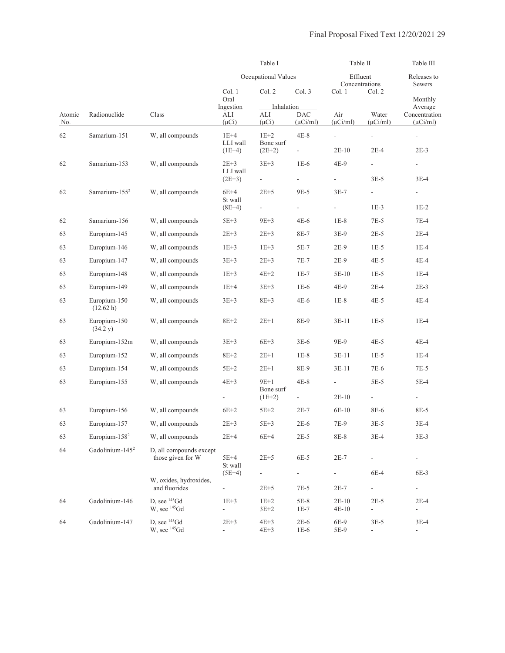|               |                             |                                                |                               | Table I             |                                                                                                                                                                                                                                                                                                                                                                                                                                                                                                                                                                                                                                                                                                                                     |                          |                                                                                                                                                                                                                                                                                                                                                                                                                                                                                                                                                                                                                                                                                                                                                                                                      | Table III                          |
|---------------|-----------------------------|------------------------------------------------|-------------------------------|---------------------|-------------------------------------------------------------------------------------------------------------------------------------------------------------------------------------------------------------------------------------------------------------------------------------------------------------------------------------------------------------------------------------------------------------------------------------------------------------------------------------------------------------------------------------------------------------------------------------------------------------------------------------------------------------------------------------------------------------------------------------|--------------------------|------------------------------------------------------------------------------------------------------------------------------------------------------------------------------------------------------------------------------------------------------------------------------------------------------------------------------------------------------------------------------------------------------------------------------------------------------------------------------------------------------------------------------------------------------------------------------------------------------------------------------------------------------------------------------------------------------------------------------------------------------------------------------------------------------|------------------------------------|
|               |                             |                                                |                               | Occupational Values |                                                                                                                                                                                                                                                                                                                                                                                                                                                                                                                                                                                                                                                                                                                                     |                          | Table II<br>Effluent<br>Releases to<br>Concentrations<br>Sewers<br>Col. 2<br>Monthly<br>Average<br>Water<br>Concentration<br>$(\mu$ Ci/ml)<br>$(\mu$ Ci/ml $)$<br>÷,<br>$\overline{\phantom{a}}$<br>$2E-4$<br>$2E-3$<br>$\overline{\phantom{a}}$<br>$\overline{\phantom{a}}$<br>$3E-5$<br>$3E-4$<br>$\overline{\phantom{a}}$<br>$1E-3$<br>$1E-2$<br>$7E-5$<br>$7E-4$<br>$2E-5$<br>$2E-4$<br>$1E-5$<br>$1E-4$<br>$4E-5$<br>$4E-4$<br>$1E-5$<br>$1E-4$<br>$2E-4$<br>$2E-3$<br>$4E-5$<br>$4E-4$<br>$1E-5$<br>$1E-4$<br>$4E-5$<br>4E-4<br>$1E-5$<br>$1E-4$<br>7E-6<br>$7E-5$<br>$5E-5$<br>$5E-4$<br>$\overline{\phantom{a}}$<br>$\overline{\phantom{a}}$<br>8E-6<br>8E-5<br>$3E-5$<br>$3E-4$<br>$3E-4$<br>$3E-3$<br>$\overline{\phantom{a}}$<br>$\qquad \qquad \blacksquare$<br>6E-4<br>6E-3<br>÷,<br>÷, |                                    |
|               |                             |                                                | Col. 1<br>Oral                | Col. 2              | Col. 3<br>Col. 1<br>Inhalation<br>DAC<br>Air<br>ALI<br>$(\mu Ci)$<br>$(\mu$ Ci/ml)<br>$(\mu Ci/ml)$<br>$4E-8$<br>$1E+2$<br>$\blacksquare$<br>Bone surf<br>$(2E+2)$<br>$2E-10$<br>$\overline{\phantom{a}}$<br>$3E+3$<br>$1E-6$<br>4E-9<br>$\blacksquare$<br>$2E+5$<br>9E-5<br>$3E-7$<br>$\blacksquare$<br>$9E+3$<br>$4E-6$<br>$1E-8$<br>$2E + 3$<br>8E-7<br>$3E-9$<br>$1E+3$<br>5E-7<br>$2E-9$<br>$2E + 3$<br>$7E-7$<br>$2E-9$<br>$4E+2$<br>$1E-7$<br>5E-10<br>$3E+3$<br>$1E-6$<br>4E-9<br>$8E+3$<br>$4E-6$<br>$1E-8$<br>$2E+1$<br>8E-9<br>$3E-11$<br>$6E+3$<br>$3E-6$<br>9E-9<br>$2E+1$<br>$1E-8$<br>$3E-11$<br>$2E+1$<br>8E-9<br>$3E-11$<br>$9E+1$<br>$4E-8$<br>÷,<br>Bone surf<br>$2E-10$<br>$(1E+2)$<br>$\overline{\phantom{a}}$ |                          |                                                                                                                                                                                                                                                                                                                                                                                                                                                                                                                                                                                                                                                                                                                                                                                                      |                                    |
|               |                             |                                                | Ingestion                     |                     |                                                                                                                                                                                                                                                                                                                                                                                                                                                                                                                                                                                                                                                                                                                                     |                          |                                                                                                                                                                                                                                                                                                                                                                                                                                                                                                                                                                                                                                                                                                                                                                                                      |                                    |
| Atomic<br>No. | Radionuclide                | Class                                          | ALI<br>$(\mu Ci)$             |                     |                                                                                                                                                                                                                                                                                                                                                                                                                                                                                                                                                                                                                                                                                                                                     |                          |                                                                                                                                                                                                                                                                                                                                                                                                                                                                                                                                                                                                                                                                                                                                                                                                      | $2E-4$                             |
| 62            | Samarium-151                | W, all compounds                               | $1E+4$<br>LLI wall            |                     |                                                                                                                                                                                                                                                                                                                                                                                                                                                                                                                                                                                                                                                                                                                                     |                          |                                                                                                                                                                                                                                                                                                                                                                                                                                                                                                                                                                                                                                                                                                                                                                                                      |                                    |
|               |                             |                                                | $(1E+4)$                      |                     |                                                                                                                                                                                                                                                                                                                                                                                                                                                                                                                                                                                                                                                                                                                                     |                          |                                                                                                                                                                                                                                                                                                                                                                                                                                                                                                                                                                                                                                                                                                                                                                                                      |                                    |
| 62            | Samarium-153                | W, all compounds                               | $2E+3$<br>LLI wall            |                     |                                                                                                                                                                                                                                                                                                                                                                                                                                                                                                                                                                                                                                                                                                                                     |                          |                                                                                                                                                                                                                                                                                                                                                                                                                                                                                                                                                                                                                                                                                                                                                                                                      |                                    |
|               |                             |                                                | $(2E+3)$                      |                     |                                                                                                                                                                                                                                                                                                                                                                                                                                                                                                                                                                                                                                                                                                                                     |                          |                                                                                                                                                                                                                                                                                                                                                                                                                                                                                                                                                                                                                                                                                                                                                                                                      |                                    |
| 62            | Samarium-155 <sup>2</sup>   | W, all compounds                               | $6E+4$<br>St wall             |                     |                                                                                                                                                                                                                                                                                                                                                                                                                                                                                                                                                                                                                                                                                                                                     |                          |                                                                                                                                                                                                                                                                                                                                                                                                                                                                                                                                                                                                                                                                                                                                                                                                      |                                    |
|               |                             |                                                | $(8E+4)$                      |                     |                                                                                                                                                                                                                                                                                                                                                                                                                                                                                                                                                                                                                                                                                                                                     |                          |                                                                                                                                                                                                                                                                                                                                                                                                                                                                                                                                                                                                                                                                                                                                                                                                      |                                    |
| 62            | Samarium-156                | W, all compounds                               | $5E+3$                        |                     |                                                                                                                                                                                                                                                                                                                                                                                                                                                                                                                                                                                                                                                                                                                                     |                          |                                                                                                                                                                                                                                                                                                                                                                                                                                                                                                                                                                                                                                                                                                                                                                                                      |                                    |
| 63            | Europium-145                | W, all compounds                               | $2E+3$                        |                     |                                                                                                                                                                                                                                                                                                                                                                                                                                                                                                                                                                                                                                                                                                                                     |                          |                                                                                                                                                                                                                                                                                                                                                                                                                                                                                                                                                                                                                                                                                                                                                                                                      |                                    |
| 63            | Europium-146                | W, all compounds                               | $1E+3$                        |                     |                                                                                                                                                                                                                                                                                                                                                                                                                                                                                                                                                                                                                                                                                                                                     |                          |                                                                                                                                                                                                                                                                                                                                                                                                                                                                                                                                                                                                                                                                                                                                                                                                      |                                    |
| 63            | Europium-147                | W, all compounds                               | $3E+3$                        |                     |                                                                                                                                                                                                                                                                                                                                                                                                                                                                                                                                                                                                                                                                                                                                     |                          |                                                                                                                                                                                                                                                                                                                                                                                                                                                                                                                                                                                                                                                                                                                                                                                                      |                                    |
| 63            | Europium-148                | W, all compounds                               | $1E+3$                        |                     |                                                                                                                                                                                                                                                                                                                                                                                                                                                                                                                                                                                                                                                                                                                                     |                          |                                                                                                                                                                                                                                                                                                                                                                                                                                                                                                                                                                                                                                                                                                                                                                                                      |                                    |
| 63            | Europium-149                | W, all compounds                               | $1E+4$                        |                     |                                                                                                                                                                                                                                                                                                                                                                                                                                                                                                                                                                                                                                                                                                                                     |                          |                                                                                                                                                                                                                                                                                                                                                                                                                                                                                                                                                                                                                                                                                                                                                                                                      |                                    |
| 63            | Europium-150<br>(12.62 h)   | W, all compounds                               | $3E+3$                        |                     |                                                                                                                                                                                                                                                                                                                                                                                                                                                                                                                                                                                                                                                                                                                                     |                          |                                                                                                                                                                                                                                                                                                                                                                                                                                                                                                                                                                                                                                                                                                                                                                                                      |                                    |
| 63            | Europium-150<br>(34.2 y)    | W, all compounds                               | $8E+2$                        |                     |                                                                                                                                                                                                                                                                                                                                                                                                                                                                                                                                                                                                                                                                                                                                     |                          |                                                                                                                                                                                                                                                                                                                                                                                                                                                                                                                                                                                                                                                                                                                                                                                                      |                                    |
| 63            | Europium-152m               | W, all compounds                               | $3E+3$                        |                     |                                                                                                                                                                                                                                                                                                                                                                                                                                                                                                                                                                                                                                                                                                                                     |                          |                                                                                                                                                                                                                                                                                                                                                                                                                                                                                                                                                                                                                                                                                                                                                                                                      |                                    |
| 63            | Europium-152                | W, all compounds                               | $8E+2$                        |                     |                                                                                                                                                                                                                                                                                                                                                                                                                                                                                                                                                                                                                                                                                                                                     |                          |                                                                                                                                                                                                                                                                                                                                                                                                                                                                                                                                                                                                                                                                                                                                                                                                      |                                    |
| 63            | Europium-154                | W, all compounds                               | 5E+2                          |                     |                                                                                                                                                                                                                                                                                                                                                                                                                                                                                                                                                                                                                                                                                                                                     |                          |                                                                                                                                                                                                                                                                                                                                                                                                                                                                                                                                                                                                                                                                                                                                                                                                      |                                    |
| 63            | Europium-155                | W, all compounds                               | $4E+3$                        |                     |                                                                                                                                                                                                                                                                                                                                                                                                                                                                                                                                                                                                                                                                                                                                     |                          |                                                                                                                                                                                                                                                                                                                                                                                                                                                                                                                                                                                                                                                                                                                                                                                                      |                                    |
|               |                             |                                                | -                             |                     |                                                                                                                                                                                                                                                                                                                                                                                                                                                                                                                                                                                                                                                                                                                                     |                          |                                                                                                                                                                                                                                                                                                                                                                                                                                                                                                                                                                                                                                                                                                                                                                                                      |                                    |
| 63            | Europium-156                | W, all compounds                               | $6E+2$                        | $5E+2$              | $2E-7$                                                                                                                                                                                                                                                                                                                                                                                                                                                                                                                                                                                                                                                                                                                              | 6E-10                    |                                                                                                                                                                                                                                                                                                                                                                                                                                                                                                                                                                                                                                                                                                                                                                                                      |                                    |
| 63            | Europium-157                | W, all compounds                               | $2E+3$                        | $5E+3$              | $2E-6$                                                                                                                                                                                                                                                                                                                                                                                                                                                                                                                                                                                                                                                                                                                              | 7E-9                     |                                                                                                                                                                                                                                                                                                                                                                                                                                                                                                                                                                                                                                                                                                                                                                                                      |                                    |
| 63            | Europium-158 <sup>2</sup>   | W, all compounds                               | $2E+4$                        | $6E+4$              | $2E-5$                                                                                                                                                                                                                                                                                                                                                                                                                                                                                                                                                                                                                                                                                                                              | 8E-8                     |                                                                                                                                                                                                                                                                                                                                                                                                                                                                                                                                                                                                                                                                                                                                                                                                      |                                    |
| 64            | Gadolinium-145 <sup>2</sup> | D, all compounds except                        |                               |                     |                                                                                                                                                                                                                                                                                                                                                                                                                                                                                                                                                                                                                                                                                                                                     |                          |                                                                                                                                                                                                                                                                                                                                                                                                                                                                                                                                                                                                                                                                                                                                                                                                      |                                    |
|               |                             | those given for W                              | $5E+4$<br>St wall<br>$(5E+4)$ | $2E+5$              | 6E-5<br>$\frac{1}{2}$                                                                                                                                                                                                                                                                                                                                                                                                                                                                                                                                                                                                                                                                                                               | $2E-7$<br>$\blacksquare$ |                                                                                                                                                                                                                                                                                                                                                                                                                                                                                                                                                                                                                                                                                                                                                                                                      |                                    |
|               |                             | W, oxides, hydroxides,<br>and fluorides        | $\blacksquare$                | $2E+5$              | $7E-5$                                                                                                                                                                                                                                                                                                                                                                                                                                                                                                                                                                                                                                                                                                                              | $2E-7$                   |                                                                                                                                                                                                                                                                                                                                                                                                                                                                                                                                                                                                                                                                                                                                                                                                      |                                    |
| 64            | Gadolinium-146              | D, see $^{145}$ Gd<br>W, see <sup>145</sup> Gd | $1E+3$<br>÷,                  | $1E+2$<br>$3E+2$    | $5E-8$<br>$1E-7$                                                                                                                                                                                                                                                                                                                                                                                                                                                                                                                                                                                                                                                                                                                    | $2E-10$<br>$4E-10$       | $2E-5$<br>$\Box$                                                                                                                                                                                                                                                                                                                                                                                                                                                                                                                                                                                                                                                                                                                                                                                     | $\overline{\phantom{0}}$           |
| 64            | Gadolinium-147              | D, see $^{145}$ Gd<br>W, see <sup>145</sup> Gd | $2E+3$<br>÷,                  | $4E+3$<br>$4E+3$    | $2E-6$<br>$1E-6$                                                                                                                                                                                                                                                                                                                                                                                                                                                                                                                                                                                                                                                                                                                    | 6E-9<br>5E-9             | $3E-5$<br>$\overline{\phantom{a}}$                                                                                                                                                                                                                                                                                                                                                                                                                                                                                                                                                                                                                                                                                                                                                                   | $3E-4$<br>$\overline{\phantom{a}}$ |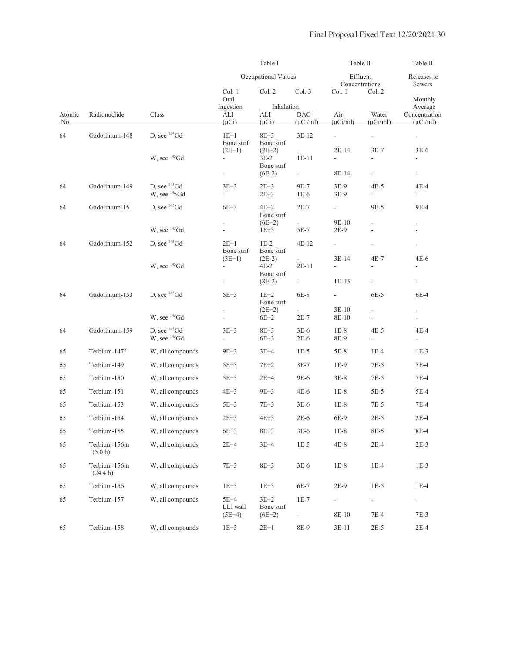|                      |                          |                          |                                | Table I               |                                    | Table II                 |                          | Table III                                                |
|----------------------|--------------------------|--------------------------|--------------------------------|-----------------------|------------------------------------|--------------------------|--------------------------|----------------------------------------------------------|
|                      |                          |                          |                                | Occupational Values   |                                    | Effluent                 | Concentrations           | Releases to<br><b>Sewers</b>                             |
|                      |                          |                          | Col. 1<br>Oral                 | Col. 2                | Col. 3                             | Col. 1                   | Col. 2                   | Monthly                                                  |
|                      |                          |                          | Ingestion                      | Inhalation            |                                    |                          |                          | Average                                                  |
| Atomic<br><u>No.</u> | Radionuclide             | Class                    | ALI<br>$(\mu Ci)$              | ALI<br>$(\mu Ci)$     | <b>DAC</b><br>$(\mu$ Ci/ml)        | Air<br>$(\mu$ Ci/ml)     | Water<br>$(\mu$ Ci/ml)   | Concentration<br>$(\mu$ Ci/ml)                           |
| 64                   | Gadolinium-148           | D, see $^{145}$ Gd       | $1E+1$                         | $8E+3$                | $3E-12$                            | $\blacksquare$           | $\blacksquare$           | $\overline{\phantom{a}}$                                 |
|                      |                          |                          | Bone surf<br>$(2E+1)$          | Bone surf<br>$(2E+2)$ | $\mathcal{L}_{\mathcal{A}}$        | $2E-14$                  | $3E-7$                   | $3E-6$                                                   |
|                      |                          | W, see $^{145}$ Gd       | $\overline{\phantom{0}}$       | $3E-2$                | $1E-11$                            |                          | $\overline{\phantom{a}}$ | L,                                                       |
|                      |                          |                          | ÷,                             | Bone surf<br>$(6E-2)$ | $\sim$                             | 8E-14                    | $\overline{\phantom{a}}$ | $\sim$                                                   |
| 64                   | Gadolinium-149           | D, see $^{145}$ Gd       | $3E+3$                         | $2E+3$                | 9E-7                               | $3E-9$                   | $4E-5$                   | 4E-4                                                     |
|                      |                          | W, see ${}^{14}$ 5Gd     | $\overline{\phantom{0}}$       | $2E + 3$              | $1E-6$                             | 3E-9                     | ÷,                       | $\blacksquare$                                           |
| 64                   | Gadolinium-151           | D, see $^{145}$ Gd       | $6E+3$                         | $4E+2$                | $2E-7$                             | $\overline{\phantom{a}}$ | 9E-5                     | 9E-4                                                     |
|                      |                          |                          |                                | Bone surf<br>$(6E+2)$ |                                    | 9E-10                    |                          |                                                          |
|                      |                          | W, see $^{145}$ Gd       |                                | $1E+3$                | 5E-7                               | $2E-9$                   |                          |                                                          |
| 64                   | Gadolinium-152           | D, see $^{145}$ Gd       | $2E+1$<br>Bone surf            | $1E-2$<br>Bone surf   | $4E-12$                            | ÷                        |                          | $\overline{\phantom{a}}$                                 |
|                      |                          | W, see <sup>145</sup> Gd | $(3E+1)$                       | $(2E-2)$              | $\mathcal{L}_{\mathcal{A}}$        | $3E-14$                  | $4E-7$                   | $4E-6$<br>L,                                             |
|                      |                          |                          |                                | 4E-2<br>Bone surf     | $2E-11$                            |                          |                          |                                                          |
|                      |                          |                          | $\frac{1}{2}$                  | $(8E-2)$              |                                    | $1E-13$                  |                          | $\overline{\phantom{a}}$                                 |
| 64                   | Gadolinium-153           | D, see $^{145}$ Gd       | $5E+3$                         | $1E+2$<br>Bone surf   | $6E-8$                             | $\overline{\phantom{a}}$ | 6E-5                     | 6E-4                                                     |
|                      |                          | W, see $^{145}$ Gd       | $\overline{\phantom{0}}$<br>÷, | $(2E+2)$<br>$6E+2$    | $\overline{\phantom{0}}$<br>$2E-7$ | $3E-10$<br>8E-10         | ÷,                       | $\overline{\phantom{a}}$<br>$\qquad \qquad \blacksquare$ |
| 64                   | Gadolinium-159           | D, see $^{145}$ Gd       | $3E+3$                         | $8E+3$                | $3E-6$                             | $1E-8$                   | $4E-5$                   | 4E-4                                                     |
|                      |                          | W, see $^{145}$ Gd       | L,                             | $6E+3$                | $2E-6$                             | 8E-9                     | $\blacksquare$           | $\overline{\phantom{0}}$                                 |
| 65                   | Terbium-147 <sup>2</sup> | W, all compounds         | $9E+3$                         | $3E+4$                | $1E-5$                             | $5E-8$                   | $1E-4$                   | $1E-3$                                                   |
| 65                   | Terbium-149              | W, all compounds         | $5E+3$                         | $7E+2$                | $3E-7$                             | $1E-9$                   | $7E-5$                   | $7E-4$                                                   |
| 65                   | Terbium-150              | W, all compounds         | $5E+3$                         | $2E+4$                | 9E-6                               | $3E-8$                   | 7E-5                     | $7E-4$                                                   |
| 65                   | Terbium-151              | W, all compounds         | $4E+3$                         | $9E+3$                | $4E-6$                             | $1E-8$                   | 5E-5                     | 5E-4                                                     |
| 65                   | Terbium-153              | W, all compounds         | $5E+3$                         | $7E+3$                | $3E-6$                             | $1E-8$                   | $7E-5$                   | $7E-4$                                                   |
| 65                   | Terbium-154              | W, all compounds         | $2E+3$                         | $4E+3$                | $2E-6$                             | 6E-9                     | $2E-5$                   | $2E-4$                                                   |
| 65                   | Terbium-155              | W, all compounds         | $6E+3$                         | $8E + 3$              | $3E-6$                             | $1E-8$                   | 8E-5                     | 8E-4                                                     |
| 65                   | Terbium-156m<br>(5.0 h)  | W, all compounds         | $2E+4$                         | $3E+4$                | $1E-5$                             | $4E-8$                   | $2E-4$                   | $2E-3$                                                   |
| 65                   | Terbium-156m<br>(24.4 h) | W, all compounds         | $7E+3$                         | $8E + 3$              | $3E-6$                             | $1E-8$                   | $1E-4$                   | $1E-3$                                                   |
| 65                   | Terbium-156              | W, all compounds         | $1E+3$                         | $1E+3$                | 6E-7                               | $2E-9$                   | $1E-5$                   | $1E-4$                                                   |
| 65                   | Terbium-157              | W, all compounds         | $5E+4$<br>LLI wall             | $3E+2$<br>Bone surf   | $1E-7$                             | $\overline{\phantom{a}}$ | ÷                        | $\overline{\phantom{0}}$                                 |
|                      |                          |                          | $(5E+4)$                       | $(6E+2)$              | $\overline{\phantom{a}}$           | 8E-10                    | $7E-4$                   | $7E-3$                                                   |
| 65                   | Terbium-158              | W, all compounds         | $1E + 3$                       | $2E+1$                | 8E-9                               | $3E-11$                  | $2E-5$                   | $2E-4$                                                   |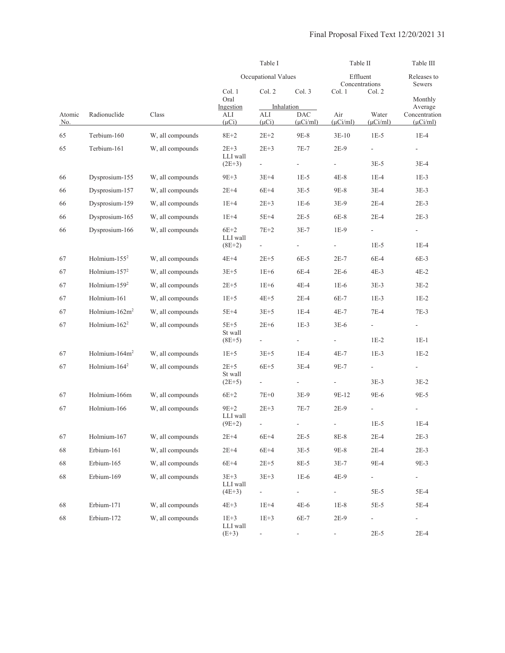|               |                          |                  |                      | Table I                      |                              |                      |                                                                                                                                                                                                                                                                                                                                                                                                                                                                                       | Table III<br>Releases to<br>Sewers<br>Monthly<br>Average<br>Concentration<br>$(\mu$ Ci/ml)<br>$1E-4$<br>$\overline{\phantom{a}}$<br>$3E-4$<br>$1E-3$<br>$3E-3$<br>$2E-3$<br>$2E-3$<br>$\frac{1}{2}$<br>$1E-4$<br>$6E-3$<br>$4E-2$<br>$3E-2$<br>$1E-2$<br>$7E-3$<br>$\overline{\phantom{0}}$<br>$1E-1$<br>$1E-2$<br>$\overline{\phantom{a}}$<br>$3E-2$<br>9E-5<br>$\overline{\phantom{a}}$ |
|---------------|--------------------------|------------------|----------------------|------------------------------|------------------------------|----------------------|---------------------------------------------------------------------------------------------------------------------------------------------------------------------------------------------------------------------------------------------------------------------------------------------------------------------------------------------------------------------------------------------------------------------------------------------------------------------------------------|-------------------------------------------------------------------------------------------------------------------------------------------------------------------------------------------------------------------------------------------------------------------------------------------------------------------------------------------------------------------------------------------|
|               |                          |                  |                      | Occupational Values          |                              |                      | Table II<br>Effluent<br>Concentrations<br>Col. 2<br>Water<br>$(\mu$ Ci/ml)<br>$1E-5$<br>$\overline{\phantom{a}}$<br>$3E-5$<br>$1E-4$<br>$3E-4$<br>$2E-4$<br>$2E-4$<br>$1E-5$<br>$6E-4$<br>$4E-3$<br>$3E-3$<br>$1E-3$<br>$7E-4$<br>÷,<br>$1E-2$<br>$1E-3$<br>-<br>$3E-3$<br>9E-6<br>$\overline{\phantom{a}}$<br>$1E-5$<br>$1E-4$<br>$2E-4$<br>$2E-3$<br>$2E-4$<br>$2E-3$<br>9E-4<br>9E-3<br>$\blacksquare$<br>$\sim$<br>$5E-5$<br>5E-4<br>$5E-5$<br>$5E-4$<br>$\overline{\phantom{0}}$ |                                                                                                                                                                                                                                                                                                                                                                                           |
|               |                          |                  | Col. 1<br>Oral       | Col. 2                       | Col. 3                       | Col. 1               |                                                                                                                                                                                                                                                                                                                                                                                                                                                                                       |                                                                                                                                                                                                                                                                                                                                                                                           |
|               |                          |                  | Ingestion            |                              | Inhalation                   |                      |                                                                                                                                                                                                                                                                                                                                                                                                                                                                                       |                                                                                                                                                                                                                                                                                                                                                                                           |
| Atomic<br>No. | Radionuclide             | Class            | ALI<br>$(\mu Ci)$    | ALI<br>$(\mu Ci)$            | <b>DAC</b><br>$(\mu$ Ci/ml)  | Air<br>$(\mu$ Ci/ml) |                                                                                                                                                                                                                                                                                                                                                                                                                                                                                       |                                                                                                                                                                                                                                                                                                                                                                                           |
| 65            | Terbium-160              | W, all compounds | $8E+2$               | $2E+2$                       | 9E-8                         | $3E-10$              |                                                                                                                                                                                                                                                                                                                                                                                                                                                                                       |                                                                                                                                                                                                                                                                                                                                                                                           |
| 65            | Terbium-161              | W, all compounds | $2E+3$               | $2E + 3$                     | $7E-7$                       | $2E-9$               |                                                                                                                                                                                                                                                                                                                                                                                                                                                                                       |                                                                                                                                                                                                                                                                                                                                                                                           |
|               |                          |                  | LLI wall<br>$(2E+3)$ | $\blacksquare$               | $\Box$                       | ÷,                   |                                                                                                                                                                                                                                                                                                                                                                                                                                                                                       | $2E-4$                                                                                                                                                                                                                                                                                                                                                                                    |
| 66            | Dysprosium-155           | W, all compounds | $9E+3$               | $3E+4$                       | $1E-5$                       | $4E-8$               |                                                                                                                                                                                                                                                                                                                                                                                                                                                                                       |                                                                                                                                                                                                                                                                                                                                                                                           |
| 66            | Dysprosium-157           | W, all compounds | $2E+4$               | $6E+4$                       | $3E-5$                       | 9E-8                 |                                                                                                                                                                                                                                                                                                                                                                                                                                                                                       |                                                                                                                                                                                                                                                                                                                                                                                           |
| 66            | Dysprosium-159           | W, all compounds | $1E+4$               | $2E + 3$                     | $1E-6$                       | $3E-9$               |                                                                                                                                                                                                                                                                                                                                                                                                                                                                                       |                                                                                                                                                                                                                                                                                                                                                                                           |
| 66            | Dysprosium-165           | W, all compounds | $1E+4$               | $5E+4$                       | $2E-5$                       | 6E-8                 |                                                                                                                                                                                                                                                                                                                                                                                                                                                                                       |                                                                                                                                                                                                                                                                                                                                                                                           |
| 66            | Dysprosium-166           | W, all compounds | $6E+2$               | $7E+2$                       | $3E-7$                       | $1E-9$               |                                                                                                                                                                                                                                                                                                                                                                                                                                                                                       |                                                                                                                                                                                                                                                                                                                                                                                           |
|               |                          |                  | LLI wall<br>$(8E+2)$ | $\blacksquare$               | $\Box$                       | ÷,                   |                                                                                                                                                                                                                                                                                                                                                                                                                                                                                       |                                                                                                                                                                                                                                                                                                                                                                                           |
| 67            | Holmium- $1552$          | W, all compounds | $4E+4$               | $2E+5$                       | 6E-5                         | $2E-7$               |                                                                                                                                                                                                                                                                                                                                                                                                                                                                                       |                                                                                                                                                                                                                                                                                                                                                                                           |
| 67            | Holmium- $1572$          | W, all compounds | $3E+5$               | $1E+6$                       | 6E-4                         | $2E-6$               |                                                                                                                                                                                                                                                                                                                                                                                                                                                                                       |                                                                                                                                                                                                                                                                                                                                                                                           |
| 67            | Holmium-159 <sup>2</sup> | W, all compounds | $2E+5$               | $1E+6$                       | $4E-4$                       | $1E-6$               |                                                                                                                                                                                                                                                                                                                                                                                                                                                                                       |                                                                                                                                                                                                                                                                                                                                                                                           |
| 67            | Holmium-161              | W, all compounds | $1E+5$               | $4E+5$                       | $2E-4$                       | $6E-7$               |                                                                                                                                                                                                                                                                                                                                                                                                                                                                                       |                                                                                                                                                                                                                                                                                                                                                                                           |
| 67            | Holmium- $162m2$         | W, all compounds | $5E+4$               | $3E+5$                       | $1E-4$                       | $4E-7$               |                                                                                                                                                                                                                                                                                                                                                                                                                                                                                       |                                                                                                                                                                                                                                                                                                                                                                                           |
| 67            | Holmium- $162^2$         | W, all compounds | $5E+5$<br>St wall    | $2E+6$                       | $1E-3$                       | $3E-6$               |                                                                                                                                                                                                                                                                                                                                                                                                                                                                                       |                                                                                                                                                                                                                                                                                                                                                                                           |
|               |                          |                  | $(8E+5)$             | $\overline{\phantom{a}}$     | ÷,                           |                      |                                                                                                                                                                                                                                                                                                                                                                                                                                                                                       |                                                                                                                                                                                                                                                                                                                                                                                           |
| 67            | Holmium- $164m2$         | W, all compounds | $1E+5$               | $3E+5$                       | $1E-4$                       | $4E-7$               |                                                                                                                                                                                                                                                                                                                                                                                                                                                                                       |                                                                                                                                                                                                                                                                                                                                                                                           |
| 67            | Holmium-164 <sup>2</sup> | W, all compounds | $2E+5$<br>St wall    | $6E+5$                       | $3E-4$                       | 9E-7                 |                                                                                                                                                                                                                                                                                                                                                                                                                                                                                       |                                                                                                                                                                                                                                                                                                                                                                                           |
|               |                          |                  | $(2E+5)$             | $\blacksquare$               | $\qquad \qquad \blacksquare$ | ÷                    |                                                                                                                                                                                                                                                                                                                                                                                                                                                                                       |                                                                                                                                                                                                                                                                                                                                                                                           |
| 67            | Holmium-166m             | W, all compounds | $6E+2$               | $7E+0$                       | $3E-9$                       | 9E-12                |                                                                                                                                                                                                                                                                                                                                                                                                                                                                                       |                                                                                                                                                                                                                                                                                                                                                                                           |
| 67            | Holmium-166              | W, all compounds | $9E+2$<br>LLI wall   | $2E + 3$                     | $7E-7$                       | $2E-9$               |                                                                                                                                                                                                                                                                                                                                                                                                                                                                                       |                                                                                                                                                                                                                                                                                                                                                                                           |
|               |                          |                  | $(9E+2)$             | $\qquad \qquad \blacksquare$ | ÷                            |                      |                                                                                                                                                                                                                                                                                                                                                                                                                                                                                       |                                                                                                                                                                                                                                                                                                                                                                                           |
| 67            | Holmium-167              | W, all compounds | $2E+4$               | $6E+4$                       | $2E-5$                       | $8E-8$               |                                                                                                                                                                                                                                                                                                                                                                                                                                                                                       |                                                                                                                                                                                                                                                                                                                                                                                           |
| 68            | Erbium-161               | W, all compounds | $2E+4$               | $6E+4$                       | $3E-5$                       | 9E-8                 |                                                                                                                                                                                                                                                                                                                                                                                                                                                                                       |                                                                                                                                                                                                                                                                                                                                                                                           |
| 68            | Erbium-165               | W, all compounds | $6E+4$               | $2E+5$                       | 8E-5                         | $3E-7$               |                                                                                                                                                                                                                                                                                                                                                                                                                                                                                       |                                                                                                                                                                                                                                                                                                                                                                                           |
| 68            | Erbium-169               | W, all compounds | $3E + 3$<br>LLI wall | $3E+3$                       | $1E-6$                       | 4E-9                 |                                                                                                                                                                                                                                                                                                                                                                                                                                                                                       |                                                                                                                                                                                                                                                                                                                                                                                           |
|               |                          |                  | $(4E+3)$             |                              | $\frac{1}{2}$                | ÷.                   |                                                                                                                                                                                                                                                                                                                                                                                                                                                                                       |                                                                                                                                                                                                                                                                                                                                                                                           |
| 68            | Erbium-171               | W, all compounds | $4E+3$               | $1E+4$                       | $4E-6$                       | $1E-8$               |                                                                                                                                                                                                                                                                                                                                                                                                                                                                                       |                                                                                                                                                                                                                                                                                                                                                                                           |
| 68            | Erbium-172               | W, all compounds | $1E+3$<br>LLI wall   | $1E+3$                       | 6E-7                         | 2E-9                 |                                                                                                                                                                                                                                                                                                                                                                                                                                                                                       |                                                                                                                                                                                                                                                                                                                                                                                           |
|               |                          |                  | $(E+3)$              |                              | $\overline{\phantom{a}}$     |                      | $2E-5$                                                                                                                                                                                                                                                                                                                                                                                                                                                                                |                                                                                                                                                                                                                                                                                                                                                                                           |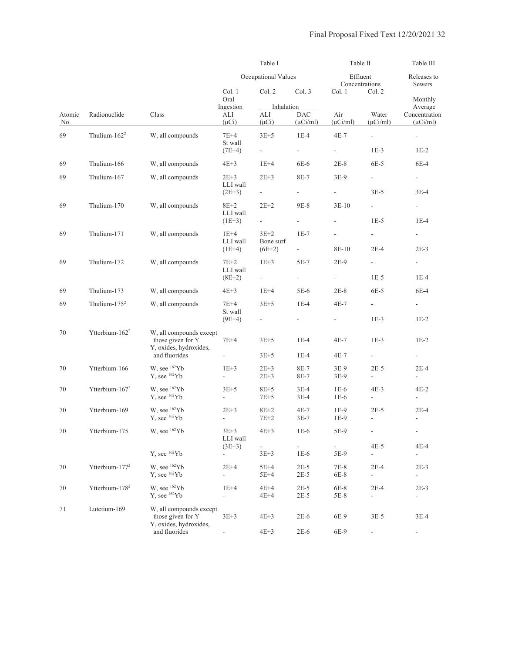|                      |                            |                                                                        |                                       | Table I                            |                                    |                                   |                                                                                                                                                                                                                                                                                                                                                                                                                                                                                                                                                                                                                                                                                                                                                                                                                                                                                                                                                                                                                                                                                                                              | Table III |
|----------------------|----------------------------|------------------------------------------------------------------------|---------------------------------------|------------------------------------|------------------------------------|-----------------------------------|------------------------------------------------------------------------------------------------------------------------------------------------------------------------------------------------------------------------------------------------------------------------------------------------------------------------------------------------------------------------------------------------------------------------------------------------------------------------------------------------------------------------------------------------------------------------------------------------------------------------------------------------------------------------------------------------------------------------------------------------------------------------------------------------------------------------------------------------------------------------------------------------------------------------------------------------------------------------------------------------------------------------------------------------------------------------------------------------------------------------------|-----------|
|                      |                            |                                                                        |                                       | Occupational Values                |                                    |                                   | Table II<br>Effluent<br>Releases to<br>Concentrations<br>Sewers<br>Col. 2<br>Monthly<br>Average<br>Water<br>Concentration<br>$(\mu$ Ci/ml)<br>$(\mu$ Ci/ml)<br>$\overline{\phantom{a}}$<br>$\overline{\phantom{a}}$<br>$1E-3$<br>$1E-2$<br>$6E-5$<br>$6E-4$<br>$\overline{\phantom{a}}$<br>$3E-5$<br>$3E-4$<br>$\sim$ 10 $\pm$<br>$\overline{\phantom{a}}$<br>$1E-5$<br>$1E-4$<br>$\sim$ 10 $\pm$<br>$\sim$<br>$2E-4$<br>$2E-3$<br>$\sim$<br>$\sim 100$<br>$1E-5$<br>$1E-4$<br>$6E-5$<br>6E-4<br>$\sim$ 10 $\pm$<br>$\sim$ 10 $\pm$<br>$1E-3$<br>$1E-2$<br>$1E-3$<br>$1E-2$<br>$\mathcal{L}_{\mathcal{A}}$<br>$\overline{\phantom{a}}$<br>$2E-5$<br>$2E-4$<br>$\overline{\phantom{a}}$<br>$\overline{\phantom{a}}$<br>$4E-3$<br>$4E-2$<br>$\overline{\phantom{a}}$<br>$\overline{\phantom{a}}$<br>$2E-5$<br>$2E-4$<br>$\blacksquare$<br>$\overline{\phantom{a}}$<br>$\overline{\phantom{a}}$<br>$\overline{\phantom{a}}$<br>$4E-5$<br>$4E-4$<br>÷.<br>$\overline{\phantom{a}}$<br>$2E-4$<br>$2E-3$<br>$\overline{\phantom{a}}$<br>$\overline{\phantom{a}}$<br>$2E-4$<br>$2E-3$<br>$\blacksquare$<br>$\overline{\phantom{a}}$ |           |
|                      |                            |                                                                        | Col. 1<br>Oral                        | Col. 2                             | Col. 3                             | Col. 1                            |                                                                                                                                                                                                                                                                                                                                                                                                                                                                                                                                                                                                                                                                                                                                                                                                                                                                                                                                                                                                                                                                                                                              |           |
| Atomic<br><u>No.</u> | Radionuclide               | Class                                                                  | Ingestion<br>ALI<br>$(\mu Ci)$        | Inhalation<br>ALI<br>$(\mu Ci)$    | <b>DAC</b><br>$(\mu$ Ci/ml)        | Air<br>$(\mu$ Ci/ml)              |                                                                                                                                                                                                                                                                                                                                                                                                                                                                                                                                                                                                                                                                                                                                                                                                                                                                                                                                                                                                                                                                                                                              |           |
| 69                   | Thulium- $162^2$           | W, all compounds                                                       | $7E+4$<br>St wall                     | $3E+5$                             | $1E-4$                             | $4E-7$                            |                                                                                                                                                                                                                                                                                                                                                                                                                                                                                                                                                                                                                                                                                                                                                                                                                                                                                                                                                                                                                                                                                                                              |           |
|                      |                            |                                                                        | $(7E+4)$                              | $\overline{\phantom{a}}$           | ÷,                                 | a i                               |                                                                                                                                                                                                                                                                                                                                                                                                                                                                                                                                                                                                                                                                                                                                                                                                                                                                                                                                                                                                                                                                                                                              |           |
| 69                   | Thulium-166                | W, all compounds                                                       | $4E+3$                                | $1E+4$                             | 6E-6                               | $2E-8$                            |                                                                                                                                                                                                                                                                                                                                                                                                                                                                                                                                                                                                                                                                                                                                                                                                                                                                                                                                                                                                                                                                                                                              |           |
| 69                   | Thulium-167                | W, all compounds                                                       | $2E+3$<br>LLI wall                    | $2E + 3$                           | 8E-7                               | $3E-9$                            |                                                                                                                                                                                                                                                                                                                                                                                                                                                                                                                                                                                                                                                                                                                                                                                                                                                                                                                                                                                                                                                                                                                              |           |
|                      |                            |                                                                        | $(2E+3)$                              |                                    | $\sim$                             | ÷.                                |                                                                                                                                                                                                                                                                                                                                                                                                                                                                                                                                                                                                                                                                                                                                                                                                                                                                                                                                                                                                                                                                                                                              |           |
| 69                   | Thulium-170                | W, all compounds                                                       | $8E+2$<br>LLI wall                    | $2E+2$<br>$\overline{\phantom{a}}$ | 9E-8<br>$\overline{\phantom{a}}$   | $3E-10$                           |                                                                                                                                                                                                                                                                                                                                                                                                                                                                                                                                                                                                                                                                                                                                                                                                                                                                                                                                                                                                                                                                                                                              |           |
|                      |                            |                                                                        | $(1E+3)$                              |                                    |                                    |                                   |                                                                                                                                                                                                                                                                                                                                                                                                                                                                                                                                                                                                                                                                                                                                                                                                                                                                                                                                                                                                                                                                                                                              |           |
| 69                   | Thulium-171                | W, all compounds                                                       | $1E+4$<br>LLI wall<br>$(1E+4)$        | $3E+2$<br>Bone surf<br>$(6E+2)$    | $1E-7$<br>$\sim$                   | $\overline{\phantom{a}}$<br>8E-10 |                                                                                                                                                                                                                                                                                                                                                                                                                                                                                                                                                                                                                                                                                                                                                                                                                                                                                                                                                                                                                                                                                                                              |           |
|                      |                            | W, all compounds                                                       |                                       |                                    |                                    |                                   |                                                                                                                                                                                                                                                                                                                                                                                                                                                                                                                                                                                                                                                                                                                                                                                                                                                                                                                                                                                                                                                                                                                              |           |
| 69                   | Thulium-172                |                                                                        | $7E+2$<br>LLI wall<br>$(8E+2)$        | $1E+3$<br>$\overline{\phantom{a}}$ | $5E-7$<br>$\overline{\phantom{a}}$ | $2E-9$<br>÷.                      |                                                                                                                                                                                                                                                                                                                                                                                                                                                                                                                                                                                                                                                                                                                                                                                                                                                                                                                                                                                                                                                                                                                              |           |
|                      |                            |                                                                        |                                       |                                    |                                    |                                   |                                                                                                                                                                                                                                                                                                                                                                                                                                                                                                                                                                                                                                                                                                                                                                                                                                                                                                                                                                                                                                                                                                                              |           |
| 69                   | Thulium-173                | W, all compounds                                                       | $4E+3$                                | $1E+4$                             | $5E-6$                             | $2E-8$                            |                                                                                                                                                                                                                                                                                                                                                                                                                                                                                                                                                                                                                                                                                                                                                                                                                                                                                                                                                                                                                                                                                                                              |           |
| 69                   | Thulium- $1752$            | W, all compounds                                                       | $7E+4$<br>St wall                     | $3E+5$<br>$\equiv$                 | $1E-4$<br>$\overline{\phantom{a}}$ | $4E-7$<br>÷.                      |                                                                                                                                                                                                                                                                                                                                                                                                                                                                                                                                                                                                                                                                                                                                                                                                                                                                                                                                                                                                                                                                                                                              |           |
|                      |                            |                                                                        | $(9E+4)$                              |                                    |                                    |                                   |                                                                                                                                                                                                                                                                                                                                                                                                                                                                                                                                                                                                                                                                                                                                                                                                                                                                                                                                                                                                                                                                                                                              |           |
| 70                   | Ytterbium-162 <sup>2</sup> | W, all compounds except<br>those given for Y<br>Y, oxides, hydroxides, | $7E+4$                                | $3E+5$                             | $1E-4$                             | 4E-7                              |                                                                                                                                                                                                                                                                                                                                                                                                                                                                                                                                                                                                                                                                                                                                                                                                                                                                                                                                                                                                                                                                                                                              |           |
|                      |                            | and fluorides                                                          | $\overline{\phantom{a}}$              | $3E+5$                             | $1E-4$                             | 4E-7                              |                                                                                                                                                                                                                                                                                                                                                                                                                                                                                                                                                                                                                                                                                                                                                                                                                                                                                                                                                                                                                                                                                                                              |           |
| 70                   | Ytterbium-166              | W, see $162Yb$<br>$Y$ , see $162Yb$                                    | $1E+3$<br>$\mathcal{L}_{\mathcal{A}}$ | $2E+3$<br>$2E + 3$                 | 8E-7<br>8E-7                       | $3E-9$<br>3E-9                    |                                                                                                                                                                                                                                                                                                                                                                                                                                                                                                                                                                                                                                                                                                                                                                                                                                                                                                                                                                                                                                                                                                                              |           |
| 70                   | Ytterbium-167 <sup>2</sup> | W, see <sup>162</sup> Yb                                               | $3E+5$                                | $8E+5$                             | $3E-4$                             | $1E-6$                            |                                                                                                                                                                                                                                                                                                                                                                                                                                                                                                                                                                                                                                                                                                                                                                                                                                                                                                                                                                                                                                                                                                                              |           |
|                      |                            | $Y$ , see $162Yb$                                                      | $\overline{\phantom{a}}$              | $7E+5$                             | $3E-4$                             | $1E-6$                            |                                                                                                                                                                                                                                                                                                                                                                                                                                                                                                                                                                                                                                                                                                                                                                                                                                                                                                                                                                                                                                                                                                                              |           |
| 70                   | Ytterbium-169              | W, see <sup>162</sup> Yb<br>Y. see ${}^{162}Yb$                        | $2E+3$<br>$\overline{\phantom{a}}$    | $8E+2$<br>$7E+2$                   | 4E-7<br>$3E-7$                     | $1E-9$<br>$1E-9$                  |                                                                                                                                                                                                                                                                                                                                                                                                                                                                                                                                                                                                                                                                                                                                                                                                                                                                                                                                                                                                                                                                                                                              |           |
| 70                   | Ytterbium-175              | W, see <sup>162</sup> Yb                                               | $3E+3$<br>LLI wall                    | $4E+3$                             | $1E-6$                             | 5E-9                              |                                                                                                                                                                                                                                                                                                                                                                                                                                                                                                                                                                                                                                                                                                                                                                                                                                                                                                                                                                                                                                                                                                                              |           |
|                      |                            | Y, see <sup>162</sup> Yb                                               | $(3E+3)$<br>$\overline{\phantom{a}}$  | $3E + 3$                           | $\blacksquare$<br>$1E-6$           | 5E-9                              |                                                                                                                                                                                                                                                                                                                                                                                                                                                                                                                                                                                                                                                                                                                                                                                                                                                                                                                                                                                                                                                                                                                              |           |
| 70                   | Ytterbium-177 <sup>2</sup> | W, see $162Yb$<br>Y, see <sup>162</sup> Yb                             | $2E+4$<br>$\blacksquare$              | $5E+4$<br>$5E+4$                   | $2E-5$<br>$2E-5$                   | 7E-8<br>6E-8                      |                                                                                                                                                                                                                                                                                                                                                                                                                                                                                                                                                                                                                                                                                                                                                                                                                                                                                                                                                                                                                                                                                                                              |           |
| 70                   | Ytterbium-178 <sup>2</sup> | W, see <sup>162</sup> Yb<br>Y, see <sup>162</sup> Yb                   | $1E+4$<br>$\Box$                      | $4E+4$<br>$4E+4$                   | $2E-5$<br>$2E-5$                   | 6E-8<br>$5E-8$                    |                                                                                                                                                                                                                                                                                                                                                                                                                                                                                                                                                                                                                                                                                                                                                                                                                                                                                                                                                                                                                                                                                                                              |           |
| 71                   | Lutetium-169               | W, all compounds except<br>those given for Y<br>Y, oxides, hydroxides, | $3E + 3$                              | $4E+3$                             | $2E-6$                             | 6E-9                              | $3E-5$                                                                                                                                                                                                                                                                                                                                                                                                                                                                                                                                                                                                                                                                                                                                                                                                                                                                                                                                                                                                                                                                                                                       | $3E-4$    |
|                      |                            | and fluorides                                                          |                                       | $4E+3$                             | $2E-6$                             | 6E-9                              |                                                                                                                                                                                                                                                                                                                                                                                                                                                                                                                                                                                                                                                                                                                                                                                                                                                                                                                                                                                                                                                                                                                              |           |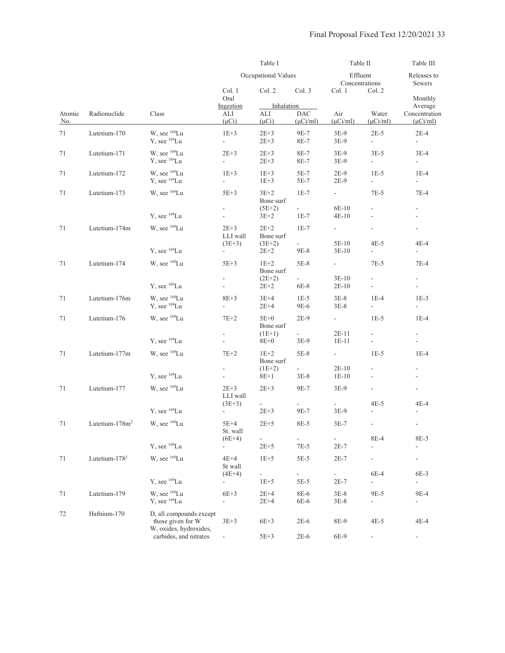|               |                            |                                                      |                                      | Table I                         | Table II                      |                                     | Table III                                            |                                                      |
|---------------|----------------------------|------------------------------------------------------|--------------------------------------|---------------------------------|-------------------------------|-------------------------------------|------------------------------------------------------|------------------------------------------------------|
|               |                            |                                                      |                                      | Occupational Values             |                               | Effluent<br>Concentrations          |                                                      | Releases to<br>Sewers<br>Monthly                     |
|               |                            |                                                      | Col. 1<br>Oral                       | Col. 2                          | Col. 3                        | Col. 1                              | Col. 2                                               |                                                      |
| Atomic<br>No. | Radionuclide               | Class                                                | Ingestion<br>ALI<br>$(\mu Ci)$       | Inhalation<br>ALI<br>$(\mu Ci)$ | <b>DAC</b><br>$(\mu$ Ci/ml)   | Air<br>$(\mu$ Ci/ml)                | Water<br>$(\mu$ Ci/ml)                               | Average<br>Concentration<br>$(\mu$ Ci/ml)            |
| 71            | Lutetium-170               | W, see <sup>169</sup> Lu<br>Y, see <sup>169</sup> Lu | $1E+3$<br>$\Box$                     | $2E+3$<br>$2E + 3$              | 9E-7<br>8E-7                  | $3E-9$<br>3E-9                      | $2E-5$<br>$\blacksquare$                             | $2E-4$<br>$\Box$                                     |
| 71            | Lutetium-171               | W, see <sup>169</sup> Lu<br>Y, see <sup>169</sup> Lu | $2E+3$<br>$\frac{1}{2}$              | $2E+3$<br>$2E + 3$              | 8E-7<br>8E-7                  | $3E-9$<br>3E-9                      | $3E-5$<br>÷,                                         | $3E-4$<br>$\overline{\phantom{a}}$                   |
| 71            | Lutetium-172               | W, see <sup>169</sup> Lu<br>Y, see <sup>169</sup> Lu | $1E+3$<br>÷,                         | $1E+3$<br>$1E+3$                | $5E-7$<br>5E-7                | $2E-9$<br>$2E-9$                    | $1E-5$<br>$\overline{\phantom{a}}$                   | $1E-4$<br>$\overline{\phantom{a}}$                   |
| 71            | Lutetium-173               | W, see <sup>169</sup> Lu                             | $5E+3$                               | $3E+2$<br>Bone surf             | $1E-7$                        | $\omega_{\rm{eff}}$                 | $7E-5$                                               | $7E-4$                                               |
|               |                            | $Y$ , see $169$ Lu                                   | ÷.                                   | $(5E+2)$<br>$3E+2$              | $\sim$<br>$1E-7$              | 6E-10<br>$4E-10$                    | ÷.<br>$\overline{a}$                                 | $\bar{a}$                                            |
| 71            | Lutetium-174m              | W, see <sup>169</sup> Lu                             | $2E + 3$<br>LLI wall                 | $2E+2$<br>Bone surf             | $1E-7$                        | $\overline{\phantom{a}}$<br>5E-10   | $\overline{\phantom{a}}$<br>$4E-5$                   | $\overline{\phantom{a}}$<br>4E-4                     |
|               |                            | $Y$ , see $169$ Lu                                   | $(3E+3)$<br>$\overline{\phantom{a}}$ | $(3E+2)$<br>$2E + 2$            | 9E-8                          | $3E-10$                             | $\blacksquare$                                       | $\overline{\phantom{a}}$                             |
| 71            | Lutetium-174               | W, see <sup>169</sup> Lu                             | $5E+3$<br>$\frac{1}{2}$              | $1E+2$<br>Bone surf<br>$(2E+2)$ | $5E-8$<br>$\sim$              | $\overline{\phantom{a}}$<br>$3E-10$ | $7E-5$<br>$\overline{\phantom{a}}$                   | $7E-4$<br>$\equiv$                                   |
|               |                            | $Y$ , see $169$ Lu                                   | $\overline{\phantom{a}}$             | $2E+2$                          | 6E-8                          | $2E-10$                             | $\overline{a}$                                       | $\overline{\phantom{a}}$                             |
| 71            | Lutetium-176m              | W, see <sup>169</sup> Lu<br>Y, see <sup>169</sup> Lu | $8E + 3$<br>$\mathbb{L}$             | $3E+4$<br>$2E+4$                | $1E-5$<br>9E-6                | $3E-8$<br>$3E-8$                    | $1E-4$<br>$\overline{a}$                             | $1E-3$<br>$\overline{a}$                             |
| 71            | Lutetium-176               | W, see <sup>169</sup> Lu                             | $7E+2$                               | $5E+0$<br>Bone surf             | $2E-9$                        | $\overline{\phantom{a}}$            | $1E-5$                                               | $1E-4$                                               |
|               |                            | $Y$ , see $169$ Lu                                   |                                      | $(1E+1)$<br>8E+0                | $\omega_{\rm c}$<br>$3E-9$    | $2E-11$<br>$1E-11$                  | ÷,                                                   | $\overline{\phantom{a}}$<br>$\overline{\phantom{a}}$ |
| 71            | Lutetium-177m              | W, see <sup>169</sup> Lu                             | $7E+2$                               | $1E+2$<br>Bone surf             | $5E-8$                        | $\mathcal{L}_{\mathcal{A}}$         | $1E-5$                                               | $1E-4$                                               |
|               |                            | Y, see $^{169}$ Lu                                   | $\frac{1}{2}$<br>$\blacksquare$      | $(1E+2)$<br>$8E+1$              | $\omega_{\rm{eff}}$<br>$3E-8$ | $2E-10$<br>$1E-10$                  | $\overline{\phantom{a}}$<br>$\overline{\phantom{a}}$ | $\blacksquare$                                       |
| 71            | Lutetium-177               | W, see <sup>169</sup> Lu                             | $2E + 3$<br>LLI wall                 | $2E+3$                          | 9E-7                          | $3E-9$                              | $\overline{\phantom{a}}$                             | $\overline{\phantom{a}}$                             |
|               |                            | Y, see <sup>169</sup> Lu                             | $(3E+3)$<br>$\overline{\phantom{a}}$ | ÷,<br>$2E+3$                    | ÷.<br>9E-7                    | $3E-9$                              | $4E-5$<br>$\overline{a}$                             | $4E-4$                                               |
| 71            | Lutetium-178m <sup>2</sup> | W, see <sup>169</sup> Lu                             | $5E+4$<br>St. wall                   | $2E+5$                          | 8E-5                          | $3E-7$                              | $\overline{\phantom{a}}$                             | $\overline{\phantom{a}}$                             |
|               |                            | Y, see $^{169}$ Lu                                   | $(6E+4)$<br>÷,                       | $2E + 5$                        | $7E-5$                        | $2E-7$                              | 8E-4                                                 | 8E-3                                                 |
| 71            | Lutetium-178 <sup>2</sup>  | W, see <sup>169</sup> Lu                             | 4E+4<br>St wall                      | $1E+5$                          | $5E-5$                        | $2E-7$                              | $\overline{\phantom{a}}$                             | $\qquad \qquad \blacksquare$                         |
|               |                            | Y, see <sup>169</sup> Lu                             | $(4E+4)$<br>$\overline{\phantom{a}}$ | $1E+5$                          | ä,<br>$5E-5$                  | $2E-7$                              | 6E-4<br>÷,                                           | 6E-3<br>$\overline{\phantom{a}}$                     |
| 71            | Lutetium-179               | W, see <sup>169</sup> Lu<br>Y, see <sup>169</sup> Lu | $6E+3$<br>$\frac{1}{2}$              | $2E+4$<br>$2E+4$                | 8E-6<br>6E-6                  | $3E-8$<br>$3E-8$                    | 9E-5<br>$\blacksquare$                               | 9E-4<br>$\frac{1}{2}$                                |
| 72            | Hafnium-170                | D, all compounds except<br>those given for W         | $3E + 3$                             | $6E+3$                          | $2E-6$                        | 8E-9                                | $4E-5$                                               | $4E-4$                                               |
|               |                            | W, oxides, hydroxides,<br>carbides, and nitrates     | $\overline{\phantom{a}}$             | $5E+3$                          | $2E-6$                        | 6E-9                                | $\blacksquare$                                       | $\overline{\phantom{a}}$                             |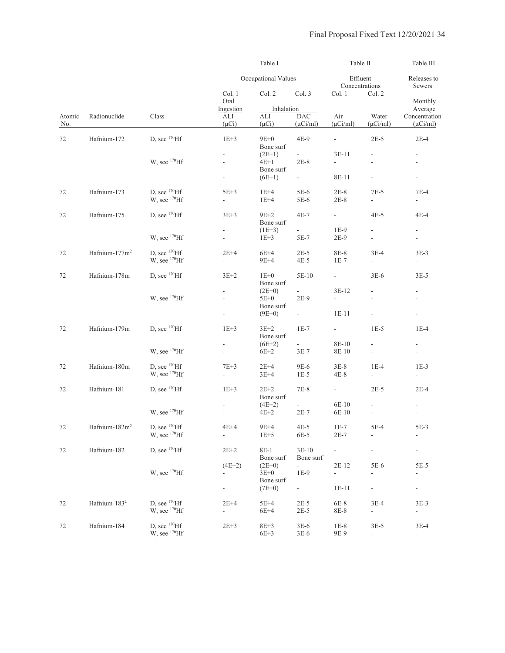|                    |                           |                          |                          | Table I               |                               | Table II                            |                             | Table III                          |
|--------------------|---------------------------|--------------------------|--------------------------|-----------------------|-------------------------------|-------------------------------------|-----------------------------|------------------------------------|
|                    |                           |                          |                          | Occupational Values   |                               |                                     | Effluent<br>Concentrations  | Releases to<br>Sewers              |
|                    |                           |                          | Col. 1<br>Oral           | Col. 2                | Col. 3                        | Col. 1                              | Col. 2                      | Monthly                            |
|                    |                           |                          | Ingestion                | Inhalation            |                               |                                     |                             | Average                            |
| Atomic             | Radionuclide              | Class                    | ALI                      | ALI                   | <b>DAC</b>                    | Air                                 | Water                       | Concentration                      |
| $\underline{No}$ . |                           |                          | $(\mu Ci)$               | $(\mu Ci)$            | $(\mu$ Ci/ml)                 | $(\mu$ Ci/ml)                       | $(\mu$ Ci/ml)               | $(\mu$ Ci/ml)                      |
| 72                 | Hafnium-172               | D, see $^{170}$ Hf       | $1E+3$                   | $9E+0$<br>Bone surf   | $4E-9$                        |                                     | $2E-5$                      | $2E-4$                             |
|                    |                           |                          | $\overline{\phantom{a}}$ | $(2E+1)$              | $\sim$                        | $3E-11$                             | $\overline{a}$              | $\overline{\phantom{a}}$           |
|                    |                           | W, see $^{170}$ Hf       | $\overline{a}$           | 4E+1                  | $2E-8$                        | $\overline{\phantom{a}}$            | L,                          | $\overline{\phantom{a}}$           |
|                    |                           |                          | $\blacksquare$           | Bone surf<br>$(6E+1)$ | $\omega_{\rm{max}}$           | 8E-11                               | $\frac{1}{2}$               | $\overline{\phantom{a}}$           |
|                    |                           |                          |                          |                       |                               |                                     |                             |                                    |
| 72                 | Hafnium-173               | D, see $170$ Hf          | $5E+3$                   | $1E+4$                | $5E-6$                        | $2E-8$                              | $7E-5$                      | 7E-4                               |
|                    |                           | W, see <sup>170</sup> Hf | ÷.                       | $1E+4$                | 5E-6                          | $2E-8$                              | $\overline{\phantom{a}}$    | ÷,                                 |
| 72                 | Hafnium-175               | D, see $^{170}$ Hf       | $3E+3$                   | $9E+2$                | $4E-7$                        | $\omega_{\rm{max}}$                 | $4E-5$                      | 4E-4                               |
|                    |                           |                          |                          | Bone surf             |                               |                                     |                             |                                    |
|                    |                           |                          | $\blacksquare$           | $(1E+3)$              | $\omega_{\rm{eff}}$           | $1E-9$                              | $\overline{\phantom{a}}$    | $\overline{a}$                     |
|                    |                           | W, see <sup>170</sup> Hf | $\overline{\phantom{a}}$ | $1E+3$                | 5E-7                          | $2E-9$                              | $\overline{\phantom{a}}$    | $\overline{\phantom{a}}$           |
| 72                 | Hafnium-177m <sup>2</sup> | D, see $170$ Hf          |                          | $6E+4$                |                               |                                     | $3E-4$                      |                                    |
|                    |                           | W, see <sup>170</sup> Hf | $2E+4$<br>$\overline{a}$ | $9E+4$                | $2E-5$<br>4E-5                | 8E-8<br>$1E-7$                      | $\overline{\phantom{a}}$    | $3E-3$<br>$\overline{\phantom{a}}$ |
|                    |                           |                          |                          |                       |                               |                                     |                             |                                    |
| 72                 | Hafnium-178m              | D, see $^{170}$ Hf       | $3E+2$                   | $1E+0$                | 5E-10                         | $\omega_{\rm{max}}$                 | $3E-6$                      | $3E-5$                             |
|                    |                           |                          |                          | Bone surf             | $\omega_{\rm{eff}}$           |                                     | $\mathbf{r}$                |                                    |
|                    |                           | W, see $^{170}$ Hf       | ÷.<br>$\frac{1}{2}$      | $(2E+0)$<br>$5E+0$    | $2E-9$                        | $3E-12$<br>$\overline{\phantom{0}}$ | $\frac{1}{2}$               | ÷.<br>$\overline{\phantom{a}}$     |
|                    |                           |                          |                          | Bone surf             |                               |                                     |                             |                                    |
|                    |                           |                          | $\overline{\phantom{a}}$ | $(9E+0)$              | $\omega_{\rm{max}}$           | $1E-11$                             | $\frac{1}{2}$               | $\overline{\phantom{a}}$           |
| 72                 | Hafnium-179m              | D, see $170$ Hf          | $1E+3$                   | $3E+2$                | $1E-7$                        | $\sim 10$                           | $1E-5$                      | $1E-4$                             |
|                    |                           |                          |                          | Bone surf             |                               |                                     |                             |                                    |
|                    |                           |                          | $\overline{\phantom{a}}$ | $(6E+2)$              | $\mathcal{L}_{\mathcal{A}}$   | 8E-10                               | $\overline{\phantom{a}}$    | $\overline{\phantom{a}}$           |
|                    |                           | W, see <sup>170</sup> Hf | $\mathbb{L}$             | $6E+2$                | $3E-7$                        | 8E-10                               | $\frac{1}{2}$               | $\overline{\phantom{a}}$           |
| 72                 | Hafnium-180m              | D, see $170$ Hf          | $7E+3$                   | $2E+4$                |                               |                                     | $1E-4$                      | $1E-3$                             |
|                    |                           | W, see $^{170}$ Hf       | $\overline{\phantom{0}}$ | $3E+4$                | 9E-6<br>$1E-5$                | $3E-8$<br>4E-8                      | $\mathcal{L}_{\mathcal{A}}$ | $\blacksquare$                     |
|                    |                           |                          |                          |                       |                               |                                     |                             |                                    |
| 72                 | Hafnium-181               | D, see $^{170}$ Hf       | $1E+3$                   | $2E+2$                | $7E-8$                        | $\omega_{\rm{max}}$                 | $2E-5$                      | $2E-4$                             |
|                    |                           |                          |                          | Bone surf             |                               |                                     |                             |                                    |
|                    |                           | W, see $^{170}$ Hf       | $\frac{1}{2}$            | $(4E+2)$<br>4E+2      | $\mathcal{L}^{\pm}$<br>$2E-7$ | 6E-10<br>6E-10                      | $\frac{1}{2}$               | $\blacksquare$                     |
|                    |                           |                          |                          |                       |                               |                                     |                             |                                    |
| 72                 | Hafnium- $182m2$          | D, see $170$ Hf          | $4E+4$                   | $9E+4$                | $4E-5$                        | $1E-7$                              | 5E-4                        | 5E-3                               |
|                    |                           | W, see <sup>170</sup> Hf | $\Box$                   | $1E+5$                | 6E-5                          | $2E-7$                              | $\frac{1}{2}$               | $\overline{\phantom{a}}$           |
| 72                 | Hafnium-182               | D, see $170$ Hf          | $2E + 2$                 | $8E-1$                | $3E-10$                       | ÷.                                  | $\overline{a}$              |                                    |
|                    |                           |                          |                          | Bone surf             | Bone surf                     |                                     |                             |                                    |
|                    |                           |                          | $(4E+2)$                 | $(2E+0)$              | $\sim$                        | $2E-12$                             | $5E-6$                      | $5E-5$                             |
|                    |                           | W, see <sup>170</sup> Hf | ÷,                       | $3E+0$                | $1E-9$                        | $\blacksquare$                      | ÷,                          | $\overline{\phantom{a}}$           |
|                    |                           |                          | ÷                        | Bone surf<br>$(7E+0)$ | $\omega_{\rm{max}}$           | $1E-11$                             | $\mathcal{L}_{\mathcal{A}}$ | ÷.                                 |
|                    |                           |                          |                          |                       |                               |                                     |                             |                                    |
| 72                 | Hafnium- $183^2$          | D, see $^{170}$ Hf       | $2E+4$                   | $5E+4$                | $2E-5$                        | 6E-8                                | $3E-4$                      | $3E-3$                             |
|                    |                           | W, see <sup>170</sup> Hf | $\overline{\phantom{a}}$ | $6E+4$                | $2E-5$                        | 8E-8                                | $\blacksquare$              | $\overline{\phantom{a}}$           |
| 72                 | Hafnium-184               | D, see $^{170}$ Hf       | $2E+3$                   | $8E+3$                | $3E-6$                        | $1\mathrm{E-}8$                     | $3E-5$                      | $3E-4$                             |
|                    |                           | $W$ , see $170$ Hf       | $\overline{\phantom{a}}$ | $6E+3$                | $3E-6$                        | 9E-9                                | $\overline{\phantom{a}}$    | $\overline{\phantom{a}}$           |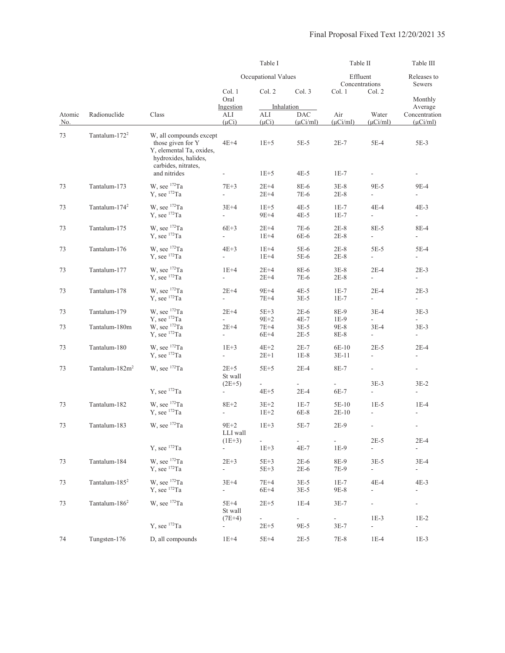|               |                            |                                                                                                                         | Table I                                                                                                                                                                                                                                                                                                                                                                                                                                                                                                                                                                                                                                                                                                                                                                                                                                                                                                                                                                                                                                                                                                                                                                                                                                                                                                                                                     |                  |                  | Table II       |                                    | Table III<br>Releases to<br>Sewers |
|---------------|----------------------------|-------------------------------------------------------------------------------------------------------------------------|-------------------------------------------------------------------------------------------------------------------------------------------------------------------------------------------------------------------------------------------------------------------------------------------------------------------------------------------------------------------------------------------------------------------------------------------------------------------------------------------------------------------------------------------------------------------------------------------------------------------------------------------------------------------------------------------------------------------------------------------------------------------------------------------------------------------------------------------------------------------------------------------------------------------------------------------------------------------------------------------------------------------------------------------------------------------------------------------------------------------------------------------------------------------------------------------------------------------------------------------------------------------------------------------------------------------------------------------------------------|------------------|------------------|----------------|------------------------------------|------------------------------------|
|               |                            |                                                                                                                         | Occupational Values<br>Effluent<br>Concentrations<br>Col. 2<br>Col. 3<br>Col. 1<br>Col. 1<br>Oral<br>Ingestion<br>Inhalation<br>Air<br>ALI<br><b>DAC</b><br>ALI<br>$(\mu Ci)$<br>$(\mu Ci)$<br>$(\mu$ Ci/ml)<br>$(\mu$ Ci/ml)<br>$4E+4$<br>$5E-5$<br>$2E-7$<br>$1E+5$<br>$1E+5$<br>$4E-5$<br>$1E-7$<br>$7E+3$<br>$2E+4$<br>8E-6<br>$3E-8$<br>$2E+4$<br>7E-6<br>2E-8<br>$3E+4$<br>$4E-5$<br>$1E+5$<br>$1E-7$<br>$9E+4$<br>$4E-5$<br>$1E-7$<br>$\frac{1}{2}$<br>$6E+3$<br>$2E+4$<br>7E-6<br>$2E-8$<br>6E-6<br>$2E-8$<br>$\overline{\phantom{0}}$<br>$1E+4$<br>$4E+3$<br>$1E+4$<br>$5E-6$<br>$2E-8$<br>$1E+4$<br>5E-6<br>$2E-8$<br>$\overline{\phantom{a}}$<br>$1E+4$<br>$2E+4$<br>8E-6<br>$3E-8$<br>$2E+4$<br>7E-6<br>$2E-8$<br>$\overline{\phantom{a}}$<br>$2E+4$<br>$9E+4$<br>$4E-5$<br>$1E-7$<br>$7E+4$<br>$3E-5$<br>$1E-7$<br>÷,<br>$2E+4$<br>$2E-6$<br>$5E+3$<br>8E-9<br>$9E+2$<br>4E-7<br>$1E-9$<br>$\frac{1}{2}$<br>$2E+4$<br>7E+4<br>$3E-5$<br>$9E-8$<br>$6E+4$<br>$2E-5$<br>8E-8<br>$\overline{\phantom{a}}$<br>$1E+3$<br>$4E+2$<br>$2E-7$<br>$6E-10$<br>$2E+1$<br>$1E-8$<br>$\overline{\phantom{a}}$<br>3E-11<br>$2E+5$<br>$5E+5$<br>$2E-4$<br>8E-7<br>St wall<br>$(2E+5)$<br>$\frac{1}{2}$<br>$2E-4$<br>$4E+5$<br>6E-7<br>$\overline{\phantom{a}}$<br>$8E+2$<br>$3E+2$<br>$1E-7$<br>5E-10<br>$1E+2$<br>6E-8<br>$\overline{\phantom{a}}$<br>$2E-10$ |                  |                  |                |                                    |                                    |
|               |                            |                                                                                                                         |                                                                                                                                                                                                                                                                                                                                                                                                                                                                                                                                                                                                                                                                                                                                                                                                                                                                                                                                                                                                                                                                                                                                                                                                                                                                                                                                                             |                  |                  |                | Col. 2                             | Monthly<br>Average                 |
| Atomic<br>No. | Radionuclide               | Class                                                                                                                   |                                                                                                                                                                                                                                                                                                                                                                                                                                                                                                                                                                                                                                                                                                                                                                                                                                                                                                                                                                                                                                                                                                                                                                                                                                                                                                                                                             |                  |                  |                | Water<br>$(\mu$ Ci/ml)             | Concentration<br>$(\mu$ Ci/ml)     |
| 73            | Tantalum-172 <sup>2</sup>  | W, all compounds except<br>those given for Y<br>Y, elemental Ta, oxides,<br>hydroxides, halides,<br>carbides, nitrates, |                                                                                                                                                                                                                                                                                                                                                                                                                                                                                                                                                                                                                                                                                                                                                                                                                                                                                                                                                                                                                                                                                                                                                                                                                                                                                                                                                             |                  |                  |                | $5E-4$                             | 5E-3                               |
|               |                            | and nitrides                                                                                                            |                                                                                                                                                                                                                                                                                                                                                                                                                                                                                                                                                                                                                                                                                                                                                                                                                                                                                                                                                                                                                                                                                                                                                                                                                                                                                                                                                             |                  |                  |                |                                    | $\overline{\phantom{a}}$           |
| 73            | Tantalum-173               | W, see $172$ Ta<br>$Y$ , see $172$ Ta                                                                                   |                                                                                                                                                                                                                                                                                                                                                                                                                                                                                                                                                                                                                                                                                                                                                                                                                                                                                                                                                                                                                                                                                                                                                                                                                                                                                                                                                             |                  |                  |                | 9E-5<br>$\overline{\phantom{a}}$   | 9E-4<br>$\overline{\phantom{a}}$   |
| 73            | Tantalum-174 <sup>2</sup>  | W, see 172Ta<br>$Y$ , see $172$ Ta                                                                                      |                                                                                                                                                                                                                                                                                                                                                                                                                                                                                                                                                                                                                                                                                                                                                                                                                                                                                                                                                                                                                                                                                                                                                                                                                                                                                                                                                             |                  |                  |                | 4E-4<br>$\mathbb{L}^{\mathbb{N}}$  | 4E-3<br>$\blacksquare$             |
| 73            | Tantalum-175               | W, see 172Ta<br>$Y$ , see $172$ Ta                                                                                      |                                                                                                                                                                                                                                                                                                                                                                                                                                                                                                                                                                                                                                                                                                                                                                                                                                                                                                                                                                                                                                                                                                                                                                                                                                                                                                                                                             |                  |                  |                | 8E-5<br>$\overline{\phantom{a}}$   | 8E-4<br>$\overline{\phantom{a}}$   |
| 73            | Tantalum-176               | W, see $172$ Ta<br>$Y$ , see $172$ Ta                                                                                   |                                                                                                                                                                                                                                                                                                                                                                                                                                                                                                                                                                                                                                                                                                                                                                                                                                                                                                                                                                                                                                                                                                                                                                                                                                                                                                                                                             |                  |                  |                | $5E-5$<br>$\overline{\phantom{a}}$ | 5E-4<br>$\overline{\phantom{a}}$   |
| 73            | Tantalum-177               | W, see $172$ Ta<br>$Y$ , see $172$ Ta                                                                                   |                                                                                                                                                                                                                                                                                                                                                                                                                                                                                                                                                                                                                                                                                                                                                                                                                                                                                                                                                                                                                                                                                                                                                                                                                                                                                                                                                             |                  |                  |                | $2E-4$<br>$\overline{\phantom{a}}$ | $2E-3$<br>$\overline{\phantom{a}}$ |
| 73            | Tantalum-178               | W, see $172$ Ta<br>$Y$ , see $172$ Ta                                                                                   |                                                                                                                                                                                                                                                                                                                                                                                                                                                                                                                                                                                                                                                                                                                                                                                                                                                                                                                                                                                                                                                                                                                                                                                                                                                                                                                                                             |                  |                  |                | $2E-4$<br>$\blacksquare$           | $2E-3$<br>$\overline{\phantom{a}}$ |
| 73            | Tantalum-179               | W, see $172$ Ta<br>$Y$ , see $172$ Ta                                                                                   |                                                                                                                                                                                                                                                                                                                                                                                                                                                                                                                                                                                                                                                                                                                                                                                                                                                                                                                                                                                                                                                                                                                                                                                                                                                                                                                                                             |                  |                  |                | $3E-4$<br>$\overline{\phantom{a}}$ | $3E-3$<br>$\overline{\phantom{a}}$ |
| 73            | Tantalum-180m              | W, see 172Ta<br>$Y$ , see $172$ Ta                                                                                      |                                                                                                                                                                                                                                                                                                                                                                                                                                                                                                                                                                                                                                                                                                                                                                                                                                                                                                                                                                                                                                                                                                                                                                                                                                                                                                                                                             |                  |                  |                | $3E-4$<br>$\overline{\phantom{a}}$ | $3E-3$<br>$\overline{\phantom{a}}$ |
| 73            | Tantalum-180               | W, see $172$ Ta<br>$Y$ , see $172$ Ta                                                                                   |                                                                                                                                                                                                                                                                                                                                                                                                                                                                                                                                                                                                                                                                                                                                                                                                                                                                                                                                                                                                                                                                                                                                                                                                                                                                                                                                                             |                  |                  |                | $2E-5$<br>$\overline{\phantom{a}}$ | $2E-4$<br>$\overline{\phantom{a}}$ |
| 73            | Tantalum-182m <sup>2</sup> | W, see $172$ Ta                                                                                                         |                                                                                                                                                                                                                                                                                                                                                                                                                                                                                                                                                                                                                                                                                                                                                                                                                                                                                                                                                                                                                                                                                                                                                                                                                                                                                                                                                             |                  |                  |                | $\overline{\phantom{a}}$           | $\overline{\phantom{a}}$           |
|               |                            | Y, see $172$ Ta                                                                                                         |                                                                                                                                                                                                                                                                                                                                                                                                                                                                                                                                                                                                                                                                                                                                                                                                                                                                                                                                                                                                                                                                                                                                                                                                                                                                                                                                                             |                  |                  |                | $3E-3$<br>$\overline{\phantom{a}}$ | $3E-2$<br>$\overline{\phantom{a}}$ |
| 73            | Tantalum-182               | W, see 172Ta<br>Y, see $172$ Ta                                                                                         |                                                                                                                                                                                                                                                                                                                                                                                                                                                                                                                                                                                                                                                                                                                                                                                                                                                                                                                                                                                                                                                                                                                                                                                                                                                                                                                                                             |                  |                  |                | $1E-5$<br>$\overline{a}$           | $1E-4$                             |
| 73            | Tantalum-183               | W, see 172Ta                                                                                                            | $9E+2$<br>LLI wall                                                                                                                                                                                                                                                                                                                                                                                                                                                                                                                                                                                                                                                                                                                                                                                                                                                                                                                                                                                                                                                                                                                                                                                                                                                                                                                                          | $1E+3$           | 5E-7             | $2E-9$         | $\overline{\phantom{a}}$           | $\overline{\phantom{a}}$           |
|               |                            | $Y$ , see $172$ Ta                                                                                                      | $(1E+3)$<br>$\blacksquare$                                                                                                                                                                                                                                                                                                                                                                                                                                                                                                                                                                                                                                                                                                                                                                                                                                                                                                                                                                                                                                                                                                                                                                                                                                                                                                                                  | $1E+3$           | $4E-7$           | $1E-9$         | $2E-5$<br>÷                        | $2E-4$                             |
| 73            | Tantalum-184               | W, see 172Ta<br>$Y$ , see $172$ Ta                                                                                      | $2E+3$<br>$\overline{\phantom{a}}$                                                                                                                                                                                                                                                                                                                                                                                                                                                                                                                                                                                                                                                                                                                                                                                                                                                                                                                                                                                                                                                                                                                                                                                                                                                                                                                          | $5E+3$<br>$5E+3$ | $2E-6$<br>$2E-6$ | 8E-9<br>7E-9   | $3E-5$<br>$\overline{\phantom{a}}$ | $3E-4$<br>$\overline{\phantom{a}}$ |
| 73            | Tantalum-185 <sup>2</sup>  | W, see <sup>172</sup> Ta<br>Y, see 172Ta                                                                                | $3E+4$<br>$\frac{1}{2}$                                                                                                                                                                                                                                                                                                                                                                                                                                                                                                                                                                                                                                                                                                                                                                                                                                                                                                                                                                                                                                                                                                                                                                                                                                                                                                                                     | 7E+4<br>$6E+4$   | $3E-5$<br>$3E-5$ | $1E-7$<br>9E-8 | $4E-4$<br>$\overline{\phantom{a}}$ | $4E-3$<br>$\overline{\phantom{a}}$ |
| 73            | Tantalum- $1862$           | W, see <sup>172</sup> Ta                                                                                                | $5E+4$<br>St wall                                                                                                                                                                                                                                                                                                                                                                                                                                                                                                                                                                                                                                                                                                                                                                                                                                                                                                                                                                                                                                                                                                                                                                                                                                                                                                                                           | $2E+5$           | $1E-4$           | $3E-7$         | $\overline{\phantom{a}}$           | $\overline{\phantom{a}}$           |
|               |                            | Y, see $172$ Ta                                                                                                         | $(7E+4)$<br>$\overline{\phantom{a}}$                                                                                                                                                                                                                                                                                                                                                                                                                                                                                                                                                                                                                                                                                                                                                                                                                                                                                                                                                                                                                                                                                                                                                                                                                                                                                                                        | $2E + 5$         | 9E-5             | $3E-7$         | $1E-3$<br>$\overline{\phantom{a}}$ | $1E-2$<br>$\overline{\phantom{m}}$ |
| 74            | Tungsten-176               | D, all compounds                                                                                                        | $1E+4$                                                                                                                                                                                                                                                                                                                                                                                                                                                                                                                                                                                                                                                                                                                                                                                                                                                                                                                                                                                                                                                                                                                                                                                                                                                                                                                                                      | $5E+4$           | $2E-5$           | 7E-8           | $1E-4$                             | $1E-3$                             |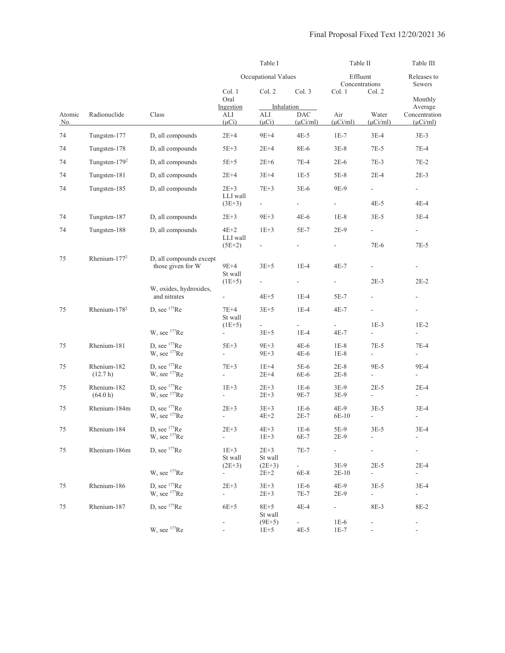|                      |                          |                                              |                                    | Table I                            |                             | Table II                         |                                                                                                                                                                                                                                                                                                                                                                                                                                                                                                                                                                                                                                                                                                                                                                                                                                                                                                                                                                                                                                                                | Table III                |
|----------------------|--------------------------|----------------------------------------------|------------------------------------|------------------------------------|-----------------------------|----------------------------------|----------------------------------------------------------------------------------------------------------------------------------------------------------------------------------------------------------------------------------------------------------------------------------------------------------------------------------------------------------------------------------------------------------------------------------------------------------------------------------------------------------------------------------------------------------------------------------------------------------------------------------------------------------------------------------------------------------------------------------------------------------------------------------------------------------------------------------------------------------------------------------------------------------------------------------------------------------------------------------------------------------------------------------------------------------------|--------------------------|
|                      |                          |                                              | Occupational Values                |                                    | Effluent<br>Concentrations  |                                  | Releases to<br>Sewers<br>Col. 2<br>Monthly<br>Average<br>Water<br>Concentration<br>$(\mu Ci/ml)$<br>$(\mu$ Ci/ml)<br>$3E-4$<br>$3E-3$<br>$7E-5$<br>$7E-4$<br>$7E-3$<br>$7E-2$<br>$2E-4$<br>$2E-3$<br>$\overline{\phantom{a}}$<br>$\overline{\phantom{a}}$<br>$4E-4$<br>4E-5<br>$3E-5$<br>$3E-4$<br>$\overline{\phantom{a}}$<br>$\overline{\phantom{0}}$<br>7E-6<br>$7E-5$<br>$\overline{\phantom{a}}$<br>$2E-3$<br>$2E-2$<br>$\overline{\phantom{a}}$<br>$\overline{\phantom{a}}$<br>$1E-3$<br>$1E-2$<br>$\overline{\phantom{0}}$<br>$\overline{\phantom{a}}$<br>$7E-4$<br>7E-5<br>$\overline{\phantom{a}}$<br>$\overline{\phantom{a}}$<br>9E-5<br>9E-4<br>$\blacksquare$<br>$\overline{\phantom{a}}$<br>$2E-5$<br>$2E-4$<br>÷,<br>$\overline{\phantom{a}}$<br>$3E-5$<br>$3E-4$<br>$\overline{a}$<br>$3E-5$<br>$3E-4$<br>$\frac{1}{2}$<br>$\overline{\phantom{a}}$<br>$2E-5$<br>$2E-4$<br>$\omega_{\rm c}$<br>$\sim$<br>$3E-5$<br>$3E-4$<br>$\overline{\phantom{a}}$<br>$\blacksquare$<br>8E-3<br>8E-2<br>$\overline{\phantom{a}}$<br>$\overline{\phantom{a}}$ |                          |
|                      |                          |                                              | Col. 1<br>Oral                     | Col. 2                             | Col. 3                      | Col. 1                           |                                                                                                                                                                                                                                                                                                                                                                                                                                                                                                                                                                                                                                                                                                                                                                                                                                                                                                                                                                                                                                                                |                          |
|                      |                          |                                              | Ingestion                          |                                    | Inhalation                  |                                  |                                                                                                                                                                                                                                                                                                                                                                                                                                                                                                                                                                                                                                                                                                                                                                                                                                                                                                                                                                                                                                                                |                          |
| Atomic<br><u>No.</u> | Radionuclide             | Class                                        | ALI<br>$(\mu Ci)$                  | ALI<br>$(\mu Ci)$                  | <b>DAC</b><br>$(\mu Ci/ml)$ | Air<br>$(\mu$ Ci/ml)             |                                                                                                                                                                                                                                                                                                                                                                                                                                                                                                                                                                                                                                                                                                                                                                                                                                                                                                                                                                                                                                                                |                          |
| 74                   | Tungsten-177             | D, all compounds                             | $2E+4$                             | $9E+4$                             | $4E-5$                      | $1E-7$                           |                                                                                                                                                                                                                                                                                                                                                                                                                                                                                                                                                                                                                                                                                                                                                                                                                                                                                                                                                                                                                                                                |                          |
| 74                   | Tungsten-178             | D, all compounds                             | $5E+3$                             | $2E+4$                             | 8E-6                        | $3E-8$                           |                                                                                                                                                                                                                                                                                                                                                                                                                                                                                                                                                                                                                                                                                                                                                                                                                                                                                                                                                                                                                                                                |                          |
| 74                   | Tungsten- $179^2$        | D, all compounds                             | $5E+5$                             | $2E+6$                             | $7E-4$                      | $2E-6$                           |                                                                                                                                                                                                                                                                                                                                                                                                                                                                                                                                                                                                                                                                                                                                                                                                                                                                                                                                                                                                                                                                |                          |
| 74                   | Tungsten-181             | D, all compounds                             | $2E+4$                             | $3E+4$                             | $1E-5$                      | $5E-8$                           |                                                                                                                                                                                                                                                                                                                                                                                                                                                                                                                                                                                                                                                                                                                                                                                                                                                                                                                                                                                                                                                                |                          |
|                      |                          |                                              |                                    |                                    |                             |                                  |                                                                                                                                                                                                                                                                                                                                                                                                                                                                                                                                                                                                                                                                                                                                                                                                                                                                                                                                                                                                                                                                |                          |
| 74                   | Tungsten-185             | D, all compounds                             | $2E+3$<br>LLI wall                 | $7E+3$                             | $3E-6$                      | 9E-9                             |                                                                                                                                                                                                                                                                                                                                                                                                                                                                                                                                                                                                                                                                                                                                                                                                                                                                                                                                                                                                                                                                |                          |
|                      |                          |                                              | $(3E+3)$                           | $\blacksquare$                     | $\blacksquare$              | $\overline{\phantom{a}}$         |                                                                                                                                                                                                                                                                                                                                                                                                                                                                                                                                                                                                                                                                                                                                                                                                                                                                                                                                                                                                                                                                |                          |
| 74                   | Tungsten-187             | D, all compounds                             | $2E + 3$                           | $9E+3$                             | $4E-6$                      | $1E-8$                           |                                                                                                                                                                                                                                                                                                                                                                                                                                                                                                                                                                                                                                                                                                                                                                                                                                                                                                                                                                                                                                                                |                          |
| 74                   | Tungsten-188             | D, all compounds                             | $4E+2$<br>LLI wall                 | $1E+3$                             | 5E-7                        | $2E-9$                           |                                                                                                                                                                                                                                                                                                                                                                                                                                                                                                                                                                                                                                                                                                                                                                                                                                                                                                                                                                                                                                                                |                          |
|                      |                          |                                              | $(5E+2)$                           | $\overline{\phantom{a}}$           | $\blacksquare$              | $\overline{\phantom{a}}$         |                                                                                                                                                                                                                                                                                                                                                                                                                                                                                                                                                                                                                                                                                                                                                                                                                                                                                                                                                                                                                                                                |                          |
| 75                   | Rhenium- $1772$          | D, all compounds except<br>those given for W | $9E+4$                             | $3E+5$                             | $1E-4$                      | $4E-7$                           |                                                                                                                                                                                                                                                                                                                                                                                                                                                                                                                                                                                                                                                                                                                                                                                                                                                                                                                                                                                                                                                                |                          |
|                      |                          |                                              | St wall<br>$(1E+5)$                |                                    | $\overline{\phantom{a}}$    | $\overline{\phantom{a}}$         |                                                                                                                                                                                                                                                                                                                                                                                                                                                                                                                                                                                                                                                                                                                                                                                                                                                                                                                                                                                                                                                                |                          |
|                      |                          | W, oxides, hydroxides,                       |                                    |                                    |                             |                                  |                                                                                                                                                                                                                                                                                                                                                                                                                                                                                                                                                                                                                                                                                                                                                                                                                                                                                                                                                                                                                                                                |                          |
|                      |                          | and nitrates                                 |                                    | $4E+5$                             | $1E-4$                      | $5E-7$                           |                                                                                                                                                                                                                                                                                                                                                                                                                                                                                                                                                                                                                                                                                                                                                                                                                                                                                                                                                                                                                                                                |                          |
| 75                   | Rhenium-178 <sup>2</sup> | D, see $177$ Re                              | $7E+4$<br>St wall                  | $3E+5$                             | $1E-4$                      | $4E-7$                           |                                                                                                                                                                                                                                                                                                                                                                                                                                                                                                                                                                                                                                                                                                                                                                                                                                                                                                                                                                                                                                                                |                          |
|                      |                          | W, see $177$ Re                              | $(1E+5)$<br>$\equiv$               | $\overline{\phantom{a}}$<br>$3E+5$ | $1E-4$                      | $\overline{\phantom{0}}$<br>4E-7 |                                                                                                                                                                                                                                                                                                                                                                                                                                                                                                                                                                                                                                                                                                                                                                                                                                                                                                                                                                                                                                                                |                          |
| 75                   | Rhenium-181              | D, see $177$ Re                              | $5E+3$                             | $9E+3$                             | $4E-6$                      | $1E-8$                           |                                                                                                                                                                                                                                                                                                                                                                                                                                                                                                                                                                                                                                                                                                                                                                                                                                                                                                                                                                                                                                                                |                          |
|                      |                          | W, see <sup>177</sup> Re                     | $\blacksquare$                     | $9E+3$                             | 4E-6                        | $1E-8$                           |                                                                                                                                                                                                                                                                                                                                                                                                                                                                                                                                                                                                                                                                                                                                                                                                                                                                                                                                                                                                                                                                |                          |
| 75                   | Rhenium-182              | D, see $177$ Re                              | $7E+3$                             | $1E+4$                             | $5E-6$                      | $2E-8$                           |                                                                                                                                                                                                                                                                                                                                                                                                                                                                                                                                                                                                                                                                                                                                                                                                                                                                                                                                                                                                                                                                |                          |
|                      | (12.7 h)                 | W, see $177$ Re                              | $\overline{\phantom{a}}$           | $2E+4$                             | 6E-6                        | $2E-8$                           |                                                                                                                                                                                                                                                                                                                                                                                                                                                                                                                                                                                                                                                                                                                                                                                                                                                                                                                                                                                                                                                                |                          |
| 75                   | Rhenium-182<br>(64.0 h)  | D, see $177$ Re<br>W, see <sup>177</sup> Re  | $1E+3$<br>÷,                       | $2E+3$<br>$2E + 3$                 | $1E-6$<br>9E-7              | $3E-9$<br>3E-9                   |                                                                                                                                                                                                                                                                                                                                                                                                                                                                                                                                                                                                                                                                                                                                                                                                                                                                                                                                                                                                                                                                |                          |
| 75                   | Rhenium-184m             | D, see $177$ Re                              | $2E+3$                             | $3E+3$                             | $1E-6$                      | 4E-9                             |                                                                                                                                                                                                                                                                                                                                                                                                                                                                                                                                                                                                                                                                                                                                                                                                                                                                                                                                                                                                                                                                |                          |
|                      |                          | W, see <sup>177</sup> Re                     |                                    | $4E+2$                             | $2E-7$                      | 6E-10                            |                                                                                                                                                                                                                                                                                                                                                                                                                                                                                                                                                                                                                                                                                                                                                                                                                                                                                                                                                                                                                                                                |                          |
| 75                   | Rhenium-184              | D, see <sup>177</sup> Re                     | $2E+3$                             | $4E+3$                             | $1E-6$                      | 5E-9                             |                                                                                                                                                                                                                                                                                                                                                                                                                                                                                                                                                                                                                                                                                                                                                                                                                                                                                                                                                                                                                                                                |                          |
|                      |                          | W, see <sup>177</sup> Re                     | $\overline{\phantom{a}}$           | $1E + 3$                           | 6E-7                        | 2E-9                             |                                                                                                                                                                                                                                                                                                                                                                                                                                                                                                                                                                                                                                                                                                                                                                                                                                                                                                                                                                                                                                                                |                          |
| 75                   | Rhenium-186m             | D, see $177$ Re                              | $1E+3$<br>St wall<br>$(2E+3)$      | $2E+3$<br>St wall<br>$(2E+3)$      | $7E-7$<br>$\sim$            | ÷.<br>3E-9                       |                                                                                                                                                                                                                                                                                                                                                                                                                                                                                                                                                                                                                                                                                                                                                                                                                                                                                                                                                                                                                                                                |                          |
|                      |                          | W, see <sup>177</sup> Re                     | $\sigma_{\rm{max}}$                | $2E+2$                             | 6E-8                        | $2E-10$                          |                                                                                                                                                                                                                                                                                                                                                                                                                                                                                                                                                                                                                                                                                                                                                                                                                                                                                                                                                                                                                                                                |                          |
| 75                   | Rhenium-186              | D, see $177$ Re<br>W, see <sup>177</sup> Re  | $2E+3$<br>$\overline{\phantom{a}}$ | $3E+3$<br>$2E + 3$                 | $1E-6$<br>7E-7              | 4E-9<br>2E-9                     |                                                                                                                                                                                                                                                                                                                                                                                                                                                                                                                                                                                                                                                                                                                                                                                                                                                                                                                                                                                                                                                                |                          |
| 75                   | Rhenium-187              | D, see $177$ Re                              | $6E+5$                             | $8E+5$<br>St wall                  | $4E-4$                      | $\sim$                           |                                                                                                                                                                                                                                                                                                                                                                                                                                                                                                                                                                                                                                                                                                                                                                                                                                                                                                                                                                                                                                                                |                          |
|                      |                          | W, see <sup>177</sup> Re                     | $\frac{1}{2}$                      | $(9E+5)$<br>$1E+5$                 | $\sim 10^{-1}$<br>4E-5      | $1E-6$<br>$1E-7$                 |                                                                                                                                                                                                                                                                                                                                                                                                                                                                                                                                                                                                                                                                                                                                                                                                                                                                                                                                                                                                                                                                | $\overline{\phantom{a}}$ |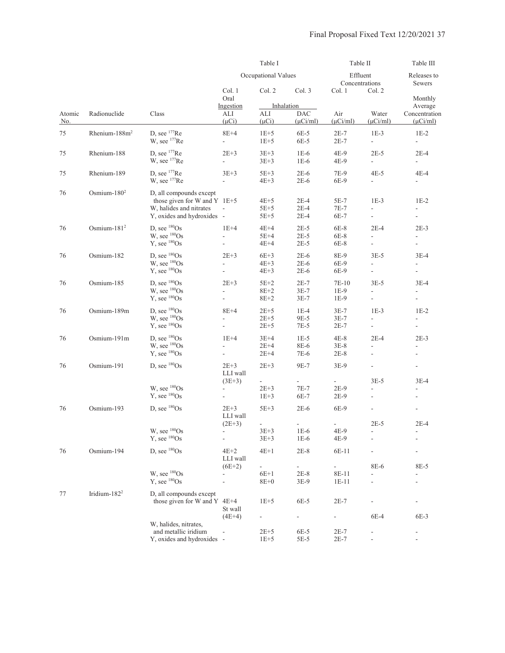|               |                          |                                                                                                                    | Table I                                                          |                                              |                                              | Table II                   |                                            | Table III                                                                                                                                                                                                                                                                                                                                                                                                                                                                                                       |
|---------------|--------------------------|--------------------------------------------------------------------------------------------------------------------|------------------------------------------------------------------|----------------------------------------------|----------------------------------------------|----------------------------|--------------------------------------------|-----------------------------------------------------------------------------------------------------------------------------------------------------------------------------------------------------------------------------------------------------------------------------------------------------------------------------------------------------------------------------------------------------------------------------------------------------------------------------------------------------------------|
|               |                          |                                                                                                                    |                                                                  | Occupational Values                          |                                              | Effluent<br>Concentrations |                                            | Releases to<br>Sewers                                                                                                                                                                                                                                                                                                                                                                                                                                                                                           |
|               |                          |                                                                                                                    | Col. 1<br>Oral                                                   | Col. 2                                       | Col. 3                                       | Col. 1                     | Col. 2                                     | Monthly                                                                                                                                                                                                                                                                                                                                                                                                                                                                                                         |
| Atomic<br>No. | Radionuclide             | Class                                                                                                              | Ingestion<br>ALI<br>$(\mu Ci)$                                   | ALI<br>$(\mu Ci)$                            | Inhalation<br><b>DAC</b><br>$(\mu Ci/ml)$    | Air<br>$(\mu$ Ci/ml)       | Water<br>$(\mu$ Ci/ml)                     | Average<br>Concentration<br>$(\mu$ Ci/ml)<br>$1E-2$<br>$\blacksquare$<br>$2E-4$<br>$\blacksquare$<br>$4E-4$<br>$\overline{\phantom{a}}$<br>$1E-2$<br>ä,<br>$2E-3$<br>$\overline{\phantom{a}}$<br>$\overline{\phantom{a}}$<br>$3E-4$<br>$3E-4$<br>$\frac{1}{2}$<br>$1E-2$<br>$\frac{1}{2}$<br>$\bar{\phantom{a}}$<br>$2E-3$<br>$\overline{\phantom{a}}$<br>$\overline{\phantom{a}}$<br>$3E-4$<br>$\overline{\phantom{a}}$<br>$\overline{\phantom{a}}$<br>$2E-4$<br>-<br>$\overline{\phantom{a}}$<br>8E-5<br>6E-3 |
| 75            | Rhenium- $188m2$         | D. see $177$ Re<br>W, see <sup>177</sup> Re                                                                        | $8E+4$<br>÷.                                                     | $1E+5$<br>$1E+5$                             | $6E-5$<br>6E-5                               | $2E-7$<br>$2E-7$           | $1E-3$<br>$\overline{\phantom{a}}$         |                                                                                                                                                                                                                                                                                                                                                                                                                                                                                                                 |
| 75            | Rhenium-188              | D, see $177$ Re<br>W, see <sup>177</sup> Re                                                                        | $2E+3$<br>$\mathcal{L}^{\pm}$                                    | $3E+3$<br>$3E + 3$                           | $1E-6$<br>$1E-6$                             | 4E-9<br>4E-9               | $2E-5$<br>$\mathbb{Z}^{\mathbb{Z}}$        |                                                                                                                                                                                                                                                                                                                                                                                                                                                                                                                 |
| 75            | Rhenium-189              | D. see $177$ Re<br>W, see $177$ Re                                                                                 | $3E + 3$<br>$\overline{\phantom{a}}$                             | $5E+3$<br>$4E+3$                             | $2E-6$<br>$2E-6$                             | 7E-9<br>6E-9               | $4E-5$<br>$\overline{\phantom{a}}$         |                                                                                                                                                                                                                                                                                                                                                                                                                                                                                                                 |
| 76            | Osmium- $1802$           | D, all compounds except<br>those given for W and Y $1E+5$<br>W, halides and nitrates<br>Y, oxides and hydroxides - | $\overline{\phantom{a}}$                                         | $4E+5$<br>$5E+5$<br>$5E+5$                   | $2E-4$<br>$2E-4$<br>$2E-4$                   | $5E-7$<br>$7E-7$<br>6E-7   | $1E-3$<br>$\overline{\phantom{a}}$<br>÷.   |                                                                                                                                                                                                                                                                                                                                                                                                                                                                                                                 |
| 76            | Osmium- $1812$           | D, see $^{180}Os$<br>$W$ , see $180$ Os<br>$Y$ , see $180$ Os                                                      | $1E+4$<br>$\frac{1}{2}$                                          | $4E+4$<br>$5E+4$<br>$4E+4$                   | $2E-5$<br>$2E-5$<br>$2E-5$                   | $6E-8$<br>$6E-8$<br>6E-8   | $2E-4$<br>$\overline{a}$<br>$\blacksquare$ |                                                                                                                                                                                                                                                                                                                                                                                                                                                                                                                 |
| 76            | Osmium-182               | D, see ${}^{180}Os$<br>W, see ${}^{180}Os$<br>$Y$ , see $180$ Os                                                   | $2E+3$<br>$\blacksquare$<br>$\overline{\phantom{a}}$             | $6E+3$<br>$4E+3$<br>$4E+3$                   | $2E-6$<br>$2E-6$<br>$2E-6$                   | 8E-9<br>6E-9<br>6E-9       | $3E-5$<br>$\frac{1}{2}$<br>L.              |                                                                                                                                                                                                                                                                                                                                                                                                                                                                                                                 |
| 76            | Osmium-185               | D, see ${}^{180}Os$<br>$W$ , see $180$ Os<br>$Y$ , see $180$ Os                                                    | $2E+3$<br>$\frac{1}{2}$<br>$\blacksquare$                        | $5E+2$<br>$8E+2$<br>$8E + 2$                 | $2E-7$<br>$3E-7$<br>$3E-7$                   | 7E-10<br>$1E-9$<br>1E-9    | $3E-5$<br>L.<br>$\blacksquare$             |                                                                                                                                                                                                                                                                                                                                                                                                                                                                                                                 |
| 76            | Osmium-189m              | D, see ${}^{180}Os$<br>W, see ${}^{180}Os$<br>$Y$ , see $180$ Os                                                   | $8E+4$<br>$\blacksquare$<br>L.                                   | $2E+5$<br>$2E+5$<br>$2E + 5$                 | $1E-4$<br>9E-5<br>$7E-5$                     | $3E-7$<br>$3E-7$<br>$2E-7$ | $1E-3$<br>$\frac{1}{2}$<br>$\overline{a}$  |                                                                                                                                                                                                                                                                                                                                                                                                                                                                                                                 |
| 76            | Osmium-191m              | D, see ${}^{180}Os$<br>W, see ${}^{180}Os$<br>$Y$ , see $180$ Os                                                   | $1E+4$<br>$\overline{a}$<br>$\overline{\phantom{a}}$             | $3E+4$<br>$2E+4$<br>$2E+4$                   | $1E-5$<br>8E-6<br>7E-6                       | $4E-8$<br>$3E-8$<br>$2E-8$ | $2E-4$<br>$\blacksquare$                   |                                                                                                                                                                                                                                                                                                                                                                                                                                                                                                                 |
| 76            | Osmium-191               | D, see ${}^{180}Os$                                                                                                | $2E+3$<br>LLI wall                                               | $2E+3$                                       | 9E-7                                         | $3E-9$                     | L.                                         |                                                                                                                                                                                                                                                                                                                                                                                                                                                                                                                 |
|               |                          | W, see ${}^{180}Os$<br>$Y$ , see $180$ Os                                                                          | $(3E+3)$<br>$\overline{\phantom{a}}$<br>$\overline{\phantom{a}}$ | $\overline{\phantom{a}}$<br>$2E+3$<br>$1E+3$ | $7E-7$<br>6E-7                               | $2E-9$<br>$2E-9$           | $3E-5$<br>$\overline{a}$<br>$\frac{1}{2}$  |                                                                                                                                                                                                                                                                                                                                                                                                                                                                                                                 |
| 76            | Osmium-193               | D. see ${}^{180}Os$                                                                                                | $2E+3$<br>LLI wall                                               | $5E+3$                                       | $2E-6$                                       | 6E-9                       | $\overline{\phantom{a}}$                   |                                                                                                                                                                                                                                                                                                                                                                                                                                                                                                                 |
|               |                          | W, see <sup>180</sup> Os<br>$Y$ , see $180$ Os                                                                     | $(2E+3)$                                                         | $\blacksquare$<br>$3E + 3$<br>$3E + 3$       | $\frac{1}{2}$<br>$1E-6$<br>$1E-6$            | 4E-9<br>4E-9               | $2E-5$                                     |                                                                                                                                                                                                                                                                                                                                                                                                                                                                                                                 |
| 76            | Osmium-194               | D, see ${}^{180}Os$                                                                                                | $4E+2$<br>LLI wall                                               | $4E+1$                                       | $2E-8$                                       | 6E-11                      |                                            |                                                                                                                                                                                                                                                                                                                                                                                                                                                                                                                 |
|               |                          | W, see ${}^{180}Os$<br>$Y$ , see $180$ Os                                                                          | $(6E+2)$                                                         | $\frac{1}{2}$<br>$6E+1$<br>$8E+0$            | $\blacksquare$<br>$2E-8$<br>$3E-9$           | 8E-11<br>$1E-11$           | 8E-6<br>$\overline{a}$<br>÷,               |                                                                                                                                                                                                                                                                                                                                                                                                                                                                                                                 |
| $77\,$        | Iridium-182 <sup>2</sup> | D, all compounds except<br>those given for W and Y 4E+4                                                            | St wall                                                          | $1E+5$                                       | $6E-5$                                       | $2E-7$                     |                                            |                                                                                                                                                                                                                                                                                                                                                                                                                                                                                                                 |
|               |                          | W, halides, nitrates,<br>and metallic iridium<br>Y, oxides and hydroxides -                                        | $(4E+4)$                                                         | $2E + 5$<br>$1E+5$                           | $\qquad \qquad \blacksquare$<br>6E-5<br>5E-5 | ۰.<br>$2E-7$<br>$2E-7$     | 6E-4                                       |                                                                                                                                                                                                                                                                                                                                                                                                                                                                                                                 |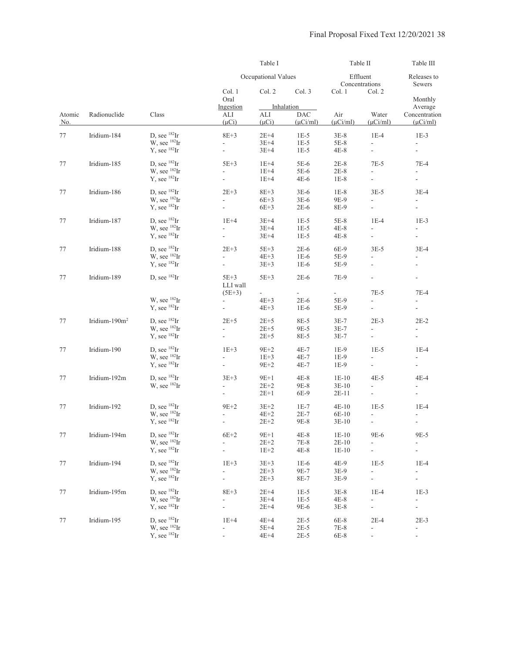|         |                   |                                             |                          | Table I             |                                                                                                                                                                                                                                                                                                                                                                                                                       |                                                                                                                                                                                                                                                                                                                                                                                                                                                                                                                                                                                                                                                                                                                                                                                                                                                                                                                                                                                                                                                                                                                                                                                                                                                                                                                                                                                                                                                                                                                                                                                                                                                                                                             |                                  | Table III                                            |
|---------|-------------------|---------------------------------------------|--------------------------|---------------------|-----------------------------------------------------------------------------------------------------------------------------------------------------------------------------------------------------------------------------------------------------------------------------------------------------------------------------------------------------------------------------------------------------------------------|-------------------------------------------------------------------------------------------------------------------------------------------------------------------------------------------------------------------------------------------------------------------------------------------------------------------------------------------------------------------------------------------------------------------------------------------------------------------------------------------------------------------------------------------------------------------------------------------------------------------------------------------------------------------------------------------------------------------------------------------------------------------------------------------------------------------------------------------------------------------------------------------------------------------------------------------------------------------------------------------------------------------------------------------------------------------------------------------------------------------------------------------------------------------------------------------------------------------------------------------------------------------------------------------------------------------------------------------------------------------------------------------------------------------------------------------------------------------------------------------------------------------------------------------------------------------------------------------------------------------------------------------------------------------------------------------------------------|----------------------------------|------------------------------------------------------|
|         |                   |                                             |                          | Occupational Values | Col. 3<br>Inhalation<br><b>DAC</b><br>$(\mu$ Ci/ml)<br>$1E-5$<br>$1E-5$<br>$1E-5$<br>$5E-6$<br>5E-6<br>$4E-6$<br>$3E-6$<br>$3E-6$<br>$2E-6$<br>$1E-5$<br>$1E-5$<br>$1E-5$<br>$2E-6$<br>$1E-6$<br>$1E-6$<br>$2E-6$<br>$\sim$<br>a.<br>$2E-6$<br>$1E-6$<br>8E-5<br>9E-5<br>8E-5<br>$4E-7$<br>$4E-7$<br>4E-7<br>$4E-8$<br>9E-8<br>6E-9<br>$1E-7$<br>$2E-7$<br>9E-8<br>$4E-8$<br>7E-8<br>$4E-8$<br>$1E-6$<br>9E-7<br>8E-7 |                                                                                                                                                                                                                                                                                                                                                                                                                                                                                                                                                                                                                                                                                                                                                                                                                                                                                                                                                                                                                                                                                                                                                                                                                                                                                                                                                                                                                                                                                                                                                                                                                                                                                                             | Effluent<br>Concentrations       |                                                      |
|         |                   |                                             | Col. 1<br>Oral           | Col. 2              |                                                                                                                                                                                                                                                                                                                                                                                                                       | Table II<br>Releases to<br>Sewers<br>Col. 1<br>Col. 2<br>Monthly<br>Average<br>Air<br>Water<br>Concentration<br>$(\mu$ Ci/ml)<br>$(\mu$ Ci/ml)<br>$(\mu$ Ci/ml)<br>$3E-8$<br>$1E-4$<br>$1E-3$<br>$5E-8$<br>$\overline{a}$<br>4E-8<br>$\frac{1}{2}$<br>$\overline{a}$<br>$2E-8$<br>$7E-5$<br>$7E-4$<br>$2E-8$<br>$\overline{a}$<br>$\mathbf{r}$<br>$1E-8$<br>$\overline{\phantom{a}}$<br>$\mathbf{r}$<br>$1E-8$<br>$3E-5$<br>$3E-4$<br>9E-9<br>$\overline{a}$<br>ä,<br>$\mathcal{L}$<br>8E-9<br>$1E-4$<br>$1E-3$<br>$5E-8$<br>$4E-8$<br>÷.<br>÷.<br>$4E-8$<br>$\overline{a}$<br>$\overline{\phantom{a}}$<br>$3E-5$<br>6E-9<br>$3E-4$<br>5E-9<br>5E-9<br>$\blacksquare$<br>$\overline{\phantom{a}}$<br>7E-9<br>$\frac{1}{2}$<br>$\overline{\phantom{a}}$<br>$7E-5$<br>$7E-4$<br>5E-9<br>$\overline{a}$<br>L.<br>5E-9<br>$\overline{a}$<br>$\overline{a}$<br>$3E-7$<br>$2E-3$<br>$2E-2$<br>$3E-7$<br>$\frac{1}{2}$<br>÷.<br>$3E-7$<br>$\overline{a}$<br>$1E-5$<br>$1E-9$<br>$1E-4$<br>$1E-9$<br>$\overline{a}$<br>$\overline{\phantom{a}}$<br>$1E-9$<br>$\frac{1}{2}$<br>$\overline{\phantom{a}}$<br>$4E-5$<br>$1E-10$<br>$4E-4$<br>$3E-10$<br>$\overline{\phantom{a}}$<br>$2E-11$<br>$\overline{\phantom{a}}$<br>$\overline{\phantom{a}}$<br>$4E-10$<br>$1E-5$<br>$1E-4$<br>6E-10<br>$\overline{a}$<br>$3E-10$<br>$\frac{1}{2}$<br>$\overline{\phantom{a}}$<br>$1E-10$<br>9E-6<br>9E-5<br>$2E-10$<br>L,<br>$1E-10$<br>$\overline{a}$<br>$\overline{a}$<br>$1E-5$<br>4E-9<br>$1E-4$<br>3E-9<br>$\overline{a}$<br>$\overline{a}$<br>3E-9<br>$\overline{a}$<br>4<br>$1E-4$<br>$3E-8$<br>$1E-3$<br>4E-8<br>$\frac{1}{2}$<br>-<br>$3E-8$<br>$\overline{a}$<br>$\overline{\phantom{a}}$<br>$2E-4$<br>$2E-3$<br>6E-8 |                                  |                                                      |
|         |                   |                                             | Ingestion                |                     |                                                                                                                                                                                                                                                                                                                                                                                                                       |                                                                                                                                                                                                                                                                                                                                                                                                                                                                                                                                                                                                                                                                                                                                                                                                                                                                                                                                                                                                                                                                                                                                                                                                                                                                                                                                                                                                                                                                                                                                                                                                                                                                                                             |                                  |                                                      |
| Atomic  | Radionuclide      | Class                                       | ALI                      | ALI                 |                                                                                                                                                                                                                                                                                                                                                                                                                       |                                                                                                                                                                                                                                                                                                                                                                                                                                                                                                                                                                                                                                                                                                                                                                                                                                                                                                                                                                                                                                                                                                                                                                                                                                                                                                                                                                                                                                                                                                                                                                                                                                                                                                             |                                  |                                                      |
| No.     |                   |                                             | $(\mu Ci)$               | $(\mu Ci)$          |                                                                                                                                                                                                                                                                                                                                                                                                                       |                                                                                                                                                                                                                                                                                                                                                                                                                                                                                                                                                                                                                                                                                                                                                                                                                                                                                                                                                                                                                                                                                                                                                                                                                                                                                                                                                                                                                                                                                                                                                                                                                                                                                                             |                                  |                                                      |
| 77      | Iridium-184       | D, see $^{182}$ Ir                          | $8E + 3$                 | $2E+4$              |                                                                                                                                                                                                                                                                                                                                                                                                                       |                                                                                                                                                                                                                                                                                                                                                                                                                                                                                                                                                                                                                                                                                                                                                                                                                                                                                                                                                                                                                                                                                                                                                                                                                                                                                                                                                                                                                                                                                                                                                                                                                                                                                                             |                                  |                                                      |
|         |                   | $W$ , see $^{182}Ir$                        | $\overline{a}$           | $3E+4$              |                                                                                                                                                                                                                                                                                                                                                                                                                       |                                                                                                                                                                                                                                                                                                                                                                                                                                                                                                                                                                                                                                                                                                                                                                                                                                                                                                                                                                                                                                                                                                                                                                                                                                                                                                                                                                                                                                                                                                                                                                                                                                                                                                             |                                  |                                                      |
|         |                   | $Y$ , see $^{182}Ir$                        | $\overline{\phantom{a}}$ | $3E+4$              |                                                                                                                                                                                                                                                                                                                                                                                                                       |                                                                                                                                                                                                                                                                                                                                                                                                                                                                                                                                                                                                                                                                                                                                                                                                                                                                                                                                                                                                                                                                                                                                                                                                                                                                                                                                                                                                                                                                                                                                                                                                                                                                                                             |                                  |                                                      |
|         |                   | D. see $^{182}$ Ir                          |                          |                     |                                                                                                                                                                                                                                                                                                                                                                                                                       |                                                                                                                                                                                                                                                                                                                                                                                                                                                                                                                                                                                                                                                                                                                                                                                                                                                                                                                                                                                                                                                                                                                                                                                                                                                                                                                                                                                                                                                                                                                                                                                                                                                                                                             |                                  |                                                      |
| 77      | Iridium-185       | W, see ${}^{182}$ Ir                        | $5E+3$                   | $1E+4$              |                                                                                                                                                                                                                                                                                                                                                                                                                       |                                                                                                                                                                                                                                                                                                                                                                                                                                                                                                                                                                                                                                                                                                                                                                                                                                                                                                                                                                                                                                                                                                                                                                                                                                                                                                                                                                                                                                                                                                                                                                                                                                                                                                             |                                  |                                                      |
|         |                   | $Y$ , see $^{182}Ir$                        | $\overline{a}$<br>L.     | $1E+4$<br>$1E+4$    |                                                                                                                                                                                                                                                                                                                                                                                                                       |                                                                                                                                                                                                                                                                                                                                                                                                                                                                                                                                                                                                                                                                                                                                                                                                                                                                                                                                                                                                                                                                                                                                                                                                                                                                                                                                                                                                                                                                                                                                                                                                                                                                                                             |                                  |                                                      |
|         |                   |                                             |                          |                     |                                                                                                                                                                                                                                                                                                                                                                                                                       |                                                                                                                                                                                                                                                                                                                                                                                                                                                                                                                                                                                                                                                                                                                                                                                                                                                                                                                                                                                                                                                                                                                                                                                                                                                                                                                                                                                                                                                                                                                                                                                                                                                                                                             |                                  |                                                      |
| 77      | Iridium-186       | D, see ${}^{182}Ir$                         | $2E+3$                   | $8E+3$              |                                                                                                                                                                                                                                                                                                                                                                                                                       |                                                                                                                                                                                                                                                                                                                                                                                                                                                                                                                                                                                                                                                                                                                                                                                                                                                                                                                                                                                                                                                                                                                                                                                                                                                                                                                                                                                                                                                                                                                                                                                                                                                                                                             |                                  |                                                      |
|         |                   | W, see <sup>182</sup> Ir                    | $\overline{a}$           | $6E+3$              |                                                                                                                                                                                                                                                                                                                                                                                                                       |                                                                                                                                                                                                                                                                                                                                                                                                                                                                                                                                                                                                                                                                                                                                                                                                                                                                                                                                                                                                                                                                                                                                                                                                                                                                                                                                                                                                                                                                                                                                                                                                                                                                                                             |                                  |                                                      |
|         |                   | $Y$ , see $^{182}Ir$                        | ä,                       | $6E+3$              |                                                                                                                                                                                                                                                                                                                                                                                                                       |                                                                                                                                                                                                                                                                                                                                                                                                                                                                                                                                                                                                                                                                                                                                                                                                                                                                                                                                                                                                                                                                                                                                                                                                                                                                                                                                                                                                                                                                                                                                                                                                                                                                                                             |                                  |                                                      |
| 77      | Iridium-187       | D, see $^{182}$ Ir                          | $1E+4$                   | $3E+4$              |                                                                                                                                                                                                                                                                                                                                                                                                                       |                                                                                                                                                                                                                                                                                                                                                                                                                                                                                                                                                                                                                                                                                                                                                                                                                                                                                                                                                                                                                                                                                                                                                                                                                                                                                                                                                                                                                                                                                                                                                                                                                                                                                                             |                                  |                                                      |
|         |                   | W, see ${}^{182}Ir$                         | $\mathbf{r}$             | $3E+4$              |                                                                                                                                                                                                                                                                                                                                                                                                                       |                                                                                                                                                                                                                                                                                                                                                                                                                                                                                                                                                                                                                                                                                                                                                                                                                                                                                                                                                                                                                                                                                                                                                                                                                                                                                                                                                                                                                                                                                                                                                                                                                                                                                                             |                                  |                                                      |
|         |                   | $Y$ , see $^{182}Ir$                        | $\mathbb{L}$             | $3E+4$              |                                                                                                                                                                                                                                                                                                                                                                                                                       |                                                                                                                                                                                                                                                                                                                                                                                                                                                                                                                                                                                                                                                                                                                                                                                                                                                                                                                                                                                                                                                                                                                                                                                                                                                                                                                                                                                                                                                                                                                                                                                                                                                                                                             |                                  |                                                      |
|         |                   |                                             |                          |                     |                                                                                                                                                                                                                                                                                                                                                                                                                       |                                                                                                                                                                                                                                                                                                                                                                                                                                                                                                                                                                                                                                                                                                                                                                                                                                                                                                                                                                                                                                                                                                                                                                                                                                                                                                                                                                                                                                                                                                                                                                                                                                                                                                             |                                  |                                                      |
| 77      | Iridium-188       | D, see $^{182}$ Ir                          | $2E+3$                   | $5E+3$              |                                                                                                                                                                                                                                                                                                                                                                                                                       |                                                                                                                                                                                                                                                                                                                                                                                                                                                                                                                                                                                                                                                                                                                                                                                                                                                                                                                                                                                                                                                                                                                                                                                                                                                                                                                                                                                                                                                                                                                                                                                                                                                                                                             |                                  |                                                      |
|         |                   | $W$ , see $^{182}Ir$                        | $\mathbf{r}$             | $4E+3$              |                                                                                                                                                                                                                                                                                                                                                                                                                       |                                                                                                                                                                                                                                                                                                                                                                                                                                                                                                                                                                                                                                                                                                                                                                                                                                                                                                                                                                                                                                                                                                                                                                                                                                                                                                                                                                                                                                                                                                                                                                                                                                                                                                             |                                  |                                                      |
|         |                   | $Y$ , see $^{182}Ir$                        | $\overline{a}$           | $3E + 3$            |                                                                                                                                                                                                                                                                                                                                                                                                                       |                                                                                                                                                                                                                                                                                                                                                                                                                                                                                                                                                                                                                                                                                                                                                                                                                                                                                                                                                                                                                                                                                                                                                                                                                                                                                                                                                                                                                                                                                                                                                                                                                                                                                                             |                                  |                                                      |
| 77      | Iridium-189       | D, see ${}^{182}Ir$                         | $5E+3$                   | $5E+3$              |                                                                                                                                                                                                                                                                                                                                                                                                                       |                                                                                                                                                                                                                                                                                                                                                                                                                                                                                                                                                                                                                                                                                                                                                                                                                                                                                                                                                                                                                                                                                                                                                                                                                                                                                                                                                                                                                                                                                                                                                                                                                                                                                                             |                                  |                                                      |
|         |                   |                                             | LLI wall                 |                     |                                                                                                                                                                                                                                                                                                                                                                                                                       |                                                                                                                                                                                                                                                                                                                                                                                                                                                                                                                                                                                                                                                                                                                                                                                                                                                                                                                                                                                                                                                                                                                                                                                                                                                                                                                                                                                                                                                                                                                                                                                                                                                                                                             |                                  |                                                      |
|         |                   |                                             | $(5E+3)$                 | ÷                   |                                                                                                                                                                                                                                                                                                                                                                                                                       |                                                                                                                                                                                                                                                                                                                                                                                                                                                                                                                                                                                                                                                                                                                                                                                                                                                                                                                                                                                                                                                                                                                                                                                                                                                                                                                                                                                                                                                                                                                                                                                                                                                                                                             |                                  |                                                      |
|         |                   | W, see ${}^{182}Ir$                         | $\mathbf{r}$             | $4E+3$              |                                                                                                                                                                                                                                                                                                                                                                                                                       |                                                                                                                                                                                                                                                                                                                                                                                                                                                                                                                                                                                                                                                                                                                                                                                                                                                                                                                                                                                                                                                                                                                                                                                                                                                                                                                                                                                                                                                                                                                                                                                                                                                                                                             |                                  |                                                      |
|         |                   | $Y$ , see $^{182}Ir$                        | $\frac{1}{2}$            | $4E+3$              |                                                                                                                                                                                                                                                                                                                                                                                                                       |                                                                                                                                                                                                                                                                                                                                                                                                                                                                                                                                                                                                                                                                                                                                                                                                                                                                                                                                                                                                                                                                                                                                                                                                                                                                                                                                                                                                                                                                                                                                                                                                                                                                                                             |                                  |                                                      |
| 77      | Iridium- $190m^2$ | D, see ${}^{182}Ir$                         | $2E+5$                   | $2E+5$              |                                                                                                                                                                                                                                                                                                                                                                                                                       |                                                                                                                                                                                                                                                                                                                                                                                                                                                                                                                                                                                                                                                                                                                                                                                                                                                                                                                                                                                                                                                                                                                                                                                                                                                                                                                                                                                                                                                                                                                                                                                                                                                                                                             |                                  |                                                      |
|         |                   | W, see $^{182}$ Ir                          | $\frac{1}{2}$            | $2E+5$              |                                                                                                                                                                                                                                                                                                                                                                                                                       |                                                                                                                                                                                                                                                                                                                                                                                                                                                                                                                                                                                                                                                                                                                                                                                                                                                                                                                                                                                                                                                                                                                                                                                                                                                                                                                                                                                                                                                                                                                                                                                                                                                                                                             |                                  |                                                      |
|         |                   | $Y$ , see $^{182}Ir$                        | $\overline{a}$           | $2E + 5$            |                                                                                                                                                                                                                                                                                                                                                                                                                       |                                                                                                                                                                                                                                                                                                                                                                                                                                                                                                                                                                                                                                                                                                                                                                                                                                                                                                                                                                                                                                                                                                                                                                                                                                                                                                                                                                                                                                                                                                                                                                                                                                                                                                             |                                  |                                                      |
|         |                   | D, see $^{182}$ Ir                          |                          |                     |                                                                                                                                                                                                                                                                                                                                                                                                                       |                                                                                                                                                                                                                                                                                                                                                                                                                                                                                                                                                                                                                                                                                                                                                                                                                                                                                                                                                                                                                                                                                                                                                                                                                                                                                                                                                                                                                                                                                                                                                                                                                                                                                                             |                                  |                                                      |
| 77      | Iridium-190       | W, see ${}^{182}Ir$                         | $1E+3$<br>$\mathbf{r}$   | $9E+2$<br>$1E+3$    |                                                                                                                                                                                                                                                                                                                                                                                                                       |                                                                                                                                                                                                                                                                                                                                                                                                                                                                                                                                                                                                                                                                                                                                                                                                                                                                                                                                                                                                                                                                                                                                                                                                                                                                                                                                                                                                                                                                                                                                                                                                                                                                                                             |                                  |                                                      |
|         |                   | $Y$ , see $^{182}Ir$                        | $\overline{\phantom{a}}$ | $9E+2$              |                                                                                                                                                                                                                                                                                                                                                                                                                       |                                                                                                                                                                                                                                                                                                                                                                                                                                                                                                                                                                                                                                                                                                                                                                                                                                                                                                                                                                                                                                                                                                                                                                                                                                                                                                                                                                                                                                                                                                                                                                                                                                                                                                             |                                  |                                                      |
|         |                   |                                             |                          |                     |                                                                                                                                                                                                                                                                                                                                                                                                                       |                                                                                                                                                                                                                                                                                                                                                                                                                                                                                                                                                                                                                                                                                                                                                                                                                                                                                                                                                                                                                                                                                                                                                                                                                                                                                                                                                                                                                                                                                                                                                                                                                                                                                                             |                                  |                                                      |
| 77      | Iridium-192m      | D, see $^{182}$ Ir                          | $3E+3$                   | $9E+1$              |                                                                                                                                                                                                                                                                                                                                                                                                                       |                                                                                                                                                                                                                                                                                                                                                                                                                                                                                                                                                                                                                                                                                                                                                                                                                                                                                                                                                                                                                                                                                                                                                                                                                                                                                                                                                                                                                                                                                                                                                                                                                                                                                                             |                                  |                                                      |
|         |                   | W, see ${}^{182}Ir$                         |                          | $2E+2$              |                                                                                                                                                                                                                                                                                                                                                                                                                       |                                                                                                                                                                                                                                                                                                                                                                                                                                                                                                                                                                                                                                                                                                                                                                                                                                                                                                                                                                                                                                                                                                                                                                                                                                                                                                                                                                                                                                                                                                                                                                                                                                                                                                             |                                  |                                                      |
|         |                   |                                             | ÷.                       | $2E+1$              |                                                                                                                                                                                                                                                                                                                                                                                                                       |                                                                                                                                                                                                                                                                                                                                                                                                                                                                                                                                                                                                                                                                                                                                                                                                                                                                                                                                                                                                                                                                                                                                                                                                                                                                                                                                                                                                                                                                                                                                                                                                                                                                                                             |                                  |                                                      |
| 77      | Iridium-192       | D, see $^{182}$ Ir                          | $9E+2$                   | $3E+2$              |                                                                                                                                                                                                                                                                                                                                                                                                                       |                                                                                                                                                                                                                                                                                                                                                                                                                                                                                                                                                                                                                                                                                                                                                                                                                                                                                                                                                                                                                                                                                                                                                                                                                                                                                                                                                                                                                                                                                                                                                                                                                                                                                                             |                                  |                                                      |
|         |                   | W, see $^{182}$ Ir                          |                          | $4E+2$              |                                                                                                                                                                                                                                                                                                                                                                                                                       |                                                                                                                                                                                                                                                                                                                                                                                                                                                                                                                                                                                                                                                                                                                                                                                                                                                                                                                                                                                                                                                                                                                                                                                                                                                                                                                                                                                                                                                                                                                                                                                                                                                                                                             |                                  |                                                      |
|         |                   | $Y$ , see $^{182}Ir$                        | $\overline{a}$           | $2E + 2$            |                                                                                                                                                                                                                                                                                                                                                                                                                       |                                                                                                                                                                                                                                                                                                                                                                                                                                                                                                                                                                                                                                                                                                                                                                                                                                                                                                                                                                                                                                                                                                                                                                                                                                                                                                                                                                                                                                                                                                                                                                                                                                                                                                             |                                  |                                                      |
|         |                   |                                             |                          |                     |                                                                                                                                                                                                                                                                                                                                                                                                                       |                                                                                                                                                                                                                                                                                                                                                                                                                                                                                                                                                                                                                                                                                                                                                                                                                                                                                                                                                                                                                                                                                                                                                                                                                                                                                                                                                                                                                                                                                                                                                                                                                                                                                                             |                                  |                                                      |
| $77 \,$ | Iridium-194m      | D, see ${}^{182}Ir$<br>$W$ , see $^{182}Ir$ | $6E+2$                   | $9E+1$              |                                                                                                                                                                                                                                                                                                                                                                                                                       |                                                                                                                                                                                                                                                                                                                                                                                                                                                                                                                                                                                                                                                                                                                                                                                                                                                                                                                                                                                                                                                                                                                                                                                                                                                                                                                                                                                                                                                                                                                                                                                                                                                                                                             |                                  |                                                      |
|         |                   | $Y$ , see $^{182}Ir$                        | $\frac{1}{2}$            | $2E+2$<br>$1E+2$    |                                                                                                                                                                                                                                                                                                                                                                                                                       |                                                                                                                                                                                                                                                                                                                                                                                                                                                                                                                                                                                                                                                                                                                                                                                                                                                                                                                                                                                                                                                                                                                                                                                                                                                                                                                                                                                                                                                                                                                                                                                                                                                                                                             |                                  |                                                      |
|         |                   |                                             |                          |                     |                                                                                                                                                                                                                                                                                                                                                                                                                       |                                                                                                                                                                                                                                                                                                                                                                                                                                                                                                                                                                                                                                                                                                                                                                                                                                                                                                                                                                                                                                                                                                                                                                                                                                                                                                                                                                                                                                                                                                                                                                                                                                                                                                             |                                  |                                                      |
| 77      | Iridium-194       | D, see $^{182}$ Ir                          | $1E+3$                   | $3E + 3$            |                                                                                                                                                                                                                                                                                                                                                                                                                       |                                                                                                                                                                                                                                                                                                                                                                                                                                                                                                                                                                                                                                                                                                                                                                                                                                                                                                                                                                                                                                                                                                                                                                                                                                                                                                                                                                                                                                                                                                                                                                                                                                                                                                             |                                  |                                                      |
|         |                   | W, see ${}^{182}\text{Ir}$                  | $\overline{a}$           | $2E + 3$            |                                                                                                                                                                                                                                                                                                                                                                                                                       |                                                                                                                                                                                                                                                                                                                                                                                                                                                                                                                                                                                                                                                                                                                                                                                                                                                                                                                                                                                                                                                                                                                                                                                                                                                                                                                                                                                                                                                                                                                                                                                                                                                                                                             |                                  |                                                      |
|         |                   | $Y$ , see $^{182}Ir$                        | $\blacksquare$           | $2E + 3$            |                                                                                                                                                                                                                                                                                                                                                                                                                       |                                                                                                                                                                                                                                                                                                                                                                                                                                                                                                                                                                                                                                                                                                                                                                                                                                                                                                                                                                                                                                                                                                                                                                                                                                                                                                                                                                                                                                                                                                                                                                                                                                                                                                             |                                  |                                                      |
| 77      | Iridium-195m      | D, see ${}^{182}Ir$                         | $8E+3$                   | $2E+4$              | $1E-5$                                                                                                                                                                                                                                                                                                                                                                                                                |                                                                                                                                                                                                                                                                                                                                                                                                                                                                                                                                                                                                                                                                                                                                                                                                                                                                                                                                                                                                                                                                                                                                                                                                                                                                                                                                                                                                                                                                                                                                                                                                                                                                                                             |                                  |                                                      |
|         |                   | W, see ${}^{182}\text{Ir}$                  |                          | $3E+4$              | $1E-5$                                                                                                                                                                                                                                                                                                                                                                                                                |                                                                                                                                                                                                                                                                                                                                                                                                                                                                                                                                                                                                                                                                                                                                                                                                                                                                                                                                                                                                                                                                                                                                                                                                                                                                                                                                                                                                                                                                                                                                                                                                                                                                                                             |                                  |                                                      |
|         |                   | $Y$ , see $^{182}Ir$                        | $\blacksquare$           | $2E+4$              | 9E-6                                                                                                                                                                                                                                                                                                                                                                                                                  |                                                                                                                                                                                                                                                                                                                                                                                                                                                                                                                                                                                                                                                                                                                                                                                                                                                                                                                                                                                                                                                                                                                                                                                                                                                                                                                                                                                                                                                                                                                                                                                                                                                                                                             |                                  |                                                      |
|         |                   |                                             |                          |                     |                                                                                                                                                                                                                                                                                                                                                                                                                       |                                                                                                                                                                                                                                                                                                                                                                                                                                                                                                                                                                                                                                                                                                                                                                                                                                                                                                                                                                                                                                                                                                                                                                                                                                                                                                                                                                                                                                                                                                                                                                                                                                                                                                             |                                  |                                                      |
| 77      | Iridium-195       | D, see ${}^{182}Ir$                         | $1E+4$                   | $4E+4$              | $2E-5$                                                                                                                                                                                                                                                                                                                                                                                                                |                                                                                                                                                                                                                                                                                                                                                                                                                                                                                                                                                                                                                                                                                                                                                                                                                                                                                                                                                                                                                                                                                                                                                                                                                                                                                                                                                                                                                                                                                                                                                                                                                                                                                                             |                                  |                                                      |
|         |                   | W, see ${}^{182}Ir$<br>$Y$ , see $^{182}Ir$ | $\frac{1}{2}$            | $5E+4$              | $2E-5$                                                                                                                                                                                                                                                                                                                                                                                                                | 7E-8                                                                                                                                                                                                                                                                                                                                                                                                                                                                                                                                                                                                                                                                                                                                                                                                                                                                                                                                                                                                                                                                                                                                                                                                                                                                                                                                                                                                                                                                                                                                                                                                                                                                                                        | $\overline{a}$<br>$\overline{a}$ | $\overline{\phantom{a}}$<br>$\overline{\phantom{a}}$ |
|         |                   |                                             |                          | $4E+4$              | $2E-5$                                                                                                                                                                                                                                                                                                                                                                                                                | 6E-8                                                                                                                                                                                                                                                                                                                                                                                                                                                                                                                                                                                                                                                                                                                                                                                                                                                                                                                                                                                                                                                                                                                                                                                                                                                                                                                                                                                                                                                                                                                                                                                                                                                                                                        |                                  |                                                      |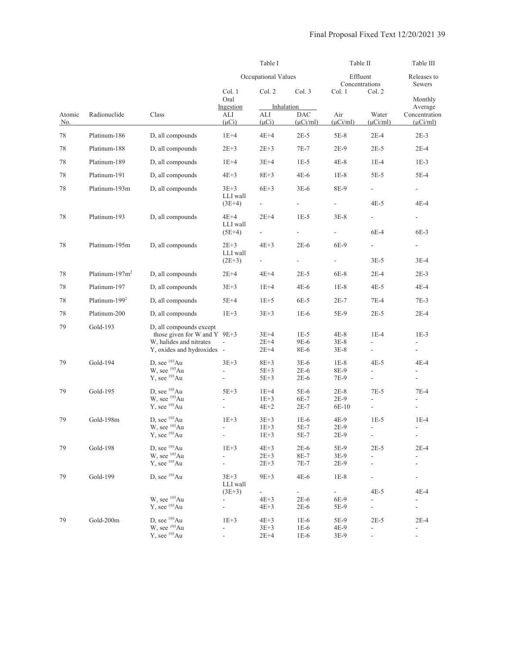|                      |                            |                                                                                                                  |                                           |                                | Table I                                   |                                       |                                                                | Table III                                                      |
|----------------------|----------------------------|------------------------------------------------------------------------------------------------------------------|-------------------------------------------|--------------------------------|-------------------------------------------|---------------------------------------|----------------------------------------------------------------|----------------------------------------------------------------|
|                      |                            |                                                                                                                  |                                           | Occupational Values            |                                           | Effluent<br>Concentrations            |                                                                | Releases to<br>Sewers                                          |
|                      |                            |                                                                                                                  | Col. 1<br>Oral                            | Col. 2                         | Col. 3                                    | Col. 1                                | Col. 2                                                         |                                                                |
| Atomic<br><u>No.</u> | Radionuclide               | Class                                                                                                            | Ingestion<br>ALI<br>$(\mu Ci)$            | ALI<br>$(\mu Ci)$              | Inhalation<br><b>DAC</b><br>$(\mu$ Ci/ml) | Air<br>$(\mu$ Ci/ml)                  | Water<br>$(\mu$ Ci/ml $)$                                      | Monthly<br>Average<br>Concentration<br>$(\mu$ Ci/ml)           |
| 78                   | Platinum-186               | D, all compounds                                                                                                 | $1E+4$                                    | $4E+4$                         | $2E-5$                                    | $5E-8$                                | $2E-4$                                                         | $2E-3$                                                         |
| 78                   | Platinum-188               | D, all compounds                                                                                                 | $2E + 3$                                  | $2E + 3$                       | $7E-7$                                    | $2E-9$                                | $2E-5$                                                         | $2E-4$                                                         |
| 78                   | Platinum-189               | D, all compounds                                                                                                 | $1E+4$                                    | $3E+4$                         | $1E-5$                                    | 4E-8                                  | $1E-4$                                                         | $1E-3$                                                         |
| 78                   | Platinum-191               | D, all compounds                                                                                                 | $4E+3$                                    | $8E + 3$                       | $4E-6$                                    | $1E-8$                                | 5E-5                                                           | $5E-4$                                                         |
| 78                   | Platinum-193m              | D, all compounds                                                                                                 | $3E+3$<br>LLI wall                        | $6E+3$                         | $3E-6$                                    | 8E-9                                  | $\frac{1}{2}$                                                  | $\overline{\phantom{a}}$                                       |
|                      |                            |                                                                                                                  | $(3E+4)$                                  | ÷,                             | $\overline{\phantom{a}}$                  | $\overline{\phantom{a}}$              | $4E-5$                                                         | 4E-4                                                           |
| 78                   | Platinum-193               | D, all compounds                                                                                                 | 4E+4<br>LLI wall                          | $2E+4$                         | $1E-5$                                    | $3E-8$                                | $\overline{\phantom{a}}$                                       | $\frac{1}{2}$                                                  |
|                      |                            |                                                                                                                  | $(5E+4)$                                  |                                | $\Box$                                    |                                       | $6E-4$                                                         | 6E-3                                                           |
| 78                   | Platinum-195m              | D, all compounds                                                                                                 | $2E+3$<br>LLI wall                        | $4E+3$                         | $2E-6$                                    | 6E-9                                  | ÷.                                                             | $\overline{\phantom{a}}$                                       |
|                      |                            |                                                                                                                  | $(2E+3)$                                  | $\frac{1}{2}$                  | $\blacksquare$                            | $\overline{\phantom{a}}$              | $3E-5$                                                         | $3E-4$                                                         |
| 78                   | Platinum-197m <sup>2</sup> | D, all compounds                                                                                                 | $2E+4$                                    | $4E+4$                         | $2E-5$                                    | 6E-8                                  | $2E-4$                                                         | $2E-3$                                                         |
| 78                   | Platinum-197               | D, all compounds                                                                                                 | $3E + 3$                                  | $1E+4$                         | $4E-6$                                    | $1E-8$                                | $4E-5$                                                         | 4E-4                                                           |
| 78                   | Platinum-199 <sup>2</sup>  | D, all compounds                                                                                                 | 5E+4                                      | $1E+5$                         | 6E-5                                      | $2E-7$                                | $7E-4$                                                         | $7E-3$                                                         |
| 78                   | Platinum-200               | D, all compounds                                                                                                 | $1E+3$                                    | $3E + 3$                       | $1E-6$                                    | 5E-9                                  | $2E-5$                                                         | $2E-4$                                                         |
| 79                   | Gold-193                   | D, all compounds except<br>those given for W and Y 9E+3<br>W, halides and nitrates<br>Y, oxides and hydroxides - | $\overline{\phantom{a}}$                  | $3E+4$<br>$2E+4$<br>$2E+4$     | $1E-5$<br>9E-6<br>8E-6                    | 4E-8<br>$3E-8$<br>$3E-8$              | $1E-4$<br>$\frac{1}{2}$                                        | $1E-3$<br>$\overline{\phantom{a}}$                             |
| 79                   | Gold-194                   | D, see $193$ Au<br>W, see <sup>193</sup> Au<br>Y, see <sup>193</sup> Au                                          | $3E+3$<br>÷,<br>$\frac{1}{2}$             | $8E+3$<br>5E+3<br>$5E+3$       | $3E-6$<br>$2E-6$<br>$2E-6$                | $1E-8$<br>8E-9<br>7E-9                | $4E-5$<br>$\frac{1}{2}$<br>$\overline{\phantom{a}}$            | 4E-4<br>$\blacksquare$<br>$\blacksquare$                       |
| 79                   | Gold-195                   | D, see $193$ Au<br>W, see <sup>193</sup> Au<br>Y, see <sup>193</sup> Au                                          | $5E+3$<br>$\overline{a}$<br>$\frac{1}{2}$ | $1E+4$<br>$1E+3$<br>$4E+2$     | $5E-6$<br>6E-7<br>$2E-7$                  | $2E-8$<br>$2E-9$<br>6E-10             | $7E-5$<br>$\frac{1}{2}$<br>$\blacksquare$                      | $7E-4$                                                         |
| 79                   | Gold-198m                  | D, see $193Au$<br>W, see <sup>193</sup> Au<br>Y, see <sup>193</sup> Au                                           | $1E+3$<br>ä,<br>4                         | $3E+3$<br>$1E+3$<br>$1E+3$     | $1E-6$<br>5E-7<br>5E-7                    | 4E-9<br>$2E-9$<br>$2E-9$              | $1E-5$<br>$\overline{\phantom{a}}$<br>$\blacksquare$           | $1E-4$<br>$\overline{\phantom{a}}$<br>$\overline{\phantom{a}}$ |
| 79                   | Gold-198                   | D, see $193Au$<br>W, see <sup>193</sup> Au<br>Y, see <sup>193</sup> Au                                           | $1E+3$<br>L,<br>$\frac{1}{2}$             | $4E+3$<br>$2E + 3$<br>$2E + 3$ | $2E-6$<br>8E-7<br>7E-7                    | 5E-9<br>$3E-9$<br>$2E-9$              | $2E-5$<br>$\overline{\phantom{a}}$<br>$\overline{\phantom{a}}$ | $2E-4$                                                         |
| 79                   | Gold-199                   | D, see <sup>193</sup> Au                                                                                         | $3E + 3$<br>LLI wall<br>$(3E+3)$          | $9E+3$<br>÷,                   | $4E-6$<br>$\omega_{\rm{eff}}$             | $1E-8$<br>$\mathcal{L}_{\mathcal{A}}$ | $4E-5$                                                         | $\frac{1}{2}$<br>$4E-4$                                        |
|                      |                            | W, see <sup>193</sup> Au<br>Y, see <sup>193</sup> Au                                                             | ÷,<br>$\frac{1}{2}$                       | $4E+3$<br>$4E + 3$             | $2E-6$<br>$2E-6$                          | 6E-9<br>5E-9                          | $\frac{1}{2}$<br>$\blacksquare$                                | $\overline{\phantom{a}}$<br>$\Box$                             |
| 79                   | Gold-200m                  | D, see <sup>193</sup> Au<br>W, see <sup>193</sup> Au<br>Y, see <sup>193</sup> Au                                 | $1E+3$<br>÷<br>$\overline{a}$             | $4E+3$<br>$3E + 3$<br>$2E+4$   | $1E-6$<br>$1E-6$<br>$1E-6$                | 5E-9<br>4E-9<br>3E-9                  | $2E-5$<br>$\overline{\phantom{a}}$<br>$\frac{1}{2}$            | $2E-4$<br>$\overline{\phantom{a}}$<br>$\overline{\phantom{a}}$ |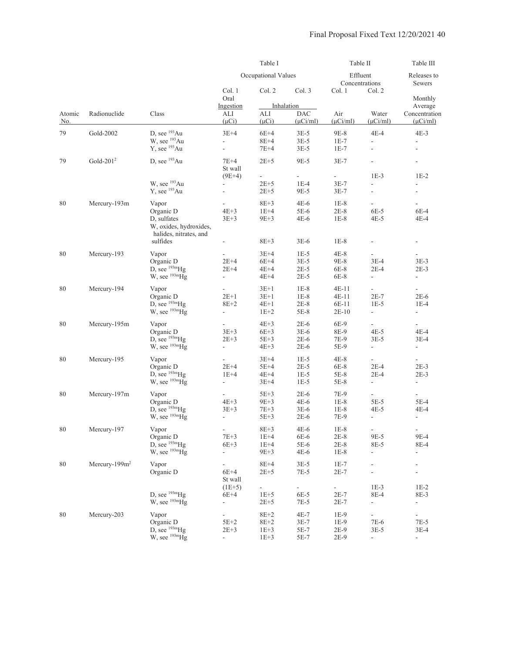|               |                   |                                                                                                   |                                                                              | Table I                                |                                           | Table II                                      |                                                                          | Table III<br>Releases to<br>Sewers<br>Monthly<br>Average<br>Concentration<br>$(\mu$ Ci/ml)<br>$4E-3$<br>$\overline{\phantom{a}}$<br>$\overline{a}$<br>$\overline{\phantom{a}}$<br>$1E-2$<br>$\overline{\phantom{a}}$<br>6E-4<br>$4E-4$<br>$3E-3$<br>$2E-3$<br>$\overline{\phantom{a}}$<br>$\overline{\phantom{a}}$<br>$2E-6$<br>$1E-4$<br>$\overline{a}$<br>÷.<br>4E-4<br>3E-4<br>$\overline{\phantom{a}}$<br>$\overline{\phantom{a}}$<br>$2E-3$<br>$2E-3$<br>$\overline{\phantom{a}}$<br>$\overline{\phantom{a}}$<br>5E-4<br>4E-4<br>$\overline{\phantom{a}}$<br>9E-4<br>8E-4<br>$\overline{\phantom{a}}$<br>$\overline{\phantom{a}}$<br>$\overline{\phantom{m}}$<br>$1E-2$<br>8E-3<br>$\overline{\phantom{a}}$<br>$\overline{\phantom{a}}$ |
|---------------|-------------------|---------------------------------------------------------------------------------------------------|------------------------------------------------------------------------------|----------------------------------------|-------------------------------------------|-----------------------------------------------|--------------------------------------------------------------------------|----------------------------------------------------------------------------------------------------------------------------------------------------------------------------------------------------------------------------------------------------------------------------------------------------------------------------------------------------------------------------------------------------------------------------------------------------------------------------------------------------------------------------------------------------------------------------------------------------------------------------------------------------------------------------------------------------------------------------------------------|
|               |                   |                                                                                                   |                                                                              | Occupational Values                    |                                           |                                               | Effluent<br>Concentrations                                               |                                                                                                                                                                                                                                                                                                                                                                                                                                                                                                                                                                                                                                                                                                                                              |
|               |                   |                                                                                                   | Col. 1<br>Oral                                                               | Col. 2                                 | Col. 3                                    | Col. 1                                        | Col. 2                                                                   |                                                                                                                                                                                                                                                                                                                                                                                                                                                                                                                                                                                                                                                                                                                                              |
| Atomic<br>No. | Radionuclide      | Class                                                                                             | Ingestion<br>ALI<br>$(\mu Ci)$                                               | ALI<br>$(\mu Ci)$                      | Inhalation<br><b>DAC</b><br>$(\mu$ Ci/ml) | Air<br>$(\mu$ Ci/ml)                          | Water<br>$(\mu$ Ci/ml)                                                   |                                                                                                                                                                                                                                                                                                                                                                                                                                                                                                                                                                                                                                                                                                                                              |
| 79            | Gold-2002         | D. see $193$ Au<br>W, see <sup>193</sup> Au<br>Y, see <sup>193</sup> Au                           | $3E+4$<br>ä,<br>$\frac{1}{2}$                                                | $6E+4$<br>$8E+4$<br>$7E+4$             | $3E-5$<br>$3E-5$<br>$3E-5$                | 9E-8<br>$1E-7$<br>$1E-7$                      | 4E-4<br>$\frac{1}{2}$<br>L,                                              |                                                                                                                                                                                                                                                                                                                                                                                                                                                                                                                                                                                                                                                                                                                                              |
| 79            | Gold- $2012$      | D, see $193Au$                                                                                    | 7E+4<br>St wall                                                              | $2E+5$                                 | 9E-5                                      | $3E-7$                                        |                                                                          |                                                                                                                                                                                                                                                                                                                                                                                                                                                                                                                                                                                                                                                                                                                                              |
|               |                   | W, see <sup>193</sup> Au<br>$Y$ , see $193Au$                                                     | $(9E+4)$<br>$\overline{\phantom{a}}$<br>$\overline{\phantom{a}}$             | $2E+5$<br>$2E + 5$                     | $1E-4$<br>9E-5                            | $3E-7$<br>$3E-7$                              | $1E-3$<br>$\frac{1}{2}$                                                  |                                                                                                                                                                                                                                                                                                                                                                                                                                                                                                                                                                                                                                                                                                                                              |
| 80            | Mercury-193m      | Vapor<br>Organic D<br>D, sulfates<br>W, oxides, hydroxides,<br>halides, nitrates, and<br>sulfides | $\overline{\phantom{a}}$<br>$4E+3$<br>$3E + 3$<br>$\overline{\phantom{a}}$   | $8E+3$<br>$1E+4$<br>$9E+3$<br>$8E + 3$ | $4E-6$<br>5E-6<br>4E-6<br>$3E-6$          | $1E-8$<br>$2E-8$<br>$1E-8$<br>$1E-8$          | $\overline{\phantom{a}}$<br>6E-5<br>4E-5                                 |                                                                                                                                                                                                                                                                                                                                                                                                                                                                                                                                                                                                                                                                                                                                              |
| $80\,$        | Mercury-193       | Vapor<br>Organic D<br>D, see $^{193m}$ Hg<br>W, see <sup>193m</sup> Hg                            | $\blacksquare$<br>$2E+4$<br>$2E+4$<br>$\overline{\phantom{a}}$               | $3E+4$<br>$6E+4$<br>$4E+4$<br>$4E+4$   | $1E-5$<br>$3E-5$<br>$2E-5$<br>$2E-5$      | $4E-8$<br>9E-8<br>6E-8<br>$6E-8$              | $3E-4$<br>$2E-4$<br>$\overline{\phantom{a}}$                             |                                                                                                                                                                                                                                                                                                                                                                                                                                                                                                                                                                                                                                                                                                                                              |
| 80            | Mercury-194       | Vapor<br>Organic D<br>D, see $^{193m}Hg$<br>W, see $^{193m}$ Hg                                   | $\overline{\phantom{a}}$<br>$2E+1$<br>$8E+2$<br>$\overline{\phantom{a}}$     | $3E+1$<br>$3E+1$<br>$4E+1$<br>$1E+2$   | $1E-8$<br>$1E-8$<br>$2E-8$<br>5E-8        | 4E-11<br>4E-11<br>6E-11<br>$2E-10$            | $\overline{\phantom{a}}$<br>$2E-7$<br>$1E-5$<br>$\overline{\phantom{a}}$ |                                                                                                                                                                                                                                                                                                                                                                                                                                                                                                                                                                                                                                                                                                                                              |
| 80            | Mercury-195m      | Vapor<br>Organic D<br>D, see $^{193m}Hg$<br>W, see $^{193m}$ Hg                                   | $\overline{\phantom{a}}$<br>$3E + 3$<br>$2E + 3$<br>$\overline{\phantom{a}}$ | $4E+3$<br>$6E+3$<br>$5E+3$<br>$4E+3$   | $2E-6$<br>$3E-6$<br>$2E-6$<br>$2E-6$      | 6E-9<br>8E-9<br>7E-9<br>5E-9                  | $\overline{\phantom{a}}$<br>$4E-5$<br>$3E-5$<br>$\overline{\phantom{a}}$ |                                                                                                                                                                                                                                                                                                                                                                                                                                                                                                                                                                                                                                                                                                                                              |
| 80            | Mercury-195       | Vapor<br>Organic D<br>D, see $^{193m}Hg$<br>W, see $^{193m}Hg$                                    | ÷,<br>$2E+4$<br>$1E+4$<br>÷,                                                 | $3E+4$<br>$5E+4$<br>$4E+4$<br>$3E+4$   | $1E-5$<br>$2E-5$<br>$1E-5$<br>$1E-5$      | 4E-8<br>6E-8<br>5E-8<br>5E-8                  | $\overline{a}$<br>$2E-4$<br>$2E-4$<br>$\blacksquare$                     |                                                                                                                                                                                                                                                                                                                                                                                                                                                                                                                                                                                                                                                                                                                                              |
| 80            | Mercury-197m      | Vapor<br>Organic D<br>D, see $^{193m}Hg$<br>W, see $^{193m}$ Hg                                   | $\overline{\phantom{a}}$<br>$4E+3$<br>$3E+3$<br>$\overline{\phantom{a}}$     | $5E+3$<br>$9E+3$<br>$7E + 3$<br>$5E+3$ | $2E-6$<br>$4E-6$<br>$3E-6$<br>$2E-6$      | 7E-9<br>$1E-8$<br>$1E-8$<br>7E-9              | $\overline{\phantom{a}}$<br>$5E-5$<br>4E-5<br>$\blacksquare$             |                                                                                                                                                                                                                                                                                                                                                                                                                                                                                                                                                                                                                                                                                                                                              |
| $80\,$        | Mercury-197       | Vapor<br>Organic D<br>D, see $^{193m}$ Hg<br>W, see <sup>193m</sup> Hg                            | $7E+3$<br>$6E+3$<br>$\blacksquare$                                           | $8E+3$<br>$1E+4$<br>$1E+4$<br>$9E + 3$ | $4E-6$<br>6E-6<br>5E-6<br>$4E-6$          | $1\mathrm{E-}8$<br>$2E-8$<br>$2E-8$<br>$1E-8$ | 9E-5<br>8E-5<br>$\overline{\phantom{a}}$                                 |                                                                                                                                                                                                                                                                                                                                                                                                                                                                                                                                                                                                                                                                                                                                              |
| 80            | Mercury- $199m^2$ | Vapor<br>Organic D                                                                                | $\overline{\phantom{a}}$<br>$6E+4$<br>St wall                                | $8E+4$<br>$2E+5$                       | $3E-5$<br>$7E-5$                          | $1E-7$<br>$2E-7$                              |                                                                          |                                                                                                                                                                                                                                                                                                                                                                                                                                                                                                                                                                                                                                                                                                                                              |
|               |                   | D, see $^{193m}$ Hg<br>W, see $^{193m}Hg$                                                         | $(1E+5)$<br>$6E+4$<br>÷,                                                     | $1E+5$<br>$2E + 5$                     | ÷,<br>6E-5<br>7E-5                        | $\blacksquare$<br>$2E-7$<br>$2E-7$            | $1E-3$<br>8E-4<br>÷,                                                     |                                                                                                                                                                                                                                                                                                                                                                                                                                                                                                                                                                                                                                                                                                                                              |
| 80            | Mercury-203       | Vapor<br>Organic D<br>D, see $^{193m}$ Hg<br>W, see $^{193m}$ Hg                                  | $\overline{\phantom{0}}$<br>5E+2<br>$2E + 3$<br>÷,                           | $8E+2$<br>$8E+2$<br>$1E+3$<br>$1E+3$   | $4E-7$<br>$3E-7$<br>5E-7<br>5E-7          | 1E-9<br>1E-9<br>2E-9<br>$2E-9$                | 7E-6<br>$3E-5$<br>$\overline{\phantom{a}}$                               | 7E-5<br>$3E-4$<br>$\blacksquare$                                                                                                                                                                                                                                                                                                                                                                                                                                                                                                                                                                                                                                                                                                             |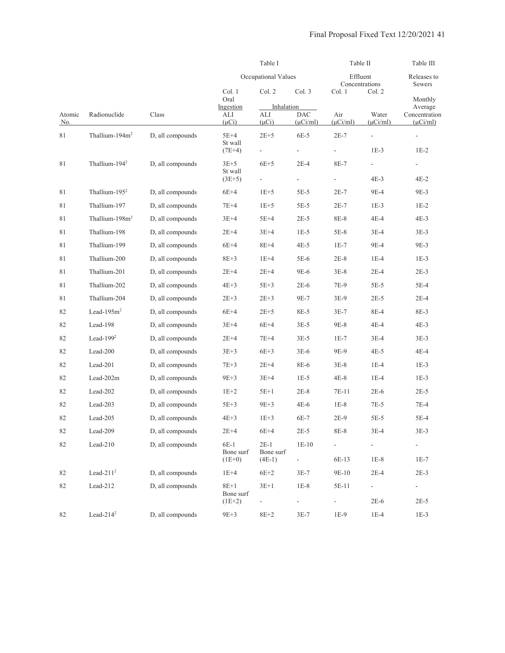|                      |                            |                  |                                                                                                                                                                                                                                                                                                                                                                                                                                                                                                                                                                                                                                                                                                                                                                                                                                                                                                                                                                                                                                                                                                                                              | Table I             |                       | Table II      |                          | Table III                      |
|----------------------|----------------------------|------------------|----------------------------------------------------------------------------------------------------------------------------------------------------------------------------------------------------------------------------------------------------------------------------------------------------------------------------------------------------------------------------------------------------------------------------------------------------------------------------------------------------------------------------------------------------------------------------------------------------------------------------------------------------------------------------------------------------------------------------------------------------------------------------------------------------------------------------------------------------------------------------------------------------------------------------------------------------------------------------------------------------------------------------------------------------------------------------------------------------------------------------------------------|---------------------|-----------------------|---------------|--------------------------|--------------------------------|
|                      |                            |                  | Occupational Values<br>Effluent<br>Col. 1<br>Col. 2<br>Col. 3<br>Col. 1<br>Oral<br>Ingestion<br>Inhalation<br><b>DAC</b><br>Air<br>ALI<br>ALI<br>$(\mu Ci)$<br>$(\mu Ci)$<br>$(\mu$ Ci/ml)<br>$(\mu$ Ci/ml)<br>$5E+4$<br>$2E+5$<br>6E-5<br>$2E-7$<br>St wall<br>$(7E+4)$<br>$\blacksquare$<br>÷,<br>$3E+5$<br>$6E+5$<br>$2E-4$<br>8E-7<br>St wall<br>$(3E+5)$<br>$\Box$<br>$1E+5$<br>$5E-5$<br>$6E+4$<br>$2E-7$<br>$7E+4$<br>$1E+5$<br>$5E-5$<br>$2E-7$<br>$3E+4$<br>$5E+4$<br>$2E-5$<br>8E-8<br>$2E+4$<br>$3E+4$<br>$1E-5$<br>5E-8<br>$6E+4$<br>$8E+4$<br>$4E-5$<br>$1E-7$<br>$8E+3$<br>$1E+4$<br>5E-6<br>$2E-8$<br>$2E+4$<br>$2E+4$<br>9E-6<br>$3E-8$<br>$4E+3$<br>$5E+3$<br>7E-9<br>$2E-6$<br>$2E + 3$<br>$2E + 3$<br>9E-7<br>$3E-9$<br>$6E+4$<br>$2E+5$<br>8E-5<br>$3E-7$<br>$6E+4$<br>$3E+4$<br>$3E-5$<br>9E-8<br>$2E+4$<br>$7E+4$<br>$3E-5$<br>$1E-7$<br>$3E + 3$<br>$6E+3$<br>$3E-6$<br>9E-9<br>$7E+3$<br>$2E+4$<br>8E-6<br>$3E-8$<br>$3E+4$<br>9E+3<br>$1E-5$<br>$4E-8$<br>$5E+1$<br>$2E-8$<br>$1E+2$<br>7E-11<br>$5E+3$<br>$9E+3$<br>$4E-6$<br>$1E-8$<br>$4E+3$<br>$1E+3$<br>6E-7<br>$2E-9$<br>$2E + 4$<br>$6E+4$<br>$2E-5$<br>8E-8 | Concentrations      | Releases to<br>Sewers |               |                          |                                |
|                      |                            |                  |                                                                                                                                                                                                                                                                                                                                                                                                                                                                                                                                                                                                                                                                                                                                                                                                                                                                                                                                                                                                                                                                                                                                              |                     |                       |               | Col. 2                   | Monthly<br>Average             |
| Atomic<br><u>No.</u> | Radionuclide               | Class            |                                                                                                                                                                                                                                                                                                                                                                                                                                                                                                                                                                                                                                                                                                                                                                                                                                                                                                                                                                                                                                                                                                                                              |                     |                       |               | Water<br>$(\mu$ Ci/ml)   | Concentration<br>$(\mu$ Ci/ml) |
| 81                   | Thallium-194m <sup>2</sup> | D, all compounds |                                                                                                                                                                                                                                                                                                                                                                                                                                                                                                                                                                                                                                                                                                                                                                                                                                                                                                                                                                                                                                                                                                                                              |                     |                       |               | $\overline{\phantom{a}}$ | $\overline{\phantom{a}}$       |
|                      |                            |                  |                                                                                                                                                                                                                                                                                                                                                                                                                                                                                                                                                                                                                                                                                                                                                                                                                                                                                                                                                                                                                                                                                                                                              |                     |                       |               | $1E-3$                   | $1E-2$                         |
| 81                   | Thallium-194 <sup>2</sup>  | D, all compounds |                                                                                                                                                                                                                                                                                                                                                                                                                                                                                                                                                                                                                                                                                                                                                                                                                                                                                                                                                                                                                                                                                                                                              |                     |                       |               | $\blacksquare$<br>4E-3   | $\frac{1}{2}$<br>$4E-2$        |
| 81                   | Thallium- $1952$           | D, all compounds |                                                                                                                                                                                                                                                                                                                                                                                                                                                                                                                                                                                                                                                                                                                                                                                                                                                                                                                                                                                                                                                                                                                                              |                     |                       |               | 9E-4                     | 9E-3                           |
| 81                   | Thallium-197               | D, all compounds |                                                                                                                                                                                                                                                                                                                                                                                                                                                                                                                                                                                                                                                                                                                                                                                                                                                                                                                                                                                                                                                                                                                                              |                     |                       |               | $1E-3$                   | $1E-2$                         |
| 81                   | Thallium- $198m2$          | D, all compounds |                                                                                                                                                                                                                                                                                                                                                                                                                                                                                                                                                                                                                                                                                                                                                                                                                                                                                                                                                                                                                                                                                                                                              |                     |                       |               | 4E-4                     | $4E-3$                         |
| 81                   | Thallium-198               | D, all compounds |                                                                                                                                                                                                                                                                                                                                                                                                                                                                                                                                                                                                                                                                                                                                                                                                                                                                                                                                                                                                                                                                                                                                              |                     |                       |               | $3E-4$                   | $3E-3$                         |
| 81                   | Thallium-199               | D, all compounds |                                                                                                                                                                                                                                                                                                                                                                                                                                                                                                                                                                                                                                                                                                                                                                                                                                                                                                                                                                                                                                                                                                                                              |                     |                       |               | 9E-4                     | 9E-3                           |
| 81                   | Thallium-200               | D, all compounds |                                                                                                                                                                                                                                                                                                                                                                                                                                                                                                                                                                                                                                                                                                                                                                                                                                                                                                                                                                                                                                                                                                                                              |                     |                       |               | $1E-4$                   | $1E-3$                         |
| 81                   | Thallium-201               | D, all compounds |                                                                                                                                                                                                                                                                                                                                                                                                                                                                                                                                                                                                                                                                                                                                                                                                                                                                                                                                                                                                                                                                                                                                              |                     |                       |               | $2E-4$                   | $2E-3$                         |
| 81                   | Thallium-202               | D, all compounds |                                                                                                                                                                                                                                                                                                                                                                                                                                                                                                                                                                                                                                                                                                                                                                                                                                                                                                                                                                                                                                                                                                                                              |                     |                       |               | $5E-5$                   | 5E-4                           |
| 81                   | Thallium-204               | D, all compounds |                                                                                                                                                                                                                                                                                                                                                                                                                                                                                                                                                                                                                                                                                                                                                                                                                                                                                                                                                                                                                                                                                                                                              |                     |                       |               | $2E-5$                   | $2E-4$                         |
| 82                   | Lead- $195m2$              | D, all compounds |                                                                                                                                                                                                                                                                                                                                                                                                                                                                                                                                                                                                                                                                                                                                                                                                                                                                                                                                                                                                                                                                                                                                              |                     |                       |               | 8E-4                     | 8E-3                           |
| 82                   | Lead-198                   | D, all compounds |                                                                                                                                                                                                                                                                                                                                                                                                                                                                                                                                                                                                                                                                                                                                                                                                                                                                                                                                                                                                                                                                                                                                              |                     |                       |               | 4E-4                     | $4E-3$                         |
| 82                   | Lead- $1992$               | D, all compounds |                                                                                                                                                                                                                                                                                                                                                                                                                                                                                                                                                                                                                                                                                                                                                                                                                                                                                                                                                                                                                                                                                                                                              |                     |                       |               | $3E-4$                   | $3E-3$                         |
| 82                   | Lead-200                   | D, all compounds |                                                                                                                                                                                                                                                                                                                                                                                                                                                                                                                                                                                                                                                                                                                                                                                                                                                                                                                                                                                                                                                                                                                                              |                     |                       |               | $4E-5$                   | $4E-4$                         |
| 82                   | Lead-201                   | D, all compounds |                                                                                                                                                                                                                                                                                                                                                                                                                                                                                                                                                                                                                                                                                                                                                                                                                                                                                                                                                                                                                                                                                                                                              |                     |                       |               | $1E-4$                   | $1E-3$                         |
| 82                   | $Lead-202m$                | D, all compounds |                                                                                                                                                                                                                                                                                                                                                                                                                                                                                                                                                                                                                                                                                                                                                                                                                                                                                                                                                                                                                                                                                                                                              |                     |                       |               | $1E-4$                   | $1E-3$                         |
| 82                   | Lead-202                   | D, all compounds |                                                                                                                                                                                                                                                                                                                                                                                                                                                                                                                                                                                                                                                                                                                                                                                                                                                                                                                                                                                                                                                                                                                                              |                     |                       |               | $2E-6$                   | $2E-5$                         |
| 82                   | Lead-203                   | D, all compounds |                                                                                                                                                                                                                                                                                                                                                                                                                                                                                                                                                                                                                                                                                                                                                                                                                                                                                                                                                                                                                                                                                                                                              |                     |                       |               | $7E-5$                   | 7E-4                           |
| 82                   | Lead-205                   | D, all compounds |                                                                                                                                                                                                                                                                                                                                                                                                                                                                                                                                                                                                                                                                                                                                                                                                                                                                                                                                                                                                                                                                                                                                              |                     |                       |               | $5E-5$                   | $5E-4$                         |
| 82                   | Lead-209                   | D, all compounds |                                                                                                                                                                                                                                                                                                                                                                                                                                                                                                                                                                                                                                                                                                                                                                                                                                                                                                                                                                                                                                                                                                                                              |                     |                       |               | $3E-4$                   | $3E-3$                         |
| 82                   | Lead-210                   | D, all compounds | $6E-1$<br>Bone surf                                                                                                                                                                                                                                                                                                                                                                                                                                                                                                                                                                                                                                                                                                                                                                                                                                                                                                                                                                                                                                                                                                                          | $2E-1$<br>Bone surf | $1E-10$               |               |                          |                                |
|                      |                            |                  | $(1E+0)$                                                                                                                                                                                                                                                                                                                                                                                                                                                                                                                                                                                                                                                                                                                                                                                                                                                                                                                                                                                                                                                                                                                                     | $(4E-1)$            | ÷.                    | 6E-13         | $1E-8$                   | $1E-7$                         |
| 82                   | Lead- $2112$               | D, all compounds | $1E+4$                                                                                                                                                                                                                                                                                                                                                                                                                                                                                                                                                                                                                                                                                                                                                                                                                                                                                                                                                                                                                                                                                                                                       | $6E+2$              | $3E-7$                | 9E-10         | $2E-4$                   | $2E-3$                         |
| 82                   | Lead-212                   | D, all compounds | $8E+1$<br>Bone surf                                                                                                                                                                                                                                                                                                                                                                                                                                                                                                                                                                                                                                                                                                                                                                                                                                                                                                                                                                                                                                                                                                                          | $3E+1$              | $1E-8$                | 5E-11         | ÷.                       | $\sim$                         |
|                      |                            |                  | $(1E+2)$                                                                                                                                                                                                                                                                                                                                                                                                                                                                                                                                                                                                                                                                                                                                                                                                                                                                                                                                                                                                                                                                                                                                     |                     | $\frac{1}{2}$         | $\frac{1}{2}$ | $2E-6$                   | $2E-5$                         |
| 82                   | Lead- $214^2$              | D, all compounds | $9E + 3$                                                                                                                                                                                                                                                                                                                                                                                                                                                                                                                                                                                                                                                                                                                                                                                                                                                                                                                                                                                                                                                                                                                                     | $8E+2$              | $3E-7$                | $1E-9$        | $1E-4$                   | $1E-3$                         |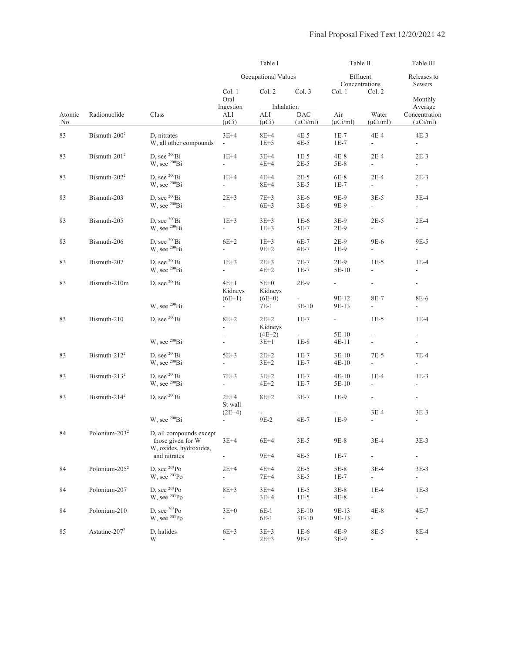|               |                           |                                                                        | Table I                              |                                 |                                        | Table II                   |                                           | Table III                                            |
|---------------|---------------------------|------------------------------------------------------------------------|--------------------------------------|---------------------------------|----------------------------------------|----------------------------|-------------------------------------------|------------------------------------------------------|
|               |                           |                                                                        |                                      | Occupational Values             |                                        | Effluent<br>Concentrations |                                           | Releases to<br>Sewers                                |
|               |                           |                                                                        | Col. 1<br>Oral                       | Col. 2                          | Col. 3                                 | Col. 1                     | Col. 2                                    | Monthly                                              |
| Atomic<br>No. | Radionuclide              | Class                                                                  | Ingestion<br>ALI<br>$(\mu Ci)$       | Inhalation<br>ALI<br>$(\mu Ci)$ | <b>DAC</b><br>$(\mu$ Ci/ml)            | Air<br>$(\mu$ Ci/ml)       | Water<br>$(\mu$ Ci/ml)                    | Average<br>Concentration<br>$(\mu$ Ci/ml)            |
| 83            | Bismuth-200 <sup>2</sup>  | D, nitrates<br>W, all other compounds                                  | $3E+4$<br>$\overline{\phantom{a}}$   | $8E+4$<br>$1E+5$                | $4E-5$<br>$4E-5$                       | $1E-7$<br>$1E-7$           | 4E-4<br>$\overline{a}$                    | $4E-3$<br>÷,                                         |
| 83            | Bismuth-201 <sup>2</sup>  | D. see $^{200}$ Bi<br>W, see <sup>200</sup> Bi                         | $1E+4$<br>÷.                         | $3E+4$<br>$4E+4$                | $1E-5$<br>$2E-5$                       | $4E-8$<br>5E-8             | $2E-4$<br>$\overline{\phantom{a}}$        | $2E-3$<br>$\sim$                                     |
| 83            | Bismuth-202 <sup>2</sup>  | D, see <sup>200</sup> Bi<br>W, see <sup>200</sup> Bi                   | $1E+4$<br>÷.                         | $4E+4$<br>$8E+4$                | $2E-5$<br>$3E-5$                       | $6E-8$<br>$1E-7$           | $2E-4$<br>$\overline{\phantom{a}}$        | $2E-3$<br>$\overline{\phantom{a}}$                   |
| 83            | Bismuth-203               | D, see <sup>200</sup> Bi<br>W, see <sup>200</sup> Bi                   | $2E+3$<br>÷,                         | $7E+3$<br>$6E+3$                | $3E-6$<br>$3E-6$                       | 9E-9<br>9E-9               | $3E-5$<br>$\overline{\phantom{a}}$        | $3E-4$<br>$\overline{\phantom{a}}$                   |
| 83            | Bismuth-205               | D. see $^{200}$ Bi<br>W, see <sup>200</sup> Bi                         | $1E+3$<br>÷.                         | $3E+3$<br>$1E+3$                | $1E-6$<br>5E-7                         | $3E-9$<br>$2E-9$           | $2E-5$<br>$\overline{\phantom{0}}$        | $2E-4$<br>÷.                                         |
| 83            | Bismuth-206               | D, see <sup>200</sup> Bi<br>W, see <sup>200</sup> Bi                   | $6E+2$<br>÷,                         | $1E+3$<br>$9E+2$                | 6E-7<br>$4E-7$                         | $2E-9$<br>$1E-9$           | 9E-6<br>$\overline{\phantom{a}}$          | 9E-5<br>$\overline{\phantom{a}}$                     |
| 83            | Bismuth-207               | D, see <sup>200</sup> Bi<br>W, see <sup>200</sup> Bi                   | $1E+3$<br>÷,                         | $2E+3$<br>$4E+2$                | $7E-7$<br>$1E-7$                       | $2E-9$<br>5E-10            | $1E-5$<br>$\overline{\phantom{a}}$        | $1E-4$<br>$\overline{\phantom{a}}$                   |
| 83            | Bismuth-210m              | D, see <sup>200</sup> Bi                                               | $4E+1$<br>Kidneys                    | $5E+0$<br>Kidneys               | $2E-9$                                 | $\overline{\phantom{a}}$   | $\overline{\phantom{a}}$                  | $\blacksquare$                                       |
|               |                           | W, see <sup>200</sup> Bi                                               | $(6E+1)$<br>$\overline{\phantom{a}}$ | $(6E+0)$<br>7E-1                | $\mathcal{L}_{\mathcal{A}}$<br>$3E-10$ | 9E-12<br>9E-13             | 8E-7<br>$\overline{\phantom{a}}$          | 8E-6<br>$\overline{\phantom{a}}$                     |
| 83            | Bismuth-210               | D, see <sup>200</sup> Bi                                               | $8E+2$<br>÷,                         | $2E+2$<br>Kidneys               | $1E-7$                                 | $\sim$                     | $1E-5$                                    | $1E-4$                                               |
|               |                           | W, see <sup>200</sup> Bi                                               | $\frac{1}{2}$<br>$\frac{1}{2}$       | $(4E+2)$<br>$3E+1$              | $\omega_{\rm{eff}}$<br>$1E-8$          | 5E-10<br>$4E-11$           | $\frac{1}{2}$<br>$\overline{\phantom{a}}$ | $\overline{\phantom{a}}$<br>$\overline{\phantom{a}}$ |
| 83            | Bismuth-212 <sup>2</sup>  | D, see <sup>200</sup> Bi<br>W, see $^{200}Bi$                          | $5E+3$<br>÷,                         | $2E+2$<br>$3E+2$                | $1E-7$<br>$1E-7$                       | $3E-10$<br>$4E-10$         | $7E-5$<br>$\blacksquare$                  | $7E-4$<br>$\blacksquare$                             |
| 83            | Bismuth-213 <sup>2</sup>  | D, see <sup>200</sup> Bi<br>W, see <sup>200</sup> Bi                   | $7E+3$<br>÷.                         | $3E+2$<br>$4E+2$                | $1E-7$<br>$1E-7$                       | $4E-10$<br>5E-10           | $1E-4$<br>$\overline{\phantom{a}}$        | $1E-3$<br>$\overline{\phantom{a}}$                   |
| 83            | Bismuth-214 <sup>2</sup>  | D, see $^{200}Bi$                                                      | $2E+4$<br>St wall                    | $8E+2$                          | $3E-7$                                 | $1E-9$                     | $\overline{\phantom{a}}$                  | ÷,                                                   |
|               |                           | W, see $^{200}Bi$                                                      | $(2E+4)$<br>$\frac{1}{2}$            | 9E-2                            | $4E-7$                                 | $1E-9$                     | $3E-4$<br>$\frac{1}{2}$                   | $3E-3$<br>$\overline{\phantom{a}}$                   |
| 84            | Polonium-203 <sup>2</sup> | D, all compounds except<br>those given for W<br>W, oxides, hydroxides, | $3E+4$                               | $6E+4$                          | $3E-5$                                 | 9E-8                       | $3E-4$                                    | $3E-3$                                               |
|               |                           | and nitrates                                                           | $\blacksquare$                       | $9E+4$                          | $4E-5$                                 | $1E-7$                     | $\blacksquare$                            | $\overline{\phantom{0}}$                             |
| 84            | Polonium-205 <sup>2</sup> | D, see $^{203}Po$<br>W, see <sup>203</sup> Po                          | $2E+4$<br>$\Box$                     | $4E+4$<br>$7E+4$                | $2E-5$<br>$3E-5$                       | 5E-8<br>$1E-7$             | $3E-4$<br>÷,                              | $3E-3$<br>$\overline{\phantom{0}}$                   |
| 84            | Polonium-207              | D, see $^{203}Po$<br>W, see $^{203}Po$                                 | $8E+3$<br>$\blacksquare$             | $3E+4$<br>$3E+4$                | $1E-5$<br>$1E-5$                       | $3E-8$<br>4E-8             | $1E-4$<br>$\overline{\phantom{a}}$        | $1E-3$<br>$\overline{\phantom{a}}$                   |
| 84            | Polonium-210              | D, see $^{203}Po$<br>W, see <sup>203</sup> Po                          | $3E+0$<br>÷,                         | $6E-1$<br>$6E-1$                | $3E-10$<br>$3E-10$                     | 9E-13<br>9E-13             | $4E-8$<br>÷,                              | $4E-7$<br>$\overline{\phantom{a}}$                   |
| 85            | Astatine-207 <sup>2</sup> | D, halides<br>W                                                        | $6E+3$<br>-                          | $3E+3$<br>$2E + 3$              | $1E-6$<br>9E-7                         | 4E-9<br>3E-9               | 8E-5<br>$\overline{\phantom{a}}$          | 8E-4<br>$\overline{\phantom{a}}$                     |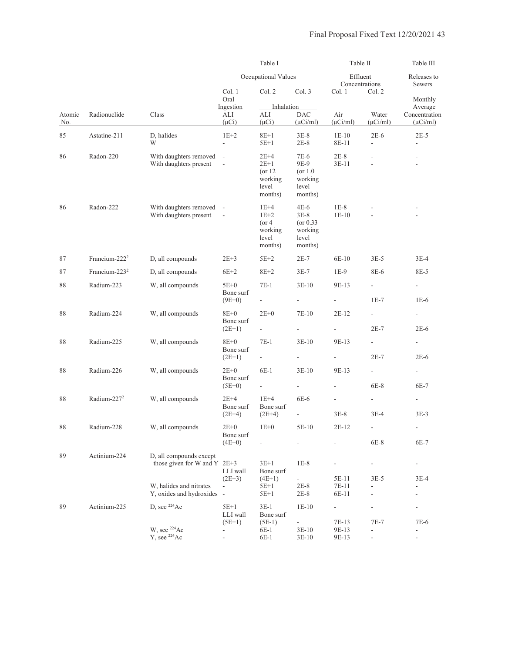|               |                           |                                                         |                                      | Table I                                                      |                                                                | Table II             |                                                                                                                                                                                                                                                                                                                                                                                                                                                                                                                                                                                                                                                                                                                                                   | Table III      |
|---------------|---------------------------|---------------------------------------------------------|--------------------------------------|--------------------------------------------------------------|----------------------------------------------------------------|----------------------|---------------------------------------------------------------------------------------------------------------------------------------------------------------------------------------------------------------------------------------------------------------------------------------------------------------------------------------------------------------------------------------------------------------------------------------------------------------------------------------------------------------------------------------------------------------------------------------------------------------------------------------------------------------------------------------------------------------------------------------------------|----------------|
|               |                           |                                                         |                                      | Occupational Values                                          |                                                                |                      | Effluent<br>Releases to<br>Concentrations<br>Sewers<br>Col. 2<br>Monthly<br>Average<br>Water<br>Concentration<br>$(\mu$ Ci/ml)<br>$(\mu$ Ci/ml)<br>$2E-6$<br>$2E-5$<br>$\frac{1}{2}$<br>$\overline{\phantom{a}}$<br>٠<br>$3E-5$<br>$3E-4$<br>8E-6<br>8E-5<br>$\frac{1}{2}$<br>$\overline{a}$<br>$1E-7$<br>$1E-6$<br>$\sim$<br>$\overline{\phantom{a}}$<br>$2E-7$<br>$2E-6$<br>$\overline{\phantom{a}}$<br>$\overline{\phantom{a}}$<br>$2E-6$<br>$2E-7$<br>$\overline{\phantom{a}}$<br>÷<br>6E-8<br>6E-7<br>$\overline{a}$<br>$\overline{\phantom{a}}$<br>$3E-4$<br>$3E-3$<br>6E-8<br>6E-7<br>$\frac{1}{2}$<br>$\frac{1}{2}$<br>$3E-5$<br>3E-4<br>$\overline{\phantom{a}}$<br>$\overline{\phantom{m}}$<br>$\overline{\phantom{m}}$<br>7E-7<br>7E-6 |                |
|               |                           |                                                         | Col. 1<br>Oral                       | Col. 2                                                       | Col. 3                                                         | Col. 1               |                                                                                                                                                                                                                                                                                                                                                                                                                                                                                                                                                                                                                                                                                                                                                   |                |
| Atomic<br>No. | Radionuclide              | Class                                                   | Ingestion<br>ALI<br>$(\mu Ci)$       | Inhalation<br>ALI<br>$(\mu Ci)$                              | <b>DAC</b><br>$(\mu$ Ci/ml)                                    | Air<br>$(\mu$ Ci/ml) |                                                                                                                                                                                                                                                                                                                                                                                                                                                                                                                                                                                                                                                                                                                                                   |                |
| 85            | Astatine-211              | D, halides<br>W                                         | $1E+2$<br>÷,                         | $8E+1$<br>$5E+1$                                             | $3E-8$<br>$2E-8$                                               | $1E-10$<br>8E-11     |                                                                                                                                                                                                                                                                                                                                                                                                                                                                                                                                                                                                                                                                                                                                                   |                |
| 86            | Radon-220                 | With daughters removed<br>With daughters present        | $\sim$<br>$\overline{\phantom{a}}$   | $2E+4$<br>$2E+1$<br>$($ or 12<br>working<br>level<br>months) | 7E-6<br>9E-9<br>$($ or 1.0<br>working<br>level<br>months)      | $2E-8$<br>$3E-11$    |                                                                                                                                                                                                                                                                                                                                                                                                                                                                                                                                                                                                                                                                                                                                                   |                |
| 86            | Radon-222                 | With daughters removed -<br>With daughters present      | $\overline{\phantom{a}}$             | $1E+4$<br>$1E+2$<br>$($ or 4<br>working<br>level<br>months)  | $4E-6$<br>$3E-8$<br>$($ or 0.33<br>working<br>level<br>months) | $1E-8$<br>$1E-10$    |                                                                                                                                                                                                                                                                                                                                                                                                                                                                                                                                                                                                                                                                                                                                                   |                |
| 87            | Francium-222 <sup>2</sup> | D, all compounds                                        | $2E+3$                               | $5E+2$                                                       | $2E-7$                                                         | $6E-10$              |                                                                                                                                                                                                                                                                                                                                                                                                                                                                                                                                                                                                                                                                                                                                                   |                |
| 87            | Francium-223 <sup>2</sup> | D, all compounds                                        | $6E+2$                               | $8E + 2$                                                     | $3E-7$                                                         | $1E-9$               |                                                                                                                                                                                                                                                                                                                                                                                                                                                                                                                                                                                                                                                                                                                                                   |                |
| 88            | Radium-223                | W, all compounds                                        | $5E+0$                               | $7E-1$                                                       | $3E-10$                                                        | 9E-13                |                                                                                                                                                                                                                                                                                                                                                                                                                                                                                                                                                                                                                                                                                                                                                   |                |
|               |                           |                                                         | Bone surf<br>$(9E+0)$                |                                                              | ÷,                                                             |                      |                                                                                                                                                                                                                                                                                                                                                                                                                                                                                                                                                                                                                                                                                                                                                   |                |
| 88            | Radium-224                | W, all compounds                                        | $8E+0$                               | $2E+0$                                                       | 7E-10                                                          | $2E-12$              |                                                                                                                                                                                                                                                                                                                                                                                                                                                                                                                                                                                                                                                                                                                                                   |                |
|               |                           |                                                         | Bone surf<br>$(2E+1)$                | ÷,                                                           | $\overline{\phantom{a}}$                                       | $\sim$               |                                                                                                                                                                                                                                                                                                                                                                                                                                                                                                                                                                                                                                                                                                                                                   |                |
| 88            | Radium-225                | W, all compounds                                        | $8E+0$<br>Bone surf                  | $7E-1$<br>÷,                                                 | $3E-10$<br>$\blacksquare$                                      | 9E-13                |                                                                                                                                                                                                                                                                                                                                                                                                                                                                                                                                                                                                                                                                                                                                                   |                |
| 88            | Radium-226                | W, all compounds                                        | $(2E+1)$<br>$2E+0$                   | $6E-1$                                                       | $3E-10$                                                        | 9E-13                |                                                                                                                                                                                                                                                                                                                                                                                                                                                                                                                                                                                                                                                                                                                                                   |                |
|               |                           |                                                         | Bone surf                            |                                                              |                                                                |                      |                                                                                                                                                                                                                                                                                                                                                                                                                                                                                                                                                                                                                                                                                                                                                   |                |
|               |                           |                                                         | $(5E+0)$                             |                                                              | $\overline{\phantom{a}}$                                       |                      |                                                                                                                                                                                                                                                                                                                                                                                                                                                                                                                                                                                                                                                                                                                                                   |                |
| 88            | Radium-227 $2$            | W, all compounds                                        | $2E+4$<br>Bone surf                  | $1E+4$<br>Bone surf                                          | 6E-6                                                           |                      |                                                                                                                                                                                                                                                                                                                                                                                                                                                                                                                                                                                                                                                                                                                                                   |                |
|               |                           |                                                         | $(2E+4)$                             | $(2E+4)$                                                     | $\blacksquare$                                                 | $3E-8$               |                                                                                                                                                                                                                                                                                                                                                                                                                                                                                                                                                                                                                                                                                                                                                   |                |
| 88            | Radium-228                | W, all compounds                                        | $2E+0$<br>Bone surf                  | $1E+0$                                                       | 5E-10                                                          | 2E-12                |                                                                                                                                                                                                                                                                                                                                                                                                                                                                                                                                                                                                                                                                                                                                                   |                |
|               |                           |                                                         | $(4E+0)$                             |                                                              |                                                                |                      |                                                                                                                                                                                                                                                                                                                                                                                                                                                                                                                                                                                                                                                                                                                                                   |                |
| 89            | Actinium-224              | D, all compounds except<br>those given for W and Y 2E+3 | LLI wall                             | $3E+1$<br>Bone surf                                          | $1E-8$                                                         | $\frac{1}{2}$        |                                                                                                                                                                                                                                                                                                                                                                                                                                                                                                                                                                                                                                                                                                                                                   |                |
|               |                           | W, halides and nitrates                                 | $(2E+3)$<br>$\overline{\phantom{a}}$ | $(4E+1)$<br>$5E+1$                                           | $\overline{\phantom{a}}$<br>$2E-8$                             | 5E-11<br>7E-11       |                                                                                                                                                                                                                                                                                                                                                                                                                                                                                                                                                                                                                                                                                                                                                   |                |
|               |                           | Y, oxides and hydroxides -                              |                                      | $5E+1$                                                       | $2E-8$                                                         | 6E-11                |                                                                                                                                                                                                                                                                                                                                                                                                                                                                                                                                                                                                                                                                                                                                                   |                |
| 89            | Actinium-225              | D, see $^{224}Ac$                                       | $5E+1$<br>LLI wall                   | $3E-1$<br>Bone surf                                          | $1E-10$                                                        | $\blacksquare$       |                                                                                                                                                                                                                                                                                                                                                                                                                                                                                                                                                                                                                                                                                                                                                   |                |
|               |                           | W, see <sup>224</sup> Ac                                | $(5E+1)$                             | $(5E-1)$<br>6E-1                                             | $\overline{\phantom{a}}$<br>$3E-10$                            | 7E-13<br>9E-13       |                                                                                                                                                                                                                                                                                                                                                                                                                                                                                                                                                                                                                                                                                                                                                   |                |
|               |                           | Y, see $^{224}Ac$                                       | $\frac{1}{2}$                        | $6E-1$                                                       | $3E-10$                                                        | 9E-13                | $\qquad \qquad \blacksquare$                                                                                                                                                                                                                                                                                                                                                                                                                                                                                                                                                                                                                                                                                                                      | $\blacksquare$ |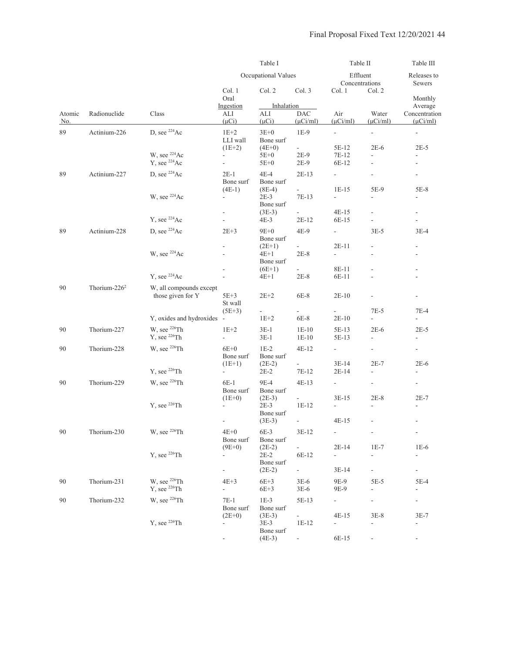|               |                  |                                                      | Table I                              |                                           |                                     | Table II                                   |                                                      | Table III                                            |
|---------------|------------------|------------------------------------------------------|--------------------------------------|-------------------------------------------|-------------------------------------|--------------------------------------------|------------------------------------------------------|------------------------------------------------------|
|               |                  |                                                      |                                      | Occupational Values                       |                                     | Effluent<br>Concentrations                 |                                                      | Releases to<br>Sewers                                |
|               |                  |                                                      | Col. 1<br>Oral                       | Col. 2                                    | Col. 3                              | Col. 1                                     | Col. 2                                               | Monthly                                              |
| Atomic<br>No. | Radionuclide     | Class                                                | Ingestion<br>ALI<br>$(\mu Ci)$       | Inhalation<br>ALI<br>$(\mu Ci)$           | <b>DAC</b><br>$(\mu$ Ci/ml)         | Air<br>$(\mu$ Ci/ml)                       | Water<br>$(\mu$ Ci/ml $)$                            | Average<br>Concentration<br>$(\mu$ Ci/ml)            |
| 89            | Actinium-226     | D, see $^{224}Ac$                                    | $1E+2$<br>LLI wall<br>$(1E+2)$       | $3E+0$<br>Bone surf<br>$(4E+0)$           | $1E-9$<br>÷.                        | $\blacksquare$<br>5E-12                    | ÷,<br>$2E-6$                                         | $\overline{\phantom{a}}$<br>$2E-5$                   |
|               |                  | W, see <sup>224</sup> Ac<br>Y, see <sup>224</sup> Ac | $\overline{\phantom{a}}$<br>÷,       | $5E+0$<br>$5E+0$                          | 2E-9<br>2E-9                        | 7E-12<br>6E-12                             | $\overline{a}$                                       |                                                      |
| 89            | Actinium-227     | D, see $^{224}Ac$                                    | $2E-1$<br>Bone surf<br>$(4E-1)$      | $4E-4$<br>Bone surf<br>$(8E-4)$           | $2E-13$<br>$\overline{\phantom{a}}$ | $\overline{\phantom{a}}$<br>$1E-15$        | $\frac{1}{2}$<br>5E-9                                | $\overline{\phantom{a}}$<br>$5E-8$                   |
|               |                  | W, see <sup>224</sup> Ac                             | $\overline{\phantom{a}}$             | 2E-3<br>Bone surf                         | 7E-13                               | $\mathbf{r}$                               | $\blacksquare$<br>$\overline{a}$                     | $\overline{\phantom{a}}$                             |
|               |                  | Y, see <sup>224</sup> Ac                             |                                      | $(3E-3)$<br>4E-3                          | $2E-12$                             | $4E-15$<br>6E-15                           | $\frac{1}{2}$                                        | $\equiv$<br>÷,                                       |
| 89            | Actinium-228     | D, see $^{224}Ac$                                    | $2E+3$                               | $9E+0$<br>Bone surf                       | $4E-9$                              | $\blacksquare$                             | $3E-5$                                               | $3E-4$                                               |
|               |                  | W, see <sup>224</sup> Ac                             | $\frac{1}{2}$                        | $(2E+1)$<br>4E+1<br>Bone surf             | $2E-8$                              | $2E-11$<br>$\overline{\phantom{a}}$        | $\overline{\phantom{a}}$                             | $\overline{\phantom{a}}$                             |
|               |                  | Y, see $224$ Ac                                      |                                      | $(6E+1)$<br>4E+1                          | $\omega_{\rm{max}}$<br>$2E-8$       | 8E-11<br>6E-11                             |                                                      | $\overline{\phantom{a}}$<br>$\overline{\phantom{a}}$ |
| 90            | Thorium- $226^2$ | W, all compounds except<br>those given for Y         | $5E+3$<br>St wall                    | $2E+2$                                    | 6E-8                                | $2E-10$                                    |                                                      |                                                      |
|               |                  | Y, oxides and hydroxides                             | $(5E+3)$<br>$\sim$                   | ÷,<br>$1E+2$                              | ÷.<br>$6E-8$                        | $2E-10$                                    | $7E-5$<br>÷.                                         | $7E-4$<br>$\overline{a}$                             |
| 90            | Thorium-227      | W, see <sup>226</sup> Th<br>$Y$ , see $^{226}Th$     | $1E+2$<br>$\overline{\phantom{0}}$   | $3E-1$<br>$3E-1$                          | $1E-10$<br>$1E-10$                  | 5E-13<br>5E-13                             | $2E-6$<br>$\overline{\phantom{a}}$                   | $2E-5$<br>$\overline{\phantom{a}}$                   |
| 90            | Thorium-228      | W, see <sup>226</sup> Th                             | $6E+0$<br>Bone surf                  | $1E-2$<br>Bone surf                       | $4E-12$                             | $\sim$                                     | $\overline{\phantom{a}}$                             | $\overline{\phantom{a}}$                             |
|               |                  | Y, see $^{226}$ Th                                   | $(1E+1)$<br>$\overline{\phantom{a}}$ | $(2E-2)$<br>$2E-2$                        | $\sim$<br>7E-12                     | $3E-14$<br>$2E-14$                         | $2E-7$<br>$\overline{\phantom{a}}$                   | $2E-6$<br>$\overline{\phantom{a}}$                   |
| 90            | Thorium-229      | W, see <sup>226</sup> Th                             | 6E-1<br>Bone surf<br>$(1E+0)$        | 9E-4<br>Bone surf<br>$(2E-3)$             | $4E-13$<br>$\omega$                 | $\overline{\phantom{a}}$<br>$3E-15$        | $\overline{\phantom{a}}$<br>$2E-8$                   | $\overline{\phantom{a}}$<br>$2E-7$                   |
|               |                  | Y, see <sup>226</sup> Th                             | $\overline{a}$                       | $2E-3$<br>Bone surf<br>$(3E-3)$           | $1E-12$<br>$\overline{\phantom{a}}$ | 4E-15                                      | $\overline{\phantom{a}}$<br>$\overline{\phantom{a}}$ | $\overline{\phantom{a}}$                             |
| 90            | Thorium-230      | W, see $^{226}Th$                                    | $4E+0$<br>Bone surf                  | 6E-3<br>Bone surf                         | $3E-12$                             | $\overline{\phantom{0}}$                   | $\frac{1}{2}$                                        | $\sim$                                               |
|               |                  | $Y$ , see $^{226}Th$                                 | $(9E+0)$                             | $(2E-2)$<br>2E-2<br>Bone surf             | ÷.<br>6E-12                         | $2E-14$<br>$\blacksquare$                  | $1E-7$                                               | $1E-6$<br>÷,                                         |
| 90            | Thorium-231      | W, see <sup>226</sup> Th<br>Y, see <sup>226</sup> Th | $4E+3$<br>÷.                         | $(2E-2)$<br>$6E+3$<br>$6E+3$              | $\sim$<br>$3E-6$<br>$3E-6$          | $3E-14$<br>9E-9<br>9E-9                    | $\overline{\phantom{0}}$<br>$5E-5$<br>$\overline{a}$ | $5E-4$<br>$\overline{a}$                             |
| 90            | Thorium-232      | W, see <sup>226</sup> Th                             | $7E-1$<br>Bone surf                  | $1E-3$<br>Bone surf                       | 5E-13                               | $\overline{\phantom{0}}$                   | $\overline{\phantom{a}}$                             | $\overline{\phantom{a}}$                             |
|               |                  | Y, see <sup>226</sup> Th                             | $(2E+0)$<br>$\overline{\phantom{0}}$ | $(3E-3)$<br>3E-3<br>Bone surf<br>$(4E-3)$ | $\sim$<br>$1E-12$                   | 4E-15<br>$\overline{\phantom{a}}$<br>6E-15 | $3E-8$<br>$\frac{1}{2}$                              | $3E-7$<br>$\overline{\phantom{a}}$                   |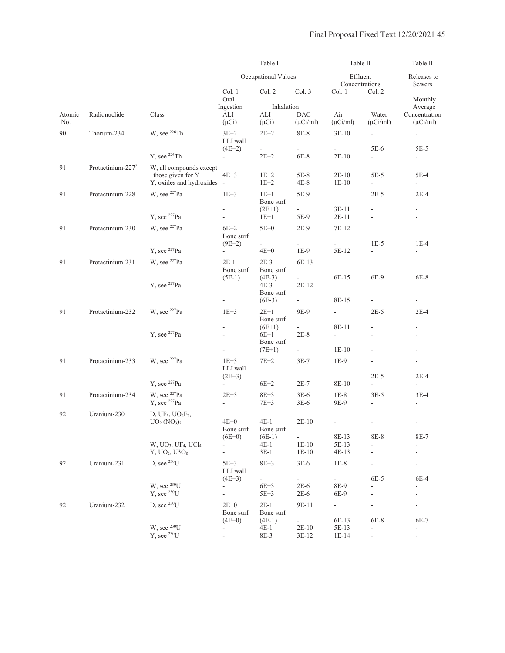|               |                               |                                                                                                  |                                      | Table I                                   |                                      | Table II                                     |                                           | Table III                                                              |
|---------------|-------------------------------|--------------------------------------------------------------------------------------------------|--------------------------------------|-------------------------------------------|--------------------------------------|----------------------------------------------|-------------------------------------------|------------------------------------------------------------------------|
|               |                               |                                                                                                  |                                      | Occupational Values                       |                                      | Effluent<br>Concentrations                   |                                           | Releases to<br>Sewers                                                  |
|               |                               |                                                                                                  | Col. 1<br>Oral                       | Col. 2                                    | Col. 3                               | Col. 1                                       | Col. 2                                    | Monthly                                                                |
| Atomic<br>No. | Radionuclide                  | Class                                                                                            | Ingestion<br>ALI<br>$(\mu Ci)$       | Inhalation<br>ALI<br>$(\mu Ci)$           | DAC<br>$(\mu$ Ci/ml)                 | Air<br>$(\mu$ Ci/ml)                         | Water<br>$(\mu$ Ci/ml)                    | Average<br>Concentration<br>$(\mu$ Ci/ml)                              |
| 90            | Thorium-234                   | W, see <sup>226</sup> Th                                                                         | $3E+2$<br>LLI wall<br>$(4E+2)$       | $2E+2$<br>$\frac{1}{2}$                   | 8E-8                                 | $3E-10$                                      | $\overline{\phantom{a}}$<br>5E-6          | $\equiv$<br>$5E-5$                                                     |
|               |                               | $Y$ , see $^{226}Th$                                                                             | $\overline{a}$                       | $2E+2$                                    | 6E-8                                 | $2E-10$                                      | $\mathbb{Z}^{\mathbb{Z}}$                 | $\overline{\phantom{a}}$                                               |
| 91            | Protactinium-227 <sup>2</sup> | W, all compounds except<br>those given for Y<br>Y, oxides and hydroxides -                       | $4E+3$                               | $1E+2$<br>$1E+2$                          | 5E-8<br>$4E-8$                       | $2E-10$<br>$1E-10$                           | $5E-5$                                    | 5E-4                                                                   |
| 91            | Protactinium-228              | W, see <sup>227</sup> Pa                                                                         | $1E+3$<br>$\overline{\phantom{a}}$   | $1E+1$<br>Bone surf<br>$(2E+1)$           | 5E-9<br>$\sim$                       | $\mathbb{L}^{\mathbb{N}}$<br>$3E-11$         | $2E-5$<br>$\frac{1}{2}$                   | $2E-4$<br>$\overline{\phantom{a}}$                                     |
|               |                               | Y, see $^{227}Pa$                                                                                | $\overline{\phantom{a}}$             | $1E+1$                                    | 5E-9                                 | $2E-11$                                      | $\overline{a}$                            |                                                                        |
| 91            | Protactinium-230              | W, see $^{227}Pa$                                                                                | $6E+2$<br>Bone surf                  | $5E+0$                                    | $2E-9$                               | 7E-12                                        |                                           | $\frac{1}{2}$                                                          |
|               |                               | Y, see $^{227}Pa$                                                                                | $(9E+2)$<br>$\overline{\phantom{a}}$ | ÷,<br>$4E+0$                              | $1E-9$                               | 5E-12                                        | $1E-5$<br>$\overline{a}$                  | $1E-4$<br>$\overline{\phantom{a}}$                                     |
| 91            | Protactinium-231              | W, see <sup>227</sup> Pa                                                                         | $2E-1$<br>Bone surf                  | $2E-3$<br>Bone surf                       | 6E-13                                | $\overline{\phantom{a}}$                     | $\overline{\phantom{a}}$                  | $\overline{\phantom{a}}$                                               |
|               |                               | Y, see $^{227}Pa$                                                                                | $(5E-1)$<br>$\overline{\phantom{a}}$ | $(4E-3)$<br>4E-3<br>Bone surf<br>$(6E-3)$ | $2E-12$<br>$\overline{\phantom{a}}$  | 6E-15<br>$\overline{a}$<br>8E-15             | 6E-9<br>$\overline{a}$<br>$\blacksquare$  | 6E-8<br>$\overline{\phantom{a}}$<br>$\overline{\phantom{a}}$           |
| 91            | Protactinium-232              | W, see $^{227}Pa$                                                                                | $1E+3$                               | $2E+1$<br>Bone surf                       | 9E-9                                 | $\overline{\phantom{a}}$                     | $2E-5$                                    | $2E-4$                                                                 |
|               |                               | Y, see $^{227}Pa$                                                                                | $\overline{a}$                       | $(6E+1)$<br>$6E+1$<br>Bone surf           | $2E-8$<br>$\sim$                     | 8E-11<br>$\overline{\phantom{a}}$<br>$1E-10$ | $\frac{1}{2}$<br>$\frac{1}{2}$            | $\overline{\phantom{a}}$<br>$\overline{\phantom{a}}$<br>$\overline{a}$ |
| 91            | Protactinium-233              | W, see <sup>227</sup> Pa                                                                         | $1E+3$<br>LLI wall                   | $(7E+1)$<br>$7E+2$                        | $3E-7$                               | $1E-9$                                       |                                           | $\overline{\phantom{a}}$                                               |
|               |                               | Y, see $^{227}Pa$                                                                                | $(2E+3)$<br>$\blacksquare$           | $\frac{1}{2}$<br>$6E+2$                   | $\overline{\phantom{a}}$<br>$2E-7$   | $\overline{\phantom{a}}$<br>8E-10            | $2E-5$<br>$\overline{\phantom{a}}$        | $2E-4$<br>$\overline{\phantom{a}}$                                     |
| 91            | Protactinium-234              | W, see <sup>227</sup> Pa<br>$Y$ , see $^{227}Pa$                                                 | $2E+3$<br>$\frac{1}{2}$              | $8E+3$<br>$7E+3$                          | $3E-6$<br>$3E-6$                     | $1E-8$<br>9E-9                               | $3E-5$<br>$\frac{1}{2}$                   | $3E-4$<br>$\overline{\phantom{a}}$                                     |
| 92            | Uranium-230                   | D, UF <sub>6</sub> , $UO2F2$ ,<br>$UO2 (NO3)2$                                                   | 4E+0<br>Bone surf                    | $4E-1$<br>Bone surf                       | $2E-10$                              |                                              | ÷,<br>8E-8                                | $\overline{\phantom{a}}$                                               |
|               |                               | W, UO <sub>3</sub> , UF <sub>4</sub> , UCl <sub>4</sub><br>Y, UO <sub>2</sub> , U3O <sub>8</sub> | $(6E+0)$<br>$\overline{\phantom{a}}$ | $(6E-1)$<br>$4E-1$<br>$3E-1$              | $\sim 10^{-1}$<br>$1E-10$<br>$1E-10$ | 8E-13<br>5E-13<br>$4E-13$                    | $\frac{1}{2}$<br>$\overline{\phantom{a}}$ | 8E-7<br>$\overline{\phantom{a}}$                                       |
| 92            | Uranium-231                   | D, see $^{230}U$                                                                                 | $5E+3$<br>LLI wall                   | $8E + 3$                                  | $3E-6$                               | $1E-8$                                       |                                           | $\frac{1}{2}$                                                          |
|               |                               | W, see $^{230}U$<br>$Y$ , see $^{230}U$                                                          | $(4E+3)$<br>÷                        | $6E+3$<br>$5E + 3$                        | $2E-6$<br>$2E-6$                     | 8E-9<br>6E-9                                 | 6E-5                                      | 6E-4<br>-                                                              |
| 92            | Uranium-232                   | D, see $^{230}$ U                                                                                | $2E+0$<br>Bone surf                  | $2E-1$<br>Bone surf                       | 9E-11                                | ÷.                                           |                                           | $\blacksquare$                                                         |
|               |                               | W, see $^{230}U$<br>$Y$ , see $^{230}U$                                                          | $(4E+0)$<br>÷                        | $(4E-1)$<br>$4E-1$<br>8E-3                | $\blacksquare$<br>$2E-10$<br>$3E-12$ | 6E-13<br>5E-13<br>1E-14                      | 6E-8<br>÷,<br>$\overline{\phantom{m}}$    | 6E-7<br>$\frac{1}{2}$                                                  |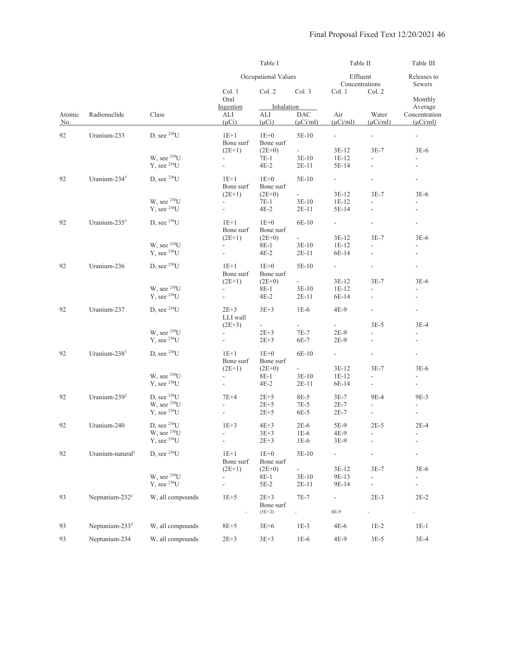|               |                              |                                                                     |                                                                  | Table I                                          |                                                   |                                  | Table II                                           |                                            |  |
|---------------|------------------------------|---------------------------------------------------------------------|------------------------------------------------------------------|--------------------------------------------------|---------------------------------------------------|----------------------------------|----------------------------------------------------|--------------------------------------------|--|
|               |                              |                                                                     |                                                                  | Occupational Values                              |                                                   | Effluent<br>Concentrations       | Releases to<br>Sewers                              |                                            |  |
|               |                              |                                                                     | Col. 1<br>Oral                                                   | Col. 2                                           | Col. 3                                            | Col. 1                           | Col. 2                                             | Monthly                                    |  |
| Atomic<br>No. | Radionuclide                 | Class                                                               | Ingestion<br>ALI<br>$(\mu Ci)$                                   | Inhalation<br>ALI<br>$(\mu Ci)$                  | $\rm DAC$<br>$(\mu$ Ci/ml)                        | Air<br>$(\mu$ Ci/ml)             | Water<br>$(\mu$ Ci/ml)                             | Average<br>Concentration<br>$(\mu$ Ci/ml)  |  |
| 92            | Uranium-233                  | D, see $^{230}$ U                                                   | $1E+1$<br>Bone surf                                              | $1E+0$<br>Bone surf                              | 5E-10                                             | $\overline{\phantom{a}}$         | $\blacksquare$                                     | $\blacksquare$                             |  |
|               |                              | W, see $^{230}U$<br>$Y$ , see $^{230}U$                             | $(2E+1)$<br>÷,                                                   | $(2E+0)$<br>7E-1<br>$4E-2$                       | $\mathcal{L}_{\mathcal{A}}$<br>$3E-10$<br>$2E-11$ | 3E-12<br>1E-12<br>5E-14          | $3E-7$<br>$\frac{1}{2}$                            | $3E-6$<br>$\overline{\phantom{a}}$         |  |
| 92            | Uranium-234 <sup>3</sup>     | D, see $^{230}U$                                                    | $1E+1$<br>Bone surf<br>$(2E+1)$                                  | $1E+0$<br>Bone surf<br>$(2E+0)$                  | 5E-10                                             | 3E-12                            | $3E-7$                                             | ÷<br>$3E-6$                                |  |
|               |                              | W, see $^{230}U$<br>Y, see $^{230}U$                                |                                                                  | 7E-1<br>$4E-2$                                   | $3E-10$<br>$2E-11$                                | 1E-12<br>5E-14                   | ä,<br>ä,                                           |                                            |  |
| 92            | Uranium- $2353$              | D, see $^{230}U$                                                    | $1E+1$<br>Bone surf                                              | $1E+0$<br>Bone surf                              | 6E-10                                             | $\overline{\phantom{a}}$         |                                                    | $\overline{\phantom{a}}$                   |  |
|               |                              | W, see $^{230}U$<br>Y, see $^{230}U$                                | $(2E+1)$<br>$\overline{\phantom{a}}$<br>$\overline{\phantom{a}}$ | $(2E+0)$<br>8E-1<br>$4E-2$                       | $3E-10$<br>$2E-11$                                | 3E-12<br>$1E-12$<br>6E-14        | $3E-7$<br>ä,<br>$\overline{\phantom{a}}$           | $3E-6$<br>$\overline{\phantom{a}}$         |  |
| 92            | Uranium-236                  | D, see $^{230}U$                                                    | $1E+1$<br>Bone surf                                              | $1E+0$<br>Bone surf                              | 5E-10                                             |                                  |                                                    |                                            |  |
|               |                              | W, see $^{230}$ U<br>$Y$ , see $^{230}U$                            | $(2E+1)$<br>÷<br>÷,                                              | $(2E+0)$<br>8E-1<br>$4E-2$                       | $3E-10$<br>$2E-11$                                | 3E-12<br>$1E-12$<br>6E-14        | $3E-7$<br>÷,                                       | $3E-6$                                     |  |
| 92            | Uranium-237                  | D, see $^{230}U$                                                    | $2E+3$<br>LLI wall                                               | $3E+3$                                           | $1E-6$                                            | 4E-9                             | $\overline{\phantom{a}}$                           | $\overline{\phantom{a}}$                   |  |
|               |                              | W, see $^{230}U$<br>Y, see $^{230}U$                                | $(2E+3)$                                                         | $\overline{\phantom{a}}$<br>$2E + 3$<br>$2E + 3$ | ä,<br>$7E-7$<br>6E-7                              | $2E-9$<br>$2E-9$                 | $3E-5$                                             | $3E-4$                                     |  |
| 92            | Uranium-238 <sup>3</sup>     | D, see $^{230}U$                                                    | $1E+1$<br>Bone surf                                              | $1E+0$<br>Bone surf                              | 6E-10                                             | $\overline{\phantom{a}}$         | $\overline{\phantom{a}}$                           | $\qquad \qquad \blacksquare$               |  |
|               |                              | W, see $^{230}U$<br>Y, see $^{230}U$                                | $(2E+1)$<br>۰<br>$\blacksquare$                                  | $(2E+0)$<br>8E-1<br>$4E-2$                       | $\omega_{\rm c}$<br>$3E-10$<br>$2E-11$            | 3E-12<br>$1E-12$<br>6E-14        | $3E-7$<br>$\overline{\phantom{a}}$                 | $3E-6$<br>$\overline{a}$<br>$\blacksquare$ |  |
| 92            | Uranium-239 <sup>2</sup>     | D, see $^{230}U$<br>W, see $^{230}U$<br>Y, see $^{230}U$            | $7E+4$<br>$\Box$                                                 | $2E+5$<br>$2E + 5$<br>$2E + 5$                   | 8E-5<br>7E-5<br>6E-5                              | $3E-7$<br>$2E-7$<br>$2E-7$       | 9E-4<br>$\overline{a}$<br>$\overline{\phantom{a}}$ | 9E-3<br>$\Box$                             |  |
| 92            | Uranium-240                  | D, see $^{230}$ U<br>W, see <sup>230</sup> U<br>$Y$ , see $^{230}U$ | $1E+3$<br>۰                                                      | $4E+3$<br>$3E + 3$<br>$2E + 3$                   | $2E-6$<br>$1E-6$<br>$1E-6$                        | 5E-9<br>4E-9<br>3E-9             | $2E-5$                                             | $2E-4$<br>-                                |  |
| 92            | Uranium-natural <sup>3</sup> | D, see $^{230}U$                                                    | $1E+1$<br>Bone surf                                              | $1E+0$<br>Bone surf                              | 5E-10                                             | $\overline{\phantom{0}}$         |                                                    |                                            |  |
|               |                              | W, see $^{230}U$<br>$Y$ , see $^{230}U$                             | $(2E+1)$<br>$\overline{\phantom{a}}$                             | $(2E+0)$<br>8E-1<br>5E-2                         | $3E-10$<br>$2E-11$                                | 3E-12<br>9E-13<br>9E-14          | $3E-7$                                             | $3E-6$                                     |  |
| 93            | Neptunium-232 <sup>2</sup>   | W, all compounds                                                    | $1E+5$                                                           | $2E+3$<br>Bone surf<br>$(5E+2)$                  | $7E-7$<br>÷,                                      | $\overline{\phantom{0}}$<br>6E-9 | $2E-3$                                             | $2E-2$                                     |  |
| 93            | Neptunium-233 <sup>2</sup>   | W, all compounds                                                    | $8E + 5$                                                         | $3E + 6$                                         | $1E-3$                                            | 4E-6                             | $1E-2$                                             | $1E-1$                                     |  |
| 93            | Neptunium-234                | W, all compounds                                                    | $2E + 3$                                                         | $3E + 3$                                         | $1E-6$                                            | 4E-9                             | $3E-5$                                             | $3E-4$                                     |  |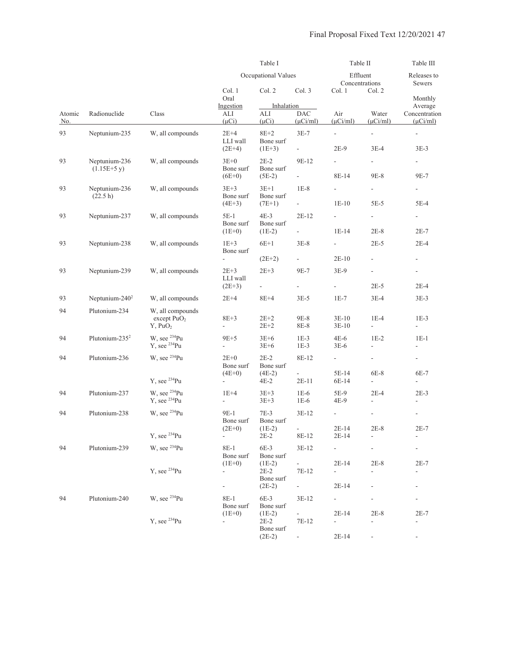|               |                               |                                                     |                                                            | Table I                                        |                                                 | Table II                                                        |                                                      | Table III                                                      |
|---------------|-------------------------------|-----------------------------------------------------|------------------------------------------------------------|------------------------------------------------|-------------------------------------------------|-----------------------------------------------------------------|------------------------------------------------------|----------------------------------------------------------------|
|               |                               |                                                     |                                                            | Occupational Values                            |                                                 | Effluent<br>Concentrations                                      |                                                      | Releases to<br>Sewers                                          |
|               |                               |                                                     | Col. 1<br>Oral                                             | Col. 2                                         | Col. 3                                          | Col. 1                                                          | Col. 2                                               | Monthly                                                        |
| Atomic<br>No. | Radionuclide                  | Class                                               | Ingestion<br>ALI<br>$(\mu Ci)$                             | Inhalation<br>ALI<br>$(\mu Ci)$                | <b>DAC</b><br>$(\mu$ Ci/ml)                     | Air<br>$(\mu$ Ci/ml)                                            | Water<br>$(\mu Ci/ml)$                               | Average<br>Concentration<br>$(\mu$ Ci/ml)                      |
| 93            | Neptunium-235                 | W, all compounds                                    | $2E+4$<br>LLI wall<br>$(2E+4)$                             | $8E+2$<br>Bone surf<br>$(1E+3)$                | $3E-7$<br>$\overline{\phantom{a}}$              | $\overline{\phantom{a}}$<br>$2E-9$                              | $\overline{\phantom{a}}$<br>$3E-4$                   | $\overline{\phantom{a}}$<br>$3E-3$                             |
| 93            | Neptunium-236<br>$(1.15E+5y)$ | W, all compounds                                    | $3E+0$<br>Bone surf                                        | $2E-2$<br>Bone surf                            | 9E-12                                           |                                                                 | $\overline{\phantom{a}}$                             |                                                                |
| 93            | Neptunium-236<br>(22.5 h)     | W, all compounds                                    | $(6E+0)$<br>$3E+3$<br>Bone surf<br>$(4E+3)$                | $(5E-2)$<br>$3E+1$<br>Bone surf<br>$(7E+1)$    | $\mathcal{L}_{\mathcal{A}}$<br>$1E-8$<br>$\sim$ | 8E-14<br>$1E-10$                                                | 9E-8<br>$\blacksquare$<br>$5E-5$                     | 9E-7<br>5E-4                                                   |
| 93            | Neptunium-237                 | W, all compounds                                    | 5E-1<br>Bone surf<br>$(1E+0)$                              | $4E-3$<br>Bone surf<br>$(1E-2)$                | $2E-12$<br>$\overline{\phantom{a}}$             | $\overline{\phantom{a}}$<br>$1E-14$                             | $\overline{\phantom{a}}$<br>$2E-8$                   | $2E-7$                                                         |
| 93            | Neptunium-238                 | W, all compounds                                    | $1E+3$<br>Bone surf                                        | $6E+1$                                         | $3E-8$                                          | $\blacksquare$                                                  | $2E-5$                                               | $2E-4$                                                         |
| 93            | Neptunium-239                 | W, all compounds                                    | $\overline{\phantom{0}}$<br>$2E+3$<br>LLI wall<br>$(2E+3)$ | $(2E+2)$<br>$2E+3$<br>$\overline{\phantom{0}}$ | $\sim 10$<br>9E-7<br>$\blacksquare$             | $2E-10$<br>$3E-9$<br>$\frac{1}{2}$                              | $\overline{\phantom{a}}$<br>$\overline{a}$<br>$2E-5$ | $\overline{\phantom{a}}$<br>$\overline{\phantom{a}}$<br>$2E-4$ |
| 93            | Neptunium-240 <sup>2</sup>    | W, all compounds                                    | $2E+4$                                                     | 8E+4                                           | $3E-5$                                          | $1E-7$                                                          | $3E-4$                                               | $3E-3$                                                         |
| 94            | Plutonium-234                 | W, all compounds<br>except $PuO2$<br>$Y$ , Pu $O_2$ | $8E + 3$<br>÷,                                             | $2E+2$<br>$2E + 2$                             | 9E-8<br>8E-8                                    | $3E-10$<br>$3E-10$                                              | $1E-4$<br>$\overline{\phantom{a}}$                   | $1E-3$<br>$\overline{\phantom{a}}$                             |
| 94            | Plutonium-235 <sup>2</sup>    | W, see $^{234}$ Pu<br>$Y$ , see $^{234}Pu$          | 9E+5<br>$\overline{\phantom{0}}$                           | $3E+6$<br>$3E+6$                               | $1E-3$<br>$1E-3$                                | $4E-6$<br>$3E-6$                                                | $1E-2$<br>$\overline{\phantom{a}}$                   | $1E-1$<br>-                                                    |
| 94            | Plutonium-236                 | W, see <sup>234</sup> Pu<br>Y, see $^{234}Pu$       | $2E+0$<br>Bone surf<br>$(4E+0)$                            | $2E-2$<br>Bone surf<br>$(4E-2)$<br>4E-2        | 8E-12<br>ä,<br>$2E-11$                          | $\sim 100$<br>5E-14<br>6E-14                                    | ÷<br>6E-8<br>$\overline{\phantom{a}}$                | $\blacksquare$<br>6E-7<br>$\overline{a}$                       |
| 94            | Plutonium-237                 | W, see $^{234}$ Pu<br>$Y$ , see $^{234}Pu$          | $1E+4$<br>$\overline{\phantom{0}}$                         | $3E+3$<br>$3E+3$                               | $1E-6$<br>$1E-6$                                | 5E-9<br>4E-9                                                    | $2E-4$<br>$\overline{a}$                             | $2E-3$                                                         |
| 94            | Plutonium-238                 | W, see <sup>234</sup> Pu                            | 9E-1<br>Bone surf                                          | $7E-3$<br>Bone surf                            | $3E-12$                                         | $\overline{\phantom{a}}$                                        |                                                      | $\overline{\phantom{a}}$                                       |
|               |                               | Y, see <sup>234</sup> Pu                            | $(2E+0)$                                                   | $(1E-2)$<br>2E-2                               | 8E-12                                           | $2E-14$<br>$2E-14$                                              | $2\mathrm{E-}8$<br>$\overline{\phantom{a}}$          | $2E-7$                                                         |
| 94            | Plutonium-239                 | W, see <sup>234</sup> Pu                            | 8E-1<br>Bone surf                                          | $6E-3$<br>Bone surf                            | $3E-12$                                         | $\overline{\phantom{a}}$                                        |                                                      |                                                                |
|               |                               | $Y$ , see $^{234}Pu$                                | $(1E+0)$<br>۰                                              | $(1E-2)$<br>$2E-2$<br>Bone surf                | 7E-12                                           | $2E-14$<br>$\overline{\phantom{a}}$                             | $2E-8$<br>$\blacksquare$                             | $2E-7$                                                         |
|               |                               |                                                     | ۰                                                          | $(2E-2)$                                       | $\sim 100$                                      | $2E-14$                                                         |                                                      |                                                                |
| 94            | Plutonium-240                 | W, see <sup>234</sup> Pu<br>$Y$ , see $^{234}Pu$    | 8E-1<br>Bone surf<br>$(1E+0)$<br>$\overline{\phantom{a}}$  | $6E-3$<br>Bone surf<br>$(1E-2)$<br>$2E-2$      | $3E-12$<br>7E-12                                | $\overline{\phantom{a}}$<br>$2E-14$<br>$\overline{\phantom{a}}$ | $2E-8$<br>$\overline{\phantom{a}}$                   | $2E-7$<br>$\overline{\phantom{a}}$                             |
|               |                               |                                                     |                                                            | Bone surf<br>$(2E-2)$                          |                                                 | $2E-14$                                                         |                                                      |                                                                |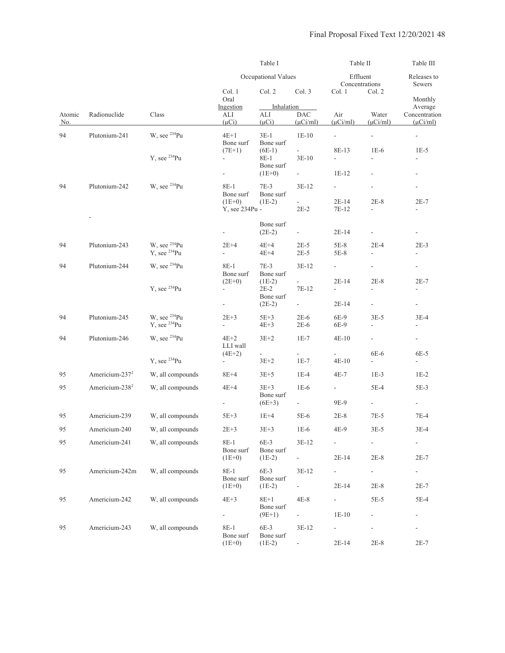|                      |                            |                                                      |                                      | Table I                         |                                    |                                     | Table II                         |                                           |  |
|----------------------|----------------------------|------------------------------------------------------|--------------------------------------|---------------------------------|------------------------------------|-------------------------------------|----------------------------------|-------------------------------------------|--|
|                      |                            |                                                      |                                      | Occupational Values             |                                    | Effluent<br>Concentrations          |                                  | Releases to<br>Sewers                     |  |
|                      |                            |                                                      | Col. 1<br>Oral                       | Col. 2                          | Col. 3                             | Col. 1                              | Col. 2                           | Monthly                                   |  |
| Atomic<br><u>No.</u> | Radionuclide               | Class                                                | Ingestion<br>ALI<br>$(\mu Ci)$       | Inhalation<br>ALI<br>$(\mu Ci)$ | <b>DAC</b><br>$(\mu$ Ci/ml)        | Air<br>$(\mu$ Ci/ml)                | Water<br>$(\mu$ Ci/ml)           | Average<br>Concentration<br>$(\mu$ Ci/ml) |  |
| 94                   | Plutonium-241              | W, see <sup>234</sup> Pu                             | $4E+1$<br>Bone surf                  | $3E-1$<br>Bone surf             | $1E-10$                            | $\overline{\phantom{a}}$            | ÷,                               | $\overline{\phantom{a}}$                  |  |
|                      |                            | $Y$ , see $^{234}Pu$                                 | $(7E+1)$<br>$\overline{\phantom{0}}$ | $(6E-1)$<br>8E-1<br>Bone surf   | $\omega$<br>$3E-10$                | 8E-13<br>$\overline{\phantom{a}}$   | $1E-6$<br>$\blacksquare$         | $1E-5$<br>L,                              |  |
|                      |                            |                                                      | ÷,                                   | $(1E+0)$                        | ÷.                                 | 1E-12                               |                                  | $\overline{\phantom{a}}$                  |  |
| 94                   | Plutonium-242              | W, see $^{234}$ Pu                                   | 8E-1<br>Bone surf                    | $7E-3$<br>Bone surf             | $3E-12$                            | $\overline{\phantom{a}}$            |                                  |                                           |  |
|                      |                            |                                                      | $(1E+0)$<br>Y, see 234Pu -           | $(1E-2)$                        | $2E-2$                             | $2E-14$<br>7E-12                    | $2E-8$<br>$\frac{1}{2}$          | $2E-7$                                    |  |
|                      |                            |                                                      |                                      | Bone surf<br>$(2E-2)$           | $\blacksquare$                     | $2E-14$                             |                                  | $\blacksquare$                            |  |
| 94                   | Plutonium-243              | W, see <sup>234</sup> Pu<br>Y, see <sup>234</sup> Pu | $2E+4$<br>$\overline{\phantom{0}}$   | $4E+4$<br>4E+4                  | $2E-5$<br>$2E-5$                   | 5E-8<br>5E-8                        | $2E-4$<br>$\overline{a}$         | $2E-3$                                    |  |
| 94                   | Plutonium-244              | W, see <sup>234</sup> Pu                             | 8E-1<br>Bone surf                    | $7E-3$<br>Bone surf             | $3E-12$                            | $\overline{\phantom{a}}$            |                                  |                                           |  |
|                      |                            | $Y$ , see $^{234}Pu$                                 | $(2E+0)$<br>$\overline{\phantom{a}}$ | $(1E-2)$<br>$2E-2$<br>Bone surf | 7E-12                              | $2E-14$<br>$\overline{\phantom{a}}$ | $2E-8$<br>÷,                     | $2E-7$<br>$\overline{\phantom{a}}$        |  |
|                      |                            |                                                      | -                                    | $(2E-2)$                        | $\sim 10$                          | $2E-14$                             | $\overline{\phantom{a}}$         | $\overline{\phantom{a}}$                  |  |
| 94                   | Plutonium-245              | W, see <sup>234</sup> Pu<br>Y, see <sup>234</sup> Pu | $2E+3$<br>÷,                         | $5E+3$<br>$4E+3$                | $2E-6$<br>$2E-6$                   | 6E-9<br>6E-9                        | $3E-5$<br>$\frac{1}{2}$          | $3E-4$<br>$\blacksquare$                  |  |
| 94                   | Plutonium-246              | W, see <sup>234</sup> Pu                             | $4E+2$<br>LLI wall                   | $3E+2$                          | $1E-7$                             | $4E-10$                             | $\blacksquare$                   | $\blacksquare$                            |  |
|                      |                            | Y, see $^{234}Pu$                                    | $(4E+2)$<br>$\overline{\phantom{0}}$ | ÷,<br>$3E+2$                    | $\overline{\phantom{a}}$<br>$1E-7$ | $\overline{\phantom{a}}$<br>$4E-10$ | 6E-6<br>$\overline{\phantom{a}}$ | 6E-5<br>$\overline{\phantom{a}}$          |  |
| 95                   | Americium-237 <sup>2</sup> | W, all compounds                                     | 8E+4                                 | $3E+5$                          | $1E-4$                             | 4E-7                                | $1E-3$                           | $1E-2$                                    |  |
| 95                   | Americium-238 <sup>2</sup> | W, all compounds                                     | $4E+4$                               | $3E+3$                          | $1E-6$                             | $\sim$                              | $5E-4$                           | 5E-3                                      |  |
|                      |                            |                                                      | $\overline{\phantom{a}}$             | Bone surf<br>$(6E+3)$           | $\sim 100$                         | 9E-9                                | $\mathcal{L}_{\mathcal{A}}$      | $\sim$                                    |  |
| 95                   | Americium-239              | W, all compounds                                     | $5E+3$                               | $1E+4$                          | 5E-6                               | $2E-8$                              | $7E-5$                           | $7E-4$                                    |  |
| 95                   | Americium-240              | W, all compounds                                     | $2E + 3$                             | $3E + 3$                        | $1E-6$                             | $4E-9$                              | $3E-5$                           | $3E-4$                                    |  |
| 95                   | Americium-241              | W, all compounds                                     | 8E-1<br>Bone surf                    | $6E-3$<br>Bone surf             | $3E-12$                            |                                     | $\overline{\phantom{a}}$         | $\overline{\phantom{a}}$                  |  |
|                      |                            |                                                      | $(1E+0)$                             | $(1E-2)$                        | $\sim$                             | $2E-14$                             | $2E-8$                           | $2E-7$                                    |  |
| 95                   | Americium-242m             | W, all compounds                                     | 8E-1<br>Bone surf<br>$(1E+0)$        | $6E-3$<br>Bone surf<br>$(1E-2)$ | $3E-12$<br>÷.                      | $\overline{\phantom{0}}$<br>$2E-14$ | $\blacksquare$<br>$2E-8$         | $\overline{\phantom{a}}$<br>2E-7          |  |
| 95                   | Americium-242              | W, all compounds                                     | $4E+3$                               | $8E+1$                          | $4E-8$                             | ÷.                                  | $5E-5$                           | 5E-4                                      |  |
|                      |                            |                                                      | ۰                                    | Bone surf<br>$(9E+1)$           | $\sim$                             | $1E-10$                             |                                  |                                           |  |
| 95                   | Americium-243              | W, all compounds                                     | 8E-1<br>Bone surf                    | $6E-3$<br>Bone surf             | $3E-12$                            | $\overline{\phantom{a}}$<br>$2E-14$ | $2E-8$                           | $2E-7$                                    |  |
|                      |                            |                                                      | $(1E+0)$                             | $(1E-2)$                        |                                    |                                     |                                  |                                           |  |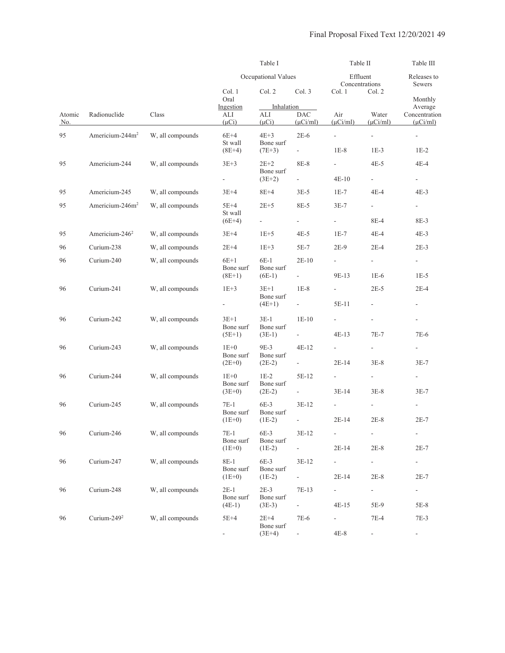|               |                             |                  |                                             | Table I                                     |                                                 |                                                   | Table II                           |                                              |
|---------------|-----------------------------|------------------|---------------------------------------------|---------------------------------------------|-------------------------------------------------|---------------------------------------------------|------------------------------------|----------------------------------------------|
|               |                             |                  |                                             | Occupational Values                         |                                                 |                                                   | Effluent<br>Concentrations         | Releases to<br>Sewers                        |
|               |                             |                  | Col. 1<br>Oral                              | Col. 2                                      | Col. 3                                          | Col. 1                                            | Col. 2                             | Monthly                                      |
| Atomic<br>No. | Radionuclide                | Class            | Ingestion<br>ALI<br>$(\mu Ci)$              | Inhalation<br>ALI<br>$(\mu Ci)$             | <b>DAC</b><br>$(\mu$ Ci/ml)                     | Air<br>$(\mu$ Ci/ml)                              | Water<br>$(\mu$ Ci/ml)             | Average<br>Concentration<br>$(\mu$ Ci/ml)    |
| 95            | Americium-244m <sup>2</sup> | W, all compounds | $6E+4$<br>St wall<br>$(8E+4)$               | $4E+3$<br>Bone surf<br>$(7E+3)$             | $2E-6$<br>$\sim 10^{-1}$                        | $\overline{\phantom{a}}$<br>$1E-8$                | $\overline{\phantom{a}}$<br>$1E-3$ | $\overline{\phantom{a}}$<br>$1E-2$           |
| 95            | Americium-244               | W, all compounds | $3E+3$<br>÷,                                | $2E+2$<br>Bone surf<br>$(3E+2)$             | 8E-8<br>$\omega_{\rm{max}}$                     | $\overline{\phantom{a}}$<br>$4E-10$               | $4E-5$<br>$\overline{\phantom{a}}$ | 4E-4<br>$\overline{\phantom{a}}$             |
| 95            | Americium-245               | W, all compounds | $3E+4$                                      | $8E+4$                                      | $3E-5$                                          | $1E-7$                                            | 4E-4                               | $4E-3$                                       |
| 95            | Americium-246m <sup>2</sup> | W, all compounds | $5E+4$<br>St wall<br>$(6E+4)$               | $2E+5$<br>÷,                                | 8E-5<br>$\sim$                                  | $3E-7$<br>a in                                    | a i<br>8E-4                        | $\sim 100$<br>8E-3                           |
| 95            | Americium-246 <sup>2</sup>  | W, all compounds | $3E+4$                                      | $1E+5$                                      | $4E-5$                                          | $1E-7$                                            | 4E-4                               | $4E-3$                                       |
| 96            | Curium-238                  | W, all compounds | $2E+4$                                      | $1E+3$                                      | $5E-7$                                          | $2E-9$                                            | $2E-4$                             | $2E-3$                                       |
| 96            | Curium-240                  | W, all compounds | $6E+1$<br>Bone surf                         | $6E-1$<br>Bone surf                         | $2E-10$                                         | $\overline{\phantom{a}}$                          | $\overline{\phantom{a}}$           | $\mathcal{L}_{\mathcal{A}}$                  |
| 96            | Curium-241                  | W, all compounds | $(8E+1)$<br>$1E+3$<br>$\sim$                | $(6E-1)$<br>$3E+1$<br>Bone surf<br>$(4E+1)$ | $\sim 10^{-1}$<br>$1E-8$<br>$\omega_{\rm{max}}$ | 9E-13<br>$\sim$<br>5E-11                          | $1E-6$<br>$2E-5$<br>$\blacksquare$ | $1E-5$<br>$2E-4$<br>$\overline{\phantom{a}}$ |
| 96            | Curium-242                  | W, all compounds | $3E+1$<br>Bone surf<br>$(5E+1)$             | $3E-1$<br>Bone surf<br>$(3E-1)$             | $1E-10$<br>$\sim 10^{-1}$                       | $\sim$<br>$4E-13$                                 | $\overline{\phantom{a}}$<br>$7E-7$ | $\overline{\phantom{a}}$<br>7E-6             |
| 96            | Curium-243                  | W, all compounds | $1E+0$<br>Bone surf<br>$(2E+0)$             | 9E-3<br>Bone surf<br>$(2E-2)$               | $4E-12$<br>$\omega_{\rm{max}}$                  | $\sim$<br>$2E-14$                                 | $\overline{\phantom{a}}$<br>$3E-8$ | ÷<br>$3E-7$                                  |
| 96            | Curium-244                  | W, all compounds | $1E+0$<br>Bone surf<br>$(3E+0)$             | $1E-2$<br>Bone surf<br>$(2E-2)$             | 5E-12<br>$\sim$                                 | $\overline{\phantom{a}}$<br>$3E-14$               | $\overline{\phantom{a}}$<br>$3E-8$ | $\overline{\phantom{0}}$<br>$3E-7$           |
| 96            | Curium-245                  | W, all compounds | 7E-1<br>Bone surf<br>$(1E+0)$               | $6E-3$<br>Bone surf<br>$(1E-2)$             | $3E-12$<br>$\overline{\phantom{a}}$             | $\overline{\phantom{a}}$<br>$2E-14$               | $\overline{\phantom{a}}$<br>$2E-8$ | $2E-7$                                       |
| 96            | Curium-246                  | W, all compounds | $7E-1$<br>Bone surf                         | 6E-3<br>Bone surf                           | $3E-12$                                         | $\overline{\phantom{a}}$                          | $\overline{\phantom{a}}$           | $\sim$                                       |
| 96            | Curium-247                  | W, all compounds | $(1E+0)$<br>$8E-1$<br>Bone surf             | $(1E-2)$<br>$6E-3$<br>Bone surf             | $\sim$<br>$3E-12$                               | $2E-14$<br>$\sim$                                 | $2E-8$<br>÷                        | $2E-7$<br>$\blacksquare$                     |
| 96            | Curium-248                  | W, all compounds | $(1E+0)$<br>$2E-1$<br>Bone surf<br>$(4E-1)$ | $(1E-2)$<br>$2E-3$<br>Bone surf<br>$(3E-3)$ | $\sim 10$<br>7E-13<br>$\overline{\phantom{a}}$  | $2E-14$<br>$\mathcal{L}_{\mathcal{A}}$<br>$4E-15$ | $2E-8$<br>$\blacksquare$<br>5E-9   | $2E-7$<br>e i<br>5E-8                        |
| 96            | Curium-249 <sup>2</sup>     | W, all compounds | 5E+4<br>$\blacksquare$                      | $2E+4$<br>Bone surf<br>$(3E+4)$             | 7E-6<br>$\overline{\phantom{a}}$                | $\mathcal{L}_{\mathcal{A}}$<br>$4E-8$             | $7E-4$                             | $7E-3$<br>$\sim$                             |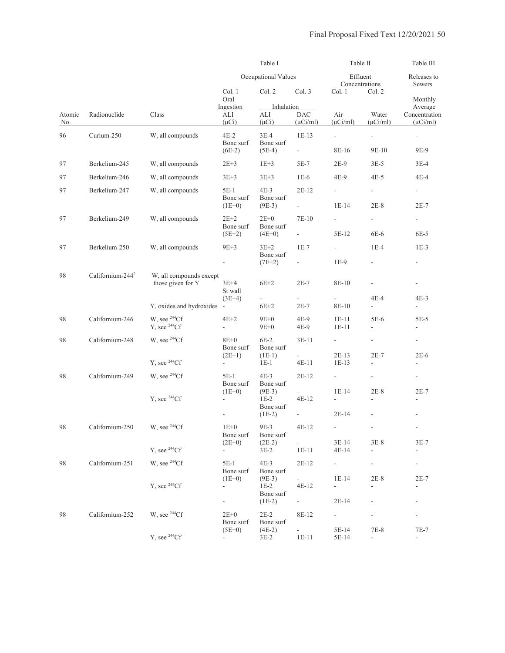|               |                              |                                              |                                                   | Table I                         |                             | Table II                            |                                    | Table III                                 |
|---------------|------------------------------|----------------------------------------------|---------------------------------------------------|---------------------------------|-----------------------------|-------------------------------------|------------------------------------|-------------------------------------------|
|               |                              |                                              |                                                   | Occupational Values             |                             | Effluent                            | Concentrations                     | Releases to<br>Sewers                     |
|               |                              |                                              | Col. 1<br>Oral                                    | Col. 2                          | Col. 3                      | Col. 1                              | Col. 2                             | Monthly                                   |
| Atomic<br>No. | Radionuclide                 | Class                                        | Ingestion<br>ALI<br>$(\mu Ci)$                    | Inhalation<br>ALI<br>$(\mu Ci)$ | <b>DAC</b><br>$(\mu$ Ci/ml) | Air<br>$(\mu$ Ci/ml)                | Water<br>$(\mu$ Ci/ml)             | Average<br>Concentration<br>$(\mu$ Ci/ml) |
| 96            | Curium-250                   | W, all compounds                             | $4E-2$<br>Bone surf                               | $3E-4$<br>Bone surf             | $1E-13$                     | $\overline{\phantom{a}}$            | $\overline{\phantom{a}}$           | $\overline{\phantom{a}}$                  |
|               |                              |                                              | $(6E-2)$                                          | $(5E-4)$                        | $\sim$                      | 8E-16                               | 9E-10                              | 9E-9                                      |
| 97            | Berkelium-245                | W, all compounds                             | $2E + 3$                                          | $1E+3$                          | 5E-7                        | $2E-9$                              | $3E-5$                             | $3E-4$                                    |
| 97            | Berkelium-246                | W, all compounds                             | $3E+3$                                            | $3E + 3$                        | $1E-6$                      | 4E-9                                | $4E-5$                             | 4E-4                                      |
| 97            | Berkelium-247                | W, all compounds                             | $5E-1$<br>Bone surf                               | $4E-3$<br>Bone surf             | $2E-12$                     | ÷                                   | ÷                                  | $\overline{\phantom{a}}$                  |
|               |                              |                                              | $(1E+0)$                                          | $(9E-3)$                        | $\sim$                      | $1E-14$                             | $2E-8$                             | $2E-7$                                    |
| 97            | Berkelium-249                | W, all compounds                             | $2E+2$<br>Bone surf                               | $2E+0$<br>Bone surf             | 7E-10                       | $\overline{\phantom{a}}$            | ÷,                                 | $\overline{\phantom{a}}$                  |
|               |                              |                                              | $(5E+2)$                                          | $(4E+0)$                        | $\mathcal{L}_{\mathcal{A}}$ | 5E-12                               | 6E-6                               | $6E-5$                                    |
| 97            | Berkelium-250                | W, all compounds                             | $9E+3$                                            | $3E+2$<br>Bone surf             | $1E-7$                      | $\overline{\phantom{a}}$            | $1E-4$                             | $1E-3$                                    |
|               |                              |                                              | $\overline{\phantom{a}}$                          | $(7E+2)$                        | $\overline{\phantom{a}}$    | $1E-9$                              |                                    | $\overline{\phantom{a}}$                  |
| 98            | Californium-244 <sup>2</sup> | W, all compounds except<br>those given for Y | $3E+4$<br>St wall                                 | $6E+2$                          | $2E-7$                      | 8E-10                               |                                    | $\blacksquare$                            |
|               |                              | Y, oxides and hydroxides -                   | $(3E+4)$                                          | $\frac{1}{2}$<br>$6E+2$         | $\blacksquare$<br>$2E-7$    | 8E-10                               | 4E-4<br>÷.                         | $4E-3$                                    |
| 98            | Californium-246              | W, see $^{244}Cf$<br>$Y$ , see $^{244}Cf$    | $4E+2$<br>$\overline{a}$                          | $9E+0$<br>$9E+0$                | $4E-9$<br>4E-9              | $1E-11$<br>$1E-11$                  | 5E-6<br>$\overline{\phantom{a}}$   | $5E-5$<br>$\overline{\phantom{a}}$        |
| 98            | Californium-248              | W, see $^{244}Cf$                            | $8E+0$<br>Bone surf                               | $6E-2$<br>Bone surf             | $3E-11$                     | $\blacksquare$                      |                                    | $\blacksquare$                            |
|               |                              | $Y$ , see $^{244}Cf$                         | $(2E+1)$<br>$\blacksquare$                        | $(1E-1)$<br>$1E-1$              | $4E-11$                     | $2E-13$<br>$1E-13$                  | $2E-7$<br>$\overline{\phantom{a}}$ | $2E-6$<br>$\frac{1}{2}$                   |
| 98            | Californium-249              | W, see $^{244}Cf$                            | 5E-1                                              | $4E-3$                          | $2E-12$                     | $\blacksquare$                      | $\overline{\phantom{a}}$           | $\overline{\phantom{0}}$                  |
|               |                              | $Y$ , see $^{244}Cf$                         | Bone surf<br>$(1E+0)$<br>$\overline{\phantom{a}}$ | Bone surf<br>$(9E-3)$<br>$1E-2$ | $4E-12$                     | $1E-14$<br>$\overline{\phantom{a}}$ | $2E-8$<br>$\overline{a}$           | $2E-7$<br>$\overline{a}$                  |
|               |                              |                                              |                                                   | Bone surf<br>$(1E-2)$           |                             | $2E-14$                             |                                    |                                           |
| 98            | Californium-250              | W, see $^{244}Cf$                            | $1E+0$<br>Bone surf                               | 9E-3<br>Bone surf               | 4E-12                       |                                     |                                    |                                           |
|               |                              | $Y$ , see $^{244}Cf$                         | $(2E+0)$                                          | $(2E-2)$<br>$3E-2$              | $\omega$<br>$1E-11$         | $3E-14$<br>$4E-14$                  | $3E-8$<br>$\overline{\phantom{a}}$ | $3E-7$                                    |
| 98            | Californium-251              | W, see $^{244}Cf$                            | 5E-1<br>Bone surf                                 | $4E-3$<br>Bone surf             | $2E-12$                     | $\overline{\phantom{a}}$            | $\overline{\phantom{a}}$           | $\overline{\phantom{a}}$                  |
|               |                              | $Y$ , see $^{244}Cf$                         | $(1E+0)$<br>$\overline{\phantom{a}}$              | $(9E-3)$<br>$1E-2$<br>Bone surf | $4E-12$                     | $1E-14$<br>÷                        | $2E-8$<br>$\overline{\phantom{a}}$ | $2E-7$                                    |
|               |                              |                                              | ۳                                                 | $(1E-2)$                        | $\sim$                      | 2E-14                               | $\overline{\phantom{a}}$           | $\frac{1}{2}$                             |
| 98            | Californium-252              | W, see $^{244}Cf$                            | $2E+0$<br>Bone surf                               | $2E-2$<br>Bone surf             | 8E-12                       | $\blacksquare$                      |                                    | $\overline{\phantom{a}}$                  |
|               |                              | Y, see <sup>244</sup> Cf                     | $(5E+0)$<br>$\sim$                                | $(4E-2)$<br>$3E-2$              | ÷.<br>$1E-11$               | 5E-14<br>5E-14                      | $7E-8$<br>$\overline{\phantom{a}}$ | $7E-7$<br>$\overline{\phantom{a}}$        |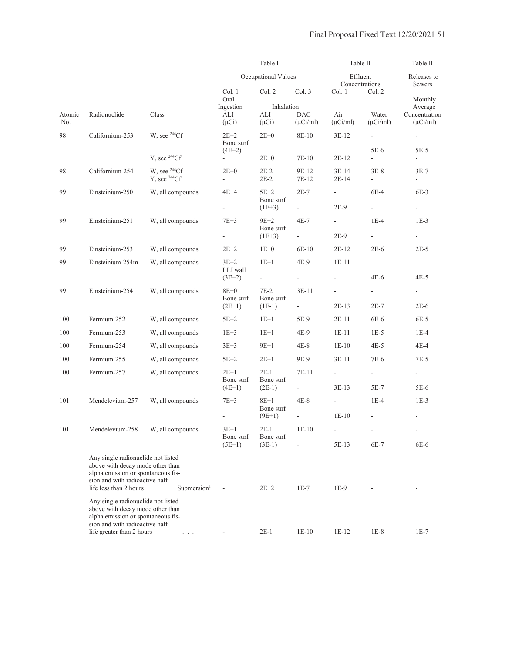|               |                                                                                                                                                 | Table I                     |                          |                       | Table II                    |                          | Table III                |                                |
|---------------|-------------------------------------------------------------------------------------------------------------------------------------------------|-----------------------------|--------------------------|-----------------------|-----------------------------|--------------------------|--------------------------|--------------------------------|
|               |                                                                                                                                                 |                             |                          | Occupational Values   |                             | Effluent                 | Concentrations           | Releases to<br>Sewers          |
|               |                                                                                                                                                 |                             | Col. 1<br>Oral           | Col. 2                | Col. 3                      | Col. 1                   | Col. 2                   | Monthly                        |
|               |                                                                                                                                                 |                             | Ingestion                | Inhalation            |                             |                          |                          | Average                        |
| Atomic<br>No. | Radionuclide                                                                                                                                    | Class                       | ALI<br>$(\mu Ci)$        | ALI<br>$(\mu Ci)$     | <b>DAC</b><br>$(\mu$ Ci/ml) | Air<br>$(\mu$ Ci/ml)     | Water<br>$(\mu$ Ci/ml)   | Concentration<br>$(\mu$ Ci/ml) |
| 98            | Californium-253                                                                                                                                 | W, see <sup>244</sup> Cf    | $2E+2$<br>Bone surf      | $2E+0$                | 8E-10                       | $3E-12$                  | ÷,                       | $\blacksquare$                 |
|               |                                                                                                                                                 |                             | $(4E+2)$                 | $\Box$                | ÷,                          |                          | 5E-6                     | $5E-5$                         |
|               |                                                                                                                                                 | $Y$ , see $^{244}Cf$        |                          | $2E+0$                | 7E-10                       | $2E-12$                  | $\overline{\phantom{0}}$ | $\overline{\phantom{a}}$       |
| 98            | Californium-254                                                                                                                                 | W, see $^{244}Cf$           | $2E+0$                   | $2E-2$                | 9E-12                       | $3E-14$                  | $3E-8$                   | $3E-7$                         |
|               |                                                                                                                                                 | $Y$ , see $^{244}Cf$        | $\overline{\phantom{a}}$ | $2E-2$                | 7E-12                       | 2E-14                    | $\overline{\phantom{0}}$ | $\overline{\phantom{a}}$       |
| 99            | Einsteinium-250                                                                                                                                 | W, all compounds            | $4E+4$                   | $5E+2$                | $2E-7$                      | $\sim$                   | 6E-4                     | 6E-3                           |
|               |                                                                                                                                                 |                             |                          | Bone surf             |                             |                          |                          |                                |
|               |                                                                                                                                                 |                             | $\overline{\phantom{a}}$ | $(1E+3)$              | $\sim$                      | 2E-9                     | $\sim$                   | $\overline{\phantom{a}}$       |
| 99            | Einsteinium-251                                                                                                                                 | W, all compounds            | $7E+3$                   | $9E+2$                | $4E-7$                      |                          | $1E-4$                   | $1E-3$                         |
|               |                                                                                                                                                 |                             | $\overline{\phantom{a}}$ | Bone surf<br>$(1E+3)$ | $\overline{\phantom{a}}$    | $2E-9$                   | $\overline{\phantom{0}}$ | $\overline{\phantom{a}}$       |
|               |                                                                                                                                                 |                             |                          |                       |                             |                          |                          |                                |
| 99            | Einsteinium-253                                                                                                                                 | W, all compounds            | $2E+2$                   | $1E+0$                | 6E-10                       | 2E-12                    | $2E-6$                   | $2E-5$                         |
| 99            | Einsteinium-254m                                                                                                                                | W, all compounds            | $3E+2$                   | $1E+1$                | 4E-9                        | $1E-11$                  | $\overline{\phantom{0}}$ | $\blacksquare$                 |
|               |                                                                                                                                                 |                             | LLI wall<br>$(3E+2)$     |                       |                             |                          | 4E-6                     | $4E-5$                         |
|               |                                                                                                                                                 |                             |                          |                       |                             |                          |                          |                                |
| 99            | Einsteinium-254                                                                                                                                 | W, all compounds            | $8E+0$<br>Bone surf      | $7E-2$<br>Bone surf   | $3E-11$                     |                          | $\overline{\phantom{0}}$ | $\overline{\phantom{a}}$       |
|               |                                                                                                                                                 |                             | $(2E+1)$                 | $(1E-1)$              | ÷,                          | $2E-13$                  | $2E-7$                   | $2E-6$                         |
| 100           | Fermium-252                                                                                                                                     | W, all compounds            | $5E+2$                   | $1E+1$                | 5E-9                        | $2E-11$                  | 6E-6                     | 6E-5                           |
| 100           | Fermium-253                                                                                                                                     | W, all compounds            | $1E+3$                   | $1E+1$                | 4E-9                        | $1E-11$                  | $1E-5$                   | $1E-4$                         |
| 100           | Fermium-254                                                                                                                                     | W, all compounds            | $3E+3$                   | $9E+1$                | $4E-8$                      | $1E-10$                  | $4E-5$                   | $4E-4$                         |
| 100           | Fermium-255                                                                                                                                     | W, all compounds            | $5E+2$                   | $2E+1$                | 9E-9                        | $3E-11$                  | 7E-6                     | $7E-5$                         |
| 100           | Fermium-257                                                                                                                                     | W, all compounds            | $2E+1$                   | $2E-1$                | 7E-11                       | ÷.                       | $\sim$                   | $\sigma_{\rm{max}}$            |
|               |                                                                                                                                                 |                             | Bone surf                | Bone surf             |                             |                          |                          |                                |
|               |                                                                                                                                                 |                             | $(4E+1)$                 | $(2E-1)$              | $\sim$                      | $3E-13$                  | 5E-7                     | 5E-6                           |
| 101           | Mendelevium-257                                                                                                                                 | W, all compounds            | $7E+3$                   | $8E+1$                | $4E-8$                      | $\overline{\phantom{a}}$ | $1E-4$                   | $1E-3$                         |
|               |                                                                                                                                                 |                             |                          | Bone surf<br>$(9E+1)$ |                             | $1E-10$                  |                          |                                |
|               |                                                                                                                                                 |                             |                          |                       |                             |                          |                          |                                |
| 101           | Mendelevium-258                                                                                                                                 | W, all compounds            | $3E+1$<br>Bone surf      | $2E-1$<br>Bone surf   | $1E-10$                     |                          |                          |                                |
|               |                                                                                                                                                 |                             | $(5E+1)$                 | $(3E-1)$              |                             | 5E-13                    | 6E-7                     | 6E-6                           |
|               | Any single radionuclide not listed<br>above with decay mode other than<br>alpha emission or spontaneous fis-<br>sion and with radioactive half- |                             |                          |                       |                             |                          |                          |                                |
|               | life less than 2 hours                                                                                                                          | Submersion <sup>1</sup>     |                          | $2E+2$                | $1E-7$                      | $1E-9$                   |                          |                                |
|               | Any single radionuclide not listed<br>above with decay mode other than<br>alpha emission or spontaneous fis-<br>sion and with radioactive half- |                             |                          |                       |                             |                          |                          |                                |
|               | life greater than 2 hours                                                                                                                       | $\sim$ $\sim$ $\sim$ $\sim$ |                          | $2E-1$                | $1E-10$                     | $1E-12$                  | $1E-8$                   | $1E-7$                         |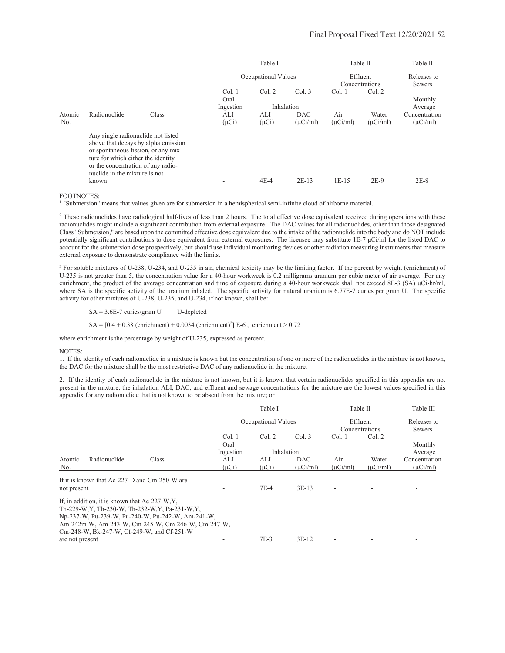|        |                                                                                                                                                                                        |                                     |            | Table I             |               | Table II      |                | Table III             |
|--------|----------------------------------------------------------------------------------------------------------------------------------------------------------------------------------------|-------------------------------------|------------|---------------------|---------------|---------------|----------------|-----------------------|
|        |                                                                                                                                                                                        |                                     |            | Occupational Values |               | Effluent      | Concentrations | Releases to<br>Sewers |
|        |                                                                                                                                                                                        |                                     | Col. 1     | Col. 2              | Col.3         | Col.1         | Col. 2         |                       |
|        |                                                                                                                                                                                        |                                     | Oral       |                     |               |               |                | Monthly               |
|        |                                                                                                                                                                                        |                                     | Ingestion  |                     | Inhalation    |               |                | Average               |
| Atomic | Radionuclide                                                                                                                                                                           | Class                               | ALI        | ALI                 | <b>DAC</b>    | Air           | Water          | Concentration         |
| No.    |                                                                                                                                                                                        |                                     | $(\mu Ci)$ | $(\mu Ci)$          | $(\mu$ Ci/ml) | $(\mu$ Ci/ml) | $(\mu$ Ci/ml)  | $(\mu$ Ci/ml)         |
|        | Any single radionuclide not listed<br>or spontaneous fission, or any mix-<br>ture for which either the identity<br>or the concentration of any radio-<br>nuclide in the mixture is not | above that decays by alpha emission |            |                     |               |               |                |                       |
|        | known                                                                                                                                                                                  |                                     |            | $4E-4$              | $2E-13$       | $1E-15$       | $2E-9$         | $2E-8$                |

FOOTNOTES:

<sup>1</sup> "Submersion" means that values given are for submersion in a hemispherical semi-infinite cloud of airborne material.

 $<sup>2</sup>$  These radionuclides have radiological half-lives of less than 2 hours. The total effective dose equivalent received during operations with these</sup> radionuclides might include a significant contribution from external exposure. The DAC values for all radionuclides, other than those designated Class "Submersion," are based upon the committed effective dose equivalent due to the intake of the radionuclide into the body and do NOT include potentially significant contributions to dose equivalent from external exposures. The licensee may substitute 1E-7 µCi/ml for the listed DAC to account for the submersion dose prospectively, but should use individual monitoring devices or other radiation measuring instruments that measure external exposure to demonstrate compliance with the limits.

<sup>3</sup> For soluble mixtures of U-238, U-234, and U-235 in air, chemical toxicity may be the limiting factor. If the percent by weight (enrichment) of U-235 is not greater than 5, the concentration value for a 40-hour workweek is 0.2 milligrams uranium per cubic meter of air average. For any enrichment, the product of the average concentration and time of exposure during a 40-hour workweek shall not exceed 8E-3 (SA)  $\mu$ Ci-hr/ml, where SA is the specific activity of the uranium inhaled. The specific activity for natural uranium is 6.77E-7 curies per gram U. The specific activity for other mixtures of U-238, U-235, and U-234, if not known, shall be:

 $SA = 3.6E-7$  curies/gram U U-depleted

 $SA = [0.4 + 0.38$  (enrichment) + 0.0034 (enrichment)<sup>2</sup>] E-6, enrichment > 0.72

where enrichment is the percentage by weight of U-235, expressed as percent.

#### NOTES:

1. If the identity of each radionuclide in a mixture is known but the concentration of one or more of the radionuclides in the mixture is not known, the DAC for the mixture shall be the most restrictive DAC of any radionuclide in the mixture.

2. If the identity of each radionuclide in the mixture is not known, but it is known that certain radionuclides specified in this appendix are not present in the mixture, the inhalation ALI, DAC, and effluent and sewage concentrations for the mixture are the lowest values specified in this appendix for any radionuclide that is not known to be absent from the mixture; or

|                 |                                               |                                                    |            | Table I             |            | Table II |                            | Table III             |
|-----------------|-----------------------------------------------|----------------------------------------------------|------------|---------------------|------------|----------|----------------------------|-----------------------|
|                 |                                               |                                                    |            | Occupational Values |            |          | Effluent<br>Concentrations | Releases to<br>Sewers |
|                 |                                               |                                                    | Col.1      | Col. 2              | Col.3      | Col.1    | Col. 2                     |                       |
|                 |                                               |                                                    | Oral       |                     |            |          |                            | Monthly               |
|                 |                                               |                                                    | Ingestion  |                     | Inhalation |          |                            | Average               |
| Atomic          | Radionuclide                                  | Class                                              | ALI        | ALI                 | <b>DAC</b> | Air      | Water                      | Concentration         |
| No.             |                                               |                                                    | $(\mu Ci)$ | $(\mu Ci)$          | (uCi/ml)   | (uCi/ml) | (uCi/ml)                   | $(\mu$ Ci/ml)         |
|                 | If it is known that Ac-227-D and Cm-250-W are |                                                    |            |                     |            |          |                            |                       |
| not present     |                                               |                                                    |            | $7E-4$              | $3E-13$    |          |                            |                       |
|                 | If, in addition, it is known that Ac-227-W.Y. |                                                    |            |                     |            |          |                            |                       |
|                 |                                               | Th-229-W, Y, Th-230-W, Th-232-W, Y, Pa-231-W, Y,   |            |                     |            |          |                            |                       |
|                 |                                               | Np-237-W, Pu-239-W, Pu-240-W, Pu-242-W, Am-241-W,  |            |                     |            |          |                            |                       |
|                 |                                               | Am-242m-W, Am-243-W, Cm-245-W, Cm-246-W, Cm-247-W, |            |                     |            |          |                            |                       |
|                 |                                               | Cm-248-W, Bk-247-W, Cf-249-W, and Cf-251-W         |            |                     |            |          |                            |                       |
| are not present |                                               |                                                    |            | $7E-3$              | $3E-12$    |          |                            |                       |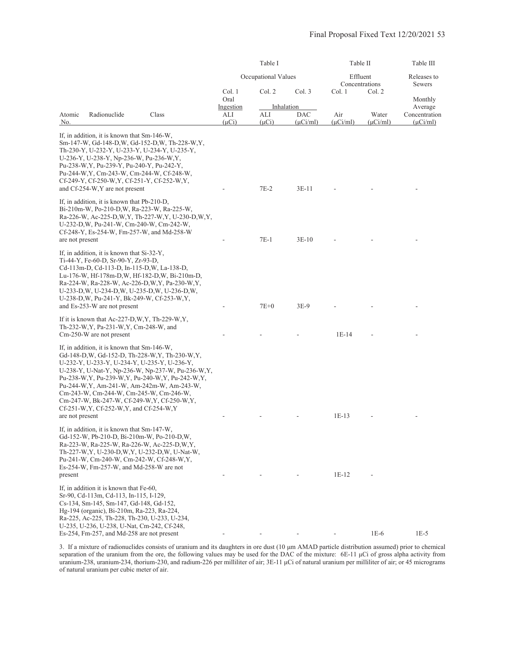|                                                                                                                                                                                                                                                                                                                                                                                                                                                                                                     |                                | Table I             |                                    | Table II             | Table III              |                                           |
|-----------------------------------------------------------------------------------------------------------------------------------------------------------------------------------------------------------------------------------------------------------------------------------------------------------------------------------------------------------------------------------------------------------------------------------------------------------------------------------------------------|--------------------------------|---------------------|------------------------------------|----------------------|------------------------|-------------------------------------------|
|                                                                                                                                                                                                                                                                                                                                                                                                                                                                                                     |                                | Occupational Values |                                    | Effluent             | Concentrations         | Releases to<br>Sewers                     |
|                                                                                                                                                                                                                                                                                                                                                                                                                                                                                                     | Col. 1<br>Oral                 | Col. 2              | Col. 3                             | Col. 1               | Col. 2                 | Monthly                                   |
| Radionuclide<br>Class<br>Atomic<br>No.                                                                                                                                                                                                                                                                                                                                                                                                                                                              | Ingestion<br>ALI<br>$(\mu Ci)$ | ALI<br>$(\mu Ci)$   | Inhalation<br>DAC<br>$(\mu$ Ci/ml) | Air<br>$(\mu$ Ci/ml) | Water<br>$(\mu$ Ci/ml) | Average<br>Concentration<br>$(\mu$ Ci/ml) |
| If, in addition, it is known that Sm-146-W,<br>Sm-147-W, Gd-148-D,W, Gd-152-D,W, Th-228-W,Y,<br>Th-230-Y, U-232-Y, U-233-Y, U-234-Y, U-235-Y,<br>U-236-Y, U-238-Y, Np-236-W, Pu-236-W, Y,<br>Pu-238-W, Y, Pu-239-Y, Pu-240-Y, Pu-242-Y,<br>Pu-244-W, Y, Cm-243-W, Cm-244-W, Cf-248-W,<br>Cf-249-Y, Cf-250-W, Y, Cf-251-Y, Cf-252-W, Y,<br>and Cf-254-W, Y are not present                                                                                                                           |                                | 7E-2                | $3E-11$                            |                      |                        |                                           |
| If, in addition, it is known that Pb-210-D,<br>Bi-210m-W, Po-210-D, W, Ra-223-W, Ra-225-W,<br>Ra-226-W, Ac-225-D, W, Y, Th-227-W, Y, U-230-D, W, Y,<br>U-232-D, W, Pu-241-W, Cm-240-W, Cm-242-W,<br>Cf-248-Y, Es-254-W, Fm-257-W, and Md-258-W                                                                                                                                                                                                                                                      |                                | $7E-1$              |                                    |                      |                        |                                           |
| are not present<br>If, in addition, it is known that Si-32-Y,<br>Ti-44-Y, Fe-60-D, Sr-90-Y, Zr-93-D,<br>Cd-113m-D, Cd-113-D, In-115-D, W, La-138-D,<br>Lu-176-W, Hf-178m-D,W, Hf-182-D,W, Bi-210m-D,<br>Ra-224-W, Ra-228-W, Ac-226-D, W, Y, Pa-230-W, Y,<br>U-233-D, W, U-234-D, W, U-235-D, W, U-236-D, W,<br>U-238-D, W, Pu-241-Y, Bk-249-W, Cf-253-W, Y,                                                                                                                                         |                                |                     | $3E-10$                            |                      |                        |                                           |
| and Es-253-W are not present<br>If it is known that Ac-227-D, W, Y, Th-229-W, Y,<br>Th-232-W, Y, Pa-231-W, Y, Cm-248-W, and                                                                                                                                                                                                                                                                                                                                                                         |                                | $7E+0$              | 3E-9                               |                      |                        |                                           |
| Cm-250-W are not present<br>If, in addition, it is known that Sm-146-W,<br>Gd-148-D, W, Gd-152-D, Th-228-W, Y, Th-230-W, Y,<br>U-232-Y, U-233-Y, U-234-Y, U-235-Y, U-236-Y,<br>U-238-Y, U-Nat-Y, Np-236-W, Np-237-W, Pu-236-W, Y,<br>Pu-238-W, Y, Pu-239-W, Y, Pu-240-W, Y, Pu-242-W, Y,<br>Pu-244-W, Y, Am-241-W, Am-242m-W, Am-243-W,<br>Cm-243-W, Cm-244-W, Cm-245-W, Cm-246-W,<br>Cm-247-W, Bk-247-W, Cf-249-W, Y, Cf-250-W, Y,<br>Cf-251-W, Y, Cf-252-W, Y, and Cf-254-W, Y<br>are not present |                                |                     |                                    | $1E-14$<br>$1E-13$   |                        |                                           |
| If, in addition, it is known that Sm-147-W,<br>Gd-152-W, Pb-210-D, Bi-210m-W, Po-210-D,W,<br>Ra-223-W, Ra-225-W, Ra-226-W, Ac-225-D, W.Y.<br>Th-227-W, Y, U-230-D, W, Y, U-232-D, W, U-Nat-W,<br>Pu-241-W, Cm-240-W, Cm-242-W, Cf-248-W, Y,<br>$Es-254-W$ , Fm-257-W, and Md-258-W are not<br>present                                                                                                                                                                                               |                                |                     |                                    | $1E-12$              |                        |                                           |
| If, in addition it is known that Fe-60,<br>Sr-90, Cd-113m, Cd-113, In-115, I-129,<br>Cs-134, Sm-145, Sm-147, Gd-148, Gd-152,<br>Hg-194 (organic), Bi-210m, Ra-223, Ra-224,<br>Ra-225, Ac-225, Th-228, Th-230, U-233, U-234,<br>U-235, U-236, U-238, U-Nat, Cm-242, Cf-248,<br>Es-254, Fm-257, and Md-258 are not present                                                                                                                                                                            |                                |                     |                                    |                      | $1E-6$                 | $1E-5$                                    |

3. If a mixture of radionuclides consists of uranium and its daughters in ore dust (10 µm AMAD particle distribution assumed) prior to chemical separation of the uranium from the ore, the following values may be used for the DAC of the mixture:  $6E-11 \mu Ci$  of gross alpha activity from uranium-238, uranium-234, thorium-230, and radium-226 per milliliter of air; 3E-11 µCi of natural uranium per milliliter of air; or 45 micrograms of natural uranium per cubic meter of air.